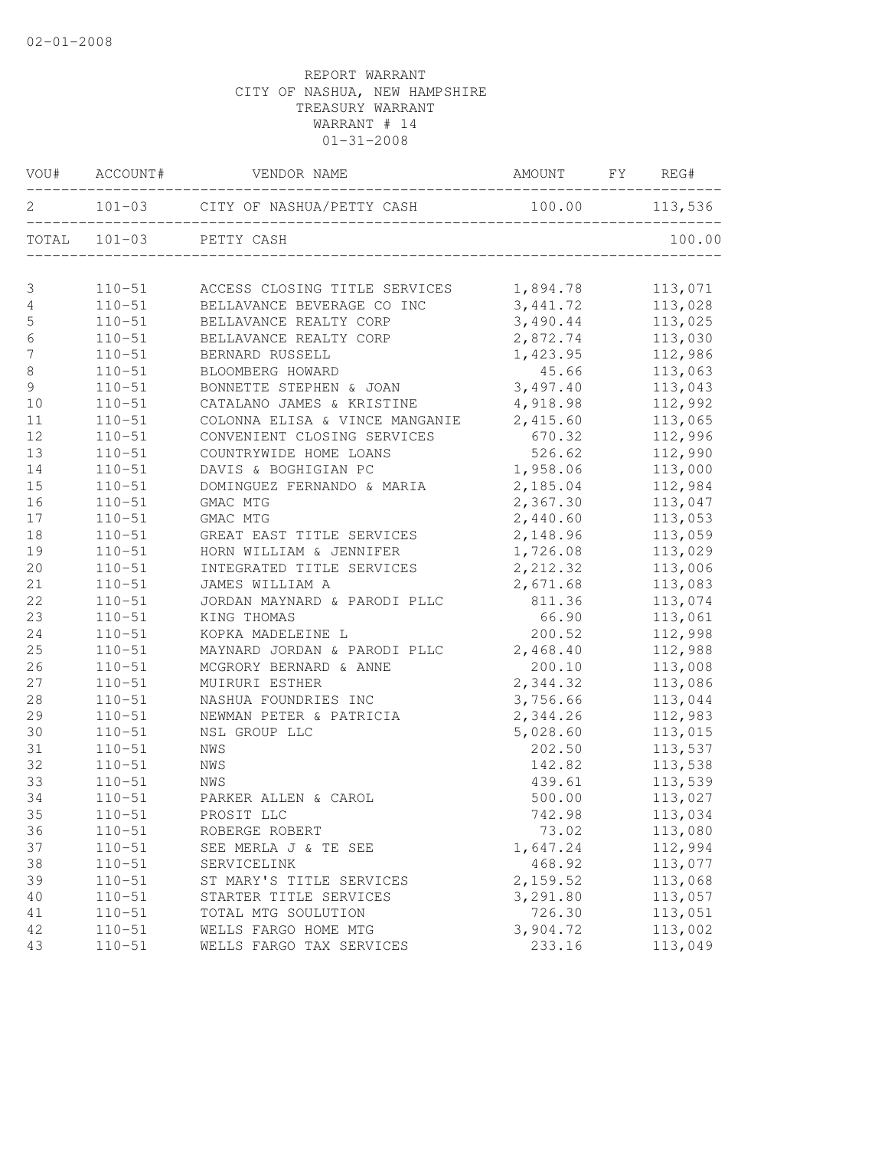|                  |            | VOU# ACCOUNT# VENDOR NAME                         |          |         |
|------------------|------------|---------------------------------------------------|----------|---------|
|                  |            | 2 101-03 CITY OF NASHUA/PETTY CASH 100.00 113,536 |          |         |
|                  |            | TOTAL 101-03 PETTY CASH                           |          |         |
| $\mathfrak{Z}$   |            | 110-51 ACCESS CLOSING TITLE SERVICES 1,894.78     |          | 113,071 |
| 4                |            | 110-51 BELLAVANCE BEVERAGE CO INC 3,441.72        |          | 113,028 |
| 5                | $110 - 51$ | BELLAVANCE REALTY CORP                            | 3,490.44 | 113,025 |
| $\epsilon$       | $110 - 51$ | BELLAVANCE REALTY CORP                            | 2,872.74 | 113,030 |
| $\boldsymbol{7}$ | $110 - 51$ | BERNARD RUSSELL                                   | 1,423.95 | 112,986 |
| $\,8\,$          | $110 - 51$ | BLOOMBERG HOWARD                                  | 45.66    | 113,063 |
| $\mathfrak{g}$   | $110 - 51$ | BONNETTE STEPHEN & JOAN 3,497.40                  |          | 113,043 |
| 10               | $110 - 51$ | CATALANO JAMES & KRISTINE 4,918.98                |          | 112,992 |
| 11               | $110 - 51$ | COLONNA ELISA & VINCE MANGANIE 2,415.60           |          | 113,065 |
| 12               | $110 - 51$ | CONVENIENT CLOSING SERVICES                       | 670.32   | 112,996 |
| 13               | $110 - 51$ | COUNTRYWIDE HOME LOANS                            | 526.62   | 112,990 |
| 14               | $110 - 51$ | DAVIS & BOGHIGIAN PC                              | 1,958.06 | 113,000 |
| 15               | $110 - 51$ | DOMINGUEZ FERNANDO & MARIA                        | 2,185.04 | 112,984 |
| 16               | $110 - 51$ | GMAC MTG                                          | 2,367.30 | 113,047 |
| 17               | $110 - 51$ | GMAC MTG                                          | 2,440.60 | 113,053 |
| 18               | $110 - 51$ | GREAT EAST TITLE SERVICES                         | 2,148.96 | 113,059 |
| 19               | $110 - 51$ | HORN WILLIAM & JENNIFER                           | 1,726.08 | 113,029 |
| 20               | $110 - 51$ | INTEGRATED TITLE SERVICES                         | 2,212.32 | 113,006 |
| 21               | $110 - 51$ | JAMES WILLIAM A                                   | 2,671.68 | 113,083 |
| 22               | $110 - 51$ | JORDAN MAYNARD & PARODI PLLC                      | 811.36   | 113,074 |
| 23               | $110 - 51$ | KING THOMAS                                       | 66.90    | 113,061 |
| 24               | $110 - 51$ | KOPKA MADELEINE L                                 | 200.52   | 112,998 |
| 25               | $110 - 51$ | MAYNARD JORDAN & PARODI PLLC                      | 2,468.40 | 112,988 |
| 26               | $110 - 51$ | MCGRORY BERNARD & ANNE                            | 200.10   | 113,008 |
| 27               | $110 - 51$ | MUIRURI ESTHER                                    | 2,344.32 | 113,086 |
| 28               | $110 - 51$ | NASHUA FOUNDRIES INC                              | 3,756.66 | 113,044 |
| 29               | $110 - 51$ | NEWMAN PETER & PATRICIA                           | 2,344.26 | 112,983 |
| 30               | $110 - 51$ | NSL GROUP LLC                                     | 5,028.60 | 113,015 |
| 31               | $110 - 51$ | NWS                                               | 202.50   | 113,537 |
| 32               | $110 - 51$ | NWS                                               | 142.82   | 113,538 |
| 33               | $110 - 51$ |                                                   | 439.61   | 113,539 |
| 34               | $110 - 51$ | NWS<br>PARKER ALLEN & CAROL                       | 500.00   | 113,027 |
| 35               |            | 110-51 PROSIT LLC                                 | 742.98   | 113,034 |
| 36               | $110 - 51$ | ROBERGE ROBERT                                    | 73.02    | 113,080 |
| 37               | $110 - 51$ | SEE MERLA J & TE SEE                              | 1,647.24 | 112,994 |
| 38               | $110 - 51$ | SERVICELINK                                       | 468.92   | 113,077 |
| 39               | $110 - 51$ | ST MARY'S TITLE SERVICES                          | 2,159.52 | 113,068 |
| 40               | $110 - 51$ | STARTER TITLE SERVICES                            | 3,291.80 | 113,057 |
| 41               | $110 - 51$ | TOTAL MTG SOULUTION                               | 726.30   | 113,051 |
| 42               | $110 - 51$ | WELLS FARGO HOME MTG                              | 3,904.72 | 113,002 |
| 43               | $110 - 51$ | WELLS FARGO TAX SERVICES                          | 233.16   | 113,049 |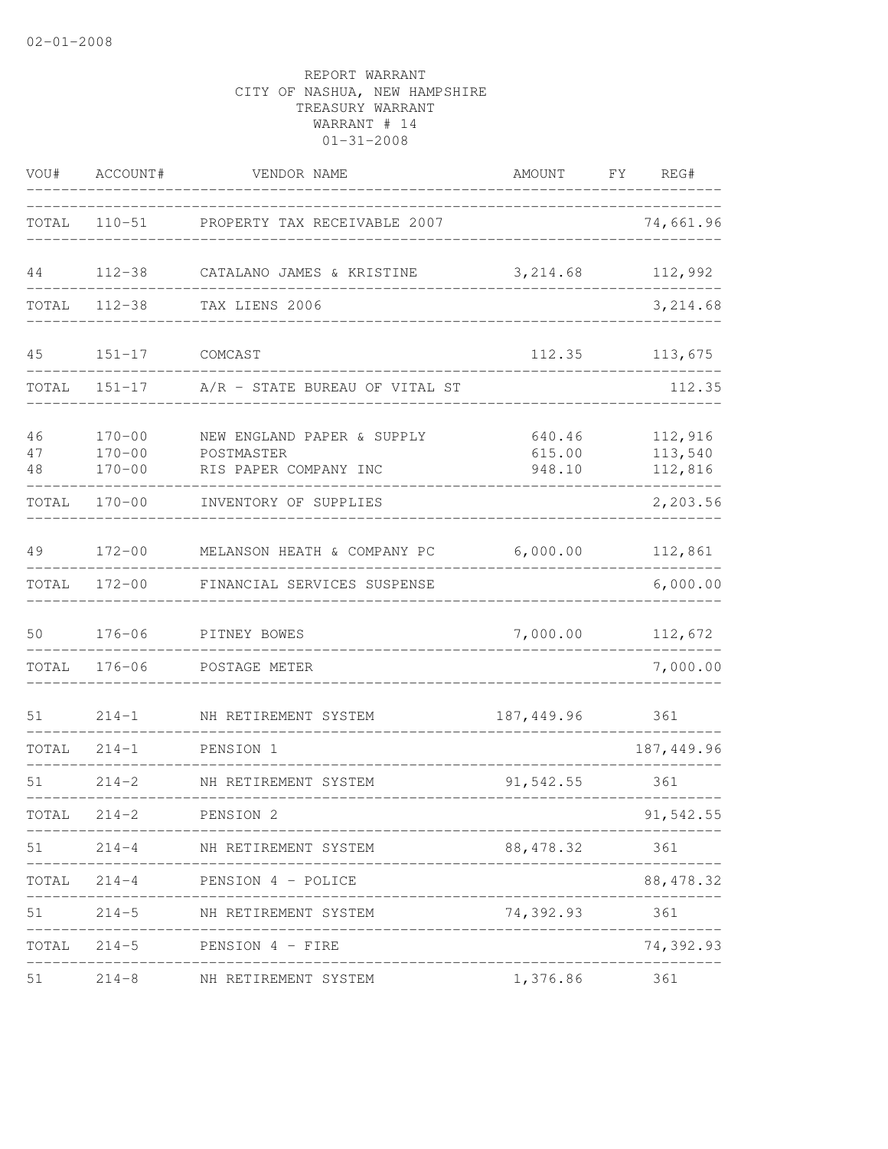| VOU#           | ACCOUNT#                               | VENDOR NAME                                                       | AMOUNT FY REG#               |                               |
|----------------|----------------------------------------|-------------------------------------------------------------------|------------------------------|-------------------------------|
|                |                                        | TOTAL 110-51 PROPERTY TAX RECEIVABLE 2007                         |                              | 74,661.96                     |
| 44             | $112 - 38$                             | CATALANO JAMES & KRISTINE                                         | 3, 214.68                    | 112,992                       |
| TOTAL          |                                        | 112-38 TAX LIENS 2006                                             |                              | 3,214.68                      |
| 45             | $151 - 17$                             | COMCAST                                                           | 112.35                       | 113,675                       |
| TOTAL          | $151 - 17$                             | A/R - STATE BUREAU OF VITAL ST                                    |                              | 112.35                        |
| 46<br>47<br>48 | $170 - 00$<br>$170 - 00$<br>$170 - 00$ | NEW ENGLAND PAPER & SUPPLY<br>POSTMASTER<br>RIS PAPER COMPANY INC | 640.46<br>615.00<br>948.10   | 112,916<br>113,540<br>112,816 |
| TOTAL          | $170 - 00$                             | INVENTORY OF SUPPLIES                                             |                              | 2,203.56                      |
| 49             |                                        | 172-00 MELANSON HEATH & COMPANY PC 6,000.00                       |                              | 112,861                       |
| TOTAL          | $172 - 00$                             | FINANCIAL SERVICES SUSPENSE                                       |                              | 6,000.00                      |
| 50             | $176 - 06$                             | PITNEY BOWES                                                      | 7,000.00                     | 112,672                       |
| TOTAL          | $176 - 06$                             | POSTAGE METER                                                     |                              | 7,000.00                      |
| 51             | $214 - 1$                              | NH RETIREMENT SYSTEM                                              | 187,449.96                   | 361                           |
| TOTAL          | $214 - 1$                              | PENSION 1<br>-------------------------                            |                              | 187, 449.96                   |
| 51             | $214 - 2$                              | NH RETIREMENT SYSTEM                                              | 91,542.55                    | 361                           |
| TOTAL          | $214 - 2$                              | PENSION 2                                                         |                              | 91,542.55                     |
|                |                                        | 51 214-4 NH RETIREMENT SYSTEM                                     | 88,478.32                    | 361                           |
|                |                                        | TOTAL 214-4 PENSION 4 - POLICE                                    |                              | 88, 478.32                    |
| 51             |                                        | 214-5 NH RETIREMENT SYSTEM                                        | 74,392.93 361                |                               |
|                |                                        | TOTAL 214-5 PENSION 4 - FIRE                                      | ____________________________ | 74,392.93                     |
| 51             |                                        | 214-8 NH RETIREMENT SYSTEM                                        | 1,376.86 361                 |                               |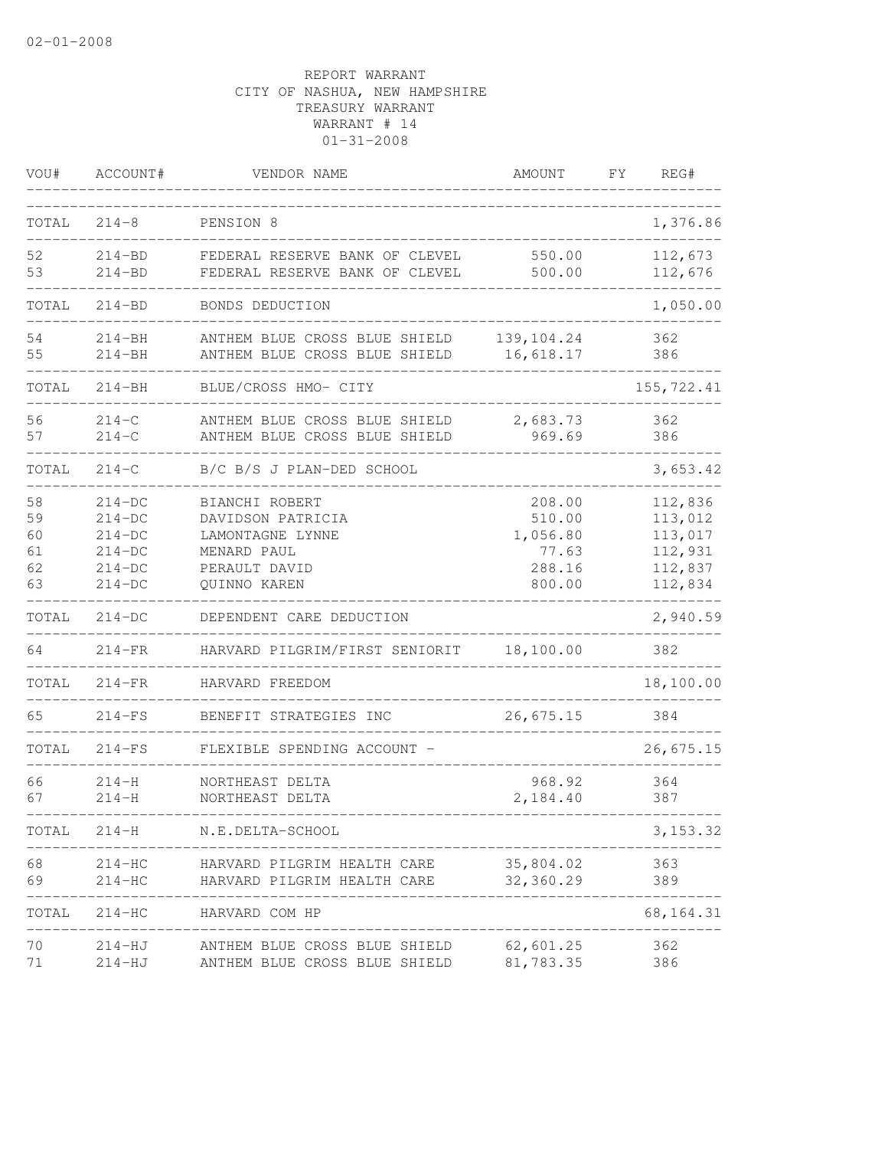| VOU#                             | ACCOUNT#                                                             | VENDOR NAME                                                                                             | AMOUNT                                                    | FΥ | REG#                                                           |
|----------------------------------|----------------------------------------------------------------------|---------------------------------------------------------------------------------------------------------|-----------------------------------------------------------|----|----------------------------------------------------------------|
| TOTAL                            | $214 - 8$                                                            | PENSION 8                                                                                               |                                                           |    | 1,376.86                                                       |
| 52<br>53                         | $214 - BD$<br>$214 - BD$                                             | FEDERAL RESERVE BANK OF CLEVEL<br>FEDERAL RESERVE BANK OF CLEVEL                                        | 550.00<br>500.00                                          |    | 112,673<br>112,676                                             |
| TOTAL                            | 214-BD                                                               | BONDS DEDUCTION                                                                                         |                                                           |    | 1,050.00                                                       |
| 54<br>55                         | $214 - BH$<br>$214 - BH$                                             | ANTHEM BLUE CROSS BLUE SHIELD<br>ANTHEM BLUE CROSS BLUE SHIELD                                          | 139, 104.24<br>16,618.17                                  |    | 362<br>386                                                     |
| TOTAL                            | $214 - BH$                                                           | BLUE/CROSS HMO- CITY                                                                                    |                                                           |    | 155, 722.41                                                    |
| 56<br>57                         | $214 - C$<br>$214 - C$                                               | ANTHEM BLUE CROSS BLUE SHIELD<br>ANTHEM BLUE CROSS BLUE SHIELD                                          | 2,683.73<br>969.69                                        |    | 362<br>386                                                     |
| TOTAL                            | $214 - C$                                                            | B/C B/S J PLAN-DED SCHOOL                                                                               |                                                           |    | 3,653.42                                                       |
| 58<br>59<br>60<br>61<br>62<br>63 | $214-DC$<br>$214-DC$<br>$214-DC$<br>$214-DC$<br>$214-DC$<br>$214-DC$ | BIANCHI ROBERT<br>DAVIDSON PATRICIA<br>LAMONTAGNE LYNNE<br>MENARD PAUL<br>PERAULT DAVID<br>OUINNO KAREN | 208.00<br>510.00<br>1,056.80<br>77.63<br>288.16<br>800.00 |    | 112,836<br>113,012<br>113,017<br>112,931<br>112,837<br>112,834 |
| TOTAL                            | $214-DC$                                                             | DEPENDENT CARE DEDUCTION                                                                                |                                                           |    | 2,940.59                                                       |
| 64                               | $214-FR$                                                             | HARVARD PILGRIM/FIRST SENIORIT                                                                          | 18,100.00                                                 |    | 382                                                            |
| TOTAL                            | $214-FR$                                                             | HARVARD FREEDOM                                                                                         |                                                           |    | 18,100.00                                                      |
| 65                               | $214-FS$                                                             | BENEFIT STRATEGIES INC                                                                                  | 26,675.15                                                 |    | 384                                                            |
| TOTAL                            | $214-FS$                                                             | FLEXIBLE SPENDING ACCOUNT -                                                                             |                                                           |    | 26,675.15                                                      |
| 66<br>67                         | $214 - H$<br>$214 - H$                                               | NORTHEAST DELTA<br>NORTHEAST DELTA                                                                      | 968.92<br>2,184.40                                        |    | 364<br>387                                                     |
| TOTAL                            |                                                                      | 214-H N.E.DELTA-SCHOOL                                                                                  |                                                           |    | 3, 153.32                                                      |
| 68<br>69                         | $214 - HC$<br>$214-HC$                                               | HARVARD PILGRIM HEALTH CARE<br>HARVARD PILGRIM HEALTH CARE 32,360.29                                    | 35,804.02                                                 |    | 363<br>389                                                     |
| TOTAL                            |                                                                      | 214-HC HARVARD COM HP                                                                                   |                                                           |    | 68, 164. 31                                                    |
| 70<br>71                         | 214-HJ                                                               | 214-HJ ANTHEM BLUE CROSS BLUE SHIELD 62,601.25<br>ANTHEM BLUE CROSS BLUE SHIELD                         | 81,783.35                                                 |    | 362<br>386                                                     |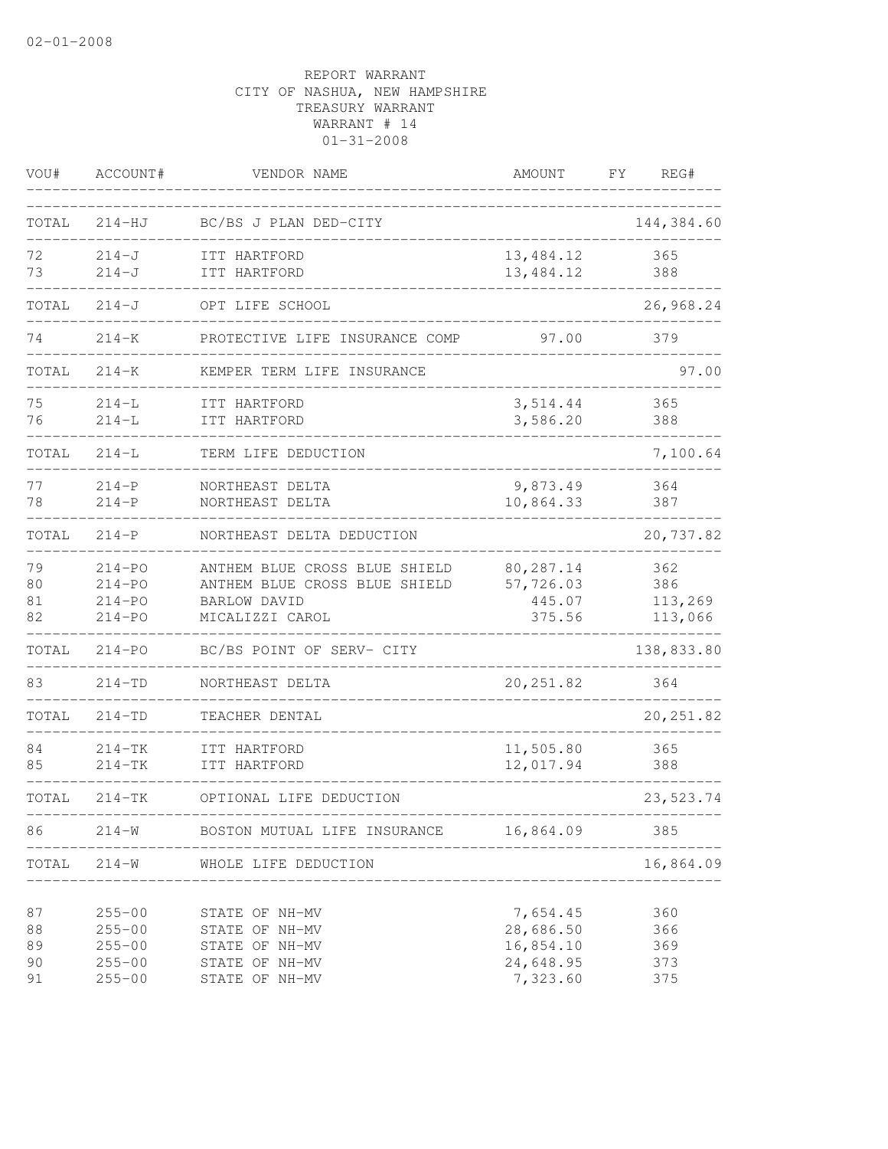| VOU#                       | ACCOUNT#                                                           | VENDOR NAME                                                                                       | AMOUNT                                                      | FΥ<br>REG#                       |
|----------------------------|--------------------------------------------------------------------|---------------------------------------------------------------------------------------------------|-------------------------------------------------------------|----------------------------------|
| TOTAL                      | $214-HJ$                                                           | BC/BS J PLAN DED-CITY                                                                             |                                                             | 144,384.60                       |
| 72<br>73                   | $214 - J$<br>$214 - J$                                             | ITT HARTFORD<br>ITT HARTFORD                                                                      | 13,484.12<br>13,484.12                                      | 365<br>388                       |
| TOTAL                      | $214 - J$                                                          | OPT LIFE SCHOOL                                                                                   |                                                             | 26,968.24                        |
| 74                         | $214 - K$                                                          | PROTECTIVE LIFE INSURANCE COMP                                                                    | 97.00                                                       | 379                              |
| TOTAL                      | $214 - K$                                                          | KEMPER TERM LIFE INSURANCE                                                                        |                                                             | 97.00                            |
| 75<br>76                   | $214-L$<br>$214 - L$                                               | ITT HARTFORD<br>ITT HARTFORD                                                                      | 3,514.44<br>3,586.20                                        | 365<br>388                       |
| TOTAL                      | $214-L$                                                            | TERM LIFE DEDUCTION                                                                               |                                                             | 7,100.64                         |
| 77<br>78                   | $214-P$<br>$214-P$                                                 | NORTHEAST DELTA<br>NORTHEAST DELTA                                                                | 9,873.49<br>10,864.33                                       | 364<br>387                       |
| TOTAL                      | $214-P$                                                            | NORTHEAST DELTA DEDUCTION                                                                         |                                                             | 20,737.82                        |
| 79<br>80<br>81<br>82       | $214 - PQ$<br>$214 - PQ$<br>$214 - PQ$<br>$214 - PQ$               | ANTHEM BLUE CROSS BLUE SHIELD<br>ANTHEM BLUE CROSS BLUE SHIELD<br>BARLOW DAVID<br>MICALIZZI CAROL | 80,287.14<br>57,726.03<br>445.07<br>375.56                  | 362<br>386<br>113,269<br>113,066 |
| TOTAL                      | $214 - PQ$                                                         | BC/BS POINT OF SERV- CITY                                                                         |                                                             | 138,833.80                       |
| 83                         | $214 - TD$                                                         | NORTHEAST DELTA                                                                                   | 20, 251.82                                                  | 364                              |
| TOTAL                      | $214 - TD$                                                         | TEACHER DENTAL                                                                                    |                                                             | 20, 251.82                       |
| 84<br>85                   | $214-TK$<br>$214-TK$                                               | ITT HARTFORD<br>ITT HARTFORD                                                                      | 11,505.80<br>12,017.94                                      | 365<br>388                       |
| TOTAL                      | $214-TK$                                                           | OPTIONAL LIFE DEDUCTION                                                                           |                                                             | 23,523.74                        |
| 86                         | $214 - W$                                                          | BOSTON MUTUAL LIFE INSURANCE                                                                      | 16,864.09                                                   | 385                              |
| TOTAL                      | $214 - W$                                                          | WHOLE LIFE DEDUCTION<br>_____________________                                                     |                                                             | 16,864.09                        |
| 87<br>88<br>89<br>90<br>91 | $255 - 00$<br>$255 - 00$<br>$255 - 00$<br>$255 - 00$<br>$255 - 00$ | STATE OF NH-MV<br>STATE OF NH-MV<br>STATE OF NH-MV<br>STATE OF NH-MV<br>STATE OF NH-MV            | 7,654.45<br>28,686.50<br>16,854.10<br>24,648.95<br>7,323.60 | 360<br>366<br>369<br>373<br>375  |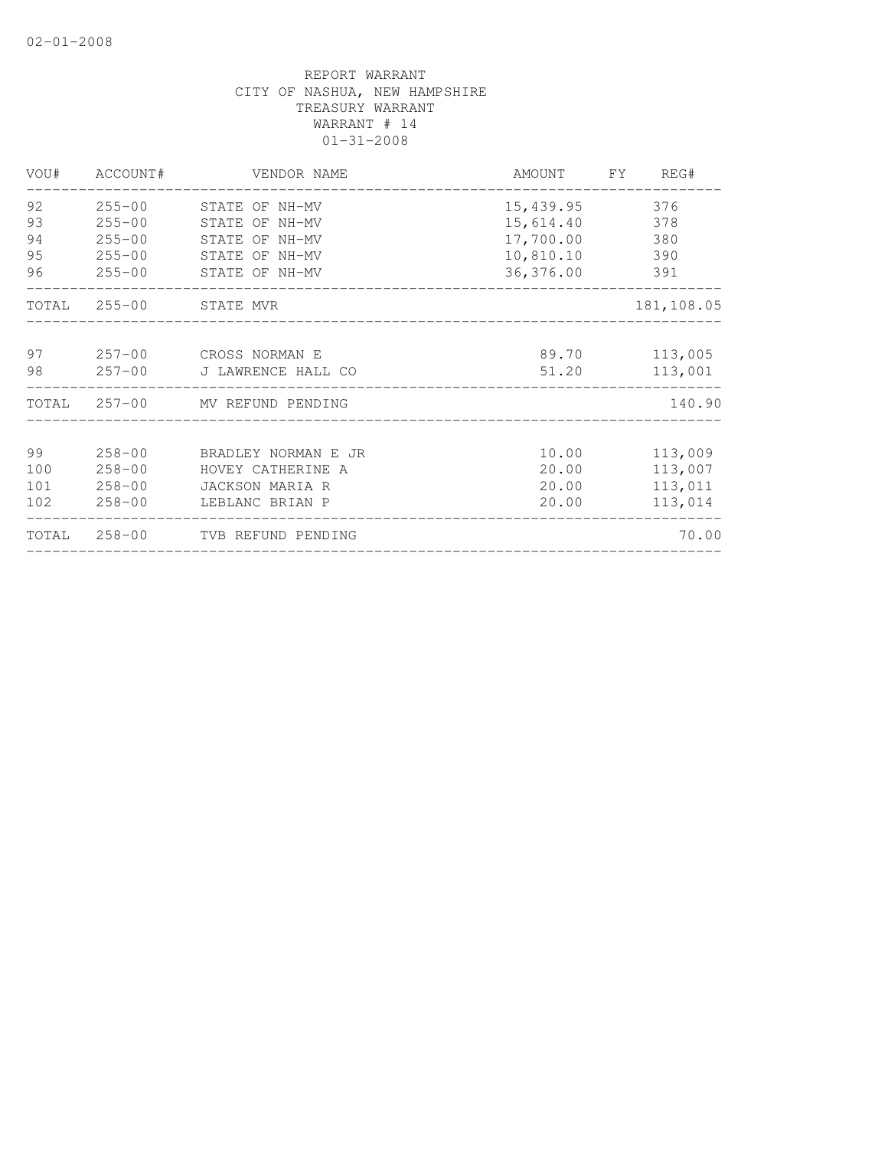| VOU# | ACCOUNT#   | VENDOR NAME                     |           | AMOUNT FY REG# |
|------|------------|---------------------------------|-----------|----------------|
| 92   |            | 255-00 STATE OF NH-MV           | 15,439.95 | 376            |
| 93   | $255 - 00$ | STATE OF NH-MV                  | 15,614.40 | 378            |
| 94   | $255 - 00$ | STATE OF NH-MV                  | 17,700.00 | 380            |
| 95   | $255 - 00$ | STATE OF NH-MV                  | 10,810.10 | 390            |
| 96   | $255 - 00$ | STATE OF NH-MV                  | 36,376.00 | 391            |
|      |            | TOTAL 255-00 STATE MVR          |           | 181, 108.05    |
| 97   |            | 257-00 CROSS NORMAN E           |           | 89.70 113,005  |
| 98   |            | 257-00 J LAWRENCE HALL CO       | 51.20     | 113,001        |
|      |            | TOTAL 257-00 MV REFUND PENDING  |           | 140.90         |
| 99   | $258 - 00$ | BRADLEY NORMAN E JR             | 10.00     | 113,009        |
| 100  | $258 - 00$ | HOVEY CATHERINE A               | 20.00     | 113,007        |
| 101  | $258 - 00$ | JACKSON MARIA R                 | 20.00     | 113,011        |
| 102  | $258 - 00$ | LEBLANC BRIAN P                 | 20.00     | 113,014        |
|      |            | TOTAL 258-00 TVB REFUND PENDING |           | 70.00          |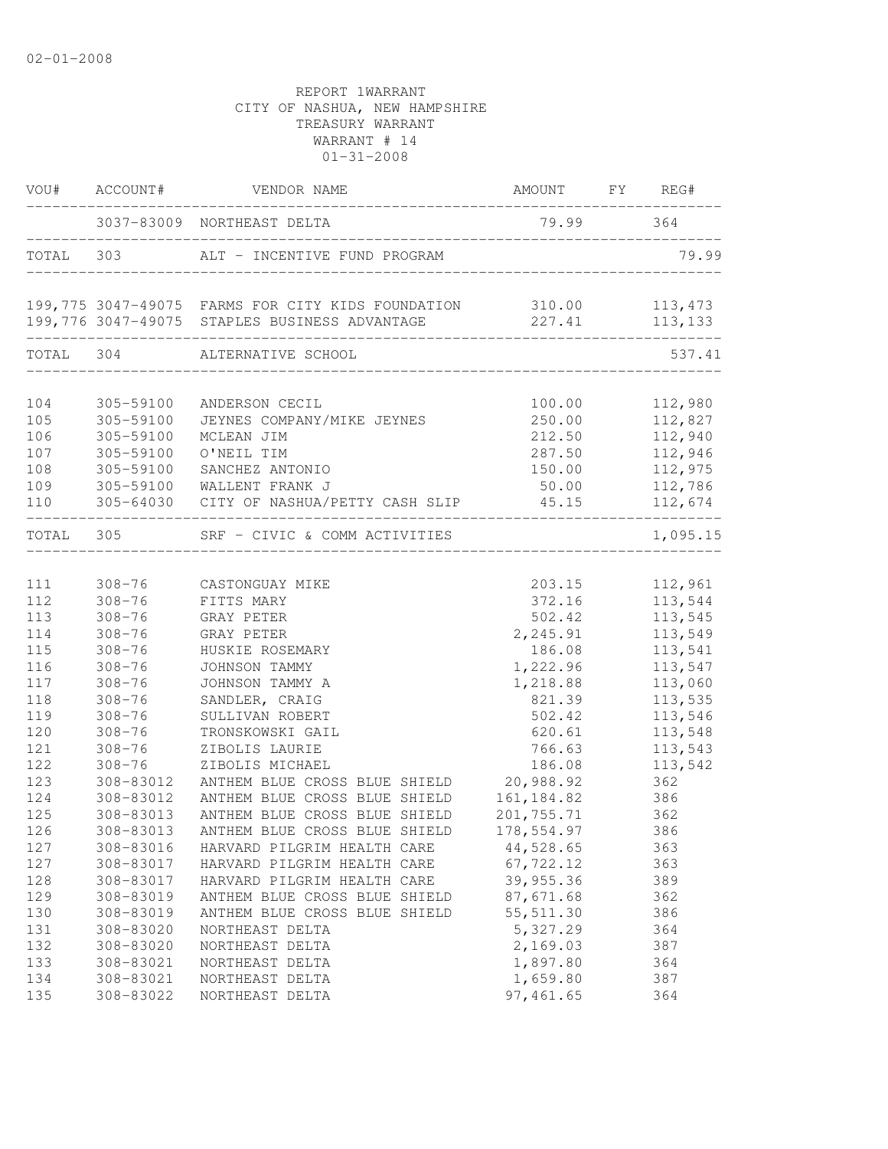|                                               | VOU# ACCOUNT#                                                                    | AMOUNT FY REG#<br>VENDOR NAME                                                                                                                                                     |                                                                             |                                                                      |
|-----------------------------------------------|----------------------------------------------------------------------------------|-----------------------------------------------------------------------------------------------------------------------------------------------------------------------------------|-----------------------------------------------------------------------------|----------------------------------------------------------------------|
|                                               |                                                                                  | 3037-83009 NORTHEAST DELTA                                                                                                                                                        | 79.99 364                                                                   |                                                                      |
|                                               |                                                                                  | TOTAL 303 ALT - INCENTIVE FUND PROGRAM                                                                                                                                            |                                                                             | 79.99                                                                |
|                                               |                                                                                  | 199,775 3047-49075 FARMS FOR CITY KIDS FOUNDATION 310.00 113,473<br>199,776 3047-49075 STAPLES BUSINESS ADVANTAGE 227.41 113,133                                                  | _____________________                                                       |                                                                      |
|                                               |                                                                                  | TOTAL 304 ALTERNATIVE SCHOOL                                                                                                                                                      |                                                                             | 537.41                                                               |
| 104<br>105<br>106<br>107<br>108<br>109<br>110 | 305-59100<br>305-59100<br>305-59100<br>305-59100                                 | ANDERSON CECIL<br>JEYNES COMPANY/MIKE JEYNES<br>MCLEAN JIM<br>O'NEIL TIM<br>305-59100 SANCHEZ ANTONIO<br>305-59100 WALLENT FRANK J<br>305-64030 CITY OF NASHUA/PETTY CASH SLIP    | 100.00<br>250.00<br>212.50<br>287.50<br>150.00<br>$\frac{45.15}{2}$ 112,674 | 112,980<br>112,827<br>112,940<br>112,946<br>112,975<br>50.00 112,786 |
| TOTAL 305                                     |                                                                                  | SRF - CIVIC & COMM ACTIVITIES                                                                                                                                                     |                                                                             | 1,095.15                                                             |
| 111<br>112<br>113<br>114<br>115               | $308 - 76$<br>$308 - 76$<br>$308 - 76$<br>$308 - 76$                             | 308-76 CASTONGUAY MIKE<br>FITTS MARY<br>GRAY PETER<br>GRAY PETER<br>HUSKIE ROSEMARY                                                                                               | 372.16<br>502.42<br>2,245.91<br>186.08                                      | 203.15 112,961<br>113,544<br>113,545<br>113,549<br>113,541           |
| 116<br>117<br>118<br>119<br>120<br>121        | $308 - 76$<br>$308 - 76$<br>$308 - 76$<br>$308 - 76$<br>$308 - 76$<br>$308 - 76$ | JOHNSON TAMMY<br>JOHNSON TAMMY A<br>SANDLER, CRAIG<br>SULLIVAN ROBERT<br>TRONSKOWSKI GAIL<br>ZIBOLIS LAURIE                                                                       | 1,222.96<br>1,218.88<br>821.39<br>502.42<br>620.61<br>766.63                | 113,547<br>113,060<br>113,535<br>113,546<br>113,548<br>113,543       |
| 122<br>123<br>124<br>125<br>126               | $308 - 76$<br>308-83012<br>308-83013                                             | ZIBOLIS MICHAEL<br>308-83012 ANTHEM BLUE CROSS BLUE SHIELD 20,988.92<br>ANTHEM BLUE CROSS BLUE SHIELD<br>ANTHEM BLUE CROSS BLUE SHIELD<br>308-83013 ANTHEM BLUE CROSS BLUE SHIELD | 186.08<br>161, 184.82<br>201,755.71<br>178,554.97                           | 113,542<br>362<br>386<br>362<br>386                                  |
| 127<br>127<br>128<br>129                      | 308-83016<br>308-83017<br>308-83017<br>308-83019                                 | HARVARD PILGRIM HEALTH CARE<br>HARVARD PILGRIM HEALTH CARE<br>HARVARD PILGRIM HEALTH CARE<br>ANTHEM BLUE CROSS BLUE SHIELD                                                        | 44,528.65<br>67,722.12<br>39,955.36<br>87,671.68                            | 363<br>363<br>389<br>362                                             |
| 130<br>131<br>132<br>133<br>134<br>135        | 308-83019<br>308-83020<br>308-83020<br>308-83021<br>308-83021<br>308-83022       | ANTHEM BLUE CROSS BLUE SHIELD<br>NORTHEAST DELTA<br>NORTHEAST DELTA<br>NORTHEAST DELTA<br>NORTHEAST DELTA<br>NORTHEAST DELTA                                                      | 55, 511.30<br>5,327.29<br>2,169.03<br>1,897.80<br>1,659.80<br>97,461.65     | 386<br>364<br>387<br>364<br>387<br>364                               |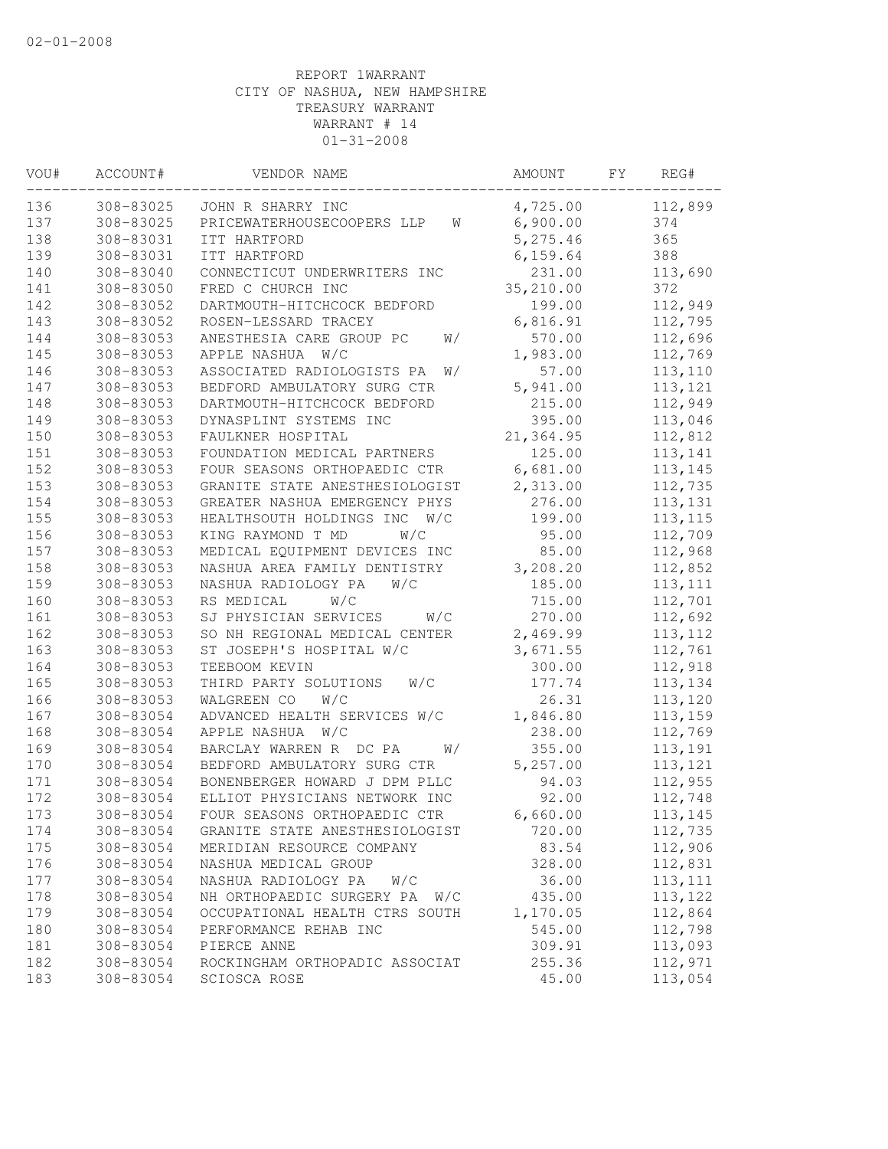| VOU# | ACCOUNT#  | VENDOR NAME                      | AMOUNT    | FY | REG#     |  |
|------|-----------|----------------------------------|-----------|----|----------|--|
| 136  | 308-83025 | JOHN R SHARRY INC                | 4,725.00  |    | 112,899  |  |
| 137  | 308-83025 | PRICEWATERHOUSECOOPERS LLP<br>W  | 6,900.00  |    | 374      |  |
| 138  | 308-83031 | ITT HARTFORD                     | 5,275.46  |    | 365      |  |
| 139  | 308-83031 | ITT HARTFORD                     | 6, 159.64 |    | 388      |  |
| 140  | 308-83040 | CONNECTICUT UNDERWRITERS INC     | 231.00    |    | 113,690  |  |
| 141  | 308-83050 | FRED C CHURCH INC                | 35,210.00 |    | 372      |  |
| 142  | 308-83052 | DARTMOUTH-HITCHCOCK BEDFORD      | 199.00    |    | 112,949  |  |
| 143  | 308-83052 | ROSEN-LESSARD TRACEY             | 6,816.91  |    | 112,795  |  |
| 144  | 308-83053 | ANESTHESIA CARE GROUP PC<br>W/   | 570.00    |    | 112,696  |  |
| 145  | 308-83053 | W/C<br>APPLE NASHUA              | 1,983.00  |    | 112,769  |  |
| 146  | 308-83053 | ASSOCIATED RADIOLOGISTS PA<br>W/ | 57.00     |    | 113,110  |  |
| 147  | 308-83053 | BEDFORD AMBULATORY SURG CTR      | 5,941.00  |    | 113,121  |  |
| 148  | 308-83053 | DARTMOUTH-HITCHCOCK BEDFORD      | 215.00    |    | 112,949  |  |
| 149  | 308-83053 | DYNASPLINT SYSTEMS INC           | 395.00    |    | 113,046  |  |
| 150  | 308-83053 | FAULKNER HOSPITAL                | 21,364.95 |    | 112,812  |  |
| 151  | 308-83053 | FOUNDATION MEDICAL PARTNERS      | 125.00    |    | 113,141  |  |
| 152  | 308-83053 | FOUR SEASONS ORTHOPAEDIC CTR     | 6,681.00  |    | 113,145  |  |
| 153  | 308-83053 | GRANITE STATE ANESTHESIOLOGIST   | 2,313.00  |    | 112,735  |  |
| 154  | 308-83053 | GREATER NASHUA EMERGENCY PHYS    | 276.00    |    | 113,131  |  |
| 155  | 308-83053 | HEALTHSOUTH HOLDINGS INC<br>W/C  | 199.00    |    | 113, 115 |  |
| 156  | 308-83053 | KING RAYMOND T MD<br>W/C         | 95.00     |    | 112,709  |  |
| 157  | 308-83053 | MEDICAL EQUIPMENT DEVICES INC    | 85.00     |    | 112,968  |  |
| 158  | 308-83053 | NASHUA AREA FAMILY DENTISTRY     | 3,208.20  |    | 112,852  |  |
| 159  | 308-83053 | NASHUA RADIOLOGY PA<br>W/C       | 185.00    |    | 113, 111 |  |
| 160  | 308-83053 | RS MEDICAL<br>W/C                | 715.00    |    | 112,701  |  |
| 161  | 308-83053 | SJ PHYSICIAN SERVICES<br>W/C     | 270.00    |    | 112,692  |  |
| 162  | 308-83053 | SO NH REGIONAL MEDICAL CENTER    | 2,469.99  |    | 113, 112 |  |
| 163  | 308-83053 | ST JOSEPH'S HOSPITAL W/C         | 3,671.55  |    | 112,761  |  |
| 164  | 308-83053 | TEEBOOM KEVIN                    | 300.00    |    | 112,918  |  |
| 165  | 308-83053 | W/C<br>THIRD PARTY SOLUTIONS     | 177.74    |    | 113,134  |  |
| 166  | 308-83053 | WALGREEN CO<br>W/C               | 26.31     |    | 113,120  |  |
| 167  | 308-83054 | ADVANCED HEALTH SERVICES W/C     | 1,846.80  |    | 113,159  |  |
| 168  | 308-83054 | APPLE NASHUA<br>W/C              | 238.00    |    | 112,769  |  |
| 169  | 308-83054 | BARCLAY WARREN R DC PA<br>W/     | 355.00    |    | 113,191  |  |
| 170  | 308-83054 | BEDFORD AMBULATORY SURG CTR      | 5,257.00  |    | 113,121  |  |
| 171  | 308-83054 | BONENBERGER HOWARD J DPM PLLC    | 94.03     |    | 112,955  |  |
| 172  | 308-83054 | ELLIOT PHYSICIANS NETWORK INC    | 92.00     |    | 112,748  |  |
| 173  | 308-83054 | FOUR SEASONS ORTHOPAEDIC CTR     | 6,660.00  |    | 113,145  |  |
| 174  | 308-83054 | GRANITE STATE ANESTHESIOLOGIST   | 720.00    |    | 112,735  |  |
| 175  | 308-83054 | MERIDIAN RESOURCE COMPANY        | 83.54     |    | 112,906  |  |
| 176  | 308-83054 | NASHUA MEDICAL GROUP             | 328.00    |    | 112,831  |  |
| 177  | 308-83054 | NASHUA RADIOLOGY PA<br>W/C       | 36.00     |    | 113, 111 |  |
| 178  | 308-83054 | NH ORTHOPAEDIC SURGERY PA<br>W/C | 435.00    |    | 113,122  |  |
| 179  | 308-83054 | OCCUPATIONAL HEALTH CTRS SOUTH   | 1,170.05  |    | 112,864  |  |
| 180  | 308-83054 | PERFORMANCE REHAB INC            | 545.00    |    | 112,798  |  |
| 181  | 308-83054 | PIERCE ANNE                      | 309.91    |    | 113,093  |  |
| 182  | 308-83054 | ROCKINGHAM ORTHOPADIC ASSOCIAT   | 255.36    |    | 112,971  |  |
| 183  | 308-83054 | SCIOSCA ROSE                     | 45.00     |    | 113,054  |  |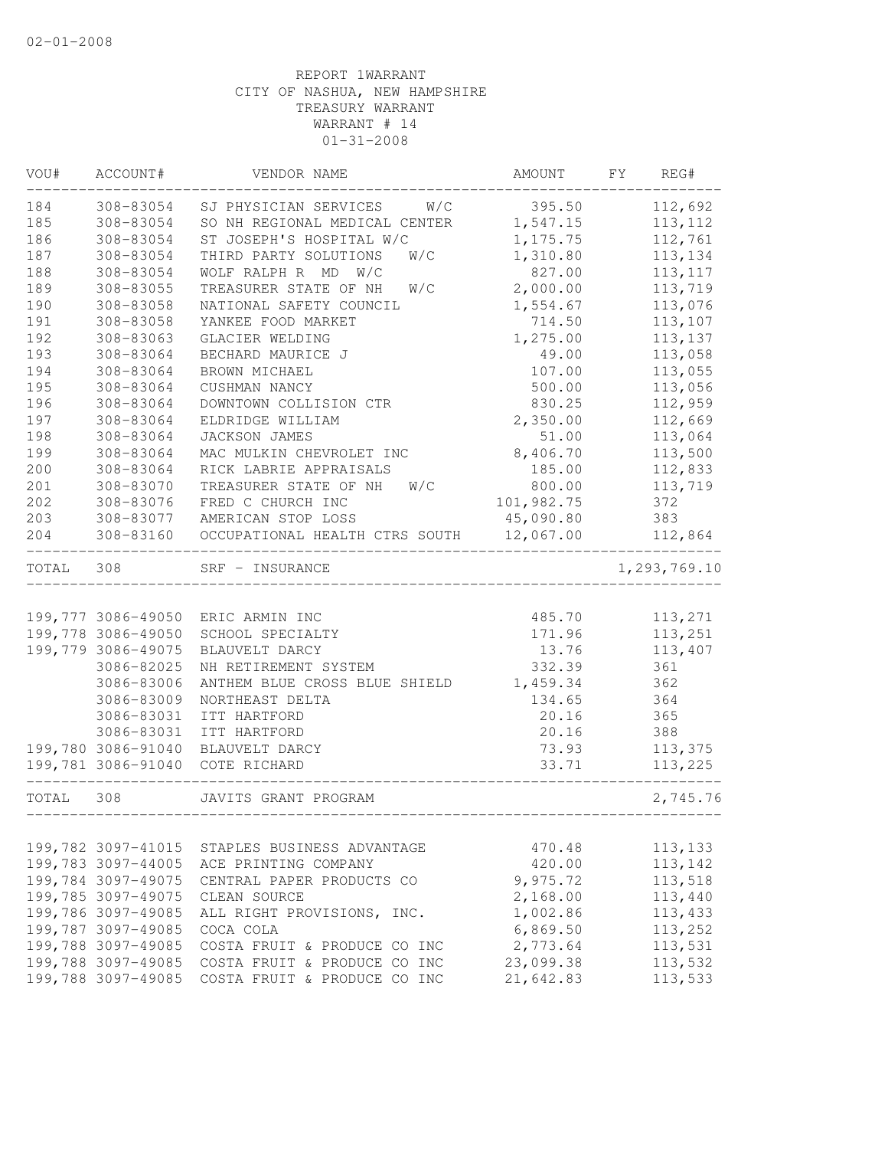| VOU#       | ACCOUNT#               | VENDOR NAME                                                    | AMOUNT     | FY | REG#           |
|------------|------------------------|----------------------------------------------------------------|------------|----|----------------|
| 184        | 308-83054              | W/C<br>SJ PHYSICIAN SERVICES                                   | 395.50     |    | 112,692        |
| 185        | 308-83054              | SO NH REGIONAL MEDICAL CENTER                                  | 1,547.15   |    | 113, 112       |
| 186        | 308-83054              | ST JOSEPH'S HOSPITAL W/C                                       | 1,175.75   |    | 112,761        |
| 187        | 308-83054              | THIRD PARTY SOLUTIONS<br>W/C                                   | 1,310.80   |    | 113,134        |
| 188        | 308-83054              | WOLF RALPH R MD W/C                                            | 827.00     |    | 113, 117       |
| 189        | 308-83055              | TREASURER STATE OF NH<br>W/C                                   | 2,000.00   |    | 113,719        |
| 190        | 308-83058              | NATIONAL SAFETY COUNCIL                                        | 1,554.67   |    | 113,076        |
| 191        | 308-83058              | YANKEE FOOD MARKET                                             | 714.50     |    | 113,107        |
| 192        | 308-83063              | GLACIER WELDING                                                | 1,275.00   |    | 113,137        |
| 193        | 308-83064              | BECHARD MAURICE J                                              | 49.00      |    | 113,058        |
| 194        | 308-83064              | BROWN MICHAEL                                                  | 107.00     |    | 113,055        |
| 195        | 308-83064              | CUSHMAN NANCY                                                  | 500.00     |    | 113,056        |
| 196        | 308-83064              | DOWNTOWN COLLISION CTR                                         | 830.25     |    | 112,959        |
| 197        | 308-83064              | ELDRIDGE WILLIAM                                               | 2,350.00   |    | 112,669        |
| 198        | 308-83064              | JACKSON JAMES                                                  | 51.00      |    | 113,064        |
| 199        | 308-83064              | MAC MULKIN CHEVROLET INC                                       | 8,406.70   |    | 113,500        |
| 200        | 308-83064              | RICK LABRIE APPRAISALS                                         | 185.00     |    | 112,833        |
| 201        | 308-83070              | TREASURER STATE OF NH<br>W/C                                   | 800.00     |    | 113,719        |
| 202        | 308-83076<br>308-83077 | FRED C CHURCH INC                                              | 101,982.75 |    | 372            |
| 203<br>204 | 308-83160              | AMERICAN STOP LOSS<br>OCCUPATIONAL HEALTH CTRS SOUTH 12,067.00 | 45,090.80  |    | 383<br>112,864 |
|            |                        |                                                                |            |    |                |
| TOTAL      | 308                    | SRF - INSURANCE                                                |            |    | 1,293,769.10   |
|            |                        |                                                                |            |    |                |
|            |                        | 199,777 3086-49050 ERIC ARMIN INC                              | 485.70     |    | 113,271        |
|            | 199,778 3086-49050     | SCHOOL SPECIALTY                                               | 171.96     |    | 113,251        |
|            | 199,779 3086-49075     | BLAUVELT DARCY                                                 | 13.76      |    | 113,407        |
|            | 3086-82025             | NH RETIREMENT SYSTEM                                           | 332.39     |    | 361            |
|            | 3086-83006             | ANTHEM BLUE CROSS BLUE SHIELD                                  | 1,459.34   |    | 362            |
|            | 3086-83009             | NORTHEAST DELTA                                                | 134.65     |    | 364            |
|            | 3086-83031             | ITT HARTFORD                                                   | 20.16      |    | 365            |
|            | 3086-83031             | ITT HARTFORD                                                   | 20.16      |    | 388            |
|            | 199,780 3086-91040     | BLAUVELT DARCY                                                 | 73.93      |    | 113,375        |
|            | 199,781 3086-91040     | COTE RICHARD                                                   | 33.71      |    | 113,225        |
| TOTAL      | 308                    | JAVITS GRANT PROGRAM                                           |            |    | 2,745.76       |
|            |                        |                                                                |            |    |                |
|            | 199,782 3097-41015     | STAPLES BUSINESS ADVANTAGE                                     | 470.48     |    | 113,133        |
|            | 199,783 3097-44005     | ACE PRINTING COMPANY                                           | 420.00     |    | 113,142        |
|            | 199,784 3097-49075     | CENTRAL PAPER PRODUCTS CO                                      | 9,975.72   |    | 113,518        |
|            | 199,785 3097-49075     | CLEAN SOURCE                                                   | 2,168.00   |    | 113,440        |
|            | 199,786 3097-49085     | ALL RIGHT PROVISIONS, INC.                                     | 1,002.86   |    | 113,433        |
|            | 199,787 3097-49085     | COCA COLA                                                      | 6,869.50   |    | 113,252        |
|            | 199,788 3097-49085     | COSTA FRUIT & PRODUCE CO INC                                   | 2,773.64   |    | 113,531        |
|            | 199,788 3097-49085     | COSTA FRUIT & PRODUCE CO INC                                   | 23,099.38  |    | 113,532        |
|            | 199,788 3097-49085     | COSTA FRUIT & PRODUCE CO INC                                   | 21,642.83  |    | 113,533        |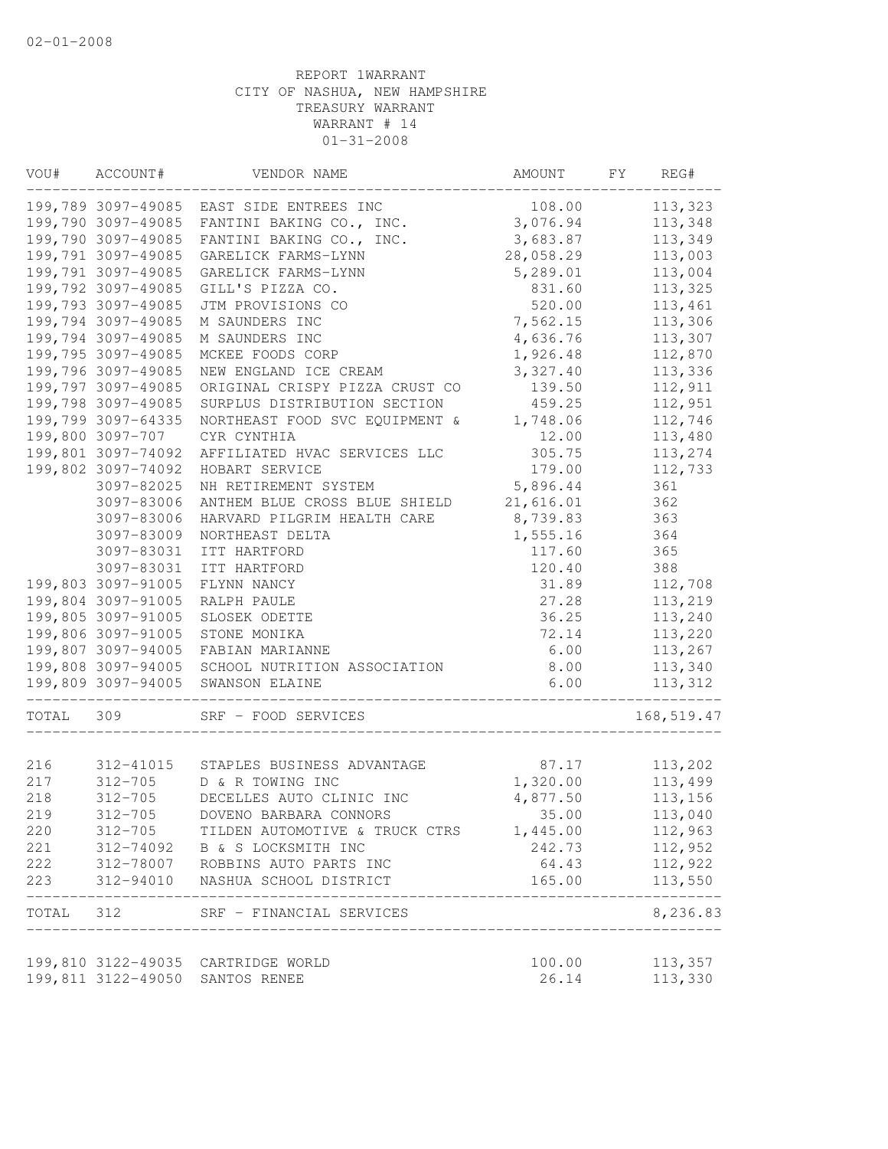| VOU#       | ACCOUNT#               | VENDOR NAME                                      | AMOUNT             | FY | REG#               |
|------------|------------------------|--------------------------------------------------|--------------------|----|--------------------|
|            |                        | 199,789 3097-49085 EAST SIDE ENTREES INC         | 108.00             |    | 113,323            |
|            | 199,790 3097-49085     | FANTINI BAKING CO., INC.                         | 3,076.94           |    | 113,348            |
|            | 199,790 3097-49085     | FANTINI BAKING CO., INC.                         | 3,683.87           |    | 113,349            |
|            | 199,791 3097-49085     | GARELICK FARMS-LYNN                              | 28,058.29          |    | 113,003            |
|            | 199,791 3097-49085     | GARELICK FARMS-LYNN                              | 5,289.01           |    | 113,004            |
|            | 199,792 3097-49085     | GILL'S PIZZA CO.                                 | 831.60             |    | 113,325            |
|            | 199,793 3097-49085     | JTM PROVISIONS CO                                | 520.00             |    | 113,461            |
|            | 199,794 3097-49085     | M SAUNDERS INC                                   | 7,562.15           |    | 113,306            |
|            | 199,794 3097-49085     | M SAUNDERS INC                                   | 4,636.76           |    | 113,307            |
|            | 199,795 3097-49085     | MCKEE FOODS CORP                                 | 1,926.48           |    | 112,870            |
|            | 199,796 3097-49085     | NEW ENGLAND ICE CREAM                            | 3,327.40           |    | 113,336            |
|            | 199,797 3097-49085     | ORIGINAL CRISPY PIZZA CRUST CO                   | 139.50             |    | 112,911            |
|            | 199,798 3097-49085     | SURPLUS DISTRIBUTION SECTION                     | 459.25             |    | 112,951            |
|            | 199,799 3097-64335     | NORTHEAST FOOD SVC EQUIPMENT &                   | 1,748.06           |    | 112,746            |
|            | 199,800 3097-707       | CYR CYNTHIA                                      | 12.00              |    | 113,480            |
|            | 199,801 3097-74092     | AFFILIATED HVAC SERVICES LLC                     | 305.75             |    | 113,274            |
|            | 199,802 3097-74092     | HOBART SERVICE                                   | 179.00             |    | 112,733            |
|            | 3097-82025             | NH RETIREMENT SYSTEM                             | 5,896.44           |    | 361                |
|            | 3097-83006             | ANTHEM BLUE CROSS BLUE SHIELD                    | 21,616.01          |    | 362                |
|            | 3097-83006             | HARVARD PILGRIM HEALTH CARE                      | 8,739.83           |    | 363                |
|            | 3097-83009             | NORTHEAST DELTA                                  | 1,555.16           |    | 364                |
|            | 3097-83031             | ITT HARTFORD                                     | 117.60             |    | 365                |
|            | 3097-83031             | ITT HARTFORD                                     | 120.40             |    | 388                |
|            | 199,803 3097-91005     | FLYNN NANCY                                      | 31.89              |    | 112,708            |
|            | 199,804 3097-91005     | RALPH PAULE                                      | 27.28              |    | 113,219            |
|            | 199,805 3097-91005     | SLOSEK ODETTE                                    | 36.25              |    | 113,240            |
|            | 199,806 3097-91005     | STONE MONIKA                                     | 72.14              |    | 113,220            |
|            | 199,807 3097-94005     | FABIAN MARIANNE                                  | 6.00               |    | 113,267            |
|            | 199,808 3097-94005     | SCHOOL NUTRITION ASSOCIATION                     | 8.00               |    | 113,340            |
|            | 199,809 3097-94005     | SWANSON ELAINE                                   | 6.00               |    | 113,312            |
| TOTAL      | 309                    | SRF - FOOD SERVICES                              |                    |    | 168,519.47         |
|            |                        |                                                  |                    |    |                    |
| 216<br>217 |                        | 312-41015 STAPLES BUSINESS ADVANTAGE             | 87.17              |    | 113,202<br>113,499 |
| 218        | 312-705<br>312-705     | D & R TOWING INC<br>DECELLES AUTO CLINIC INC     | 1,320.00           |    |                    |
|            | $312 - 705$            |                                                  | 4,877.50           |    | 113,156            |
| 219        |                        | DOVENO BARBARA CONNORS                           | 35.00              |    | 113,040            |
| 220        | 312-705                | TILDEN AUTOMOTIVE & TRUCK CTRS                   | 1,445.00<br>242.73 |    | 112,963            |
| 221        | 312-74092              | B & S LOCKSMITH INC                              |                    |    | 112,952            |
| 222<br>223 | 312-78007<br>312-94010 | ROBBINS AUTO PARTS INC<br>NASHUA SCHOOL DISTRICT | 64.43<br>165.00    |    | 112,922<br>113,550 |
|            |                        |                                                  |                    |    |                    |
| TOTAL      | 312                    | SRF - FINANCIAL SERVICES                         |                    |    | 8,236.83           |
|            |                        | 199,810 3122-49035 CARTRIDGE WORLD               | 100.00             |    | 113,357            |
|            |                        | 199,811 3122-49050 SANTOS RENEE                  | 26.14              |    | 113,330            |
|            |                        |                                                  |                    |    |                    |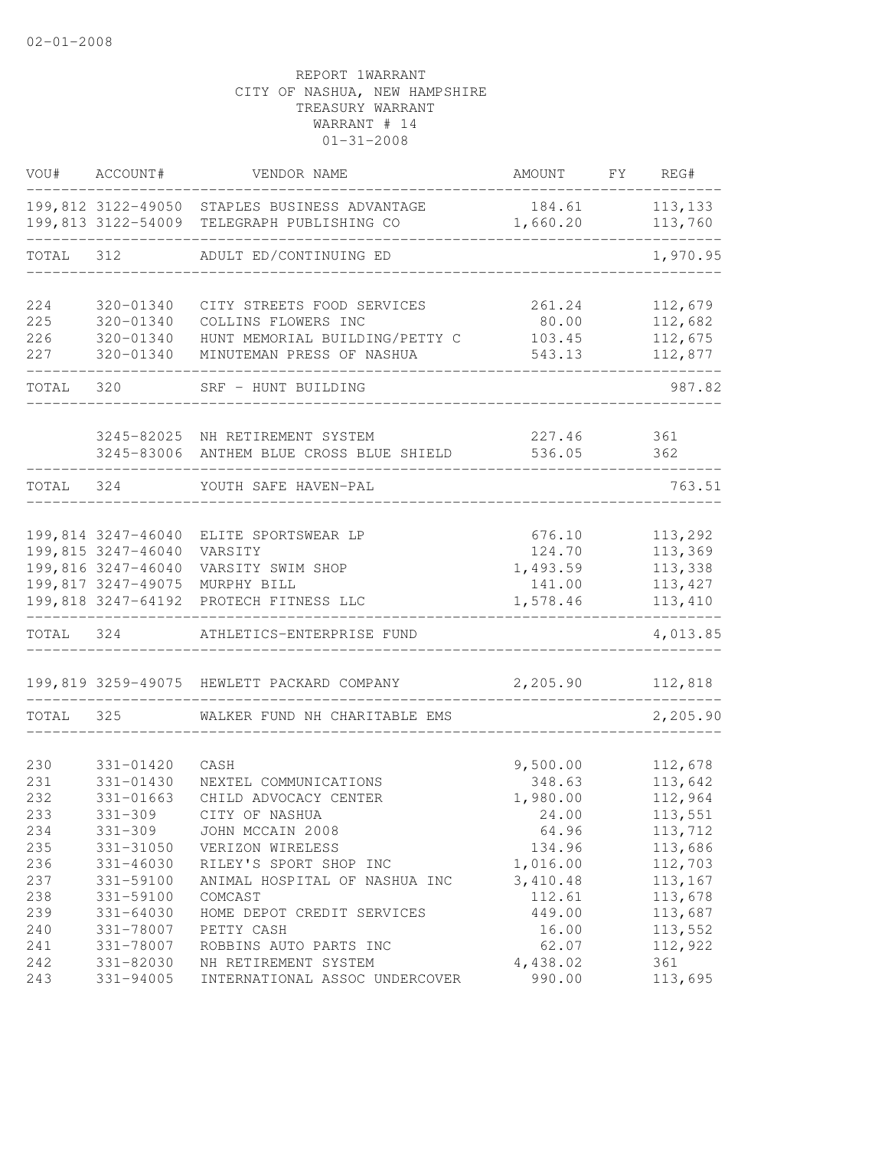| VOU#              | ACCOUNT#                                  | VENDOR NAME                                                                        | AMOUNT                      | FY | REG#                          |
|-------------------|-------------------------------------------|------------------------------------------------------------------------------------|-----------------------------|----|-------------------------------|
|                   | 199,813 3122-54009                        | 199,812 3122-49050 STAPLES BUSINESS ADVANTAGE<br>TELEGRAPH PUBLISHING CO           | 184.61<br>1,660.20          |    | 113, 133<br>113,760           |
| TOTAL             | 312                                       | ADULT ED/CONTINUING ED                                                             |                             |    | 1,970.95                      |
| 224               | 320-01340                                 | CITY STREETS FOOD SERVICES                                                         | 261.24                      |    | 112,679                       |
| 225<br>226<br>227 | $320 - 01340$<br>320-01340<br>320-01340   | COLLINS FLOWERS INC<br>HUNT MEMORIAL BUILDING/PETTY C<br>MINUTEMAN PRESS OF NASHUA | 80.00<br>103.45<br>543.13   |    | 112,682<br>112,675<br>112,877 |
| TOTAL             | 320                                       | SRF - HUNT BUILDING                                                                |                             |    | 987.82                        |
|                   |                                           | 3245-82025 NH RETIREMENT SYSTEM                                                    | 227.46                      |    | 361                           |
|                   |                                           | 3245-83006 ANTHEM BLUE CROSS BLUE SHIELD                                           | 536.05                      |    | 362                           |
| TOTAL             | 324                                       | YOUTH SAFE HAVEN-PAL                                                               |                             |    | 763.51                        |
|                   | 199,814 3247-46040                        | ELITE SPORTSWEAR LP                                                                | 676.10                      |    | 113,292                       |
|                   | 199,815 3247-46040                        | VARSITY<br>199,816 3247-46040 VARSITY SWIM SHOP                                    | 124.70<br>1,493.59          |    | 113,369<br>113,338            |
|                   |                                           | 199,817 3247-49075 MURPHY BILL<br>199,818 3247-64192 PROTECH FITNESS LLC           | 141.00<br>1,578.46          |    | 113,427<br>113,410            |
| TOTAL 324         |                                           | ATHLETICS-ENTERPRISE FUND                                                          |                             |    | 4,013.85                      |
|                   |                                           | 199,819 3259-49075 HEWLETT PACKARD COMPANY                                         | 2,205.90                    |    | 112,818                       |
| TOTAL             | 325                                       | WALKER FUND NH CHARITABLE EMS                                                      |                             |    | 2,205.90                      |
| 230               | 331-01420                                 | CASH                                                                               | 9,500.00                    |    | 112,678                       |
| 231<br>232<br>233 | 331-01430<br>$331 - 01663$<br>$331 - 309$ | NEXTEL COMMUNICATIONS<br>CHILD ADVOCACY CENTER<br>CITY OF NASHUA                   | 348.63<br>1,980.00<br>24.00 |    | 113,642<br>112,964<br>113,551 |
| 234<br>235        | $331 - 309$<br>331-31050                  | JOHN MCCAIN 2008<br>VERIZON WIRELESS                                               | 64.96<br>134.96             |    | 113,712<br>113,686            |
| 236<br>237        | $331 - 46030$<br>331-59100                | RILEY'S SPORT SHOP INC<br>ANIMAL HOSPITAL OF NASHUA INC                            | 1,016.00<br>3,410.48        |    | 112,703<br>113,167            |
| 238<br>239        | 331-59100<br>$331 - 64030$                | COMCAST<br>HOME DEPOT CREDIT SERVICES                                              | 112.61<br>449.00            |    | 113,678<br>113,687            |
| 240<br>241        | 331-78007<br>331-78007                    | PETTY CASH<br>ROBBINS AUTO PARTS INC                                               | 16.00<br>62.07<br>4,438.02  |    | 113,552<br>112,922            |
| 242<br>243        | 331-82030<br>331-94005                    | NH RETIREMENT SYSTEM<br>INTERNATIONAL ASSOC UNDERCOVER                             | 990.00                      |    | 361<br>113,695                |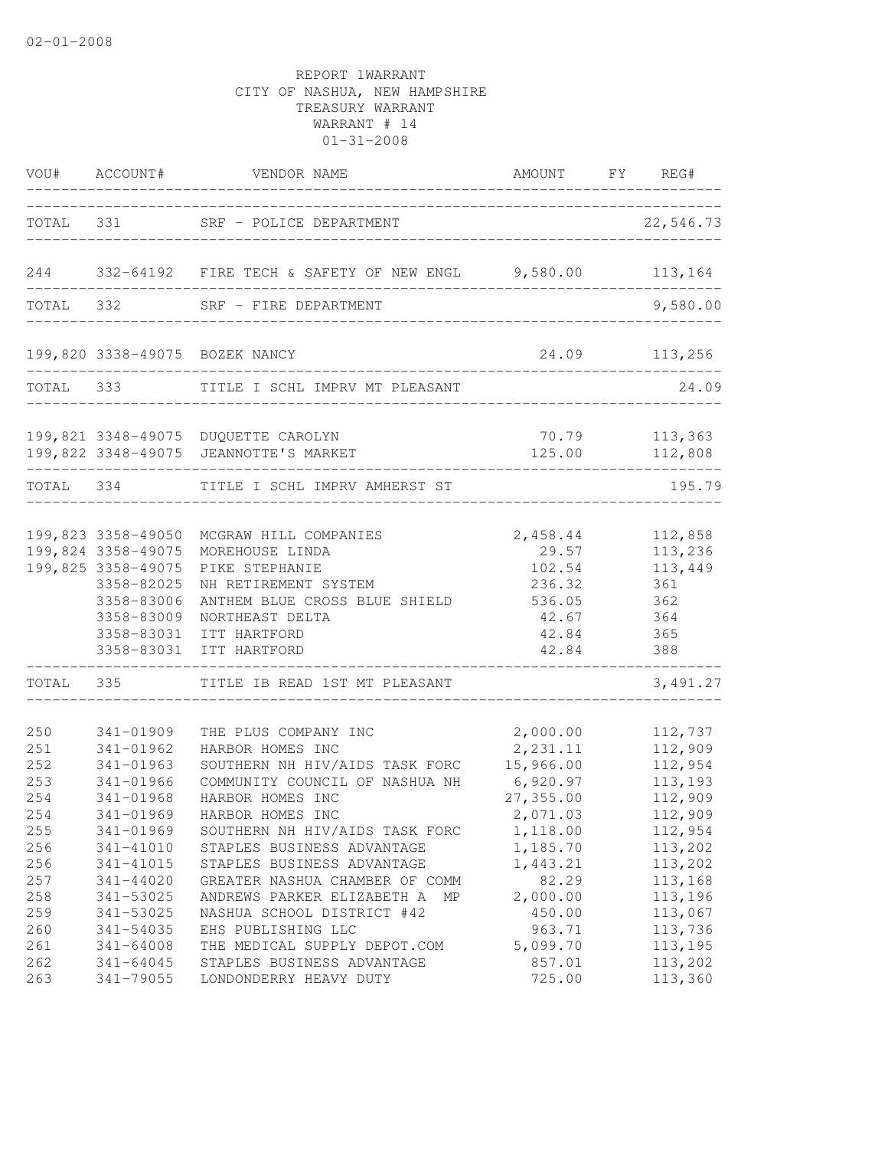|                                                                                         |                                                                                                                                                                       | VOU# ACCOUNT# VENDOR NAME                                                                                                                                                                                                                                                                                                                                                    | AMOUNT FY REG#                                                                                                                                        |                                                                                                                                             |
|-----------------------------------------------------------------------------------------|-----------------------------------------------------------------------------------------------------------------------------------------------------------------------|------------------------------------------------------------------------------------------------------------------------------------------------------------------------------------------------------------------------------------------------------------------------------------------------------------------------------------------------------------------------------|-------------------------------------------------------------------------------------------------------------------------------------------------------|---------------------------------------------------------------------------------------------------------------------------------------------|
|                                                                                         |                                                                                                                                                                       | TOTAL 331 SRF - POLICE DEPARTMENT                                                                                                                                                                                                                                                                                                                                            |                                                                                                                                                       | 22,546.73                                                                                                                                   |
|                                                                                         |                                                                                                                                                                       | 244 332-64192 FIRE TECH & SAFETY OF NEW ENGL 9,580.00 113,164                                                                                                                                                                                                                                                                                                                |                                                                                                                                                       |                                                                                                                                             |
|                                                                                         |                                                                                                                                                                       | TOTAL 332 SRF - FIRE DEPARTMENT                                                                                                                                                                                                                                                                                                                                              |                                                                                                                                                       | 9,580.00                                                                                                                                    |
|                                                                                         |                                                                                                                                                                       | 199,820 3338-49075 BOZEK NANCY                                                                                                                                                                                                                                                                                                                                               | 24.09 113,256                                                                                                                                         |                                                                                                                                             |
|                                                                                         | TOTAL 333                                                                                                                                                             | TITLE I SCHL IMPRV MT PLEASANT                                                                                                                                                                                                                                                                                                                                               |                                                                                                                                                       | 24.09                                                                                                                                       |
|                                                                                         |                                                                                                                                                                       | 199,821 3348-49075 DUQUETTE CAROLYN<br>199,822 3348-49075 JEANNOTTE'S MARKET                                                                                                                                                                                                                                                                                                 |                                                                                                                                                       | 70.79 113,363<br>125.00 112,808                                                                                                             |
|                                                                                         |                                                                                                                                                                       | TOTAL 334 TITLE I SCHL IMPRV AMHERST ST                                                                                                                                                                                                                                                                                                                                      |                                                                                                                                                       | 195.79                                                                                                                                      |
|                                                                                         | 199,824 3358-49075<br>199,825 3358-49075<br>3358-82025<br>3358-83006<br>3358-83009<br>3358-83031<br>3358-83031<br>----------------------                              | 199,823 3358-49050 MCGRAW HILL COMPANIES<br>MOREHOUSE LINDA<br>PIKE STEPHANIE<br>NH RETIREMENT SYSTEM<br>ANTHEM BLUE CROSS BLUE SHIELD<br>NORTHEAST DELTA<br>ITT HARTFORD<br>ITT HARTFORD                                                                                                                                                                                    | 2,458.44<br>29.57<br>102.54<br>236.32<br>536.05<br>42.67<br>42.84<br>42.84<br>-----------------------                                                 | 112,858<br>113,236<br>113,449<br>361<br>362<br>364<br>365<br>388                                                                            |
|                                                                                         | TOTAL 335                                                                                                                                                             | TITLE IB READ 1ST MT PLEASANT                                                                                                                                                                                                                                                                                                                                                |                                                                                                                                                       | 3,491.27                                                                                                                                    |
| 250<br>251<br>252<br>253<br>254<br>254<br>255<br>256<br>256<br>257<br>258<br>259<br>260 | 341-01909<br>341-01962<br>341-01963<br>341-01966<br>341-01968<br>341-01969<br>341-01969<br>341-41010<br>341-41015<br>341-44020<br>341-53025<br>341-53025<br>341-54035 | THE PLUS COMPANY INC<br>HARBOR HOMES INC<br>SOUTHERN NH HIV/AIDS TASK FORC<br>COMMUNITY COUNCIL OF NASHUA NH<br>HARBOR HOMES INC<br>HARBOR HOMES INC<br>SOUTHERN NH HIV/AIDS TASK FORC<br>STAPLES BUSINESS ADVANTAGE<br>STAPLES BUSINESS ADVANTAGE<br>GREATER NASHUA CHAMBER OF COMM<br>ANDREWS PARKER ELIZABETH A<br>ΜP<br>NASHUA SCHOOL DISTRICT #42<br>EHS PUBLISHING LLC | 2,000.00<br>2, 231.11<br>15,966.00<br>6,920.97<br>27, 355.00<br>2,071.03<br>1,118.00<br>1,185.70<br>1,443.21<br>82.29<br>2,000.00<br>450.00<br>963.71 | 112,737<br>112,909<br>112,954<br>113,193<br>112,909<br>112,909<br>112,954<br>113,202<br>113,202<br>113,168<br>113,196<br>113,067<br>113,736 |
| 261<br>262<br>263                                                                       | 341-64008<br>$341 - 64045$<br>341-79055                                                                                                                               | THE MEDICAL SUPPLY DEPOT.COM<br>STAPLES BUSINESS ADVANTAGE<br>LONDONDERRY HEAVY DUTY                                                                                                                                                                                                                                                                                         | 5,099.70<br>857.01<br>725.00                                                                                                                          | 113,195<br>113,202<br>113,360                                                                                                               |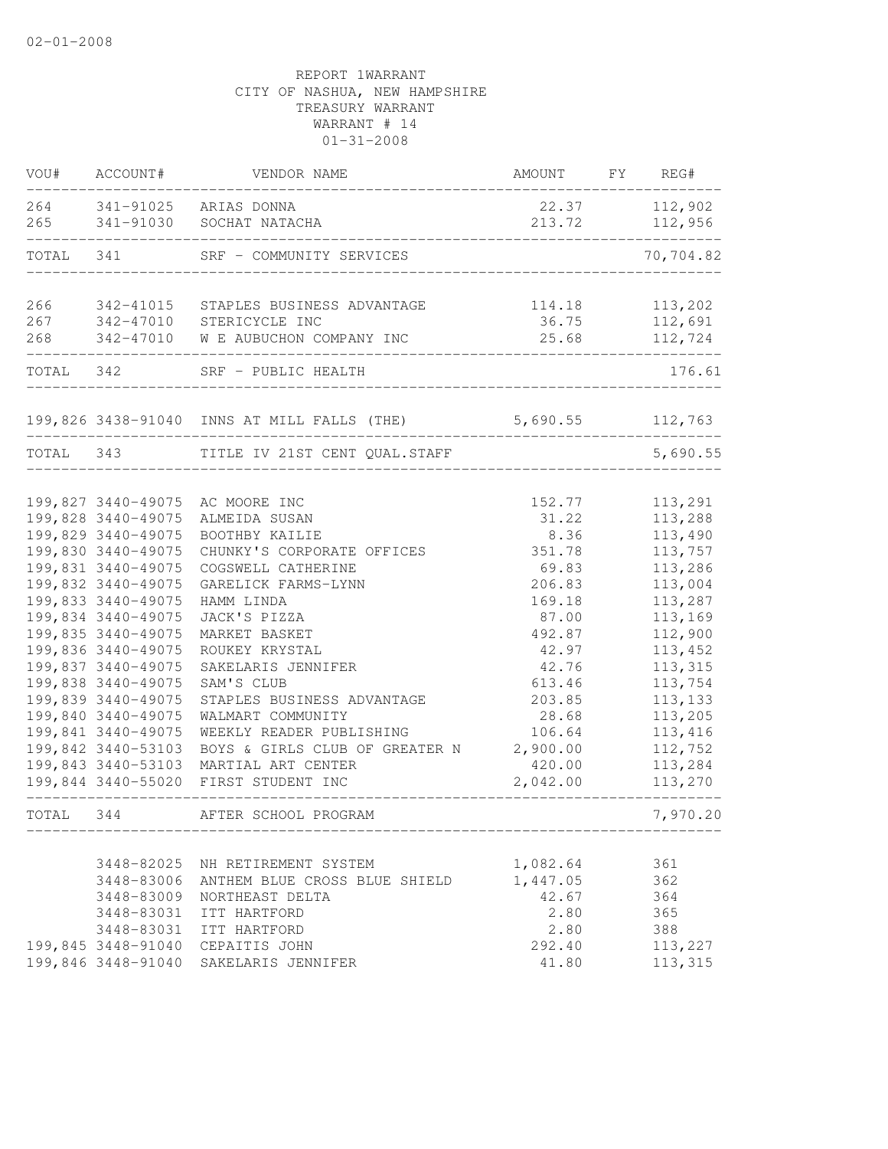| VOU#       | ACCOUNT#               | VENDOR NAME                                  | AMOUNT          | FY | REG#               |
|------------|------------------------|----------------------------------------------|-----------------|----|--------------------|
| 264<br>265 | 341-91025<br>341-91030 | ARIAS DONNA<br>SOCHAT NATACHA                | 22.37<br>213.72 |    | 112,902<br>112,956 |
| TOTAL      | 341                    | SRF - COMMUNITY SERVICES                     |                 |    | 70,704.82          |
| 266<br>267 | 342-41015<br>342-47010 | STAPLES BUSINESS ADVANTAGE<br>STERICYCLE INC | 114.18<br>36.75 |    | 113,202<br>112,691 |
| 268        | 342-47010              | W E AUBUCHON COMPANY INC                     | 25.68           |    | 112,724            |
| TOTAL      | 342                    | SRF - PUBLIC HEALTH                          |                 |    | 176.61             |
|            |                        | 199,826 3438-91040 INNS AT MILL FALLS (THE)  | 5,690.55        |    | 112,763            |
| TOTAL      | 343                    | TITLE IV 21ST CENT QUAL.STAFF                |                 |    | 5,690.55           |
|            |                        |                                              |                 |    |                    |
|            | 199,827 3440-49075     | AC MOORE INC                                 | 152.77          |    | 113,291            |
|            | 199,828 3440-49075     | ALMEIDA SUSAN                                | 31.22           |    | 113,288            |
|            | 199,829 3440-49075     | BOOTHBY KAILIE                               | 8.36            |    | 113,490            |
|            | 199,830 3440-49075     | CHUNKY'S CORPORATE OFFICES                   | 351.78          |    | 113,757            |
|            | 199,831 3440-49075     | COGSWELL CATHERINE                           | 69.83           |    | 113,286            |
|            | 199,832 3440-49075     | GARELICK FARMS-LYNN                          | 206.83          |    | 113,004            |
|            | 199,833 3440-49075     | HAMM LINDA                                   | 169.18          |    | 113,287            |
|            | 199,834 3440-49075     | JACK'S PIZZA                                 | 87.00           |    | 113,169            |
|            | 199,835 3440-49075     | MARKET BASKET                                | 492.87          |    | 112,900            |
|            | 199,836 3440-49075     | ROUKEY KRYSTAL                               | 42.97           |    | 113,452            |
|            | 199,837 3440-49075     | SAKELARIS JENNIFER                           | 42.76           |    | 113, 315           |
|            | 199,838 3440-49075     | SAM'S CLUB                                   | 613.46          |    | 113,754            |
|            | 199,839 3440-49075     | STAPLES BUSINESS ADVANTAGE                   | 203.85          |    | 113, 133           |
|            | 199,840 3440-49075     | WALMART COMMUNITY                            | 28.68           |    | 113,205            |
|            | 199,841 3440-49075     | WEEKLY READER PUBLISHING                     | 106.64          |    | 113,416            |
|            | 199,842 3440-53103     | BOYS & GIRLS CLUB OF GREATER N               | 2,900.00        |    | 112,752            |
|            | 199,843 3440-53103     |                                              | 420.00          |    |                    |
|            | 199,844 3440-55020     | MARTIAL ART CENTER<br>FIRST STUDENT INC      | 2,042.00        |    | 113,284<br>113,270 |
| TOTAL 344  |                        | AFTER SCHOOL PROGRAM                         |                 |    | 7,970.20           |
|            |                        |                                              |                 |    |                    |
|            |                        | 3448-82025 NH RETIREMENT SYSTEM              | 1,082.64        |    | 361                |
|            | 3448-83006             | ANTHEM BLUE CROSS BLUE SHIELD                | 1,447.05        |    | 362                |
|            | 3448-83009             | NORTHEAST DELTA                              | 42.67           |    | 364                |
|            | 3448-83031             | ITT HARTFORD                                 | 2.80            |    | 365                |
|            | 3448-83031             | ITT HARTFORD                                 | 2.80            |    | 388                |
|            |                        | 199,845 3448-91040 CEPAITIS JOHN             | 292.40          |    | 113,227            |
|            | 199,846 3448-91040     | SAKELARIS JENNIFER                           | 41.80           |    | 113, 315           |
|            |                        |                                              |                 |    |                    |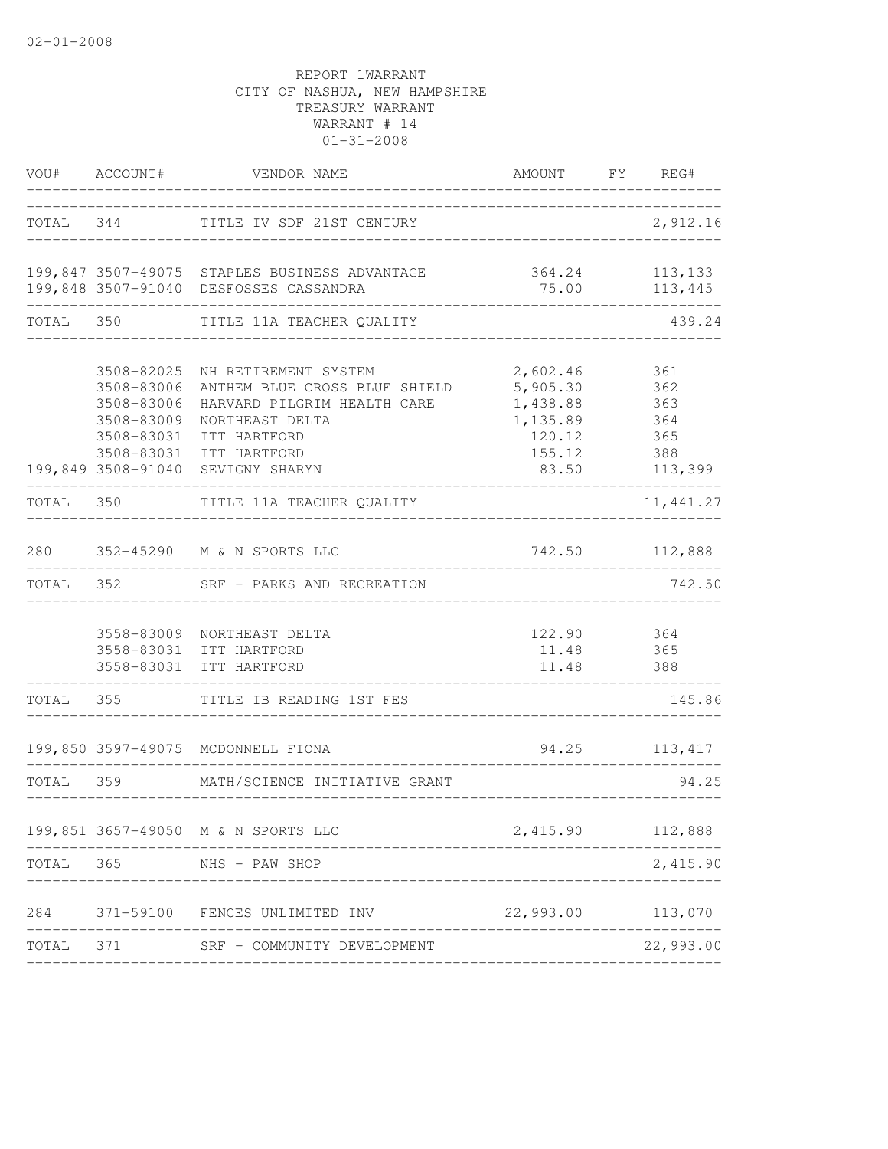|           | VOU# ACCOUNT#                                                | VENDOR NAME                                                                                                                                                                                | AMOUNT FY REG#                                                            |                                                   |
|-----------|--------------------------------------------------------------|--------------------------------------------------------------------------------------------------------------------------------------------------------------------------------------------|---------------------------------------------------------------------------|---------------------------------------------------|
| TOTAL 344 |                                                              | TITLE IV SDF 21ST CENTURY                                                                                                                                                                  |                                                                           | 2,912.16                                          |
|           |                                                              | 199,847 3507-49075 STAPLES BUSINESS ADVANTAGE<br>199,848 3507-91040 DESFOSSES CASSANDRA                                                                                                    | 75.00                                                                     | 364.24 113,133<br>113,445                         |
| TOTAL 350 |                                                              | TITLE 11A TEACHER QUALITY                                                                                                                                                                  |                                                                           | 439.24                                            |
|           | 3508-83006<br>3508-83009<br>3508-83031<br>199,849 3508-91040 | 3508-82025 NH RETIREMENT SYSTEM<br>3508-83006 ANTHEM BLUE CROSS BLUE SHIELD<br>HARVARD PILGRIM HEALTH CARE<br>NORTHEAST DELTA<br>ITT HARTFORD<br>3508-83031 ITT HARTFORD<br>SEVIGNY SHARYN | 2,602.46<br>5,905.30<br>1,438.88<br>1,135.89<br>120.12<br>155.12<br>83.50 | 361<br>362<br>363<br>364<br>365<br>388<br>113,399 |
| TOTAL 350 |                                                              | TITLE 11A TEACHER QUALITY                                                                                                                                                                  |                                                                           | 11, 441.27                                        |
| 280       |                                                              | 352-45290 M & N SPORTS LLC                                                                                                                                                                 | 742.50                                                                    | 112,888                                           |
| TOTAL     | 352                                                          | SRF - PARKS AND RECREATION                                                                                                                                                                 |                                                                           | 742.50                                            |
|           |                                                              | 3558-83009 NORTHEAST DELTA<br>3558-83031 ITT HARTFORD<br>3558-83031 ITT HARTFORD                                                                                                           | 122.90 364<br>11.48<br>11.48                                              | 365<br>388                                        |
| TOTAL     | 355                                                          | TITLE IB READING 1ST FES                                                                                                                                                                   |                                                                           | 145.86                                            |
|           |                                                              | 199,850 3597-49075 MCDONNELL FIONA                                                                                                                                                         | 94.25                                                                     | 113, 417                                          |
| TOTAL     | 359                                                          | MATH/SCIENCE INITIATIVE GRANT                                                                                                                                                              |                                                                           | 94.25                                             |
|           |                                                              | 199,851 3657-49050 M & N SPORTS LLC                                                                                                                                                        | 2,415.90 112,888                                                          |                                                   |
| TOTAL     | 365<br>_________________                                     | NHS - PAW SHOP                                                                                                                                                                             |                                                                           | 2,415.90                                          |
|           |                                                              | 284 371-59100 FENCES UNLIMITED INV                                                                                                                                                         | 22,993.00 113,070                                                         |                                                   |
|           |                                                              | TOTAL 371 SRF - COMMUNITY DEVELOPMENT                                                                                                                                                      | _______________________                                                   | 22,993.00                                         |
|           |                                                              |                                                                                                                                                                                            |                                                                           |                                                   |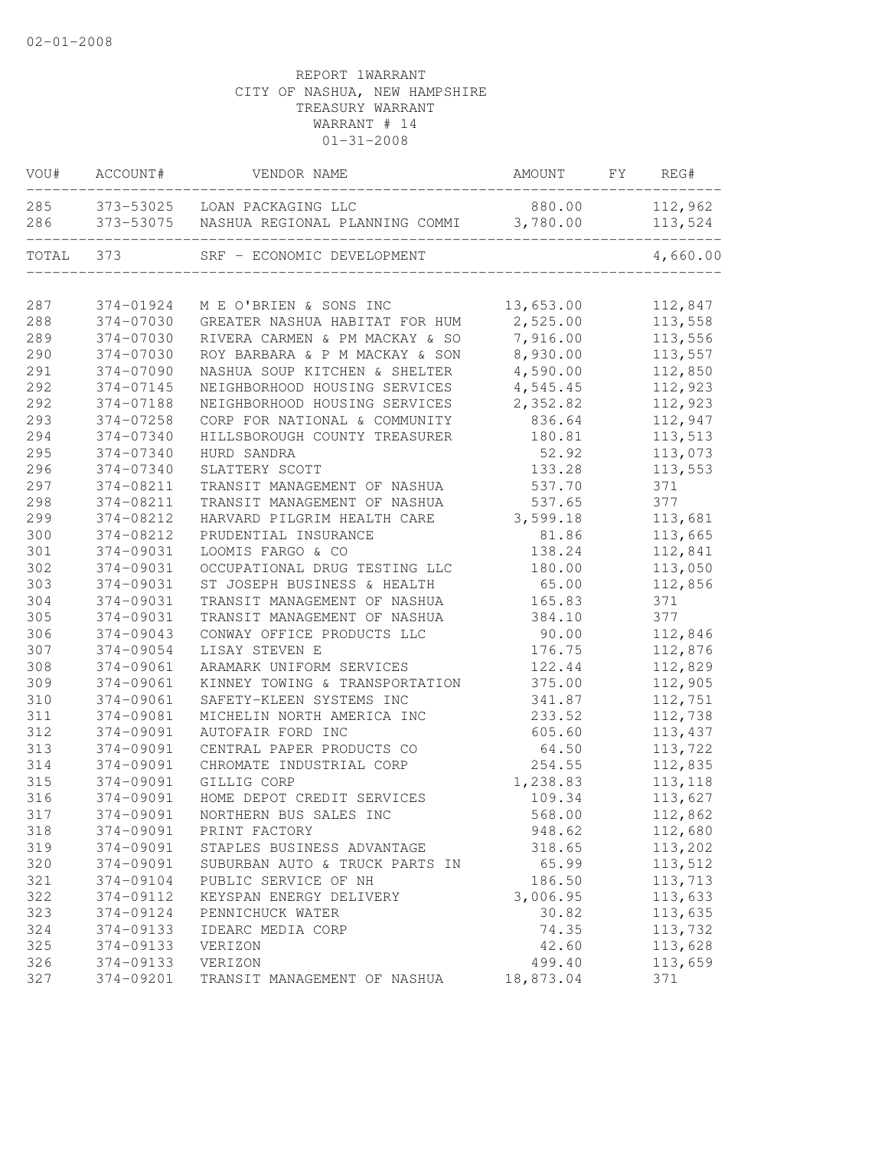| VOU#  | ACCOUNT#  | VENDOR NAME                             | AMOUNT    | FY | REG#     |
|-------|-----------|-----------------------------------------|-----------|----|----------|
| 285   | 373-53025 | LOAN PACKAGING LLC                      | 880.00    |    | 112,962  |
| 286   | 373-53075 | NASHUA REGIONAL PLANNING COMMI 3,780.00 |           |    | 113,524  |
| TOTAL | 373       | SRF - ECONOMIC DEVELOPMENT              |           |    | 4,660.00 |
|       |           |                                         |           |    |          |
| 287   | 374-01924 | M E O'BRIEN & SONS INC                  | 13,653.00 |    | 112,847  |
| 288   | 374-07030 | GREATER NASHUA HABITAT FOR HUM          | 2,525.00  |    | 113,558  |
| 289   | 374-07030 | RIVERA CARMEN & PM MACKAY & SO          | 7,916.00  |    | 113,556  |
| 290   | 374-07030 | ROY BARBARA & P M MACKAY & SON          | 8,930.00  |    | 113,557  |
| 291   | 374-07090 | NASHUA SOUP KITCHEN & SHELTER           | 4,590.00  |    | 112,850  |
| 292   | 374-07145 | NEIGHBORHOOD HOUSING SERVICES           | 4,545.45  |    | 112,923  |
| 292   | 374-07188 | NEIGHBORHOOD HOUSING SERVICES           | 2,352.82  |    | 112,923  |
| 293   | 374-07258 | CORP FOR NATIONAL & COMMUNITY           | 836.64    |    | 112,947  |
| 294   | 374-07340 | HILLSBOROUGH COUNTY TREASURER           | 180.81    |    | 113,513  |
| 295   | 374-07340 | HURD SANDRA                             | 52.92     |    | 113,073  |
| 296   | 374-07340 | SLATTERY SCOTT                          | 133.28    |    | 113,553  |
| 297   | 374-08211 | TRANSIT MANAGEMENT OF NASHUA            | 537.70    |    | 371      |
| 298   | 374-08211 | TRANSIT MANAGEMENT OF NASHUA            | 537.65    |    | 377      |
| 299   | 374-08212 | HARVARD PILGRIM HEALTH CARE             | 3,599.18  |    | 113,681  |
| 300   | 374-08212 | PRUDENTIAL INSURANCE                    | 81.86     |    | 113,665  |
| 301   | 374-09031 | LOOMIS FARGO & CO                       | 138.24    |    | 112,841  |
| 302   | 374-09031 | OCCUPATIONAL DRUG TESTING LLC           | 180.00    |    | 113,050  |
| 303   | 374-09031 | ST JOSEPH BUSINESS & HEALTH             | 65.00     |    | 112,856  |
| 304   | 374-09031 | TRANSIT MANAGEMENT OF NASHUA            | 165.83    |    | 371      |
| 305   | 374-09031 | TRANSIT MANAGEMENT OF NASHUA            | 384.10    |    | 377      |
| 306   | 374-09043 | CONWAY OFFICE PRODUCTS LLC              | 90.00     |    | 112,846  |
| 307   | 374-09054 | LISAY STEVEN E                          | 176.75    |    | 112,876  |
| 308   | 374-09061 | ARAMARK UNIFORM SERVICES                | 122.44    |    | 112,829  |
| 309   | 374-09061 | KINNEY TOWING & TRANSPORTATION          | 375.00    |    | 112,905  |
| 310   | 374-09061 | SAFETY-KLEEN SYSTEMS INC                | 341.87    |    | 112,751  |
| 311   | 374-09081 | MICHELIN NORTH AMERICA INC              | 233.52    |    | 112,738  |
| 312   | 374-09091 | AUTOFAIR FORD INC                       | 605.60    |    | 113,437  |
| 313   | 374-09091 | CENTRAL PAPER PRODUCTS CO               | 64.50     |    | 113,722  |
| 314   | 374-09091 | CHROMATE INDUSTRIAL CORP                | 254.55    |    | 112,835  |
| 315   | 374-09091 | GILLIG CORP                             | 1,238.83  |    | 113,118  |
| 316   | 374-09091 | HOME DEPOT CREDIT SERVICES              | 109.34    |    | 113,627  |
| 317   | 374-09091 | NORTHERN BUS SALES INC                  | 568.00    |    | 112,862  |
| 318   | 374-09091 | PRINT FACTORY                           | 948.62    |    | 112,680  |
| 319   | 374-09091 | STAPLES BUSINESS ADVANTAGE              | 318.65    |    | 113,202  |
| 320   | 374-09091 | SUBURBAN AUTO & TRUCK PARTS IN          | 65.99     |    | 113,512  |
| 321   | 374-09104 | PUBLIC SERVICE OF NH                    | 186.50    |    | 113,713  |
| 322   | 374-09112 | KEYSPAN ENERGY DELIVERY                 | 3,006.95  |    | 113,633  |
| 323   | 374-09124 | PENNICHUCK WATER                        | 30.82     |    | 113,635  |
| 324   | 374-09133 | IDEARC MEDIA CORP                       | 74.35     |    | 113,732  |
| 325   | 374-09133 | VERIZON                                 | 42.60     |    | 113,628  |
| 326   | 374-09133 | VERIZON                                 | 499.40    |    | 113,659  |
| 327   | 374-09201 | TRANSIT MANAGEMENT OF NASHUA            | 18,873.04 |    | 371      |
|       |           |                                         |           |    |          |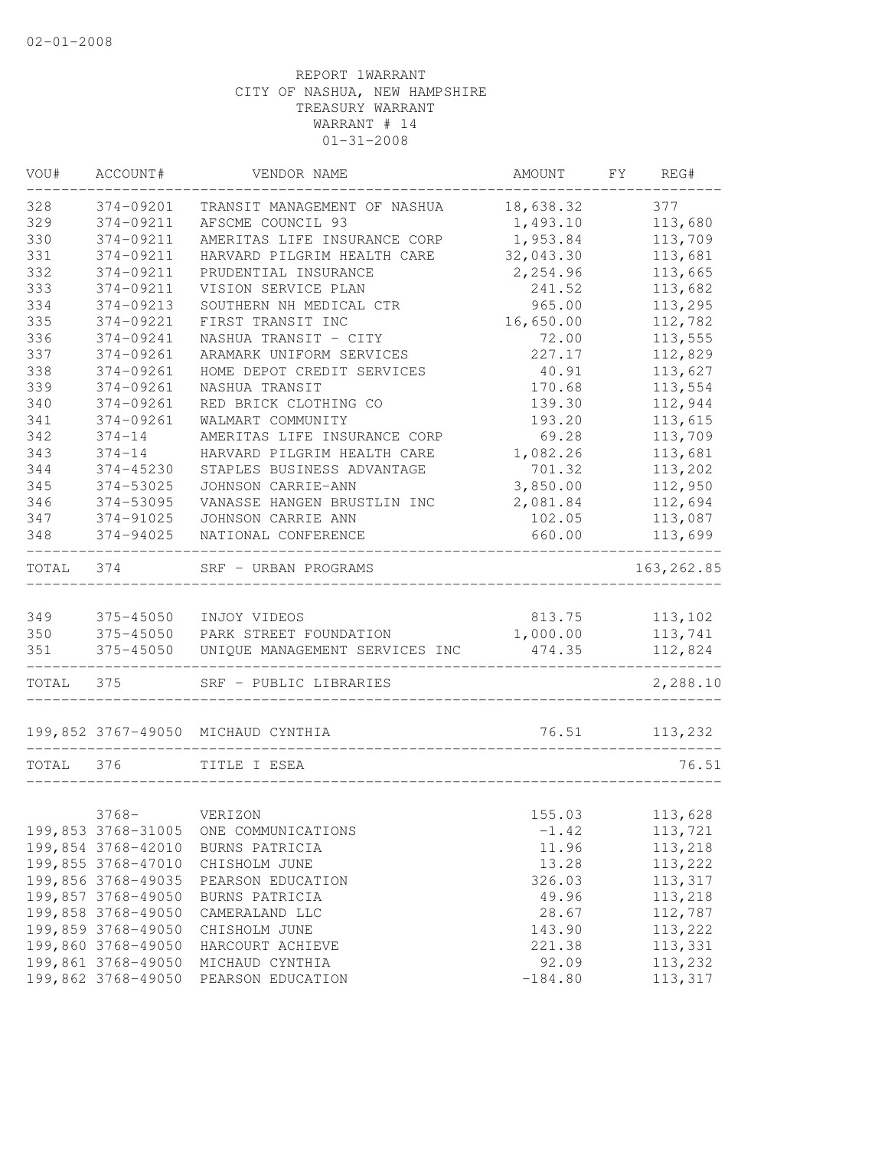| VOU#      | ACCOUNT#           | VENDOR NAME                              | AMOUNT    | FY | REG#        |
|-----------|--------------------|------------------------------------------|-----------|----|-------------|
| 328       | 374-09201          | TRANSIT MANAGEMENT OF NASHUA             | 18,638.32 |    | 377         |
| 329       | 374-09211          | AFSCME COUNCIL 93                        | 1,493.10  |    | 113,680     |
| 330       | 374-09211          | AMERITAS LIFE INSURANCE CORP             | 1,953.84  |    | 113,709     |
| 331       | 374-09211          | HARVARD PILGRIM HEALTH CARE              | 32,043.30 |    | 113,681     |
| 332       | 374-09211          | PRUDENTIAL INSURANCE                     | 2,254.96  |    | 113,665     |
| 333       | 374-09211          | VISION SERVICE PLAN                      | 241.52    |    | 113,682     |
| 334       | 374-09213          | SOUTHERN NH MEDICAL CTR                  | 965.00    |    | 113,295     |
| 335       | 374-09221          | FIRST TRANSIT INC                        | 16,650.00 |    | 112,782     |
| 336       | 374-09241          | NASHUA TRANSIT - CITY                    | 72.00     |    | 113,555     |
| 337       | 374-09261          | ARAMARK UNIFORM SERVICES                 | 227.17    |    | 112,829     |
| 338       | 374-09261          | HOME DEPOT CREDIT SERVICES               | 40.91     |    | 113,627     |
| 339       | 374-09261          | NASHUA TRANSIT                           | 170.68    |    | 113,554     |
| 340       | 374-09261          | RED BRICK CLOTHING CO                    | 139.30    |    | 112,944     |
| 341       | 374-09261          | WALMART COMMUNITY                        | 193.20    |    | 113,615     |
| 342       | $374 - 14$         | AMERITAS LIFE INSURANCE CORP             | 69.28     |    | 113,709     |
| 343       | $374 - 14$         | HARVARD PILGRIM HEALTH CARE              | 1,082.26  |    | 113,681     |
| 344       | 374-45230          | STAPLES BUSINESS ADVANTAGE               | 701.32    |    | 113,202     |
| 345       | 374-53025          | JOHNSON CARRIE-ANN                       | 3,850.00  |    | 112,950     |
| 346       | 374-53095          | VANASSE HANGEN BRUSTLIN INC              | 2,081.84  |    | 112,694     |
| 347       | 374-91025          | JOHNSON CARRIE ANN                       | 102.05    |    | 113,087     |
| 348       | 374-94025          | NATIONAL CONFERENCE                      | 660.00    |    | 113,699     |
| TOTAL 374 |                    | SRF - URBAN PROGRAMS                     |           |    | 163, 262.85 |
|           |                    |                                          |           |    |             |
| 349       | 375-45050          | INJOY VIDEOS                             | 813.75    |    | 113,102     |
| 350       |                    | 375-45050 PARK STREET FOUNDATION         | 1,000.00  |    | 113,741     |
| 351       |                    | 375-45050 UNIQUE MANAGEMENT SERVICES INC | 474.35    |    | 112,824     |
| TOTAL 375 |                    | SRF - PUBLIC LIBRARIES                   |           |    | 2,288.10    |
|           |                    | 199,852 3767-49050 MICHAUD CYNTHIA       | 76.51     |    | 113,232     |
| TOTAL 376 |                    | TITLE I ESEA                             |           |    | 76.51       |
|           |                    |                                          |           |    |             |
|           | $3768-$            | VERIZON                                  | 155.03    |    | 113,628     |
|           | 199,853 3768-31005 | ONE COMMUNICATIONS                       | $-1.42$   |    | 113,721     |
|           | 199,854 3768-42010 | BURNS PATRICIA                           | 11.96     |    | 113,218     |
|           | 199,855 3768-47010 | CHISHOLM JUNE                            | 13.28     |    | 113,222     |
|           | 199,856 3768-49035 | PEARSON EDUCATION                        | 326.03    |    | 113,317     |
|           | 199,857 3768-49050 | BURNS PATRICIA                           | 49.96     |    | 113,218     |
|           | 199,858 3768-49050 | CAMERALAND LLC                           | 28.67     |    | 112,787     |
|           | 199,859 3768-49050 | CHISHOLM JUNE                            | 143.90    |    | 113,222     |
|           | 199,860 3768-49050 | HARCOURT ACHIEVE                         | 221.38    |    | 113,331     |
|           | 199,861 3768-49050 | MICHAUD CYNTHIA                          | 92.09     |    | 113,232     |
|           | 199,862 3768-49050 | PEARSON EDUCATION                        | $-184.80$ |    | 113,317     |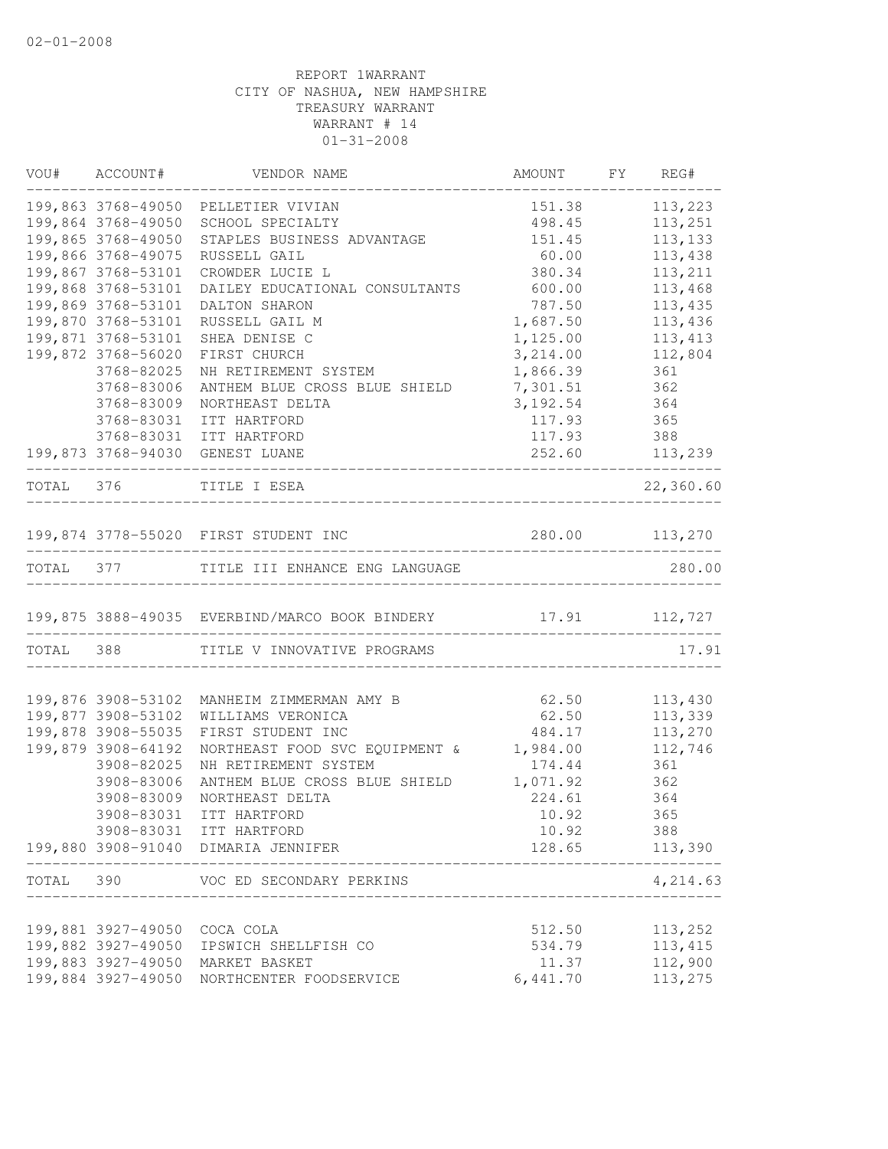|           | VOU# ACCOUNT#                | VENDOR NAME                                                                    | AMOUNT FY           | REG#                         |
|-----------|------------------------------|--------------------------------------------------------------------------------|---------------------|------------------------------|
|           |                              | 199,863 3768-49050 PELLETIER VIVIAN                                            | 151.38              | 113,223                      |
|           | 199,864 3768-49050           | SCHOOL SPECIALTY                                                               | 498.45              | 113,251                      |
|           | 199,865 3768-49050           | STAPLES BUSINESS ADVANTAGE                                                     | 151.45              | 113, 133                     |
|           | 199,866 3768-49075           | RUSSELL GAIL                                                                   | 60.00               | 113,438                      |
|           | 199,867 3768-53101           | CROWDER LUCIE L                                                                | 380.34              | 113,211                      |
|           | 199,868 3768-53101           | DAILEY EDUCATIONAL CONSULTANTS                                                 | 600.00              | 113,468                      |
|           | 199,869 3768-53101           | DALTON SHARON                                                                  | 787.50              | 113,435                      |
|           | 199,870 3768-53101           | RUSSELL GAIL M                                                                 | 1,687.50            | 113,436                      |
|           | 199,871 3768-53101           | SHEA DENISE C                                                                  | 1,125.00            | 113, 413                     |
|           | 199,872 3768-56020           | FIRST CHURCH                                                                   | 3,214.00            | 112,804                      |
|           | 3768-82025                   | NH RETIREMENT SYSTEM                                                           | 1,866.39            | 361                          |
|           | 3768-83006<br>3768-83009     | ANTHEM BLUE CROSS BLUE SHIELD<br>NORTHEAST DELTA                               | 7,301.51            | 362<br>364                   |
|           | 3768-83031                   | ITT HARTFORD                                                                   | 3, 192.54<br>117.93 | 365                          |
|           |                              | 3768-83031 ITT HARTFORD                                                        |                     |                              |
|           |                              | 199,873 3768-94030 GENEST LUANE                                                |                     | 117.93 388<br>252.60 113,239 |
|           |                              | ---------------                                                                |                     |                              |
|           |                              | TOTAL 376 TITLE I ESEA                                                         |                     | 22,360.60                    |
|           |                              | 199,874 3778-55020 FIRST STUDENT INC                                           | 280.00 113,270      |                              |
|           |                              | TOTAL 377 TITLE III ENHANCE ENG LANGUAGE                                       |                     | 280.00                       |
|           |                              | 199,875 3888-49035 EVERBIND/MARCO BOOK BINDERY 17.91 112,727                   |                     |                              |
|           |                              |                                                                                |                     |                              |
|           |                              | TOTAL 388 TITLE V INNOVATIVE PROGRAMS                                          |                     | 17.91                        |
|           |                              | 199,876 3908-53102 MANHEIM ZIMMERMAN AMY B                                     | 62.50               | 113,430                      |
|           | 199,877 3908-53102           | WILLIAMS VERONICA                                                              | 62.50               | 113,339                      |
|           | 199,878 3908-55035           | FIRST STUDENT INC                                                              | 484.17              | 113,270                      |
|           | 199,879 3908-64192           | NORTHEAST FOOD SVC EQUIPMENT & 1,984.00                                        |                     | 112,746                      |
|           | 3908-82025                   | NH RETIREMENT SYSTEM                                                           | 174.44              | 361                          |
|           | 3908-83006                   | ANTHEM BLUE CROSS BLUE SHIELD                                                  | 1,071.92            | 362                          |
|           | 3908-83009                   | NORTHEAST DELTA                                                                | 224.61              | 364                          |
|           | 3908-83031                   | ITT HARTFORD                                                                   | 10.92               | 365                          |
|           |                              | 3908-83031 ITT HARTFORD                                                        | 10.92               | 388                          |
|           |                              | 199,880 3908-91040 DIMARIA JENNIFER                                            | 128.65              | 113,390                      |
| TOTAL 390 |                              | VOC ED SECONDARY PERKINS<br>_________________                                  |                     | 4,214.63                     |
|           |                              |                                                                                |                     |                              |
|           | 199,881 3927-49050 COCA COLA |                                                                                | 512.50              | 113,252                      |
|           |                              | 199,882 3927-49050 IPSWICH SHELLFISH CO                                        | 534.79              | 113,415                      |
|           |                              | 199,883 3927-49050 MARKET BASKET<br>199,884 3927-49050 NORTHCENTER FOODSERVICE | 11.37<br>6,441.70   | 112,900<br>113,275           |
|           |                              |                                                                                |                     |                              |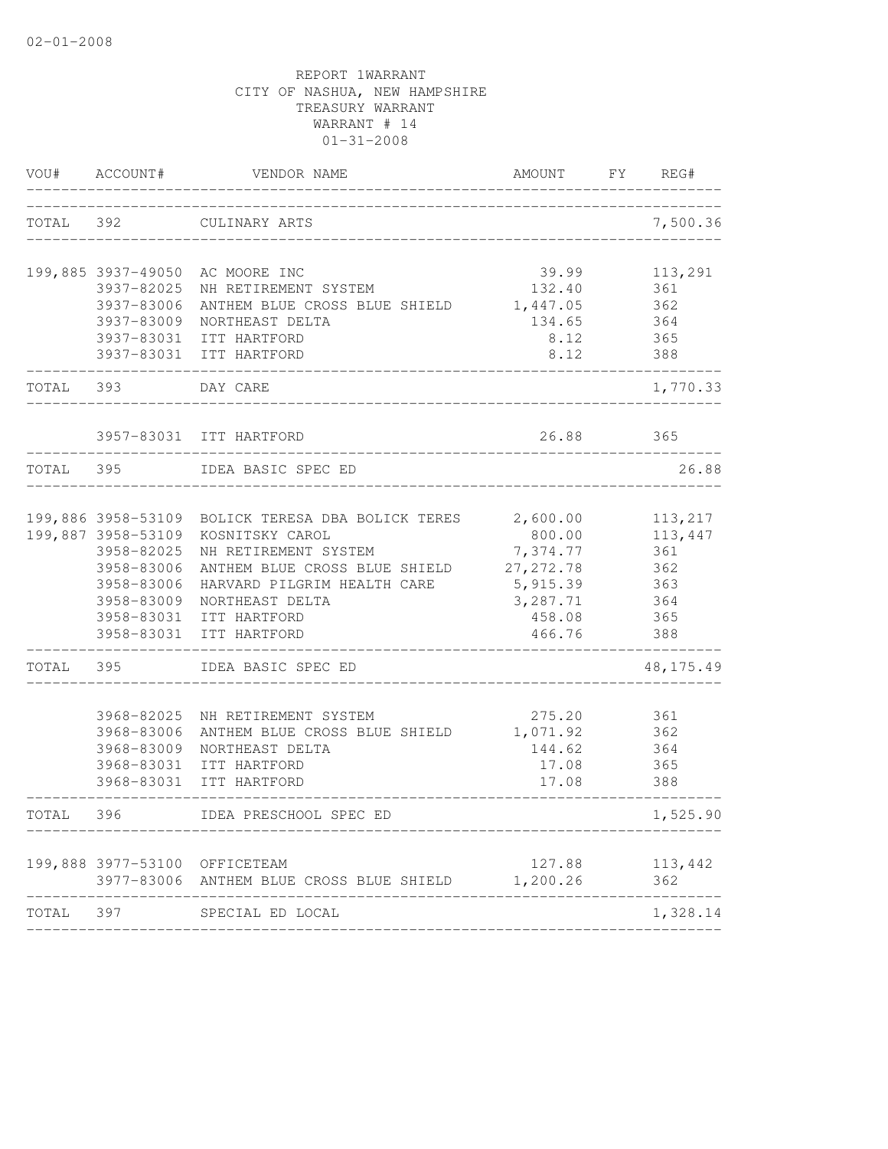|           | VOU# ACCOUNT#                    | VENDOR NAME                                                | AMOUNT             | FY | REG#           |
|-----------|----------------------------------|------------------------------------------------------------|--------------------|----|----------------|
| TOTAL 392 |                                  | CULINARY ARTS<br>____________                              |                    |    | 7,500.36       |
|           | 3937-82025                       | 199,885 3937-49050 AC MOORE INC<br>NH RETIREMENT SYSTEM    | 39.99<br>132.40    |    | 113,291<br>361 |
|           | 3937-83006                       | ANTHEM BLUE CROSS BLUE SHIELD                              | 1,447.05           |    | 362            |
|           | 3937-83009                       | NORTHEAST DELTA                                            | 134.65             |    | 364            |
|           |                                  | 3937-83031 ITT HARTFORD                                    | 8.12               |    | 365            |
|           |                                  | 3937-83031 ITT HARTFORD                                    | 8.12               |    | 388            |
| TOTAL 393 |                                  | DAY CARE                                                   |                    |    | 1,770.33       |
|           |                                  | 3957-83031 ITT HARTFORD                                    | 26.88              |    | 365            |
| TOTAL 395 |                                  | IDEA BASIC SPEC ED                                         |                    |    | 26.88          |
|           |                                  |                                                            |                    |    |                |
|           |                                  | 199,886 3958-53109 BOLICK TERESA DBA BOLICK TERES 2,600.00 |                    |    | 113,217        |
|           | 199,887 3958-53109<br>3958-82025 | KOSNITSKY CAROL<br>NH RETIREMENT SYSTEM                    | 800.00<br>7,374.77 |    | 113,447<br>361 |
|           | 3958-83006                       | ANTHEM BLUE CROSS BLUE SHIELD                              | 27, 272.78         |    | 362            |
|           | 3958-83006                       | HARVARD PILGRIM HEALTH CARE                                | 5,915.39           |    | 363            |
|           | 3958-83009                       | NORTHEAST DELTA                                            | 3,287.71           |    | 364            |
|           | 3958-83031                       | ITT HARTFORD                                               | 458.08             |    | 365            |
|           |                                  | 3958-83031 ITT HARTFORD                                    | 466.76             |    | 388            |
| TOTAL     | 395                              | IDEA BASIC SPEC ED                                         |                    |    | 48, 175. 49    |
|           | 3968-82025                       | NH RETIREMENT SYSTEM                                       | 275.20             |    | 361            |
|           | 3968-83006                       | ANTHEM BLUE CROSS BLUE SHIELD                              | 1,071.92           |    | 362            |
|           | 3968-83009                       | NORTHEAST DELTA                                            | 144.62             |    | 364            |
|           | 3968-83031                       | ITT HARTFORD                                               | 17.08              |    | 365            |
|           |                                  | 3968-83031 ITT HARTFORD                                    | 17.08              |    | 388            |
| TOTAL     | 396                              | IDEA PRESCHOOL SPEC ED                                     |                    |    | 1,525.90       |
|           |                                  | 199,888 3977-53100 OFFICETEAM                              | 127.88             |    | 113,442        |
|           |                                  | 3977-83006 ANTHEM BLUE CROSS BLUE SHIELD                   | 1,200.26           |    | 362            |
| TOTAL 397 |                                  | SPECIAL ED LOCAL                                           |                    |    | 1,328.14       |
|           |                                  |                                                            |                    |    |                |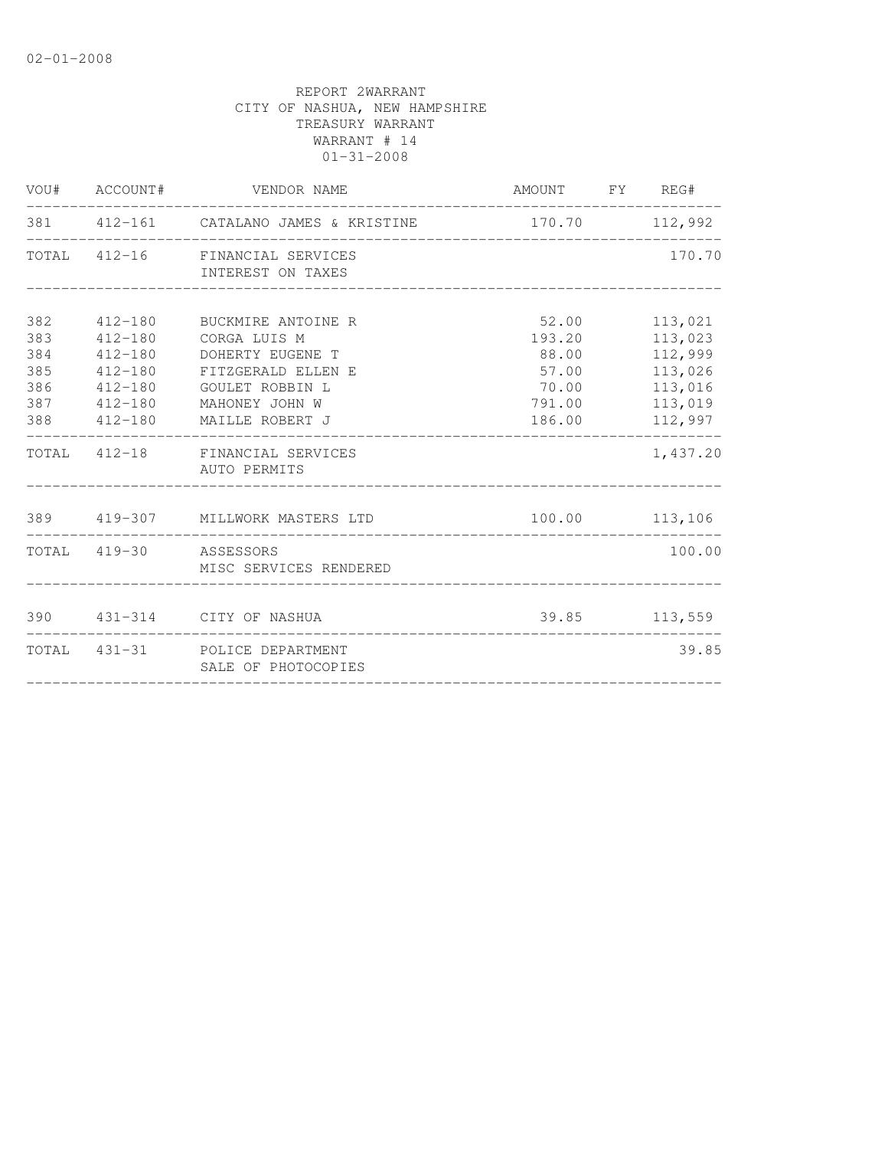| 381 412-161 CATALANO JAMES & KRISTINE<br>TOTAL 412-16 FINANCIAL SERVICES                                                                                                                                                                                                      | 170.70 112,992<br>170.70                                                                                                                    |
|-------------------------------------------------------------------------------------------------------------------------------------------------------------------------------------------------------------------------------------------------------------------------------|---------------------------------------------------------------------------------------------------------------------------------------------|
|                                                                                                                                                                                                                                                                               |                                                                                                                                             |
| INTEREST ON TAXES                                                                                                                                                                                                                                                             |                                                                                                                                             |
| 382<br>412-180 BUCKMIRE ANTOINE R<br>383<br>CORGA LUIS M<br>$412 - 180$<br>384<br>$412 - 180$<br>DOHERTY EUGENE T<br>$412 - 180$<br>385<br>FITZGERALD ELLEN E<br>386<br>GOULET ROBBIN L<br>$412 - 180$<br>387<br>$412 - 180$<br>MAHONEY JOHN W<br>388 412-180 MAILLE ROBERT J | 52.00<br>113,021<br>193.20<br>113,023<br>112,999<br>88.00<br>57.00<br>113,026<br>113,016<br>70.00<br>113,019<br>791.00<br>186.00<br>112,997 |
| TOTAL 412-18 FINANCIAL SERVICES<br>AUTO PERMITS                                                                                                                                                                                                                               | ------------<br>1,437.20                                                                                                                    |
| 389 419-307 MILLWORK MASTERS LTD                                                                                                                                                                                                                                              | 100.00 113,106                                                                                                                              |
| TOTAL 419-30 ASSESSORS<br>MISC SERVICES RENDERED                                                                                                                                                                                                                              | 100.00                                                                                                                                      |
| 390 431-314 CITY OF NASHUA                                                                                                                                                                                                                                                    | 39.85 113,559                                                                                                                               |
| TOTAL 431-31 POLICE DEPARTMENT<br>SALE OF PHOTOCOPIES                                                                                                                                                                                                                         | 39.85                                                                                                                                       |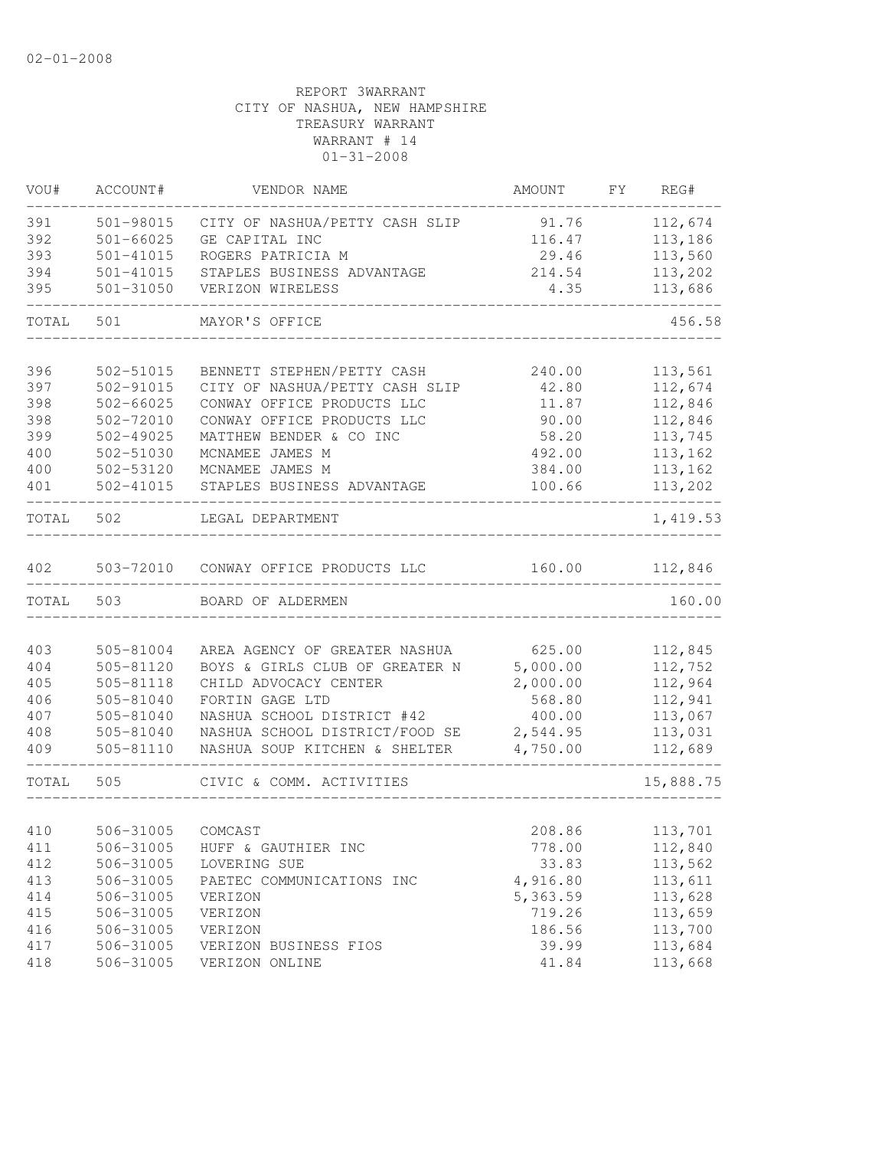| WOU#  | ACCOUNT#          | VENDOR NAME                          | AMOUNT   | FY | REG#      |
|-------|-------------------|--------------------------------------|----------|----|-----------|
| 391   | 501-98015         | CITY OF NASHUA/PETTY CASH SLIP       | 91.76    |    | 112,674   |
| 392   | $501 - 66025$     | GE CAPITAL INC                       | 116.47   |    | 113,186   |
| 393   | 501-41015         | ROGERS PATRICIA M                    | 29.46    |    | 113,560   |
| 394   | 501-41015         | STAPLES BUSINESS ADVANTAGE           | 214.54   |    | 113,202   |
| 395   | 501-31050         | VERIZON WIRELESS                     | 4.35     |    | 113,686   |
| TOTAL | 501               | MAYOR'S OFFICE                       |          |    | 456.58    |
|       |                   |                                      |          |    |           |
| 396   | 502-51015         | BENNETT STEPHEN/PETTY CASH           | 240.00   |    | 113,561   |
| 397   | 502-91015         | CITY OF NASHUA/PETTY CASH SLIP       | 42.80    |    | 112,674   |
| 398   | $502 - 66025$     | CONWAY OFFICE PRODUCTS LLC           | 11.87    |    | 112,846   |
| 398   | 502-72010         | CONWAY OFFICE PRODUCTS LLC           | 90.00    |    | 112,846   |
| 399   | $502 - 49025$     | MATTHEW BENDER & CO INC              | 58.20    |    | 113,745   |
| 400   | 502-51030         | MCNAMEE JAMES M                      | 492.00   |    | 113,162   |
| 400   | 502-53120         | MCNAMEE JAMES M                      | 384.00   |    | 113,162   |
| 401   | 502-41015         | STAPLES BUSINESS ADVANTAGE           | 100.66   |    | 113,202   |
| TOTAL | 502               | LEGAL DEPARTMENT                     |          |    | 1,419.53  |
| 402   |                   | 503-72010 CONWAY OFFICE PRODUCTS LLC | 160.00   |    | 112,846   |
| TOTAL | 503               | BOARD OF ALDERMEN                    |          |    | 160.00    |
|       |                   |                                      |          |    |           |
| 403   | 505-81004         | AREA AGENCY OF GREATER NASHUA        | 625.00   |    | 112,845   |
| 404   | 505-81120         | BOYS & GIRLS CLUB OF GREATER N       | 5,000.00 |    | 112,752   |
| 405   | 505-81118         | CHILD ADVOCACY CENTER                | 2,000.00 |    | 112,964   |
| 406   | 505-81040         | FORTIN GAGE LTD                      | 568.80   |    | 112,941   |
| 407   | 505-81040         | NASHUA SCHOOL DISTRICT #42           | 400.00   |    | 113,067   |
| 408   | 505-81040         | NASHUA SCHOOL DISTRICT/FOOD SE       | 2,544.95 |    | 113,031   |
| 409   | 505-81110         | NASHUA SOUP KITCHEN & SHELTER        | 4,750.00 |    | 112,689   |
| TOTAL | 505               | CIVIC & COMM. ACTIVITIES             |          |    | 15,888.75 |
|       |                   |                                      |          |    |           |
| 410   | 506-31005 COMCAST |                                      | 208.86   |    | 113,701   |
| 411   | 506-31005         | HUFF & GAUTHIER INC                  | 778.00   |    | 112,840   |
| 412   | 506-31005         | LOVERING SUE                         | 33.83    |    | 113,562   |
| 413   | 506-31005         | PAETEC COMMUNICATIONS INC            | 4,916.80 |    | 113,611   |
| 414   | 506-31005         | VERIZON                              | 5,363.59 |    | 113,628   |
| 415   | 506-31005         | VERIZON                              | 719.26   |    | 113,659   |
| 416   | 506-31005         | VERIZON                              | 186.56   |    | 113,700   |
| 417   | 506-31005         | VERIZON BUSINESS FIOS                | 39.99    |    | 113,684   |
| 418   | 506-31005         | VERIZON ONLINE                       | 41.84    |    | 113,668   |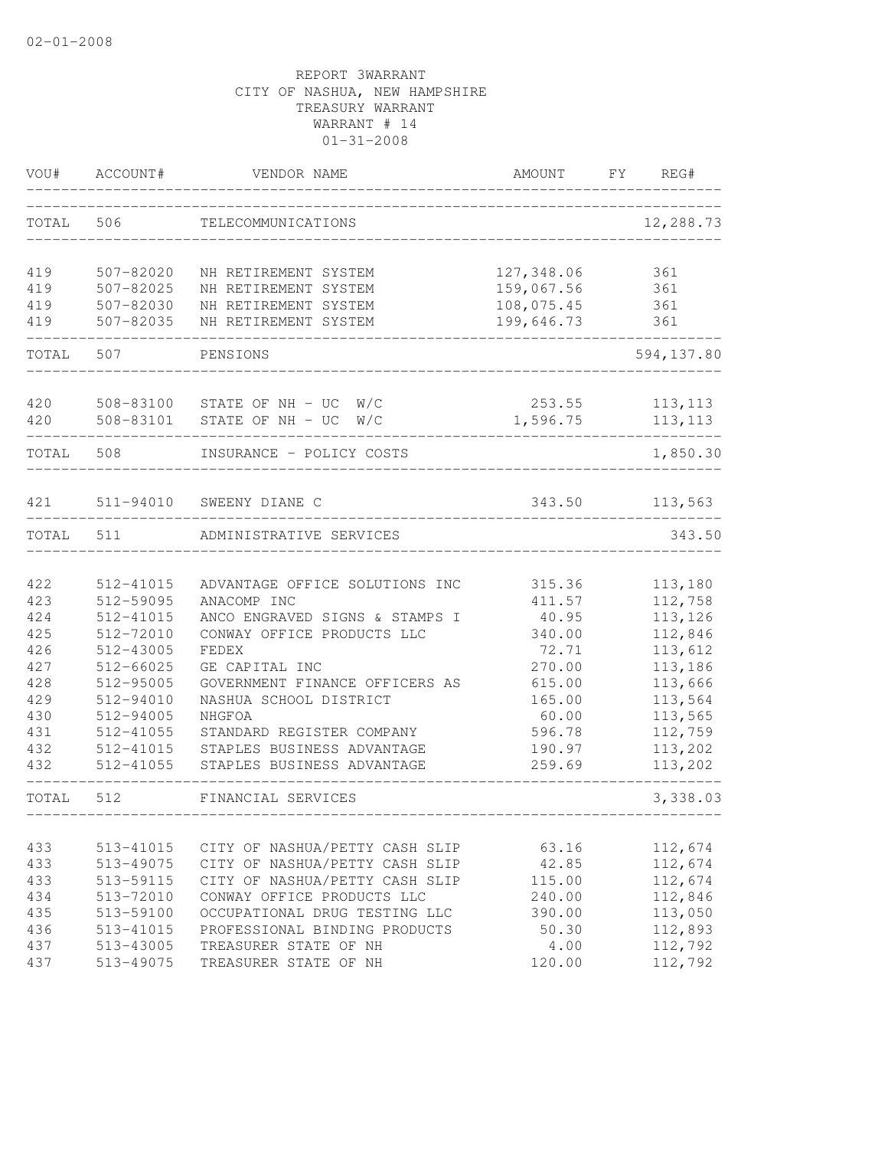| VOU#       | ACCOUNT#               | VENDOR NAME                                  | AMOUNT                   | FY<br>REG# |
|------------|------------------------|----------------------------------------------|--------------------------|------------|
| TOTAL      | 506                    | TELECOMMUNICATIONS                           |                          | 12,288.73  |
|            |                        |                                              |                          |            |
| 419        | 507-82020              | NH RETIREMENT SYSTEM                         | 127,348.06               | 361        |
| 419<br>419 | 507-82025<br>507-82030 | NH RETIREMENT SYSTEM                         | 159,067.56<br>108,075.45 | 361        |
| 419        | 507-82035              | NH RETIREMENT SYSTEM<br>NH RETIREMENT SYSTEM | 199,646.73               | 361<br>361 |
| TOTAL      | 507                    | PENSIONS                                     |                          | 594,137.80 |
| 420        |                        | 508-83100 STATE OF NH - UC<br>W/C            | 253.55                   | 113, 113   |
| 420        | 508-83101              | STATE OF NH - UC<br>W/C                      | 1,596.75                 | 113, 113   |
| TOTAL      | 508                    | INSURANCE - POLICY COSTS                     |                          | 1,850.30   |
| 421        |                        | 511-94010 SWEENY DIANE C                     | 343.50                   | 113,563    |
| TOTAL      | 511                    | ADMINISTRATIVE SERVICES                      |                          | 343.50     |
|            |                        |                                              |                          |            |
| 422        | 512-41015              | ADVANTAGE OFFICE SOLUTIONS INC               | 315.36                   | 113,180    |
| 423        | 512-59095              | ANACOMP INC                                  | 411.57                   | 112,758    |
| 424        | 512-41015              | ANCO ENGRAVED SIGNS & STAMPS I               | 40.95                    | 113,126    |
| 425        | 512-72010              | CONWAY OFFICE PRODUCTS LLC                   | 340.00                   | 112,846    |
| 426        | 512-43005              | FEDEX                                        | 72.71                    | 113,612    |
| 427        | 512-66025              | GE CAPITAL INC                               | 270.00                   | 113,186    |
| 428        | 512-95005              | GOVERNMENT FINANCE OFFICERS AS               | 615.00                   | 113,666    |
| 429        | 512-94010              | NASHUA SCHOOL DISTRICT                       | 165.00                   | 113,564    |
| 430        | 512-94005              | NHGFOA                                       | 60.00                    | 113,565    |
| 431        | 512-41055              | STANDARD REGISTER COMPANY                    | 596.78                   | 112,759    |
| 432        | 512-41015              | STAPLES BUSINESS ADVANTAGE                   | 190.97                   | 113,202    |
| 432        | 512-41055              | STAPLES BUSINESS ADVANTAGE                   | 259.69                   | 113,202    |
| TOTAL      | 512                    | FINANCIAL SERVICES                           |                          | 3,338.03   |
|            |                        |                                              |                          |            |
| 433        | 513-41015              | CITY OF NASHUA/PETTY CASH SLIP               | 63.16                    | 112,674    |
| 433        | 513-49075              | CITY OF NASHUA/PETTY CASH SLIP               | 42.85                    | 112,674    |
| 433        | 513-59115              | CITY OF NASHUA/PETTY CASH SLIP               | 115.00                   | 112,674    |
| 434        | 513-72010              | CONWAY OFFICE PRODUCTS LLC                   | 240.00                   | 112,846    |
| 435        | 513-59100              | OCCUPATIONAL DRUG TESTING LLC                | 390.00                   | 113,050    |
| 436        | 513-41015              | PROFESSIONAL BINDING PRODUCTS                | 50.30                    | 112,893    |
| 437        | 513-43005              | TREASURER STATE OF NH                        | 4.00                     | 112,792    |
| 437        | 513-49075              | TREASURER STATE OF NH                        | 120.00                   | 112,792    |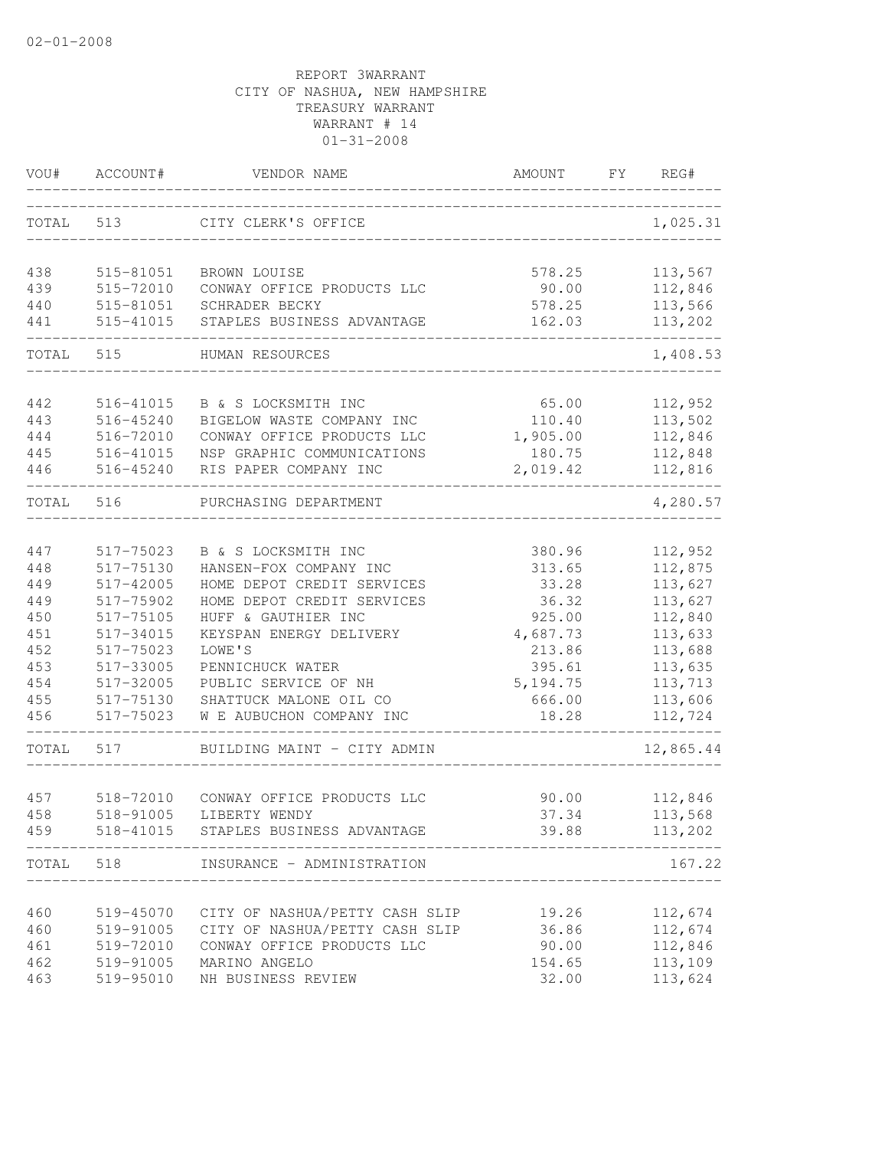| TOTAL<br>513<br>CITY CLERK'S OFFICE<br>438<br>515-81051<br>BROWN LOUISE                          | 578.25<br>90.00<br>578.25<br>162.03 |                         | 1,025.31<br>113,567<br>112,846<br>113,566 |
|--------------------------------------------------------------------------------------------------|-------------------------------------|-------------------------|-------------------------------------------|
|                                                                                                  |                                     |                         |                                           |
|                                                                                                  |                                     |                         |                                           |
| 439<br>515-72010<br>CONWAY OFFICE PRODUCTS LLC                                                   |                                     |                         |                                           |
| 440<br>515-81051<br>SCHRADER BECKY                                                               |                                     |                         |                                           |
| 441<br>515-41015<br>STAPLES BUSINESS ADVANTAGE                                                   |                                     |                         | 113,202                                   |
| TOTAL<br>515<br>HUMAN RESOURCES                                                                  |                                     |                         | 1,408.53                                  |
| 442<br>516-41015<br>B & S LOCKSMITH INC                                                          | 65.00                               |                         | 112,952                                   |
| 443<br>516-45240<br>BIGELOW WASTE COMPANY INC                                                    | 110.40                              |                         | 113,502                                   |
| 444<br>516-72010<br>CONWAY OFFICE PRODUCTS LLC                                                   | 1,905.00                            |                         | 112,846                                   |
| 445<br>516-41015<br>NSP GRAPHIC COMMUNICATIONS                                                   | 180.75                              |                         | 112,848                                   |
| RIS PAPER COMPANY INC<br>446<br>516-45240                                                        | 2,019.42                            |                         | 112,816                                   |
| TOTAL<br>516<br>PURCHASING DEPARTMENT                                                            |                                     |                         | 4,280.57                                  |
|                                                                                                  |                                     |                         |                                           |
| 447<br>517-75023<br>B & S LOCKSMITH INC                                                          | 380.96                              |                         | 112,952                                   |
| HANSEN-FOX COMPANY INC<br>448<br>517-75130                                                       | 313.65                              |                         | 112,875                                   |
| 449<br>517-42005<br>HOME DEPOT CREDIT SERVICES<br>449<br>517-75902<br>HOME DEPOT CREDIT SERVICES | 33.28<br>36.32                      |                         | 113,627                                   |
| 450<br>HUFF & GAUTHIER INC<br>517-75105                                                          | 925.00                              |                         | 113,627<br>112,840                        |
| 451<br>517-34015<br>KEYSPAN ENERGY DELIVERY                                                      | 4,687.73                            |                         | 113,633                                   |
| 452<br>LOWE'S<br>517-75023                                                                       | 213.86                              |                         | 113,688                                   |
| 453<br>517-33005<br>PENNICHUCK WATER                                                             | 395.61                              |                         | 113,635                                   |
| 454<br>PUBLIC SERVICE OF NH<br>517-32005                                                         | 5, 194.75                           |                         | 113,713                                   |
| 455<br>517-75130<br>SHATTUCK MALONE OIL CO                                                       | 666.00                              |                         | 113,606                                   |
| 456<br>517-75023<br>W E AUBUCHON COMPANY INC                                                     | 18.28                               |                         | 112,724                                   |
| 517<br>TOTAL<br>BUILDING MAINT - CITY ADMIN                                                      |                                     |                         | 12,865.44                                 |
|                                                                                                  |                                     |                         |                                           |
| 457<br>518-72010<br>CONWAY OFFICE PRODUCTS LLC                                                   | 90.00                               |                         | 112,846                                   |
| 458<br>518-91005<br>LIBERTY WENDY                                                                | 37.34                               |                         | 113,568                                   |
| 518-41015 STAPLES BUSINESS ADVANTAGE<br>459<br>________________<br>--------------                | 39.88                               | . _ _ _ _ _ _ _ _ _ _ _ | 113,202                                   |
| 518<br>TOTAL<br>INSURANCE - ADMINISTRATION                                                       |                                     |                         | 167.22                                    |
| 460<br>519-45070<br>CITY OF NASHUA/PETTY CASH SLIP                                               | 19.26                               |                         | 112,674                                   |
| 460<br>CITY OF NASHUA/PETTY CASH SLIP<br>519-91005                                               | 36.86                               |                         | 112,674                                   |
| 461<br>519-72010<br>CONWAY OFFICE PRODUCTS LLC                                                   | 90.00                               |                         | 112,846                                   |
| 462<br>519-91005<br>MARINO ANGELO                                                                | 154.65                              |                         | 113,109                                   |
| 463<br>519-95010<br>NH BUSINESS REVIEW                                                           | 32.00                               |                         | 113,624                                   |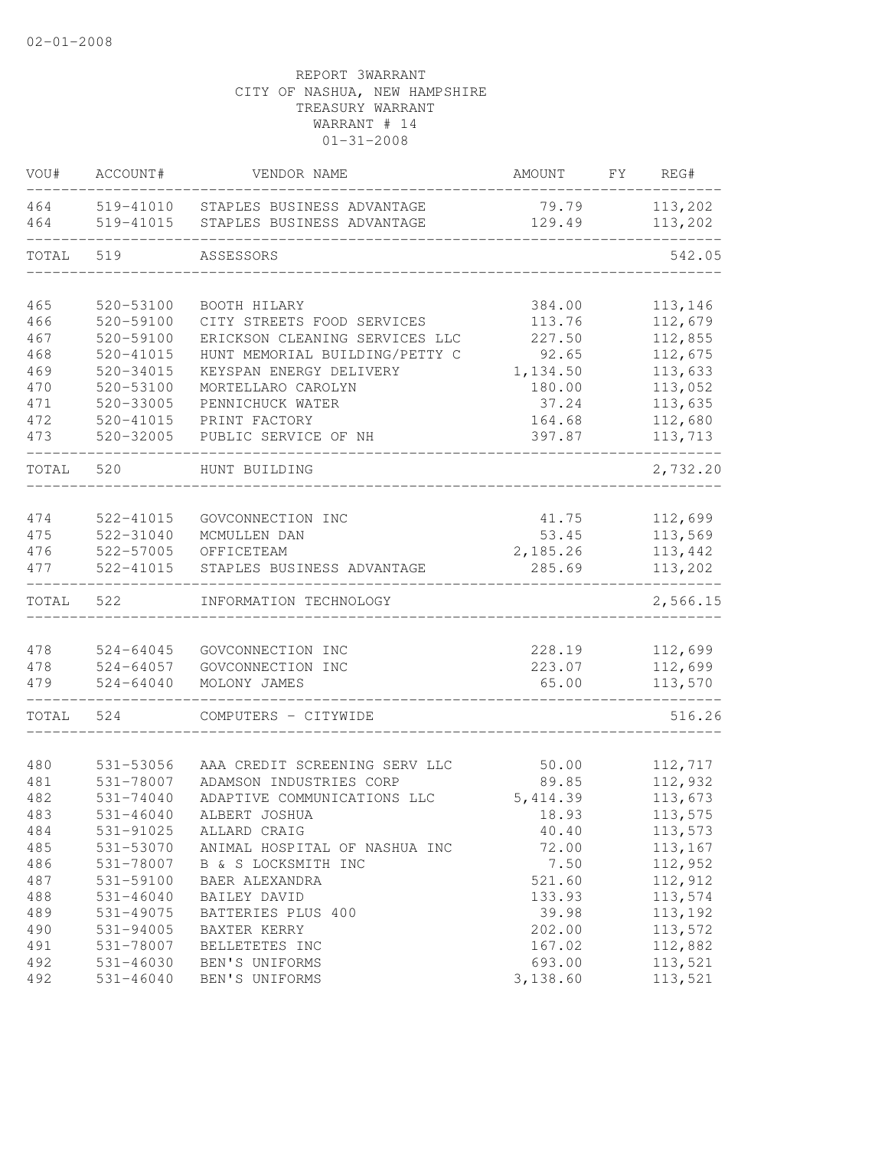| VOU#       | ACCOUNT#               | VENDOR NAME                                              | AMOUNT          | FY. | REG#               |
|------------|------------------------|----------------------------------------------------------|-----------------|-----|--------------------|
| 464<br>464 | 519-41010<br>519-41015 | STAPLES BUSINESS ADVANTAGE<br>STAPLES BUSINESS ADVANTAGE | 79.79<br>129.49 |     | 113,202<br>113,202 |
| TOTAL      | 519                    | ASSESSORS                                                |                 |     | 542.05             |
|            |                        |                                                          |                 |     |                    |
| 465        | 520-53100              | BOOTH HILARY                                             | 384.00          |     | 113,146            |
| 466        | 520-59100              | CITY STREETS FOOD SERVICES                               | 113.76          |     | 112,679            |
| 467        | 520-59100              | ERICKSON CLEANING SERVICES LLC                           | 227.50          |     | 112,855            |
| 468        | $520 - 41015$          | HUNT MEMORIAL BUILDING/PETTY C                           | 92.65           |     | 112,675            |
| 469        | $520 - 34015$          | KEYSPAN ENERGY DELIVERY                                  | 1,134.50        |     | 113,633            |
| 470        | 520-53100              | MORTELLARO CAROLYN                                       | 180.00          |     | 113,052            |
| 471        | 520-33005              | PENNICHUCK WATER                                         | 37.24           |     | 113,635            |
| 472        | 520-41015              | PRINT FACTORY                                            | 164.68          |     | 112,680            |
| 473        | 520-32005              | PUBLIC SERVICE OF NH                                     | 397.87          |     | 113,713            |
| TOTAL      | 520                    | HUNT BUILDING                                            |                 |     | 2,732.20           |
|            |                        |                                                          |                 |     |                    |
| 474        | 522-41015              | GOVCONNECTION INC                                        | 41.75           |     | 112,699            |
| 475        | 522-31040              | MCMULLEN DAN                                             | 53.45           |     | 113,569            |
| 476        | 522-57005              | OFFICETEAM                                               | 2,185.26        |     | 113,442            |
| 477        | 522-41015              | STAPLES BUSINESS ADVANTAGE                               | 285.69          |     | 113,202            |
| TOTAL      | 522                    | INFORMATION TECHNOLOGY                                   |                 |     | 2,566.15           |
|            |                        |                                                          |                 |     |                    |
| 478        | $524 - 64045$          | GOVCONNECTION INC                                        | 228.19          |     | 112,699            |
| 478        | $524 - 64057$          | GOVCONNECTION INC                                        | 223.07          |     | 112,699            |
| 479        | $524 - 64040$          | MOLONY JAMES                                             | 65.00           |     | 113,570            |
| TOTAL      | 524                    | COMPUTERS - CITYWIDE                                     |                 |     | 516.26             |
|            |                        |                                                          |                 |     |                    |
| 480        | 531-53056              | AAA CREDIT SCREENING SERV LLC                            | 50.00           |     | 112,717            |
| 481        | 531-78007              | ADAMSON INDUSTRIES CORP                                  | 89.85           |     | 112,932            |
| 482        | 531-74040              | ADAPTIVE COMMUNICATIONS LLC                              | 5, 414.39       |     | 113,673            |
| 483        | 531-46040              | ALBERT JOSHUA                                            | 18.93           |     | 113,575            |
| 484        | 531-91025              | ALLARD CRAIG                                             | 40.40           |     | 113,573            |
| 485        | 531-53070              | ANIMAL HOSPITAL OF NASHUA INC                            | 72.00           |     | 113,167            |
| 486        | 531-78007              | B & S LOCKSMITH INC                                      | 7.50            |     | 112,952            |
| 487        | 531-59100              | BAER ALEXANDRA                                           | 521.60          |     | 112,912            |
| 488        | $531 - 46040$          | BAILEY DAVID                                             | 133.93          |     | 113,574            |
| 489        | 531-49075              | BATTERIES PLUS 400                                       | 39.98           |     | 113,192            |
| 490        | 531-94005              | BAXTER KERRY                                             | 202.00          |     | 113,572            |
| 491        | 531-78007              | BELLETETES INC                                           | 167.02          |     | 112,882            |
| 492        | $531 - 46030$          | BEN'S UNIFORMS                                           | 693.00          |     | 113,521            |
| 492        | $531 - 46040$          | BEN'S UNIFORMS                                           | 3,138.60        |     | 113,521            |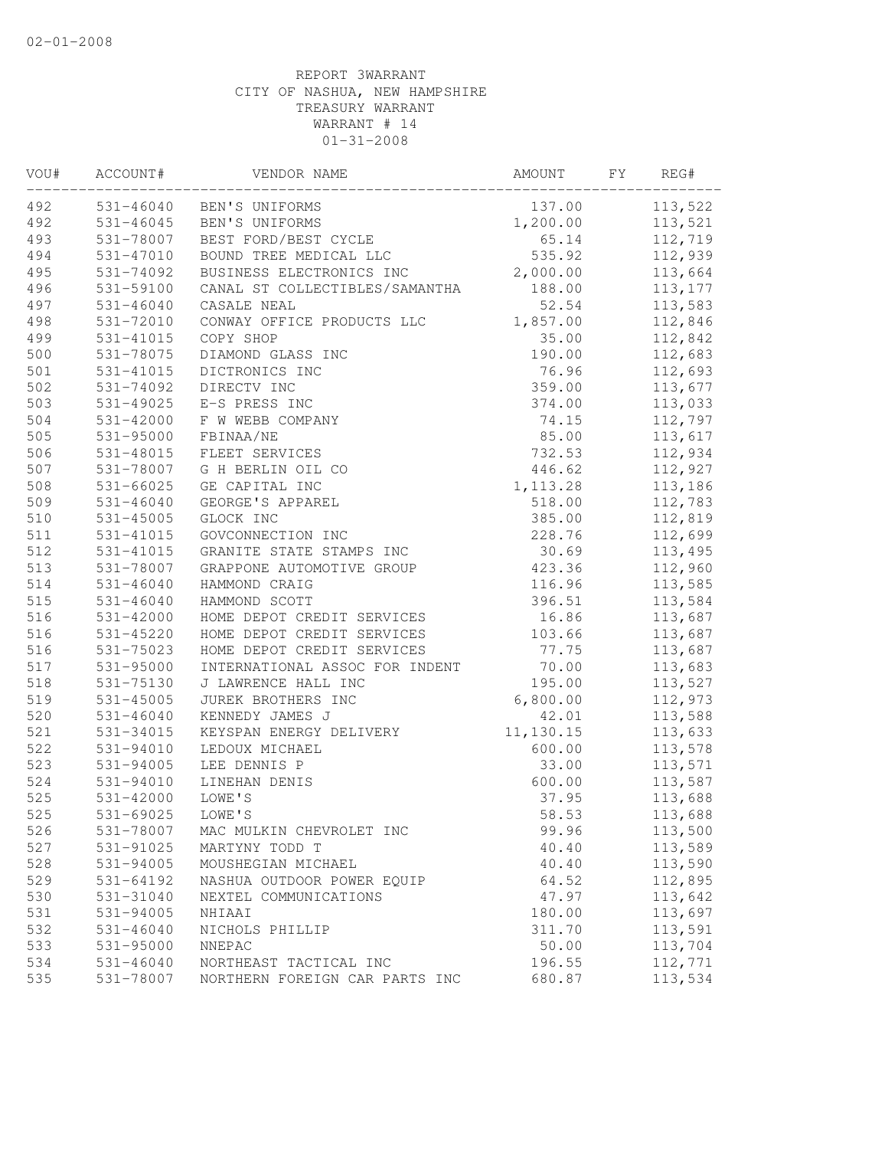| VOU# | ACCOUNT#      | VENDOR NAME                    | AMOUNT    | FY | REG#     |
|------|---------------|--------------------------------|-----------|----|----------|
| 492  | 531-46040     | BEN'S UNIFORMS                 | 137.00    |    | 113,522  |
| 492  | 531-46045     | BEN'S UNIFORMS                 | 1,200.00  |    | 113,521  |
| 493  | 531-78007     | BEST FORD/BEST CYCLE           | 65.14     |    | 112,719  |
| 494  | 531-47010     | BOUND TREE MEDICAL LLC         | 535.92    |    | 112,939  |
| 495  | 531-74092     | BUSINESS ELECTRONICS INC       | 2,000.00  |    | 113,664  |
| 496  | 531-59100     | CANAL ST COLLECTIBLES/SAMANTHA | 188.00    |    | 113, 177 |
| 497  | $531 - 46040$ | CASALE NEAL                    | 52.54     |    | 113,583  |
| 498  | 531-72010     | CONWAY OFFICE PRODUCTS LLC     | 1,857.00  |    | 112,846  |
| 499  | 531-41015     | COPY SHOP                      | 35.00     |    | 112,842  |
| 500  | 531-78075     | DIAMOND GLASS INC              | 190.00    |    | 112,683  |
| 501  | 531-41015     | DICTRONICS INC                 | 76.96     |    | 112,693  |
| 502  | 531-74092     | DIRECTV INC                    | 359.00    |    | 113,677  |
| 503  | 531-49025     | E-S PRESS INC                  | 374.00    |    | 113,033  |
| 504  | 531-42000     | F W WEBB COMPANY               | 74.15     |    | 112,797  |
| 505  | 531-95000     | FBINAA/NE                      | 85.00     |    | 113,617  |
| 506  | 531-48015     | FLEET SERVICES                 | 732.53    |    | 112,934  |
| 507  | 531-78007     | G H BERLIN OIL CO              | 446.62    |    | 112,927  |
| 508  | $531 - 66025$ | GE CAPITAL INC                 | 1, 113.28 |    | 113,186  |
| 509  | $531 - 46040$ | GEORGE'S APPAREL               | 518.00    |    | 112,783  |
| 510  | 531-45005     | GLOCK INC                      | 385.00    |    | 112,819  |
| 511  | 531-41015     | GOVCONNECTION INC              | 228.76    |    | 112,699  |
| 512  | 531-41015     | GRANITE STATE STAMPS INC       | 30.69     |    | 113,495  |
| 513  | 531-78007     | GRAPPONE AUTOMOTIVE GROUP      | 423.36    |    | 112,960  |
| 514  | $531 - 46040$ | HAMMOND CRAIG                  | 116.96    |    | 113,585  |
| 515  | $531 - 46040$ | HAMMOND SCOTT                  | 396.51    |    | 113,584  |
| 516  | 531-42000     | HOME DEPOT CREDIT SERVICES     | 16.86     |    | 113,687  |
| 516  | 531-45220     | HOME DEPOT CREDIT SERVICES     | 103.66    |    | 113,687  |
| 516  | 531-75023     | HOME DEPOT CREDIT SERVICES     | 77.75     |    | 113,687  |
| 517  | 531-95000     | INTERNATIONAL ASSOC FOR INDENT | 70.00     |    | 113,683  |
| 518  | 531-75130     | J LAWRENCE HALL INC            | 195.00    |    | 113,527  |
| 519  | $531 - 45005$ | JUREK BROTHERS INC             | 6,800.00  |    | 112,973  |
| 520  | $531 - 46040$ | KENNEDY JAMES J                | 42.01     |    | 113,588  |
| 521  | 531-34015     | KEYSPAN ENERGY DELIVERY        | 11,130.15 |    | 113,633  |
| 522  | 531-94010     | LEDOUX MICHAEL                 | 600.00    |    | 113,578  |
| 523  | 531-94005     | LEE DENNIS P                   | 33.00     |    | 113,571  |
| 524  | 531-94010     | LINEHAN DENIS                  | 600.00    |    | 113,587  |
| 525  | 531-42000     | LOWE'S                         | 37.95     |    | 113,688  |
| 525  | 531-69025     | LOWE'S                         | 58.53     |    | 113,688  |
| 526  | 531-78007     | MAC MULKIN CHEVROLET INC       | 99.96     |    | 113,500  |
| 527  | 531-91025     | MARTYNY TODD T                 | 40.40     |    | 113,589  |
| 528  | 531-94005     | MOUSHEGIAN MICHAEL             | 40.40     |    | 113,590  |
| 529  | 531-64192     | NASHUA OUTDOOR POWER EQUIP     | 64.52     |    | 112,895  |
| 530  | 531-31040     | NEXTEL COMMUNICATIONS          | 47.97     |    | 113,642  |
| 531  | 531-94005     | NHIAAI                         | 180.00    |    | 113,697  |
| 532  | $531 - 46040$ | NICHOLS PHILLIP                | 311.70    |    | 113,591  |
| 533  | 531-95000     | NNEPAC                         | 50.00     |    | 113,704  |
| 534  | $531 - 46040$ | NORTHEAST TACTICAL INC         | 196.55    |    | 112,771  |
| 535  | 531-78007     | NORTHERN FOREIGN CAR PARTS INC | 680.87    |    | 113,534  |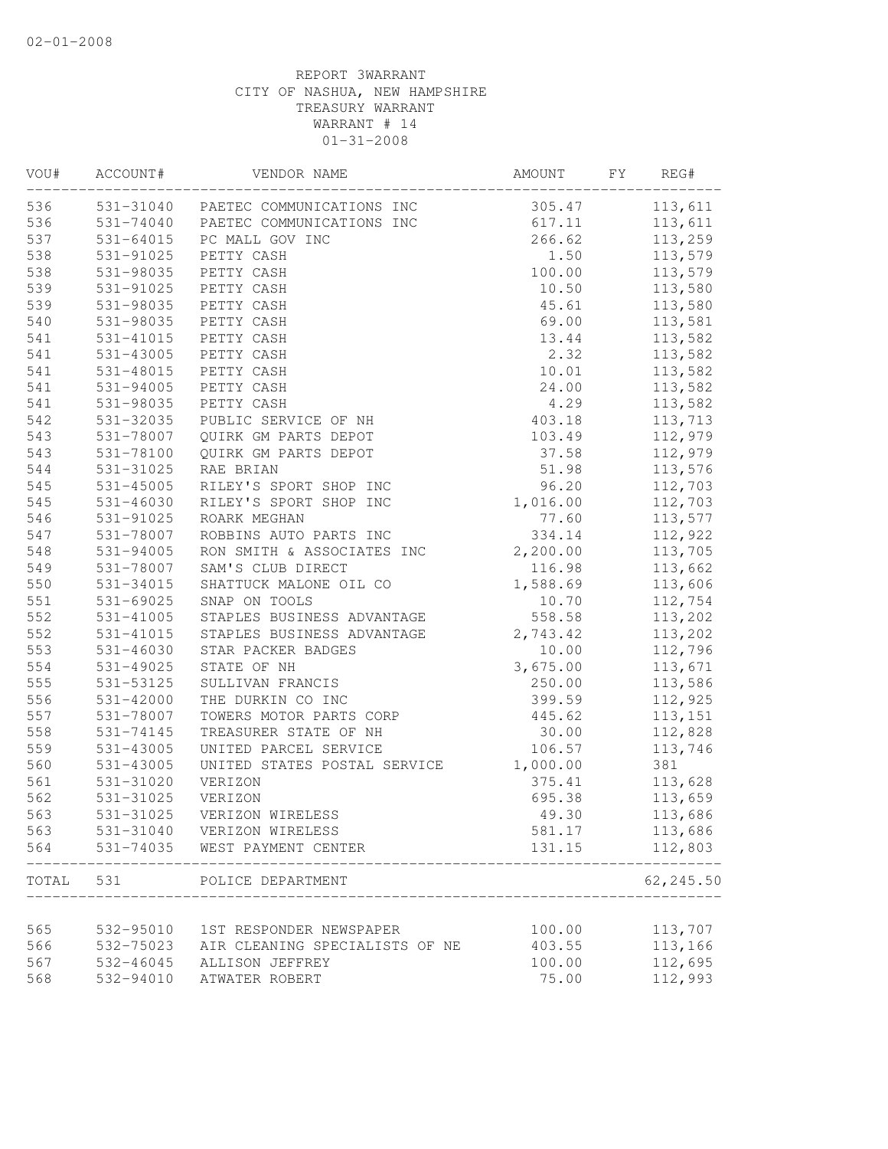| VOU#  | ACCOUNT#               | VENDOR NAME                         | AMOUNT   | FY | REG#               |
|-------|------------------------|-------------------------------------|----------|----|--------------------|
| 536   |                        | 531-31040 PAETEC COMMUNICATIONS INC | 305.47   |    | 113,611            |
| 536   |                        | 531-74040 PAETEC COMMUNICATIONS INC | 617.11   |    | 113,611            |
| 537   | 531-64015              | PC MALL GOV INC                     | 266.62   |    | 113,259            |
| 538   | 531-91025              | PETTY CASH                          | 1.50     |    | 113,579            |
| 538   | 531-98035              | PETTY CASH                          | 100.00   |    | 113,579            |
| 539   | 531-91025              | PETTY CASH                          | 10.50    |    | 113,580            |
| 539   | 531-98035              | PETTY CASH                          | 45.61    |    | 113,580            |
| 540   | 531-98035              | PETTY CASH                          | 69.00    |    | 113,581            |
| 541   | 531-41015              | PETTY CASH                          | 13.44    |    | 113,582            |
| 541   | 531-43005              | PETTY CASH                          | 2.32     |    | 113,582            |
| 541   | 531-48015              | PETTY CASH                          | 10.01    |    | 113,582            |
| 541   | 531-94005              | PETTY CASH                          | 24.00    |    | 113,582            |
| 541   | 531-98035              | PETTY CASH                          | 4.29     |    | 113,582            |
| 542   | 531-32035              | PUBLIC SERVICE OF NH                | 403.18   |    | 113,713            |
| 543   | 531-78007              | QUIRK GM PARTS DEPOT                | 103.49   |    | 112,979            |
| 543   | 531-78100              | QUIRK GM PARTS DEPOT                | 37.58    |    | 112,979            |
| 544   | 531-31025              | RAE BRIAN                           | 51.98    |    | 113,576            |
| 545   | $531 - 45005$          | RILEY'S SPORT SHOP INC              | 96.20    |    | 112,703            |
| 545   | 531-46030              | RILEY'S SPORT SHOP INC              | 1,016.00 |    | 112,703            |
| 546   | 531-91025              | ROARK MEGHAN                        | 77.60    |    | 113,577            |
| 547   | 531-78007              | ROBBINS AUTO PARTS INC              | 334.14   |    | 112,922            |
| 548   | 531-94005              | RON SMITH & ASSOCIATES INC          | 2,200.00 |    | 113,705            |
| 549   | 531-78007              | SAM'S CLUB DIRECT                   | 116.98   |    | 113,662            |
| 550   | 531-34015              | SHATTUCK MALONE OIL CO              | 1,588.69 |    | 113,606            |
| 551   | 531-69025              | SNAP ON TOOLS                       | 10.70    |    | 112,754            |
| 552   | 531-41005              | STAPLES BUSINESS ADVANTAGE          | 558.58   |    | 113,202            |
| 552   | 531-41015              | STAPLES BUSINESS ADVANTAGE          | 2,743.42 |    | 113,202            |
| 553   | $531 - 46030$          | STAR PACKER BADGES                  | 10.00    |    | 112,796            |
| 554   | 531-49025              | STATE OF NH                         | 3,675.00 |    | 113,671            |
| 555   | 531-53125              | SULLIVAN FRANCIS                    | 250.00   |    | 113,586            |
| 556   | 531-42000              | THE DURKIN CO INC                   | 399.59   |    | 112,925            |
| 557   | 531-78007              | TOWERS MOTOR PARTS CORP             | 445.62   |    | 113,151            |
| 558   | 531-74145              | TREASURER STATE OF NH               | 30.00    |    | 112,828            |
| 559   | 531-43005              | UNITED PARCEL SERVICE               | 106.57   |    | 113,746            |
| 560   | 531-43005              | UNITED STATES POSTAL SERVICE        | 1,000.00 |    | 381                |
| 561   | 531-31020              | VERIZON                             | 375.41   |    | 113,628            |
| 562   | 531-31025              | VERIZON                             | 695.38   |    | 113,659            |
| 563   | 531-31025              | VERIZON WIRELESS                    | 49.30    |    | 113,686            |
| 563   | 531-31040              | VERIZON WIRELESS                    | 581.17   |    | 113,686            |
| 564   | 531-74035              | WEST PAYMENT CENTER                 | 131.15   |    | 112,803            |
| TOTAL | 531                    | POLICE DEPARTMENT                   |          |    | 62,245.50          |
|       |                        |                                     |          |    |                    |
| 565   | 532-95010              | 1ST RESPONDER NEWSPAPER             | 100.00   |    | 113,707<br>113,166 |
| 566   | 532-75023              | AIR CLEANING SPECIALISTS OF NE      | 403.55   |    |                    |
| 567   | 532-46045<br>532-94010 | ALLISON JEFFREY                     | 100.00   |    | 112,695            |
| 568   |                        | ATWATER ROBERT                      | 75.00    |    | 112,993            |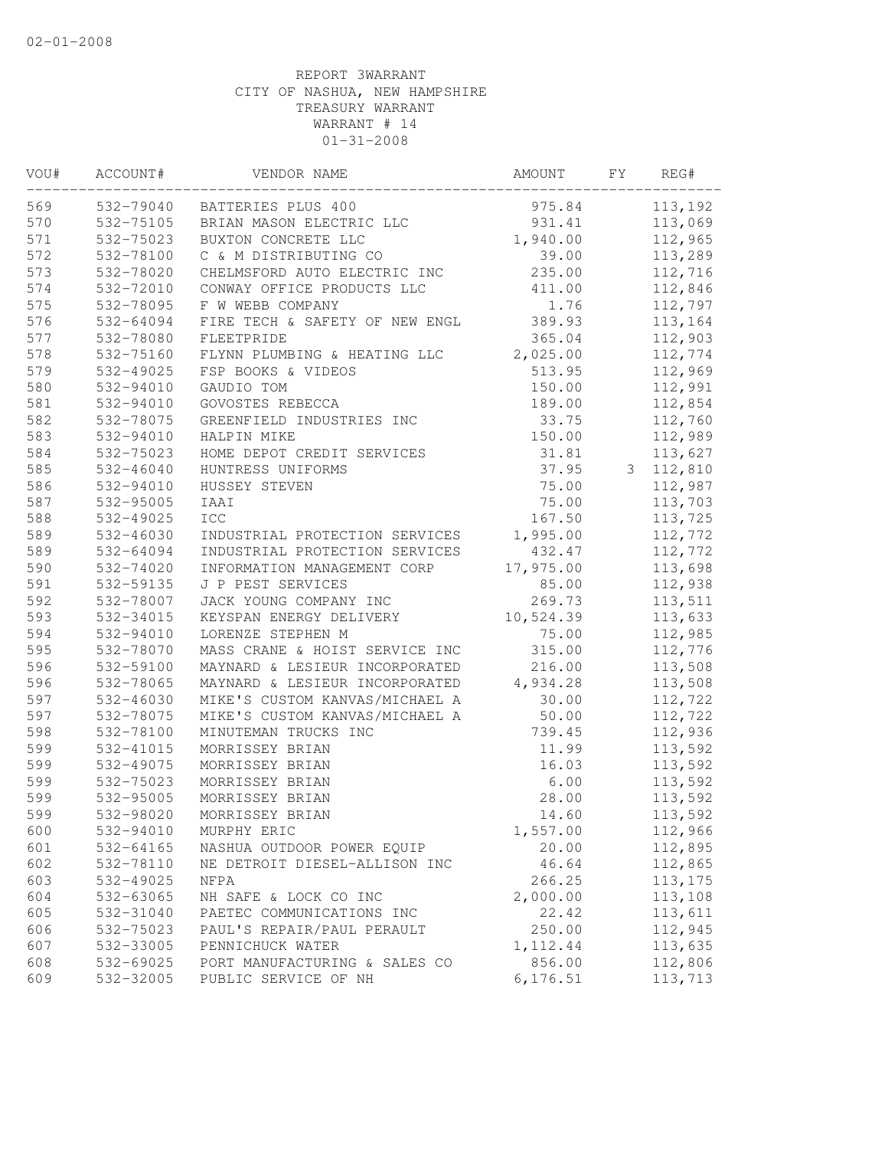| VOU# | ACCOUNT#  | VENDOR NAME                    | AMOUNT    | FΥ | REG#     |  |
|------|-----------|--------------------------------|-----------|----|----------|--|
| 569  | 532-79040 | BATTERIES PLUS 400             | 975.84    |    | 113,192  |  |
| 570  | 532-75105 | BRIAN MASON ELECTRIC LLC       | 931.41    |    | 113,069  |  |
| 571  | 532-75023 | BUXTON CONCRETE LLC            | 1,940.00  |    | 112,965  |  |
| 572  | 532-78100 | C & M DISTRIBUTING CO          | 39.00     |    | 113,289  |  |
| 573  | 532-78020 | CHELMSFORD AUTO ELECTRIC INC   | 235.00    |    | 112,716  |  |
| 574  | 532-72010 | CONWAY OFFICE PRODUCTS LLC     | 411.00    |    | 112,846  |  |
| 575  | 532-78095 | F W WEBB COMPANY               | 1.76      |    | 112,797  |  |
| 576  | 532-64094 | FIRE TECH & SAFETY OF NEW ENGL | 389.93    |    | 113,164  |  |
| 577  | 532-78080 | FLEETPRIDE                     | 365.04    |    | 112,903  |  |
| 578  | 532-75160 | FLYNN PLUMBING & HEATING LLC   | 2,025.00  |    | 112,774  |  |
| 579  | 532-49025 | FSP BOOKS & VIDEOS             | 513.95    |    | 112,969  |  |
| 580  | 532-94010 | GAUDIO TOM                     | 150.00    |    | 112,991  |  |
| 581  | 532-94010 | GOVOSTES REBECCA               | 189.00    |    | 112,854  |  |
| 582  | 532-78075 | GREENFIELD INDUSTRIES INC      | 33.75     |    | 112,760  |  |
| 583  | 532-94010 | HALPIN MIKE                    | 150.00    |    | 112,989  |  |
| 584  | 532-75023 | HOME DEPOT CREDIT SERVICES     | 31.81     |    | 113,627  |  |
| 585  | 532-46040 | HUNTRESS UNIFORMS              | 37.95     | 3  | 112,810  |  |
| 586  | 532-94010 | HUSSEY STEVEN                  | 75.00     |    | 112,987  |  |
| 587  | 532-95005 | IAAI                           | 75.00     |    | 113,703  |  |
| 588  | 532-49025 | <b>ICC</b>                     | 167.50    |    | 113,725  |  |
| 589  | 532-46030 | INDUSTRIAL PROTECTION SERVICES | 1,995.00  |    | 112,772  |  |
| 589  | 532-64094 | INDUSTRIAL PROTECTION SERVICES | 432.47    |    | 112,772  |  |
| 590  | 532-74020 | INFORMATION MANAGEMENT CORP    | 17,975.00 |    | 113,698  |  |
| 591  | 532-59135 | J P PEST SERVICES              | 85.00     |    | 112,938  |  |
| 592  | 532-78007 | JACK YOUNG COMPANY INC         | 269.73    |    | 113,511  |  |
| 593  | 532-34015 | KEYSPAN ENERGY DELIVERY        | 10,524.39 |    | 113,633  |  |
| 594  | 532-94010 | LORENZE STEPHEN M              | 75.00     |    | 112,985  |  |
| 595  | 532-78070 | MASS CRANE & HOIST SERVICE INC | 315.00    |    | 112,776  |  |
| 596  | 532-59100 | MAYNARD & LESIEUR INCORPORATED | 216.00    |    | 113,508  |  |
| 596  | 532-78065 | MAYNARD & LESIEUR INCORPORATED | 4,934.28  |    | 113,508  |  |
| 597  | 532-46030 | MIKE'S CUSTOM KANVAS/MICHAEL A | 30.00     |    | 112,722  |  |
| 597  | 532-78075 | MIKE'S CUSTOM KANVAS/MICHAEL A | 50.00     |    | 112,722  |  |
| 598  | 532-78100 | MINUTEMAN TRUCKS INC           | 739.45    |    | 112,936  |  |
| 599  | 532-41015 | MORRISSEY BRIAN                | 11.99     |    | 113,592  |  |
| 599  | 532-49075 | MORRISSEY BRIAN                | 16.03     |    | 113,592  |  |
| 599  | 532-75023 | MORRISSEY BRIAN                | 6.00      |    | 113,592  |  |
| 599  | 532-95005 | MORRISSEY BRIAN                | 28.00     |    | 113,592  |  |
| 599  | 532-98020 | MORRISSEY BRIAN                | 14.60     |    | 113,592  |  |
| 600  | 532-94010 | MURPHY ERIC                    | 1,557.00  |    | 112,966  |  |
| 601  | 532-64165 | NASHUA OUTDOOR POWER EQUIP     | 20.00     |    | 112,895  |  |
| 602  | 532-78110 | NE DETROIT DIESEL-ALLISON INC  | 46.64     |    | 112,865  |  |
| 603  | 532-49025 | NFPA                           | 266.25    |    | 113, 175 |  |
| 604  | 532-63065 | NH SAFE & LOCK CO INC          | 2,000.00  |    | 113,108  |  |
| 605  | 532-31040 | PAETEC COMMUNICATIONS INC      | 22.42     |    | 113,611  |  |
| 606  | 532-75023 | PAUL'S REPAIR/PAUL PERAULT     | 250.00    |    | 112,945  |  |
| 607  | 532-33005 | PENNICHUCK WATER               | 1,112.44  |    | 113,635  |  |
| 608  | 532-69025 | PORT MANUFACTURING & SALES CO  | 856.00    |    | 112,806  |  |
| 609  | 532-32005 | PUBLIC SERVICE OF NH           | 6, 176.51 |    | 113,713  |  |
|      |           |                                |           |    |          |  |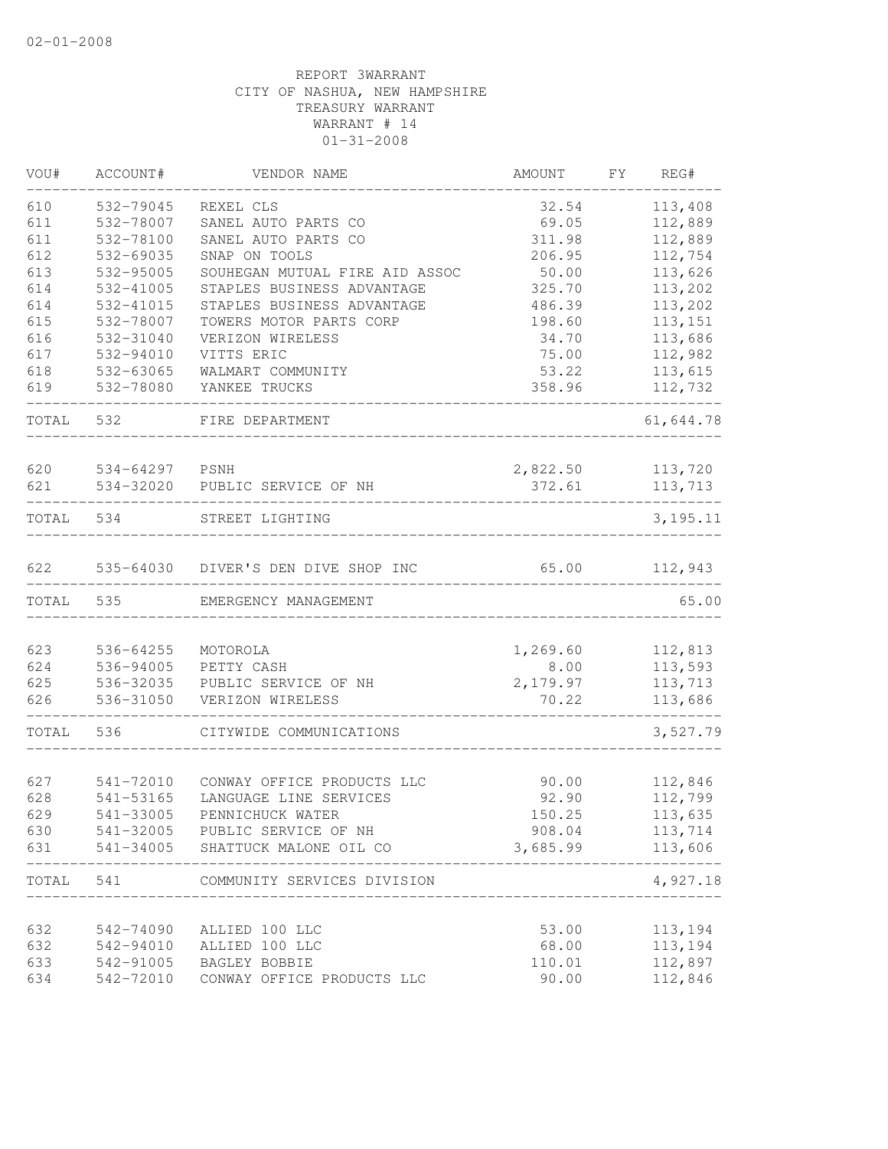| VOU#  | ACCOUNT#  | VENDOR NAME                    | <b>AMOUNT</b> | FΥ | REG#       |
|-------|-----------|--------------------------------|---------------|----|------------|
| 610   | 532-79045 | REXEL CLS                      | 32.54         |    | 113,408    |
| 611   | 532-78007 | SANEL AUTO PARTS CO            | 69.05         |    | 112,889    |
| 611   | 532-78100 | SANEL AUTO PARTS CO            | 311.98        |    | 112,889    |
| 612   | 532-69035 | SNAP ON TOOLS                  | 206.95        |    | 112,754    |
| 613   | 532-95005 | SOUHEGAN MUTUAL FIRE AID ASSOC | 50.00         |    | 113,626    |
| 614   | 532-41005 | STAPLES BUSINESS ADVANTAGE     | 325.70        |    | 113,202    |
| 614   | 532-41015 | STAPLES BUSINESS ADVANTAGE     | 486.39        |    | 113,202    |
| 615   | 532-78007 | TOWERS MOTOR PARTS CORP        | 198.60        |    | 113,151    |
| 616   | 532-31040 | VERIZON WIRELESS               | 34.70         |    | 113,686    |
| 617   | 532-94010 | VITTS ERIC                     | 75.00         |    | 112,982    |
| 618   | 532-63065 | WALMART COMMUNITY              | 53.22         |    | 113,615    |
| 619   | 532-78080 | YANKEE TRUCKS                  | 358.96        |    | 112,732    |
| TOTAL | 532       | FIRE DEPARTMENT                |               |    | 61,644.78  |
| 620   | 534-64297 | PSNH                           | 2,822.50      |    | 113,720    |
| 621   | 534-32020 | PUBLIC SERVICE OF NH           | 372.61        |    | 113,713    |
|       |           |                                |               |    |            |
| TOTAL | 534       | STREET LIGHTING                |               |    | 3, 195. 11 |
| 622   | 535-64030 | DIVER'S DEN DIVE SHOP INC      | 65.00         |    | 112,943    |
| TOTAL | 535       | EMERGENCY MANAGEMENT           |               |    | 65.00      |
|       |           |                                |               |    |            |
| 623   | 536-64255 | MOTOROLA                       | 1,269.60      |    | 112,813    |
| 624   | 536-94005 | PETTY CASH                     | 8.00          |    | 113,593    |
| 625   | 536-32035 | PUBLIC SERVICE OF NH           | 2,179.97      |    | 113,713    |
| 626   | 536-31050 | VERIZON WIRELESS               | 70.22         |    | 113,686    |
| TOTAL | 536       | CITYWIDE COMMUNICATIONS        |               |    | 3,527.79   |
|       |           |                                |               |    |            |
| 627   | 541-72010 | CONWAY OFFICE PRODUCTS LLC     | 90.00         |    | 112,846    |
| 628   | 541-53165 | LANGUAGE LINE SERVICES         | 92.90         |    | 112,799    |
| 629   | 541-33005 | PENNICHUCK WATER               | 150.25        |    | 113,635    |
| 630   | 541-32005 | PUBLIC SERVICE OF NH           | 908.04        |    | 113,714    |
| 631   | 541-34005 | SHATTUCK MALONE OIL CO         | 3,685.99      |    | 113,606    |
| TOTAL | 541       | COMMUNITY SERVICES DIVISION    |               |    | 4,927.18   |
| 632   | 542-74090 | ALLIED 100 LLC                 | 53.00         |    | 113,194    |
| 632   | 542-94010 | ALLIED 100 LLC                 | 68.00         |    | 113,194    |
| 633   | 542-91005 | BAGLEY BOBBIE                  | 110.01        |    | 112,897    |
| 634   | 542-72010 | CONWAY OFFICE PRODUCTS LLC     | 90.00         |    | 112,846    |
|       |           |                                |               |    |            |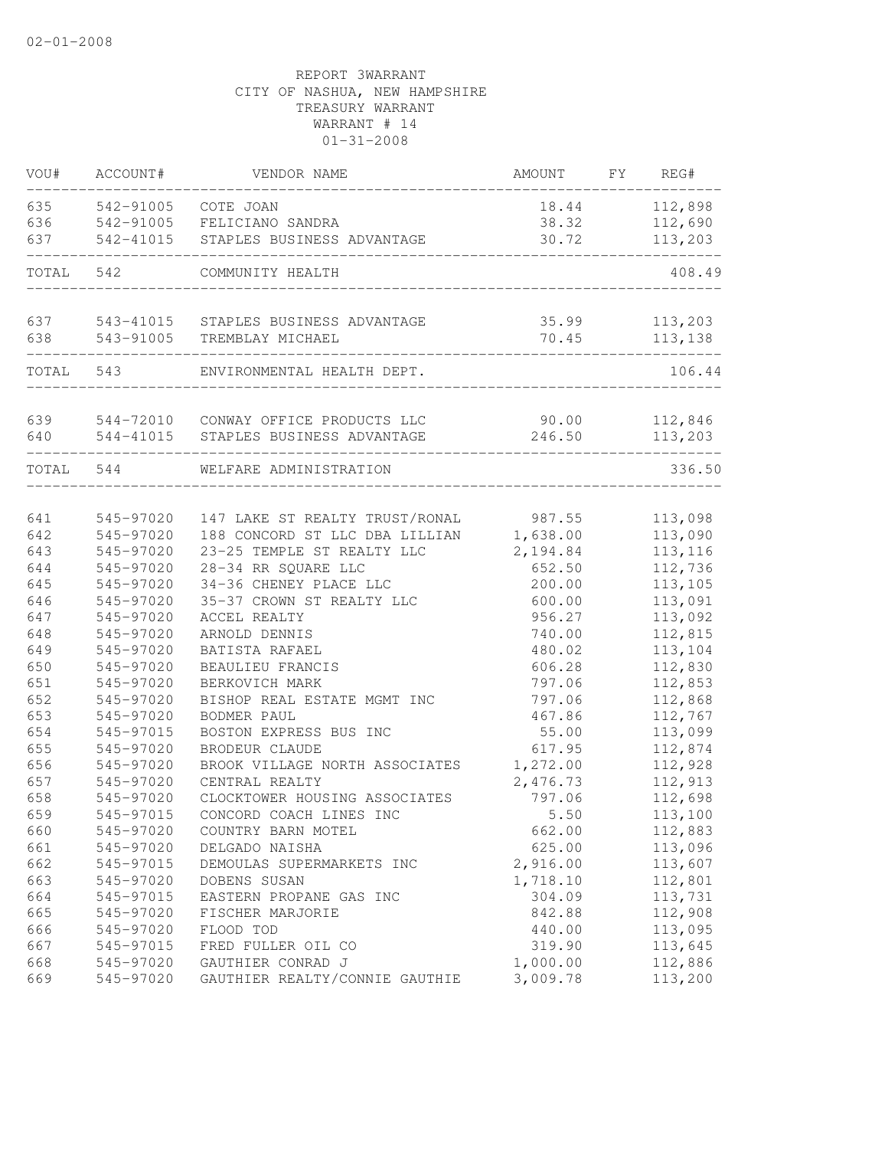| VOU#       | ACCOUNT#  | VENDOR NAME                                                        | AMOUNT          | FY | REG#               |
|------------|-----------|--------------------------------------------------------------------|-----------------|----|--------------------|
| 635        | 542-91005 | COTE JOAN                                                          | 18.44           |    | 112,898            |
| 636        | 542-91005 | FELICIANO SANDRA                                                   | 38.32           |    | 112,690            |
| 637        | 542-41015 | STAPLES BUSINESS ADVANTAGE                                         | 30.72           |    | 113,203            |
| TOTAL      | 542       | COMMUNITY HEALTH                                                   |                 |    | 408.49             |
|            |           |                                                                    |                 |    |                    |
| 637        | 543-41015 | STAPLES BUSINESS ADVANTAGE                                         | 35.99           |    | 113,203            |
| 638        | 543-91005 | TREMBLAY MICHAEL                                                   | 70.45           |    | 113,138            |
| TOTAL      | 543       | ENVIRONMENTAL HEALTH DEPT.                                         |                 |    | 106.44             |
|            |           |                                                                    |                 |    |                    |
| 639<br>640 | 544-41015 | 544-72010 CONWAY OFFICE PRODUCTS LLC<br>STAPLES BUSINESS ADVANTAGE | 90.00<br>246.50 |    | 112,846<br>113,203 |
|            |           |                                                                    |                 |    |                    |
| TOTAL 544  |           | WELFARE ADMINISTRATION                                             |                 |    | 336.50             |
|            |           |                                                                    |                 |    |                    |
| 641        | 545-97020 | 147 LAKE ST REALTY TRUST/RONAL                                     | 987.55          |    | 113,098            |
| 642        | 545-97020 | 188 CONCORD ST LLC DBA LILLIAN                                     | 1,638.00        |    | 113,090            |
| 643        | 545-97020 | 23-25 TEMPLE ST REALTY LLC                                         | 2,194.84        |    | 113,116            |
| 644        | 545-97020 | 28-34 RR SQUARE LLC                                                | 652.50          |    | 112,736            |
| 645        | 545-97020 | 34-36 CHENEY PLACE LLC                                             | 200.00          |    | 113,105            |
| 646        | 545-97020 | 35-37 CROWN ST REALTY LLC                                          | 600.00          |    | 113,091            |
| 647        | 545-97020 | ACCEL REALTY                                                       | 956.27          |    | 113,092            |
| 648        | 545-97020 | ARNOLD DENNIS                                                      | 740.00          |    | 112,815            |
| 649        | 545-97020 | BATISTA RAFAEL                                                     | 480.02          |    | 113,104            |
| 650        | 545-97020 | BEAULIEU FRANCIS                                                   | 606.28          |    | 112,830            |
| 651        | 545-97020 | BERKOVICH MARK                                                     | 797.06          |    | 112,853            |
| 652        | 545-97020 | BISHOP REAL ESTATE MGMT INC                                        | 797.06          |    | 112,868            |
| 653        | 545-97020 | BODMER PAUL                                                        | 467.86          |    | 112,767            |
| 654        | 545-97015 | BOSTON EXPRESS BUS INC                                             | 55.00           |    | 113,099            |
| 655        | 545-97020 | BRODEUR CLAUDE                                                     | 617.95          |    | 112,874            |
| 656        | 545-97020 | BROOK VILLAGE NORTH ASSOCIATES                                     | 1,272.00        |    | 112,928            |
| 657        | 545-97020 | CENTRAL REALTY                                                     | 2,476.73        |    | 112,913            |
| 658        | 545-97020 | CLOCKTOWER HOUSING ASSOCIATES                                      | 797.06          |    | 112,698            |
| 659        | 545-97015 | CONCORD COACH LINES INC                                            | 5.50            |    | 113,100            |
| 660        | 545-97020 | COUNTRY BARN MOTEL                                                 | 662.00          |    | 112,883            |
| 661        | 545-97020 | DELGADO NAISHA                                                     | 625.00          |    | 113,096            |
| 662        | 545-97015 | DEMOULAS SUPERMARKETS INC                                          | 2,916.00        |    | 113,607            |
| 663        | 545-97020 | DOBENS SUSAN                                                       | 1,718.10        |    | 112,801            |
| 664        | 545-97015 | EASTERN PROPANE GAS INC                                            | 304.09          |    | 113,731            |
| 665        | 545-97020 | FISCHER MARJORIE                                                   | 842.88          |    | 112,908            |
| 666        | 545-97020 | FLOOD TOD                                                          | 440.00          |    | 113,095            |
| 667        | 545-97015 | FRED FULLER OIL CO                                                 | 319.90          |    | 113,645            |
| 668        | 545-97020 | GAUTHIER CONRAD J                                                  | 1,000.00        |    | 112,886            |
| 669        | 545-97020 | GAUTHIER REALTY/CONNIE GAUTHIE                                     | 3,009.78        |    | 113,200            |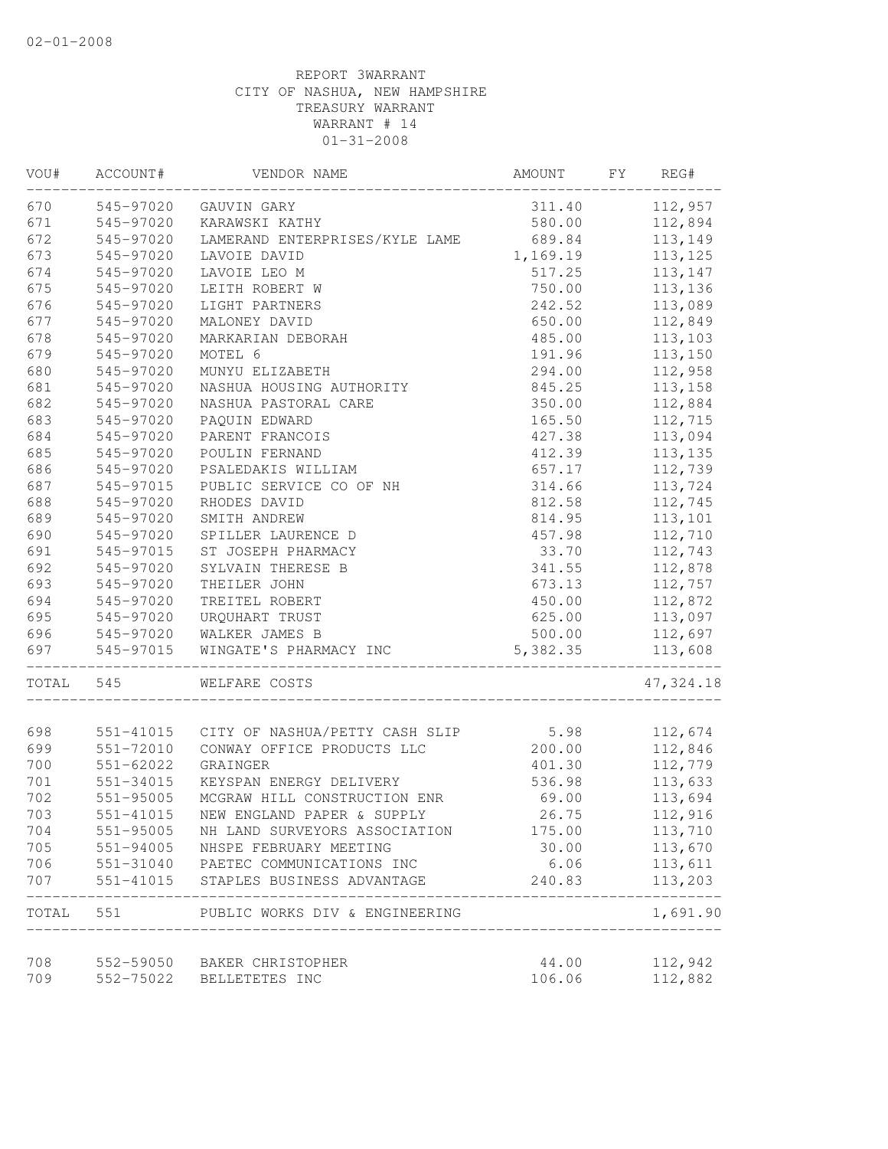| VOU#       | ACCOUNT#               | VENDOR NAME                                             | AMOUNT           | FY | REG#               |
|------------|------------------------|---------------------------------------------------------|------------------|----|--------------------|
| 670        | 545-97020              | GAUVIN GARY                                             | 311.40           |    | 112,957            |
| 671        | 545-97020              | KARAWSKI KATHY                                          | 580.00           |    | 112,894            |
| 672        | 545-97020              | LAMERAND ENTERPRISES/KYLE LAME                          | 689.84           |    | 113,149            |
| 673        | 545-97020              | LAVOIE DAVID                                            | 1,169.19         |    | 113, 125           |
| 674        | 545-97020              | LAVOIE LEO M                                            | 517.25           |    | 113,147            |
| 675        | 545-97020              | LEITH ROBERT W                                          | 750.00           |    | 113,136            |
| 676        | 545-97020              | LIGHT PARTNERS                                          | 242.52           |    | 113,089            |
| 677        | 545-97020              | MALONEY DAVID                                           | 650.00           |    | 112,849            |
| 678        | 545-97020              | MARKARIAN DEBORAH                                       | 485.00           |    | 113,103            |
| 679        | 545-97020              | MOTEL 6                                                 | 191.96           |    | 113,150            |
| 680        | 545-97020              | MUNYU ELIZABETH                                         | 294.00           |    | 112,958            |
| 681        | 545-97020              | NASHUA HOUSING AUTHORITY                                | 845.25           |    | 113,158            |
| 682        | 545-97020              | NASHUA PASTORAL CARE                                    | 350.00           |    | 112,884            |
| 683        | 545-97020              | PAQUIN EDWARD                                           | 165.50           |    | 112,715            |
| 684        | 545-97020              | PARENT FRANCOIS                                         | 427.38           |    | 113,094            |
| 685        | 545-97020              | POULIN FERNAND                                          | 412.39           |    | 113, 135           |
| 686        | 545-97020              | PSALEDAKIS WILLIAM                                      | 657.17           |    | 112,739            |
| 687        | 545-97015              | PUBLIC SERVICE CO OF NH                                 | 314.66           |    | 113,724            |
| 688        | 545-97020              | RHODES DAVID                                            | 812.58           |    | 112,745            |
| 689        | 545-97020              | SMITH ANDREW                                            | 814.95           |    | 113,101            |
| 690        | 545-97020              | SPILLER LAURENCE D                                      | 457.98           |    | 112,710            |
| 691        | 545-97015              | ST JOSEPH PHARMACY                                      | 33.70            |    | 112,743            |
| 692        | 545-97020              | SYLVAIN THERESE B                                       | 341.55           |    | 112,878            |
| 693        | 545-97020              | THEILER JOHN                                            | 673.13           |    | 112,757            |
| 694        | 545-97020              | TREITEL ROBERT                                          | 450.00           |    | 112,872            |
| 695        | 545-97020              | URQUHART TRUST                                          | 625.00           |    | 113,097            |
| 696        | 545-97020              | WALKER JAMES B                                          | 500.00           |    | 112,697            |
| 697        | 545-97015              | WINGATE'S PHARMACY INC                                  | 5,382.35         |    | 113,608            |
| TOTAL      | 545                    | WELFARE COSTS                                           |                  |    | 47, 324.18         |
| 698        |                        | 551-41015 CITY OF NASHUA/PETTY CASH SLIP                | 5.98             |    | 112,674            |
| 699        |                        | CONWAY OFFICE PRODUCTS LLC                              |                  |    | 112,846            |
| 700        | 551-72010              | GRAINGER                                                | 200.00<br>401.30 |    | 112,779            |
| 701        | 551-62022<br>551-34015 | KEYSPAN ENERGY DELIVERY                                 |                  |    | 113,633            |
| 702        | 551-95005              | MCGRAW HILL CONSTRUCTION ENR                            | 536.98<br>69.00  |    | 113,694            |
| 703        |                        | NEW ENGLAND PAPER & SUPPLY                              | 26.75            |    | 112,916            |
|            | 551-41015              |                                                         |                  |    |                    |
| 704        | $551 - 95005$          | NH LAND SURVEYORS ASSOCIATION                           | 175.00           |    | 113,710            |
| 705        | 551-94005              | NHSPE FEBRUARY MEETING                                  | 30.00            |    | 113,670            |
| 706<br>707 | 551-31040<br>551-41015 | PAETEC COMMUNICATIONS INC<br>STAPLES BUSINESS ADVANTAGE | 6.06<br>240.83   |    | 113,611<br>113,203 |
|            |                        |                                                         |                  |    |                    |
| TOTAL      | 551                    | PUBLIC WORKS DIV & ENGINEERING                          |                  |    | 1,691.90           |
| 708        | 552-59050              | BAKER CHRISTOPHER                                       | 44.00            |    | 112,942            |
| 709        | 552-75022              | BELLETETES INC                                          | 106.06           |    | 112,882            |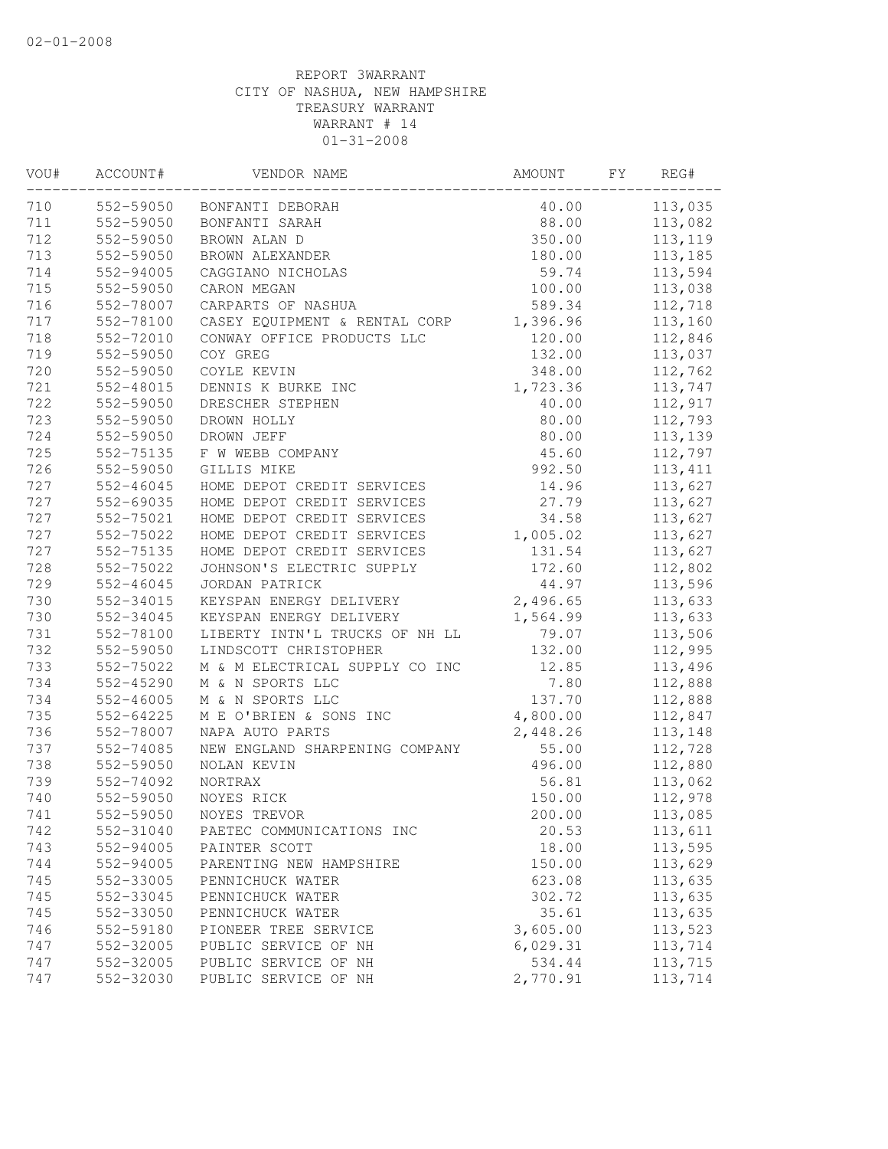| VOU# | ACCOUNT#      | VENDOR NAME                    | AMOUNT   | FY | REG#     |
|------|---------------|--------------------------------|----------|----|----------|
| 710  | 552-59050     | BONFANTI DEBORAH               | 40.00    |    | 113,035  |
| 711  | 552-59050     | BONFANTI SARAH                 | 88.00    |    | 113,082  |
| 712  | 552-59050     | BROWN ALAN D                   | 350.00   |    | 113, 119 |
| 713  | 552-59050     | BROWN ALEXANDER                | 180.00   |    | 113,185  |
| 714  | 552-94005     | CAGGIANO NICHOLAS              | 59.74    |    | 113,594  |
| 715  | 552-59050     | CARON MEGAN                    | 100.00   |    | 113,038  |
| 716  | 552-78007     | CARPARTS OF NASHUA             | 589.34   |    | 112,718  |
| 717  | 552-78100     | CASEY EQUIPMENT & RENTAL CORP  | 1,396.96 |    | 113,160  |
| 718  | 552-72010     | CONWAY OFFICE PRODUCTS LLC     | 120.00   |    | 112,846  |
| 719  | 552-59050     | COY GREG                       | 132.00   |    | 113,037  |
| 720  | 552-59050     | COYLE KEVIN                    | 348.00   |    | 112,762  |
| 721  | 552-48015     | DENNIS K BURKE INC             | 1,723.36 |    | 113,747  |
| 722  | 552-59050     | DRESCHER STEPHEN               | 40.00    |    | 112,917  |
| 723  | 552-59050     | DROWN HOLLY                    | 80.00    |    | 112,793  |
| 724  | 552-59050     | DROWN JEFF                     | 80.00    |    | 113,139  |
| 725  | 552-75135     | F W WEBB COMPANY               | 45.60    |    | 112,797  |
| 726  | 552-59050     | GILLIS MIKE                    | 992.50   |    | 113, 411 |
| 727  | $552 - 46045$ | HOME DEPOT CREDIT SERVICES     | 14.96    |    | 113,627  |
| 727  | 552-69035     | HOME DEPOT CREDIT SERVICES     | 27.79    |    | 113,627  |
| 727  | 552-75021     | HOME DEPOT CREDIT SERVICES     | 34.58    |    | 113,627  |
| 727  | 552-75022     | HOME DEPOT CREDIT SERVICES     | 1,005.02 |    | 113,627  |
| 727  | 552-75135     | HOME DEPOT CREDIT SERVICES     | 131.54   |    | 113,627  |
| 728  | 552-75022     | JOHNSON'S ELECTRIC SUPPLY      | 172.60   |    | 112,802  |
| 729  | 552-46045     | JORDAN PATRICK                 | 44.97    |    | 113,596  |
| 730  | 552-34015     | KEYSPAN ENERGY DELIVERY        | 2,496.65 |    | 113,633  |
| 730  | 552-34045     | KEYSPAN ENERGY DELIVERY        | 1,564.99 |    | 113,633  |
| 731  | 552-78100     | LIBERTY INTN'L TRUCKS OF NH LL | 79.07    |    | 113,506  |
| 732  | 552-59050     | LINDSCOTT CHRISTOPHER          | 132.00   |    | 112,995  |
| 733  | 552-75022     | M & M ELECTRICAL SUPPLY CO INC | 12.85    |    | 113,496  |
| 734  | 552-45290     | M & N SPORTS LLC               | 7.80     |    | 112,888  |
| 734  | $552 - 46005$ | M & N SPORTS LLC               | 137.70   |    | 112,888  |
| 735  | 552-64225     | M E O'BRIEN & SONS INC         | 4,800.00 |    | 112,847  |
| 736  | 552-78007     | NAPA AUTO PARTS                | 2,448.26 |    | 113,148  |
| 737  | 552-74085     | NEW ENGLAND SHARPENING COMPANY | 55.00    |    | 112,728  |
| 738  | 552-59050     | NOLAN KEVIN                    | 496.00   |    | 112,880  |
| 739  | 552-74092     | NORTRAX                        | 56.81    |    | 113,062  |
| 740  | 552-59050     | NOYES RICK                     | 150.00   |    | 112,978  |
| 741  | 552-59050     | NOYES TREVOR                   | 200.00   |    | 113,085  |
| 742  | 552-31040     | PAETEC COMMUNICATIONS INC      | 20.53    |    | 113,611  |
| 743  | 552-94005     | PAINTER SCOTT                  | 18.00    |    | 113,595  |
| 744  | 552-94005     | PARENTING NEW HAMPSHIRE        | 150.00   |    | 113,629  |
| 745  | 552-33005     | PENNICHUCK WATER               | 623.08   |    | 113,635  |
| 745  | 552-33045     | PENNICHUCK WATER               | 302.72   |    | 113,635  |
| 745  | 552-33050     | PENNICHUCK WATER               | 35.61    |    | 113,635  |
| 746  | 552-59180     | PIONEER TREE SERVICE           | 3,605.00 |    | 113,523  |
| 747  | 552-32005     | PUBLIC SERVICE OF NH           | 6,029.31 |    | 113,714  |
| 747  | 552-32005     | PUBLIC SERVICE OF NH           | 534.44   |    | 113,715  |
| 747  | 552-32030     | PUBLIC SERVICE OF NH           | 2,770.91 |    | 113,714  |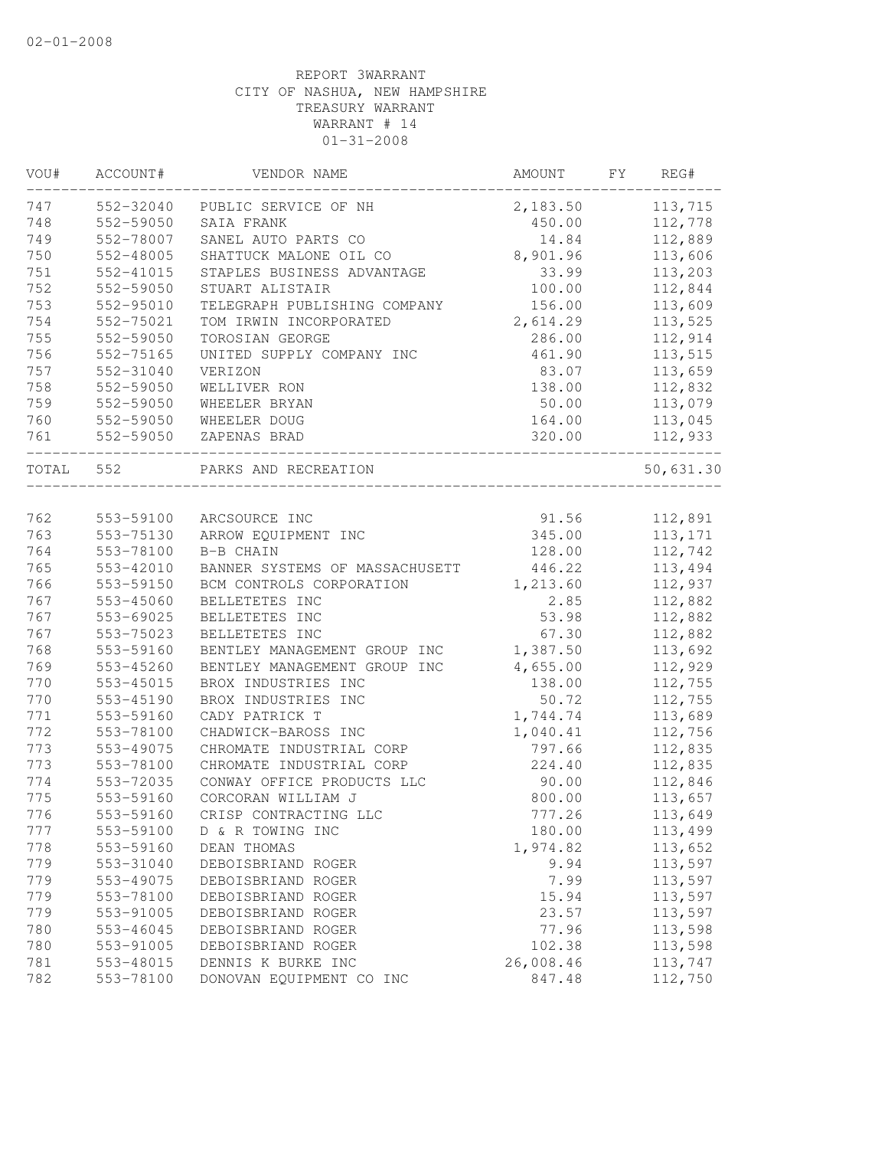| VOU#  | ACCOUNT#      | VENDOR NAME                    | AMOUNT    | FΥ | REG#      |
|-------|---------------|--------------------------------|-----------|----|-----------|
| 747   | 552-32040     | PUBLIC SERVICE OF NH           | 2,183.50  |    | 113,715   |
| 748   | 552-59050     | SAIA FRANK                     | 450.00    |    | 112,778   |
| 749   | 552-78007     | SANEL AUTO PARTS CO            | 14.84     |    | 112,889   |
| 750   | 552-48005     | SHATTUCK MALONE OIL CO         | 8,901.96  |    | 113,606   |
| 751   | 552-41015     | STAPLES BUSINESS ADVANTAGE     | 33.99     |    | 113,203   |
| 752   | 552-59050     | STUART ALISTAIR                | 100.00    |    | 112,844   |
| 753   | $552 - 95010$ | TELEGRAPH PUBLISHING COMPANY   | 156.00    |    | 113,609   |
| 754   | 552-75021     | TOM IRWIN INCORPORATED         | 2,614.29  |    | 113,525   |
| 755   | 552-59050     | TOROSIAN GEORGE                | 286.00    |    | 112,914   |
| 756   | 552-75165     | UNITED SUPPLY COMPANY INC      | 461.90    |    | 113,515   |
| 757   | 552-31040     | VERIZON                        | 83.07     |    | 113,659   |
| 758   | 552-59050     | WELLIVER RON                   | 138.00    |    | 112,832   |
| 759   | 552-59050     | WHEELER BRYAN                  | 50.00     |    | 113,079   |
| 760   | 552-59050     | WHEELER DOUG                   | 164.00    |    | 113,045   |
| 761   | 552-59050     | ZAPENAS BRAD                   | 320.00    |    | 112,933   |
| TOTAL | 552           | PARKS AND RECREATION           |           |    | 50,631.30 |
|       |               |                                |           |    |           |
| 762   | 553-59100     | ARCSOURCE INC                  | 91.56     |    | 112,891   |
| 763   | 553-75130     | ARROW EQUIPMENT INC            | 345.00    |    | 113, 171  |
| 764   | 553-78100     | B-B CHAIN                      | 128.00    |    | 112,742   |
| 765   | 553-42010     | BANNER SYSTEMS OF MASSACHUSETT | 446.22    |    | 113,494   |
| 766   | 553-59150     | BCM CONTROLS CORPORATION       | 1,213.60  |    | 112,937   |
| 767   | 553-45060     | BELLETETES INC                 | 2.85      |    | 112,882   |
| 767   | 553-69025     | BELLETETES INC                 | 53.98     |    | 112,882   |
| 767   | 553-75023     | BELLETETES INC                 | 67.30     |    | 112,882   |
| 768   | 553-59160     | BENTLEY MANAGEMENT GROUP INC   | 1,387.50  |    | 113,692   |
| 769   | 553-45260     | BENTLEY MANAGEMENT GROUP INC   | 4,655.00  |    | 112,929   |
| 770   | 553-45015     | BROX INDUSTRIES INC            | 138.00    |    | 112,755   |
| 770   | 553-45190     | BROX INDUSTRIES INC            | 50.72     |    | 112,755   |
| 771   | 553-59160     | CADY PATRICK T                 | 1,744.74  |    | 113,689   |
| 772   | 553-78100     | CHADWICK-BAROSS INC            | 1,040.41  |    | 112,756   |
| 773   | 553-49075     | CHROMATE INDUSTRIAL CORP       | 797.66    |    | 112,835   |
| 773   | 553-78100     | CHROMATE INDUSTRIAL CORP       | 224.40    |    | 112,835   |
| 774   | 553-72035     | CONWAY OFFICE PRODUCTS LLC     | 90.00     |    | 112,846   |
| 775   | 553-59160     | CORCORAN WILLIAM J             | 800.00    |    | 113,657   |
| 776   | 553-59160     | CRISP CONTRACTING LLC          | 777.26    |    | 113,649   |
| 777   | 553-59100     | D & R TOWING INC               | 180.00    |    | 113,499   |
| 778   | 553-59160     | DEAN THOMAS                    | 1,974.82  |    | 113,652   |
| 779   | 553-31040     | DEBOISBRIAND ROGER             | 9.94      |    | 113,597   |
| 779   | 553-49075     | DEBOISBRIAND ROGER             | 7.99      |    | 113,597   |
| 779   | 553-78100     | DEBOISBRIAND ROGER             | 15.94     |    | 113,597   |
| 779   | 553-91005     | DEBOISBRIAND ROGER             | 23.57     |    | 113,597   |
| 780   | 553-46045     | DEBOISBRIAND ROGER             | 77.96     |    | 113,598   |
| 780   | 553-91005     | DEBOISBRIAND ROGER             | 102.38    |    | 113,598   |
| 781   | 553-48015     | DENNIS K BURKE INC             | 26,008.46 |    | 113,747   |
| 782   | 553-78100     | DONOVAN EQUIPMENT CO INC       | 847.48    |    | 112,750   |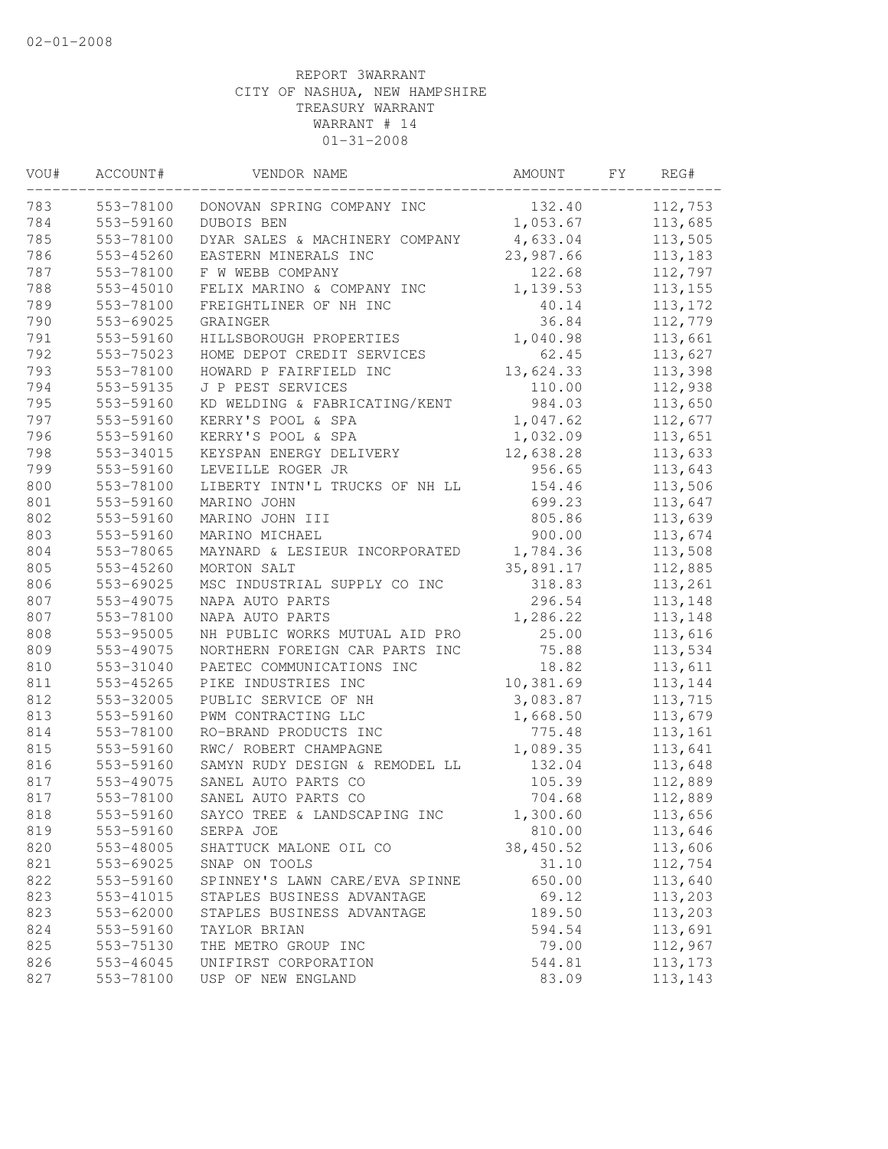| VOU#       | ACCOUNT#               | VENDOR NAME                                       | AMOUNT           | FΥ | REG#               |
|------------|------------------------|---------------------------------------------------|------------------|----|--------------------|
| 783        | 553-78100              | DONOVAN SPRING COMPANY INC                        | 132.40           |    | 112,753            |
| 784        | 553-59160              | DUBOIS BEN                                        | 1,053.67         |    | 113,685            |
| 785        | 553-78100              | DYAR SALES & MACHINERY COMPANY                    | 4,633.04         |    | 113,505            |
| 786        | 553-45260              | EASTERN MINERALS INC                              | 23,987.66        |    | 113,183            |
| 787        | 553-78100              | F W WEBB COMPANY                                  | 122.68           |    | 112,797            |
| 788        | 553-45010              | FELIX MARINO & COMPANY INC                        | 1,139.53         |    | 113, 155           |
| 789        | 553-78100              | FREIGHTLINER OF NH INC                            | 40.14            |    | 113, 172           |
| 790        | 553-69025              | GRAINGER                                          | 36.84            |    | 112,779            |
| 791        | 553-59160              | HILLSBOROUGH PROPERTIES                           | 1,040.98         |    | 113,661            |
| 792        | 553-75023              | HOME DEPOT CREDIT SERVICES                        | 62.45            |    | 113,627            |
| 793        | 553-78100              | HOWARD P FAIRFIELD INC                            | 13,624.33        |    | 113,398            |
| 794        | 553-59135              | J P PEST SERVICES                                 | 110.00           |    | 112,938            |
| 795        | 553-59160              | KD WELDING & FABRICATING/KENT                     | 984.03           |    | 113,650            |
| 797        | 553-59160              | KERRY'S POOL & SPA                                | 1,047.62         |    | 112,677            |
| 796        | 553-59160              | KERRY'S POOL & SPA                                | 1,032.09         |    | 113,651            |
| 798        | 553-34015              | KEYSPAN ENERGY DELIVERY                           | 12,638.28        |    | 113,633            |
| 799        | 553-59160              | LEVEILLE ROGER JR                                 | 956.65           |    | 113,643            |
| 800        | 553-78100              | LIBERTY INTN'L TRUCKS OF NH LL                    | 154.46           |    | 113,506            |
| 801        | 553-59160              | MARINO JOHN                                       | 699.23           |    | 113,647            |
| 802        | 553-59160              | MARINO JOHN III                                   | 805.86           |    | 113,639            |
| 803        | 553-59160              | MARINO MICHAEL                                    | 900.00           |    | 113,674            |
| 804        | 553-78065              | MAYNARD & LESIEUR INCORPORATED                    | 1,784.36         |    | 113,508            |
| 805        | 553-45260              | MORTON SALT                                       | 35,891.17        |    | 112,885            |
| 806        | 553-69025              | MSC INDUSTRIAL SUPPLY CO INC                      | 318.83<br>296.54 |    | 113,261            |
| 807<br>807 | 553-49075              | NAPA AUTO PARTS                                   | 1,286.22         |    | 113,148<br>113,148 |
| 808        | 553-78100<br>553-95005 | NAPA AUTO PARTS<br>NH PUBLIC WORKS MUTUAL AID PRO | 25.00            |    | 113,616            |
| 809        | 553-49075              | NORTHERN FOREIGN CAR PARTS INC                    | 75.88            |    | 113,534            |
| 810        | 553-31040              | PAETEC COMMUNICATIONS INC                         | 18.82            |    | 113,611            |
| 811        | 553-45265              | PIKE INDUSTRIES INC                               | 10,381.69        |    | 113,144            |
| 812        | 553-32005              | PUBLIC SERVICE OF NH                              | 3,083.87         |    | 113,715            |
| 813        | 553-59160              | PWM CONTRACTING LLC                               | 1,668.50         |    | 113,679            |
| 814        | 553-78100              | RO-BRAND PRODUCTS INC                             | 775.48           |    | 113,161            |
| 815        | 553-59160              | RWC/ ROBERT CHAMPAGNE                             | 1,089.35         |    | 113,641            |
| 816        | 553-59160              | SAMYN RUDY DESIGN & REMODEL LL                    | 132.04           |    | 113,648            |
| 817        | 553-49075              | SANEL AUTO PARTS CO                               | 105.39           |    | 112,889            |
| 817        | 553-78100              | SANEL AUTO PARTS CO                               | 704.68           |    | 112,889            |
| 818        | 553-59160              | SAYCO TREE & LANDSCAPING INC                      | 1,300.60         |    | 113,656            |
| 819        | 553-59160              | SERPA JOE                                         | 810.00           |    | 113,646            |
| 820        | 553-48005              | SHATTUCK MALONE OIL CO                            | 38,450.52        |    | 113,606            |
| 821        | 553-69025              | SNAP ON TOOLS                                     | 31.10            |    | 112,754            |
| 822        | 553-59160              | SPINNEY'S LAWN CARE/EVA SPINNE                    | 650.00           |    | 113,640            |
| 823        | 553-41015              | STAPLES BUSINESS ADVANTAGE                        | 69.12            |    | 113,203            |
| 823        | 553-62000              | STAPLES BUSINESS ADVANTAGE                        | 189.50           |    | 113,203            |
| 824        | 553-59160              | TAYLOR BRIAN                                      | 594.54           |    | 113,691            |
| 825        | 553-75130              | THE METRO GROUP INC                               | 79.00            |    | 112,967            |
| 826        | 553-46045              | UNIFIRST CORPORATION                              | 544.81           |    | 113, 173           |
| 827        | 553-78100              | USP OF NEW ENGLAND                                | 83.09            |    | 113,143            |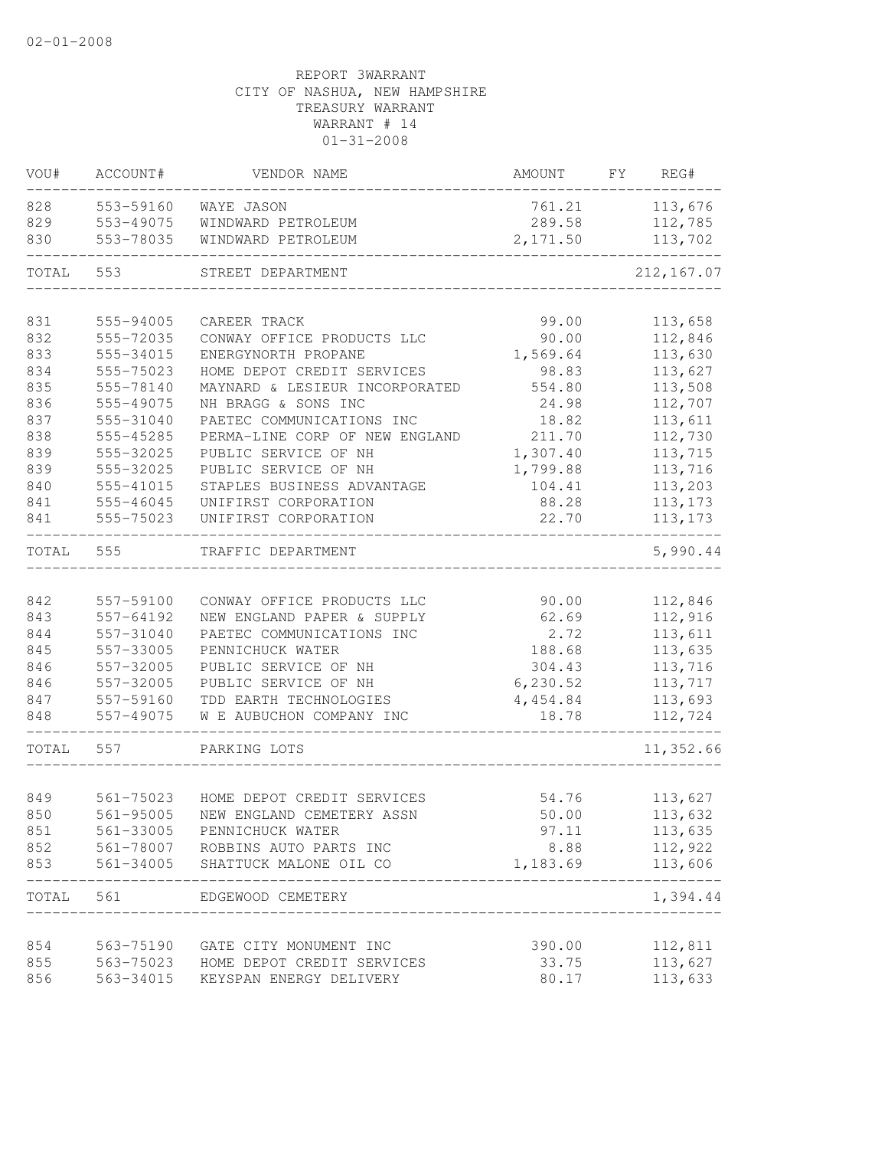| 828<br>553-59160<br>761.21<br>WAYE JASON<br>829<br>553-49075<br>WINDWARD PETROLEUM<br>289.58<br>553-78035<br>830<br>WINDWARD PETROLEUM<br>2,171.50<br>TOTAL<br>553<br>STREET DEPARTMENT<br>831<br>555-94005<br>CAREER TRACK<br>99.00<br>832<br>90.00<br>112,846<br>555-72035<br>CONWAY OFFICE PRODUCTS LLC<br>833<br>555-34015<br>113,630<br>ENERGYNORTH PROPANE<br>1,569.64<br>834<br>555-75023<br>HOME DEPOT CREDIT SERVICES<br>113,627<br>98.83<br>835<br>113,508<br>555-78140<br>MAYNARD & LESIEUR INCORPORATED<br>554.80<br>836<br>NH BRAGG & SONS INC<br>555-49075<br>24.98<br>112,707<br>837<br>555-31040<br>PAETEC COMMUNICATIONS INC<br>18.82<br>113,611<br>838<br>PERMA-LINE CORP OF NEW ENGLAND<br>211.70<br>112,730<br>555-45285<br>113,715<br>839<br>PUBLIC SERVICE OF NH<br>1,307.40<br>555-32025<br>839<br>113,716<br>555-32025<br>PUBLIC SERVICE OF NH<br>1,799.88<br>840<br>555-41015<br>STAPLES BUSINESS ADVANTAGE<br>113,203<br>104.41<br>841<br>UNIFIRST CORPORATION<br>113, 173<br>555-46045<br>88.28<br>UNIFIRST CORPORATION<br>841<br>555-75023<br>22.70<br>113, 173<br>TOTAL<br>555<br>TRAFFIC DEPARTMENT<br>112,846<br>842<br>557-59100<br>CONWAY OFFICE PRODUCTS LLC<br>90.00<br>112,916<br>843<br>NEW ENGLAND PAPER & SUPPLY<br>62.69<br>557-64192<br>113,611<br>844<br>557-31040<br>PAETEC COMMUNICATIONS INC<br>2.72<br>845<br>PENNICHUCK WATER<br>557-33005<br>188.68<br>113,635<br>846<br>557-32005<br>PUBLIC SERVICE OF NH<br>304.43<br>113,716<br>557-32005<br>PUBLIC SERVICE OF NH<br>846<br>6, 230.52<br>113,717<br>847<br>557-59160<br>TDD EARTH TECHNOLOGIES<br>4,454.84<br>113,693<br>848<br>557-49075<br>W E AUBUCHON COMPANY INC<br>18.78<br>557<br>TOTAL<br>PARKING LOTS<br>HOME DEPOT CREDIT SERVICES<br>849<br>561-75023<br>54.76<br>850<br>561-95005<br>NEW ENGLAND CEMETERY ASSN<br>50.00<br>113,635<br>851<br>561-33005 PENNICHUCK WATER<br>97.11<br>852<br>8.88<br>112,922<br>561-78007 ROBBINS AUTO PARTS INC | VOU# | ACCOUNT# | VENDOR NAME | AMOUNT | REG#<br>FY  |
|---------------------------------------------------------------------------------------------------------------------------------------------------------------------------------------------------------------------------------------------------------------------------------------------------------------------------------------------------------------------------------------------------------------------------------------------------------------------------------------------------------------------------------------------------------------------------------------------------------------------------------------------------------------------------------------------------------------------------------------------------------------------------------------------------------------------------------------------------------------------------------------------------------------------------------------------------------------------------------------------------------------------------------------------------------------------------------------------------------------------------------------------------------------------------------------------------------------------------------------------------------------------------------------------------------------------------------------------------------------------------------------------------------------------------------------------------------------------------------------------------------------------------------------------------------------------------------------------------------------------------------------------------------------------------------------------------------------------------------------------------------------------------------------------------------------------------------------------------------------------------------------------------------------------------------------------------------------|------|----------|-------------|--------|-------------|
|                                                                                                                                                                                                                                                                                                                                                                                                                                                                                                                                                                                                                                                                                                                                                                                                                                                                                                                                                                                                                                                                                                                                                                                                                                                                                                                                                                                                                                                                                                                                                                                                                                                                                                                                                                                                                                                                                                                                                               |      |          |             |        | 113,676     |
|                                                                                                                                                                                                                                                                                                                                                                                                                                                                                                                                                                                                                                                                                                                                                                                                                                                                                                                                                                                                                                                                                                                                                                                                                                                                                                                                                                                                                                                                                                                                                                                                                                                                                                                                                                                                                                                                                                                                                               |      |          |             |        | 112,785     |
|                                                                                                                                                                                                                                                                                                                                                                                                                                                                                                                                                                                                                                                                                                                                                                                                                                                                                                                                                                                                                                                                                                                                                                                                                                                                                                                                                                                                                                                                                                                                                                                                                                                                                                                                                                                                                                                                                                                                                               |      |          |             |        | 113,702     |
|                                                                                                                                                                                                                                                                                                                                                                                                                                                                                                                                                                                                                                                                                                                                                                                                                                                                                                                                                                                                                                                                                                                                                                                                                                                                                                                                                                                                                                                                                                                                                                                                                                                                                                                                                                                                                                                                                                                                                               |      |          |             |        | 212, 167.07 |
|                                                                                                                                                                                                                                                                                                                                                                                                                                                                                                                                                                                                                                                                                                                                                                                                                                                                                                                                                                                                                                                                                                                                                                                                                                                                                                                                                                                                                                                                                                                                                                                                                                                                                                                                                                                                                                                                                                                                                               |      |          |             |        |             |
|                                                                                                                                                                                                                                                                                                                                                                                                                                                                                                                                                                                                                                                                                                                                                                                                                                                                                                                                                                                                                                                                                                                                                                                                                                                                                                                                                                                                                                                                                                                                                                                                                                                                                                                                                                                                                                                                                                                                                               |      |          |             |        | 113,658     |
|                                                                                                                                                                                                                                                                                                                                                                                                                                                                                                                                                                                                                                                                                                                                                                                                                                                                                                                                                                                                                                                                                                                                                                                                                                                                                                                                                                                                                                                                                                                                                                                                                                                                                                                                                                                                                                                                                                                                                               |      |          |             |        |             |
|                                                                                                                                                                                                                                                                                                                                                                                                                                                                                                                                                                                                                                                                                                                                                                                                                                                                                                                                                                                                                                                                                                                                                                                                                                                                                                                                                                                                                                                                                                                                                                                                                                                                                                                                                                                                                                                                                                                                                               |      |          |             |        |             |
|                                                                                                                                                                                                                                                                                                                                                                                                                                                                                                                                                                                                                                                                                                                                                                                                                                                                                                                                                                                                                                                                                                                                                                                                                                                                                                                                                                                                                                                                                                                                                                                                                                                                                                                                                                                                                                                                                                                                                               |      |          |             |        |             |
|                                                                                                                                                                                                                                                                                                                                                                                                                                                                                                                                                                                                                                                                                                                                                                                                                                                                                                                                                                                                                                                                                                                                                                                                                                                                                                                                                                                                                                                                                                                                                                                                                                                                                                                                                                                                                                                                                                                                                               |      |          |             |        |             |
|                                                                                                                                                                                                                                                                                                                                                                                                                                                                                                                                                                                                                                                                                                                                                                                                                                                                                                                                                                                                                                                                                                                                                                                                                                                                                                                                                                                                                                                                                                                                                                                                                                                                                                                                                                                                                                                                                                                                                               |      |          |             |        |             |
|                                                                                                                                                                                                                                                                                                                                                                                                                                                                                                                                                                                                                                                                                                                                                                                                                                                                                                                                                                                                                                                                                                                                                                                                                                                                                                                                                                                                                                                                                                                                                                                                                                                                                                                                                                                                                                                                                                                                                               |      |          |             |        |             |
|                                                                                                                                                                                                                                                                                                                                                                                                                                                                                                                                                                                                                                                                                                                                                                                                                                                                                                                                                                                                                                                                                                                                                                                                                                                                                                                                                                                                                                                                                                                                                                                                                                                                                                                                                                                                                                                                                                                                                               |      |          |             |        |             |
|                                                                                                                                                                                                                                                                                                                                                                                                                                                                                                                                                                                                                                                                                                                                                                                                                                                                                                                                                                                                                                                                                                                                                                                                                                                                                                                                                                                                                                                                                                                                                                                                                                                                                                                                                                                                                                                                                                                                                               |      |          |             |        |             |
|                                                                                                                                                                                                                                                                                                                                                                                                                                                                                                                                                                                                                                                                                                                                                                                                                                                                                                                                                                                                                                                                                                                                                                                                                                                                                                                                                                                                                                                                                                                                                                                                                                                                                                                                                                                                                                                                                                                                                               |      |          |             |        |             |
|                                                                                                                                                                                                                                                                                                                                                                                                                                                                                                                                                                                                                                                                                                                                                                                                                                                                                                                                                                                                                                                                                                                                                                                                                                                                                                                                                                                                                                                                                                                                                                                                                                                                                                                                                                                                                                                                                                                                                               |      |          |             |        |             |
|                                                                                                                                                                                                                                                                                                                                                                                                                                                                                                                                                                                                                                                                                                                                                                                                                                                                                                                                                                                                                                                                                                                                                                                                                                                                                                                                                                                                                                                                                                                                                                                                                                                                                                                                                                                                                                                                                                                                                               |      |          |             |        |             |
|                                                                                                                                                                                                                                                                                                                                                                                                                                                                                                                                                                                                                                                                                                                                                                                                                                                                                                                                                                                                                                                                                                                                                                                                                                                                                                                                                                                                                                                                                                                                                                                                                                                                                                                                                                                                                                                                                                                                                               |      |          |             |        |             |
|                                                                                                                                                                                                                                                                                                                                                                                                                                                                                                                                                                                                                                                                                                                                                                                                                                                                                                                                                                                                                                                                                                                                                                                                                                                                                                                                                                                                                                                                                                                                                                                                                                                                                                                                                                                                                                                                                                                                                               |      |          |             |        | 5,990.44    |
|                                                                                                                                                                                                                                                                                                                                                                                                                                                                                                                                                                                                                                                                                                                                                                                                                                                                                                                                                                                                                                                                                                                                                                                                                                                                                                                                                                                                                                                                                                                                                                                                                                                                                                                                                                                                                                                                                                                                                               |      |          |             |        |             |
|                                                                                                                                                                                                                                                                                                                                                                                                                                                                                                                                                                                                                                                                                                                                                                                                                                                                                                                                                                                                                                                                                                                                                                                                                                                                                                                                                                                                                                                                                                                                                                                                                                                                                                                                                                                                                                                                                                                                                               |      |          |             |        |             |
|                                                                                                                                                                                                                                                                                                                                                                                                                                                                                                                                                                                                                                                                                                                                                                                                                                                                                                                                                                                                                                                                                                                                                                                                                                                                                                                                                                                                                                                                                                                                                                                                                                                                                                                                                                                                                                                                                                                                                               |      |          |             |        |             |
|                                                                                                                                                                                                                                                                                                                                                                                                                                                                                                                                                                                                                                                                                                                                                                                                                                                                                                                                                                                                                                                                                                                                                                                                                                                                                                                                                                                                                                                                                                                                                                                                                                                                                                                                                                                                                                                                                                                                                               |      |          |             |        |             |
|                                                                                                                                                                                                                                                                                                                                                                                                                                                                                                                                                                                                                                                                                                                                                                                                                                                                                                                                                                                                                                                                                                                                                                                                                                                                                                                                                                                                                                                                                                                                                                                                                                                                                                                                                                                                                                                                                                                                                               |      |          |             |        |             |
|                                                                                                                                                                                                                                                                                                                                                                                                                                                                                                                                                                                                                                                                                                                                                                                                                                                                                                                                                                                                                                                                                                                                                                                                                                                                                                                                                                                                                                                                                                                                                                                                                                                                                                                                                                                                                                                                                                                                                               |      |          |             |        |             |
|                                                                                                                                                                                                                                                                                                                                                                                                                                                                                                                                                                                                                                                                                                                                                                                                                                                                                                                                                                                                                                                                                                                                                                                                                                                                                                                                                                                                                                                                                                                                                                                                                                                                                                                                                                                                                                                                                                                                                               |      |          |             |        |             |
|                                                                                                                                                                                                                                                                                                                                                                                                                                                                                                                                                                                                                                                                                                                                                                                                                                                                                                                                                                                                                                                                                                                                                                                                                                                                                                                                                                                                                                                                                                                                                                                                                                                                                                                                                                                                                                                                                                                                                               |      |          |             |        | 112,724     |
|                                                                                                                                                                                                                                                                                                                                                                                                                                                                                                                                                                                                                                                                                                                                                                                                                                                                                                                                                                                                                                                                                                                                                                                                                                                                                                                                                                                                                                                                                                                                                                                                                                                                                                                                                                                                                                                                                                                                                               |      |          |             |        | 11,352.66   |
|                                                                                                                                                                                                                                                                                                                                                                                                                                                                                                                                                                                                                                                                                                                                                                                                                                                                                                                                                                                                                                                                                                                                                                                                                                                                                                                                                                                                                                                                                                                                                                                                                                                                                                                                                                                                                                                                                                                                                               |      |          |             |        |             |
|                                                                                                                                                                                                                                                                                                                                                                                                                                                                                                                                                                                                                                                                                                                                                                                                                                                                                                                                                                                                                                                                                                                                                                                                                                                                                                                                                                                                                                                                                                                                                                                                                                                                                                                                                                                                                                                                                                                                                               |      |          |             |        | 113,627     |
|                                                                                                                                                                                                                                                                                                                                                                                                                                                                                                                                                                                                                                                                                                                                                                                                                                                                                                                                                                                                                                                                                                                                                                                                                                                                                                                                                                                                                                                                                                                                                                                                                                                                                                                                                                                                                                                                                                                                                               |      |          |             |        | 113,632     |
|                                                                                                                                                                                                                                                                                                                                                                                                                                                                                                                                                                                                                                                                                                                                                                                                                                                                                                                                                                                                                                                                                                                                                                                                                                                                                                                                                                                                                                                                                                                                                                                                                                                                                                                                                                                                                                                                                                                                                               |      |          |             |        |             |
|                                                                                                                                                                                                                                                                                                                                                                                                                                                                                                                                                                                                                                                                                                                                                                                                                                                                                                                                                                                                                                                                                                                                                                                                                                                                                                                                                                                                                                                                                                                                                                                                                                                                                                                                                                                                                                                                                                                                                               |      |          |             |        |             |
| 853<br>1,183.69<br>561-34005<br>SHATTUCK MALONE OIL CO<br>.<br>----------                                                                                                                                                                                                                                                                                                                                                                                                                                                                                                                                                                                                                                                                                                                                                                                                                                                                                                                                                                                                                                                                                                                                                                                                                                                                                                                                                                                                                                                                                                                                                                                                                                                                                                                                                                                                                                                                                     |      |          |             |        | 113,606     |
| TOTAL 561<br>EDGEWOOD CEMETERY                                                                                                                                                                                                                                                                                                                                                                                                                                                                                                                                                                                                                                                                                                                                                                                                                                                                                                                                                                                                                                                                                                                                                                                                                                                                                                                                                                                                                                                                                                                                                                                                                                                                                                                                                                                                                                                                                                                                |      |          |             |        | 1,394.44    |
| 854<br>563-75190<br>390.00<br>GATE CITY MONUMENT INC                                                                                                                                                                                                                                                                                                                                                                                                                                                                                                                                                                                                                                                                                                                                                                                                                                                                                                                                                                                                                                                                                                                                                                                                                                                                                                                                                                                                                                                                                                                                                                                                                                                                                                                                                                                                                                                                                                          |      |          |             |        | 112,811     |
| 855<br>563-75023 HOME DEPOT CREDIT SERVICES<br>33.75                                                                                                                                                                                                                                                                                                                                                                                                                                                                                                                                                                                                                                                                                                                                                                                                                                                                                                                                                                                                                                                                                                                                                                                                                                                                                                                                                                                                                                                                                                                                                                                                                                                                                                                                                                                                                                                                                                          |      |          |             |        | 113,627     |
| 856<br>563-34015<br>KEYSPAN ENERGY DELIVERY<br>80.17                                                                                                                                                                                                                                                                                                                                                                                                                                                                                                                                                                                                                                                                                                                                                                                                                                                                                                                                                                                                                                                                                                                                                                                                                                                                                                                                                                                                                                                                                                                                                                                                                                                                                                                                                                                                                                                                                                          |      |          |             |        | 113,633     |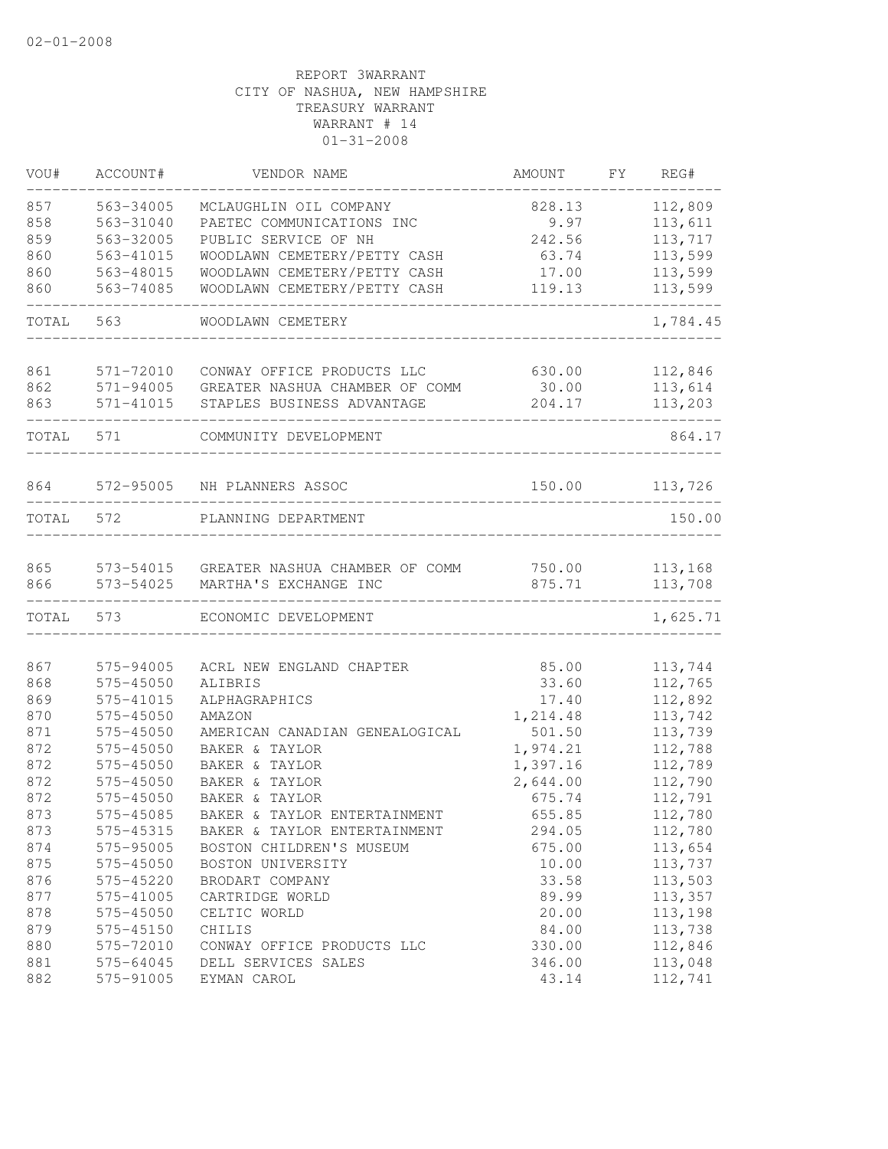| VOU#  | ACCOUNT#  | VENDOR NAME                    | AMOUNT   | FY | REG#     |
|-------|-----------|--------------------------------|----------|----|----------|
| 857   | 563-34005 | MCLAUGHLIN OIL COMPANY         | 828.13   |    | 112,809  |
| 858   | 563-31040 | PAETEC COMMUNICATIONS INC      | 9.97     |    | 113,611  |
| 859   | 563-32005 | PUBLIC SERVICE OF NH           | 242.56   |    | 113,717  |
| 860   | 563-41015 | WOODLAWN CEMETERY/PETTY CASH   | 63.74    |    | 113,599  |
| 860   | 563-48015 | WOODLAWN CEMETERY/PETTY CASH   | 17.00    |    | 113,599  |
| 860   | 563-74085 | WOODLAWN CEMETERY/PETTY CASH   | 119.13   |    | 113,599  |
| TOTAL | 563       | WOODLAWN CEMETERY              |          |    | 1,784.45 |
| 861   | 571-72010 | CONWAY OFFICE PRODUCTS LLC     | 630.00   |    | 112,846  |
| 862   | 571-94005 | GREATER NASHUA CHAMBER OF COMM | 30.00    |    | 113,614  |
| 863   | 571-41015 | STAPLES BUSINESS ADVANTAGE     | 204.17   |    | 113,203  |
| TOTAL | 571       | COMMUNITY DEVELOPMENT          |          |    | 864.17   |
| 864   | 572-95005 | NH PLANNERS ASSOC              | 150.00   |    | 113,726  |
|       |           |                                |          |    |          |
| TOTAL | 572       | PLANNING DEPARTMENT            |          |    | 150.00   |
| 865   | 573-54015 | GREATER NASHUA CHAMBER OF COMM | 750.00   |    | 113,168  |
| 866   | 573-54025 | MARTHA'S EXCHANGE INC          | 875.71   |    | 113,708  |
| TOTAL | 573       | ECONOMIC DEVELOPMENT           |          |    | 1,625.71 |
| 867   | 575-94005 | ACRL NEW ENGLAND CHAPTER       | 85.00    |    | 113,744  |
| 868   | 575-45050 | ALIBRIS                        | 33.60    |    | 112,765  |
| 869   | 575-41015 | ALPHAGRAPHICS                  | 17.40    |    | 112,892  |
| 870   | 575-45050 | AMAZON                         | 1,214.48 |    | 113,742  |
| 871   | 575-45050 | AMERICAN CANADIAN GENEALOGICAL | 501.50   |    | 113,739  |
| 872   | 575-45050 | BAKER & TAYLOR                 | 1,974.21 |    | 112,788  |
| 872   | 575-45050 | BAKER & TAYLOR                 | 1,397.16 |    | 112,789  |
| 872   | 575-45050 | BAKER & TAYLOR                 | 2,644.00 |    | 112,790  |
| 872   | 575-45050 | BAKER & TAYLOR                 | 675.74   |    | 112,791  |
| 873   | 575-45085 | BAKER & TAYLOR ENTERTAINMENT   | 655.85   |    | 112,780  |
| 873   | 575-45315 | BAKER & TAYLOR ENTERTAINMENT   | 294.05   |    | 112,780  |
| 874   | 575-95005 | BOSTON CHILDREN'S MUSEUM       | 675.00   |    | 113,654  |
| 875   | 575-45050 | BOSTON UNIVERSITY              | 10.00    |    | 113,737  |
| 876   | 575-45220 | BRODART COMPANY                | 33.58    |    | 113,503  |
| 877   | 575-41005 | CARTRIDGE WORLD                | 89.99    |    | 113,357  |
| 878   | 575-45050 | CELTIC WORLD                   | 20.00    |    | 113,198  |
| 879   | 575-45150 | CHILIS                         | 84.00    |    | 113,738  |
| 880   | 575-72010 | CONWAY OFFICE PRODUCTS LLC     | 330.00   |    | 112,846  |
| 881   | 575-64045 | DELL SERVICES SALES            | 346.00   |    | 113,048  |
| 882   | 575-91005 | EYMAN CAROL                    | 43.14    |    | 112,741  |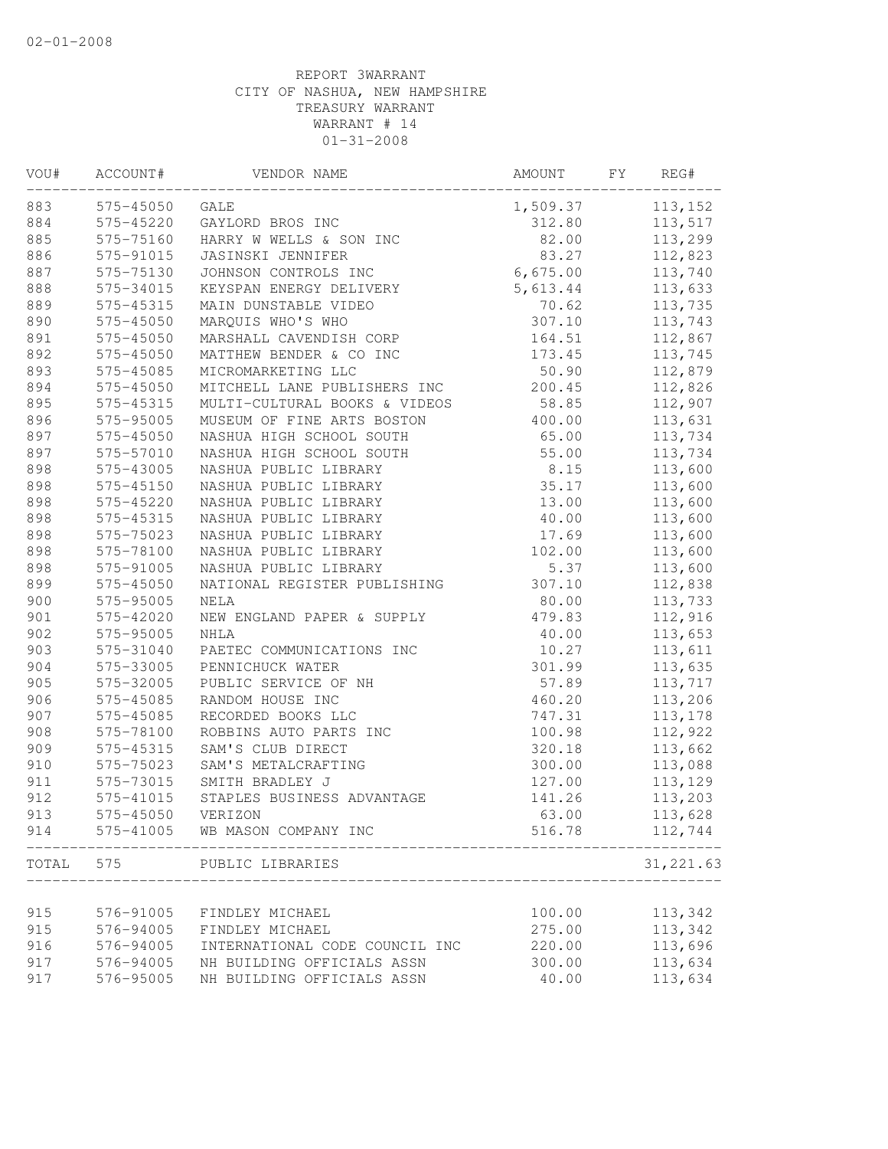| VOU#  | ACCOUNT#  | VENDOR NAME                    | AMOUNT   | FΥ | REG#       |
|-------|-----------|--------------------------------|----------|----|------------|
| 883   | 575-45050 | GALE                           | 1,509.37 |    | 113,152    |
| 884   | 575-45220 | GAYLORD BROS INC               | 312.80   |    | 113,517    |
| 885   | 575-75160 | HARRY W WELLS & SON INC        | 82.00    |    | 113,299    |
| 886   | 575-91015 | JASINSKI JENNIFER              | 83.27    |    | 112,823    |
| 887   | 575-75130 | JOHNSON CONTROLS INC           | 6,675.00 |    | 113,740    |
| 888   | 575-34015 | KEYSPAN ENERGY DELIVERY        | 5,613.44 |    | 113,633    |
| 889   | 575-45315 | MAIN DUNSTABLE VIDEO           | 70.62    |    | 113,735    |
| 890   | 575-45050 | MARQUIS WHO'S WHO              | 307.10   |    | 113,743    |
| 891   | 575-45050 | MARSHALL CAVENDISH CORP        | 164.51   |    | 112,867    |
| 892   | 575-45050 | MATTHEW BENDER & CO INC        | 173.45   |    | 113,745    |
| 893   | 575-45085 | MICROMARKETING LLC             | 50.90    |    | 112,879    |
| 894   | 575-45050 | MITCHELL LANE PUBLISHERS INC   | 200.45   |    | 112,826    |
| 895   | 575-45315 | MULTI-CULTURAL BOOKS & VIDEOS  | 58.85    |    | 112,907    |
| 896   | 575-95005 | MUSEUM OF FINE ARTS BOSTON     | 400.00   |    | 113,631    |
| 897   | 575-45050 | NASHUA HIGH SCHOOL SOUTH       | 65.00    |    | 113,734    |
| 897   | 575-57010 | NASHUA HIGH SCHOOL SOUTH       | 55.00    |    | 113,734    |
| 898   | 575-43005 | NASHUA PUBLIC LIBRARY          | 8.15     |    | 113,600    |
| 898   | 575-45150 | NASHUA PUBLIC LIBRARY          | 35.17    |    | 113,600    |
| 898   | 575-45220 | NASHUA PUBLIC LIBRARY          | 13.00    |    | 113,600    |
| 898   | 575-45315 | NASHUA PUBLIC LIBRARY          | 40.00    |    | 113,600    |
| 898   | 575-75023 | NASHUA PUBLIC LIBRARY          | 17.69    |    | 113,600    |
| 898   | 575-78100 | NASHUA PUBLIC LIBRARY          | 102.00   |    | 113,600    |
| 898   | 575-91005 | NASHUA PUBLIC LIBRARY          | 5.37     |    | 113,600    |
| 899   | 575-45050 | NATIONAL REGISTER PUBLISHING   | 307.10   |    | 112,838    |
| 900   | 575-95005 | NELA                           | 80.00    |    | 113,733    |
| 901   | 575-42020 | NEW ENGLAND PAPER & SUPPLY     | 479.83   |    | 112,916    |
| 902   | 575-95005 | NHLA                           | 40.00    |    | 113,653    |
| 903   | 575-31040 | PAETEC COMMUNICATIONS INC      | 10.27    |    | 113,611    |
| 904   | 575-33005 | PENNICHUCK WATER               | 301.99   |    | 113,635    |
| 905   | 575-32005 | PUBLIC SERVICE OF NH           | 57.89    |    | 113,717    |
| 906   | 575-45085 | RANDOM HOUSE INC               | 460.20   |    | 113,206    |
| 907   | 575-45085 | RECORDED BOOKS LLC             | 747.31   |    | 113,178    |
| 908   | 575-78100 | ROBBINS AUTO PARTS INC         | 100.98   |    | 112,922    |
| 909   | 575-45315 | SAM'S CLUB DIRECT              | 320.18   |    | 113,662    |
| 910   | 575-75023 | SAM'S METALCRAFTING            | 300.00   |    | 113,088    |
| 911   | 575-73015 | SMITH BRADLEY J                | 127.00   |    | 113,129    |
| 912   | 575-41015 | STAPLES BUSINESS ADVANTAGE     | 141.26   |    | 113,203    |
| 913   | 575-45050 | VERIZON                        | 63.00    |    | 113,628    |
| 914   | 575-41005 | WB MASON COMPANY INC           | 516.78   |    | 112,744    |
| TOTAL | 575       | PUBLIC LIBRARIES               |          |    | 31, 221.63 |
|       |           |                                |          |    |            |
| 915   | 576-91005 | FINDLEY MICHAEL                | 100.00   |    | 113,342    |
| 915   | 576-94005 | FINDLEY MICHAEL                | 275.00   |    | 113,342    |
| 916   | 576-94005 | INTERNATIONAL CODE COUNCIL INC | 220.00   |    | 113,696    |
| 917   | 576-94005 | NH BUILDING OFFICIALS ASSN     | 300.00   |    | 113,634    |
| 917   | 576-95005 | NH BUILDING OFFICIALS ASSN     | 40.00    |    | 113,634    |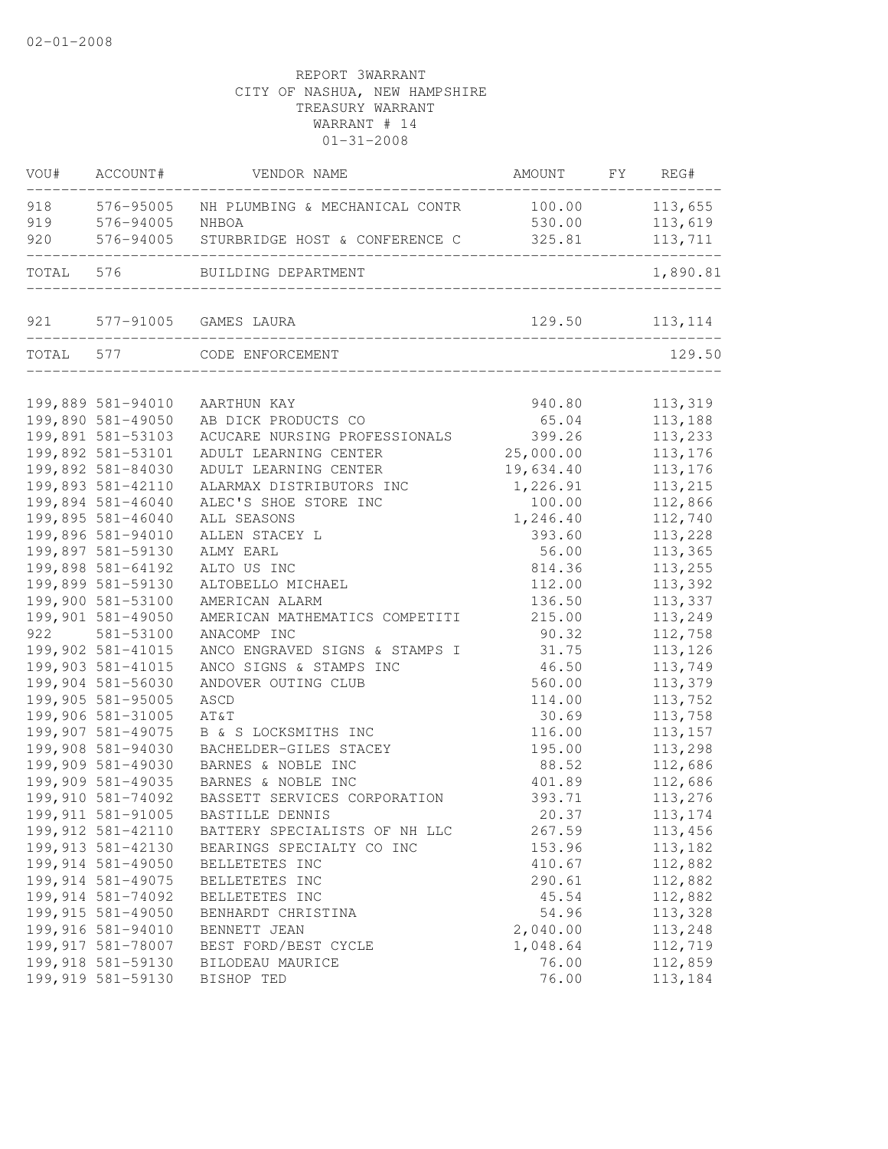| VOU#  | ACCOUNT#                               | VENDOR NAME                                            | AMOUNT          | FY | REG#               |
|-------|----------------------------------------|--------------------------------------------------------|-----------------|----|--------------------|
| 918   | 576-95005                              | NH PLUMBING & MECHANICAL CONTR                         | 100.00          |    | 113,655            |
| 919   | 576-94005                              | NHBOA                                                  | 530.00          |    | 113,619            |
| 920   | 576-94005                              | STURBRIDGE HOST & CONFERENCE C                         | 325.81          |    | 113,711            |
| TOTAL | 576                                    | BUILDING DEPARTMENT                                    |                 |    | 1,890.81           |
| 921   |                                        | 577-91005 GAMES LAURA                                  | 129.50          |    | 113,114            |
| TOTAL | 577                                    | CODE ENFORCEMENT                                       |                 |    | 129.50             |
|       |                                        |                                                        |                 |    |                    |
|       | 199,889 581-94010<br>199,890 581-49050 | AARTHUN KAY                                            | 940.80          |    | 113,319            |
|       | 199,891 581-53103                      | AB DICK PRODUCTS CO                                    | 65.04<br>399.26 |    | 113,188            |
|       | 199,892 581-53101                      | ACUCARE NURSING PROFESSIONALS<br>ADULT LEARNING CENTER | 25,000.00       |    | 113,233<br>113,176 |
|       | 199,892 581-84030                      | ADULT LEARNING CENTER                                  | 19,634.40       |    | 113,176            |
|       | 199,893 581-42110                      | ALARMAX DISTRIBUTORS INC                               | 1,226.91        |    | 113,215            |
|       | 199,894 581-46040                      | ALEC'S SHOE STORE INC                                  | 100.00          |    | 112,866            |
|       | 199,895 581-46040                      | ALL SEASONS                                            | 1,246.40        |    | 112,740            |
|       | 199,896 581-94010                      | ALLEN STACEY L                                         | 393.60          |    | 113,228            |
|       | 199,897 581-59130                      | ALMY EARL                                              | 56.00           |    | 113,365            |
|       | 199,898 581-64192                      | ALTO US INC                                            | 814.36          |    | 113,255            |
|       | 199,899 581-59130                      | ALTOBELLO MICHAEL                                      | 112.00          |    | 113,392            |
|       | 199,900 581-53100                      | AMERICAN ALARM                                         | 136.50          |    | 113,337            |
|       | 199,901 581-49050                      | AMERICAN MATHEMATICS COMPETITI                         | 215.00          |    | 113,249            |
| 922   | 581-53100                              | ANACOMP INC                                            | 90.32           |    | 112,758            |
|       | 199,902 581-41015                      | ANCO ENGRAVED SIGNS & STAMPS I                         | 31.75           |    | 113,126            |
|       | 199,903 581-41015                      | ANCO SIGNS & STAMPS INC                                | 46.50           |    | 113,749            |
|       | 199,904 581-56030                      | ANDOVER OUTING CLUB                                    | 560.00          |    | 113,379            |
|       | 199,905 581-95005                      | ASCD                                                   | 114.00          |    | 113,752            |
|       | 199,906 581-31005                      | AT&T                                                   | 30.69           |    | 113,758            |
|       | 199,907 581-49075                      | B & S LOCKSMITHS INC                                   | 116.00          |    | 113, 157           |
|       | 199,908 581-94030                      | BACHELDER-GILES STACEY                                 | 195.00          |    | 113,298            |
|       | 199,909 581-49030                      | BARNES & NOBLE INC                                     | 88.52           |    | 112,686            |
|       | 199,909 581-49035                      | BARNES & NOBLE INC                                     | 401.89          |    | 112,686            |
|       | 199,910 581-74092                      | BASSETT SERVICES CORPORATION                           | 393.71          |    | 113,276            |
|       | 199, 911 581-91005                     | BASTILLE DENNIS                                        | 20.37           |    | 113,174            |
|       | 199, 912 581-42110                     | BATTERY SPECIALISTS OF NH LLC                          | 267.59          |    | 113,456            |
|       | 199, 913 581-42130                     | BEARINGS SPECIALTY CO INC                              | 153.96          |    | 113,182            |
|       | 199,914 581-49050                      | BELLETETES INC                                         | 410.67          |    | 112,882            |
|       | 199, 914 581-49075                     | BELLETETES INC                                         | 290.61          |    | 112,882            |
|       | 199, 914 581-74092                     | BELLETETES INC                                         | 45.54           |    | 112,882            |
|       | 199, 915 581-49050                     | BENHARDT CHRISTINA                                     | 54.96           |    | 113,328            |
|       | 199,916 581-94010                      | BENNETT JEAN                                           | 2,040.00        |    | 113,248            |
|       | 199, 917 581-78007                     | BEST FORD/BEST CYCLE                                   | 1,048.64        |    | 112,719            |
|       | 199,918 581-59130                      | BILODEAU MAURICE                                       | 76.00           |    | 112,859            |
|       | 199,919 581-59130                      | BISHOP TED                                             | 76.00           |    | 113,184            |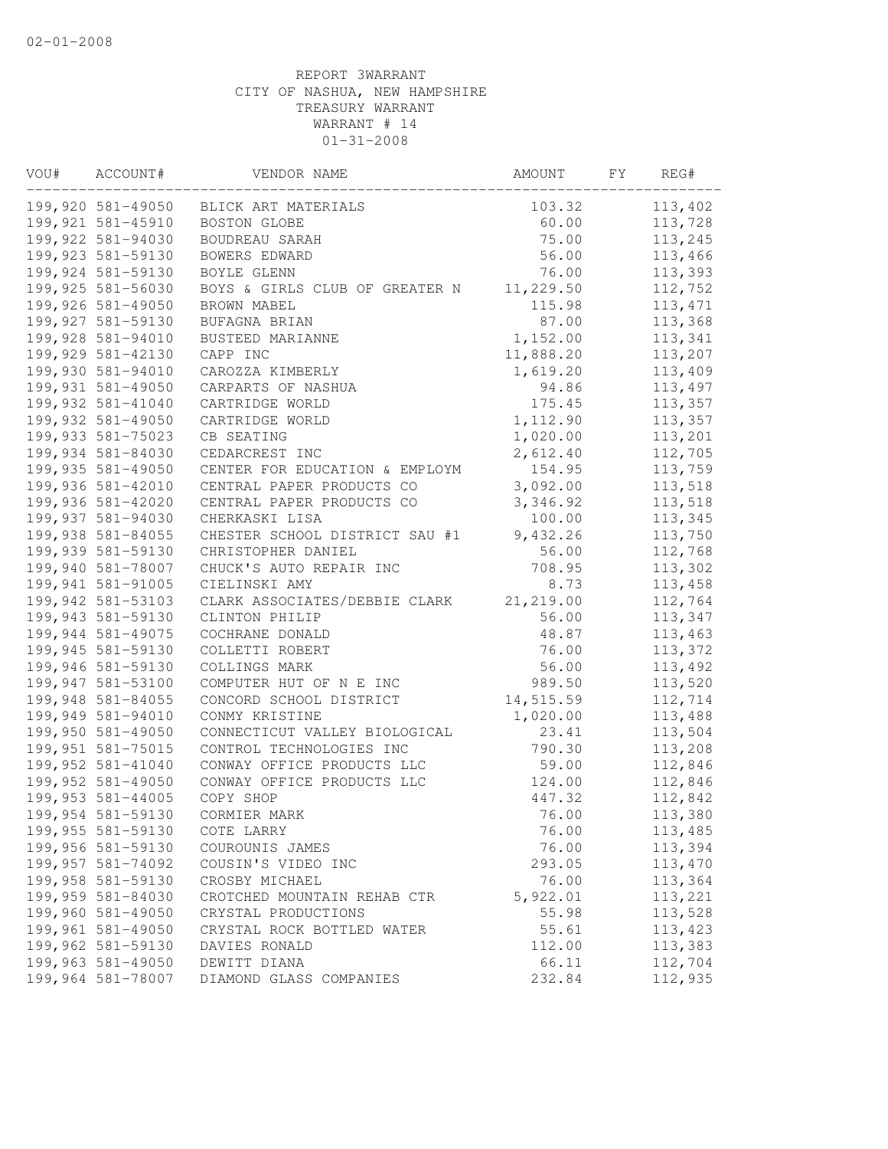| VOU# | ACCOUNT#                               | VENDOR NAME                        | AMOUNT         | FY. | REG#               |
|------|----------------------------------------|------------------------------------|----------------|-----|--------------------|
|      | 199,920 581-49050                      | BLICK ART MATERIALS                | 103.32         |     | 113,402            |
|      | 199,921 581-45910                      | <b>BOSTON GLOBE</b>                | 60.00          |     | 113,728            |
|      | 199,922 581-94030                      | BOUDREAU SARAH                     | 75.00          |     | 113,245            |
|      | 199,923 581-59130                      | BOWERS EDWARD                      | 56.00          |     | 113,466            |
|      | 199,924 581-59130                      | BOYLE GLENN                        | 76.00          |     | 113,393            |
|      | 199,925 581-56030                      | BOYS & GIRLS CLUB OF GREATER N     | 11,229.50      |     | 112,752            |
|      | 199,926 581-49050                      | BROWN MABEL                        | 115.98         |     | 113, 471           |
|      | 199,927 581-59130                      | BUFAGNA BRIAN                      | 87.00          |     | 113,368            |
|      | 199,928 581-94010                      | BUSTEED MARIANNE                   | 1,152.00       |     | 113,341            |
|      | 199,929 581-42130                      | CAPP INC                           | 11,888.20      |     | 113,207            |
|      | 199,930 581-94010                      | CAROZZA KIMBERLY                   | 1,619.20       |     | 113,409            |
|      | 199,931 581-49050                      | CARPARTS OF NASHUA                 | 94.86          |     | 113,497            |
|      | 199,932 581-41040                      | CARTRIDGE WORLD                    | 175.45         |     | 113,357            |
|      | 199,932 581-49050                      | CARTRIDGE WORLD                    | 1,112.90       |     | 113,357            |
|      | 199,933 581-75023                      | CB SEATING                         | 1,020.00       |     | 113,201            |
|      | 199,934 581-84030                      | CEDARCREST INC                     | 2,612.40       |     | 112,705            |
|      | 199,935 581-49050                      | CENTER FOR EDUCATION & EMPLOYM     | 154.95         |     | 113,759            |
|      | 199,936 581-42010                      | CENTRAL PAPER PRODUCTS CO          | 3,092.00       |     | 113,518            |
|      | 199,936 581-42020                      | CENTRAL PAPER PRODUCTS CO          | 3,346.92       |     | 113,518            |
|      | 199,937 581-94030                      | CHERKASKI LISA                     | 100.00         |     | 113,345            |
|      | 199,938 581-84055                      | CHESTER SCHOOL DISTRICT SAU #1     | 9,432.26       |     | 113,750            |
|      | 199,939 581-59130                      | CHRISTOPHER DANIEL                 | 56.00          |     | 112,768            |
|      | 199,940 581-78007                      | CHUCK'S AUTO REPAIR INC            | 708.95         |     | 113,302            |
|      | 199,941 581-91005                      | CIELINSKI AMY                      | 8.73           |     | 113,458            |
|      | 199,942 581-53103                      | CLARK ASSOCIATES/DEBBIE CLARK      | 21, 219.00     |     | 112,764            |
|      | 199,943 581-59130<br>199,944 581-49075 | CLINTON PHILIP                     | 56.00          |     | 113,347<br>113,463 |
|      | 199,945 581-59130                      | COCHRANE DONALD<br>COLLETTI ROBERT | 48.87<br>76.00 |     | 113,372            |
|      | 199,946 581-59130                      | COLLINGS MARK                      | 56.00          |     | 113,492            |
|      | 199,947 581-53100                      | COMPUTER HUT OF N E INC            | 989.50         |     | 113,520            |
|      | 199,948 581-84055                      | CONCORD SCHOOL DISTRICT            | 14,515.59      |     | 112,714            |
|      | 199,949 581-94010                      | CONMY KRISTINE                     | 1,020.00       |     | 113,488            |
|      | 199,950 581-49050                      | CONNECTICUT VALLEY BIOLOGICAL      | 23.41          |     | 113,504            |
|      | 199,951 581-75015                      | CONTROL TECHNOLOGIES INC           | 790.30         |     | 113,208            |
|      | 199,952 581-41040                      | CONWAY OFFICE PRODUCTS LLC         | 59.00          |     | 112,846            |
|      | 199,952 581-49050                      | CONWAY OFFICE PRODUCTS LLC         | 124.00         |     | 112,846            |
|      | 199,953 581-44005                      | COPY SHOP                          | 447.32         |     | 112,842            |
|      | 199,954 581-59130                      | CORMIER MARK                       | 76.00          |     | 113,380            |
|      | 199,955 581-59130                      | COTE LARRY                         | 76.00          |     | 113,485            |
|      | 199,956 581-59130                      | COUROUNIS JAMES                    | 76.00          |     | 113,394            |
|      | 199,957 581-74092                      | COUSIN'S VIDEO INC                 | 293.05         |     | 113,470            |
|      | 199,958 581-59130                      | CROSBY MICHAEL                     | 76.00          |     | 113,364            |
|      | 199,959 581-84030                      | CROTCHED MOUNTAIN REHAB CTR        | 5,922.01       |     | 113,221            |
|      | 199,960 581-49050                      | CRYSTAL PRODUCTIONS                | 55.98          |     | 113,528            |
|      | 199,961 581-49050                      | CRYSTAL ROCK BOTTLED WATER         | 55.61          |     | 113,423            |
|      | 199,962 581-59130                      | DAVIES RONALD                      | 112.00         |     | 113,383            |
|      | 199,963 581-49050                      | DEWITT DIANA                       | 66.11          |     | 112,704            |
|      | 199,964 581-78007                      | DIAMOND GLASS COMPANIES            | 232.84         |     | 112,935            |
|      |                                        |                                    |                |     |                    |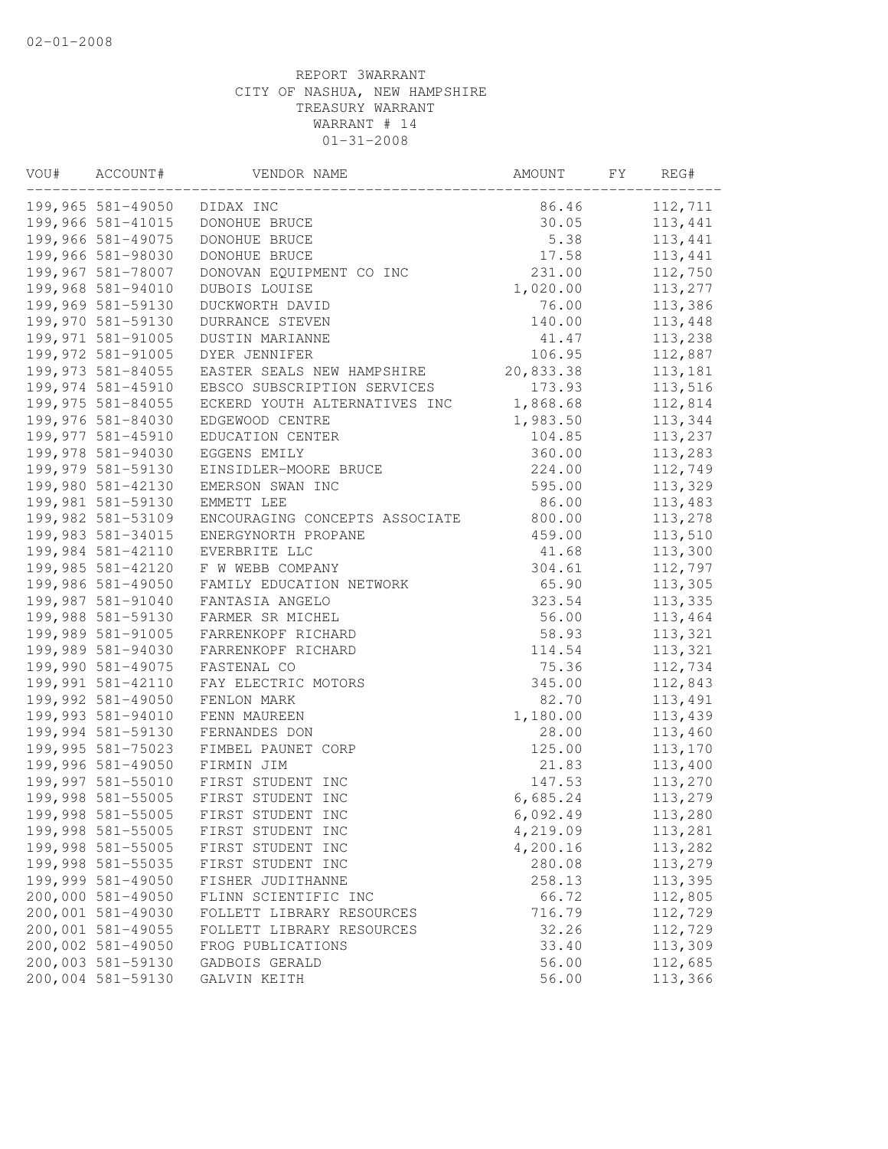| VOU# | ACCOUNT#                               | VENDOR NAME                         | AMOUNT             | FY | REG#               |
|------|----------------------------------------|-------------------------------------|--------------------|----|--------------------|
|      | 199,965 581-49050                      | DIDAX INC                           | 86.46              |    | 112,711            |
|      | 199,966 581-41015                      | DONOHUE BRUCE                       | 30.05              |    | 113,441            |
|      | 199,966 581-49075                      | DONOHUE BRUCE                       | 5.38               |    | 113,441            |
|      | 199,966 581-98030                      | DONOHUE BRUCE                       | 17.58              |    | 113,441            |
|      | 199,967 581-78007                      | DONOVAN EQUIPMENT CO INC            | 231.00             |    | 112,750            |
|      | 199,968 581-94010                      | DUBOIS LOUISE                       | 1,020.00           |    | 113,277            |
|      | 199,969 581-59130                      | DUCKWORTH DAVID                     | 76.00              |    | 113,386            |
|      | 199,970 581-59130                      | DURRANCE STEVEN                     | 140.00             |    | 113,448            |
|      | 199,971 581-91005                      | DUSTIN MARIANNE                     | 41.47              |    | 113,238            |
|      | 199,972 581-91005                      | DYER JENNIFER                       | 106.95             |    | 112,887            |
|      | 199,973 581-84055                      | EASTER SEALS NEW HAMPSHIRE          | 20,833.38          |    | 113,181            |
|      | 199,974 581-45910                      | EBSCO SUBSCRIPTION SERVICES         | 173.93             |    | 113,516            |
|      | 199,975 581-84055                      | ECKERD YOUTH ALTERNATIVES INC       | 1,868.68           |    | 112,814            |
|      | 199,976 581-84030                      | EDGEWOOD CENTRE                     | 1,983.50           |    | 113,344            |
|      | 199,977 581-45910                      | EDUCATION CENTER                    | 104.85             |    | 113,237            |
|      | 199,978 581-94030                      | EGGENS EMILY                        | 360.00             |    | 113,283            |
|      | 199,979 581-59130                      | EINSIDLER-MOORE BRUCE               | 224.00             |    | 112,749            |
|      | 199,980 581-42130                      | EMERSON SWAN INC                    | 595.00             |    | 113,329            |
|      | 199,981 581-59130                      | EMMETT LEE                          | 86.00              |    | 113,483            |
|      | 199,982 581-53109                      | ENCOURAGING CONCEPTS ASSOCIATE      | 800.00             |    | 113,278            |
|      | 199,983 581-34015                      | ENERGYNORTH PROPANE                 | 459.00             |    | 113,510            |
|      | 199,984 581-42110                      | EVERBRITE LLC                       | 41.68              |    | 113,300            |
|      | 199,985 581-42120                      | F W WEBB COMPANY                    | 304.61             |    | 112,797            |
|      | 199,986 581-49050                      | FAMILY EDUCATION NETWORK            | 65.90              |    | 113,305            |
|      | 199,987 581-91040                      | FANTASIA ANGELO                     | 323.54             |    | 113,335            |
|      | 199,988 581-59130                      | FARMER SR MICHEL                    | 56.00              |    | 113,464            |
|      | 199,989 581-91005                      | FARRENKOPF RICHARD                  | 58.93              |    | 113,321            |
|      | 199,989 581-94030                      | FARRENKOPF RICHARD                  | 114.54             |    | 113,321            |
|      | 199,990 581-49075                      | FASTENAL CO                         | 75.36              |    | 112,734            |
|      | 199,991 581-42110                      | FAY ELECTRIC MOTORS                 | 345.00             |    | 112,843            |
|      | 199,992 581-49050                      | FENLON MARK                         | 82.70              |    | 113,491            |
|      | 199,993 581-94010                      | FENN MAUREEN                        | 1,180.00           |    | 113,439            |
|      | 199,994 581-59130                      | FERNANDES DON                       | 28.00              |    | 113,460            |
|      | 199,995 581-75023                      | FIMBEL PAUNET CORP                  | 125.00             |    | 113,170            |
|      | 199,996 581-49050                      | FIRMIN JIM                          | 21.83              |    | 113,400            |
|      | 199,997 581-55010                      | FIRST STUDENT INC                   | 147.53             |    | 113,270            |
|      | 199,998 581-55005                      | FIRST STUDENT INC                   | 6,685.24           |    | 113,279            |
|      | 199,998 581-55005                      | FIRST STUDENT INC                   | 6,092.49           |    | 113,280            |
|      | 199,998 581-55005                      | FIRST STUDENT INC                   | 4,219.09           |    | 113,281            |
|      | 199,998 581-55005<br>199,998 581-55035 | FIRST STUDENT INC                   | 4,200.16<br>280.08 |    | 113,282            |
|      | 199,999 581-49050                      | FIRST STUDENT INC                   |                    |    | 113,279            |
|      | 200,000 581-49050                      | FISHER JUDITHANNE                   | 258.13             |    | 113,395<br>112,805 |
|      |                                        | FLINN SCIENTIFIC INC                | 66.72              |    |                    |
|      | 200,001 581-49030<br>200,001 581-49055 | FOLLETT LIBRARY RESOURCES           | 716.79             |    | 112,729            |
|      | 200,002 581-49050                      | FOLLETT LIBRARY RESOURCES           | 32.26<br>33.40     |    | 112,729            |
|      | 200,003 581-59130                      | FROG PUBLICATIONS<br>GADBOIS GERALD | 56.00              |    | 113,309<br>112,685 |
|      | 200,004 581-59130                      | GALVIN KEITH                        | 56.00              |    | 113,366            |
|      |                                        |                                     |                    |    |                    |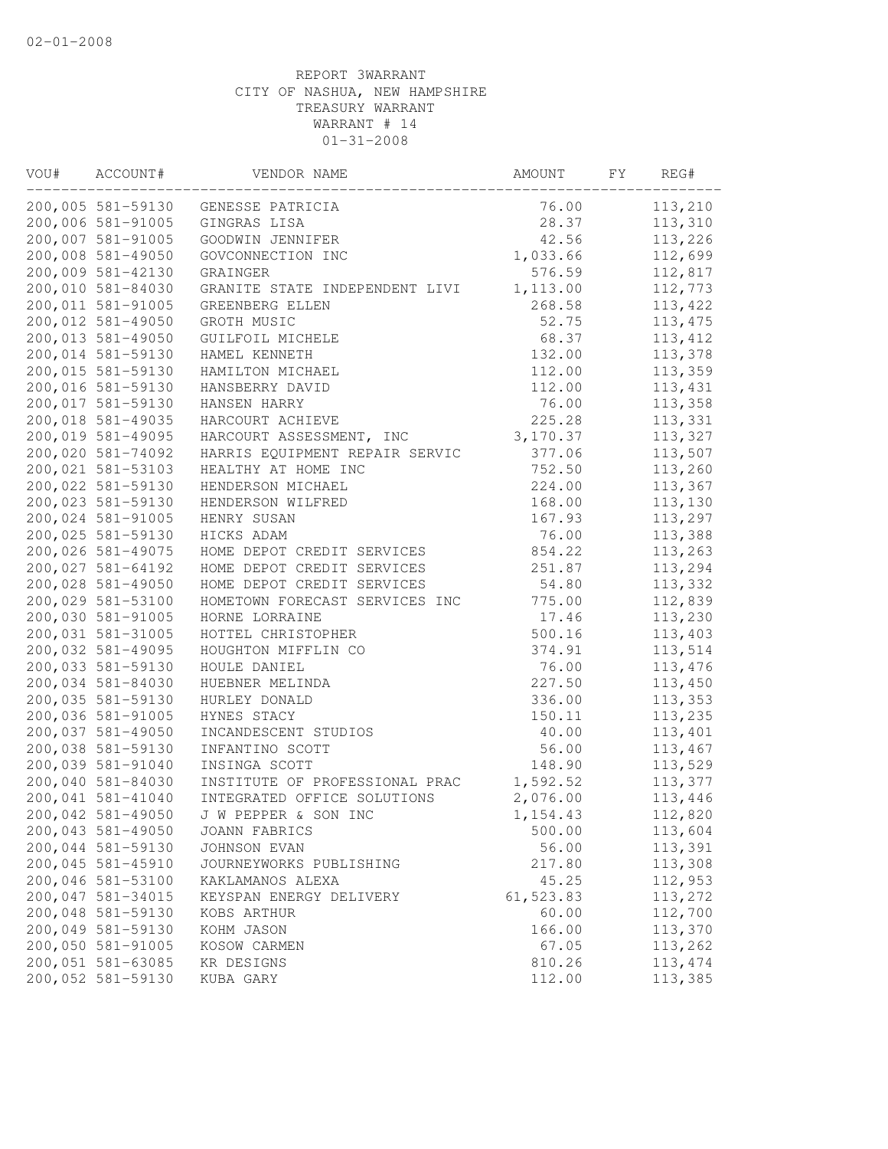| VOU# | ACCOUNT#          | VENDOR NAME                    | AMOUNT    | FY. | REG#     |
|------|-------------------|--------------------------------|-----------|-----|----------|
|      | 200,005 581-59130 | GENESSE PATRICIA               | 76.00     |     | 113,210  |
|      | 200,006 581-91005 | GINGRAS LISA                   | 28.37     |     | 113,310  |
|      | 200,007 581-91005 | GOODWIN JENNIFER               | 42.56     |     | 113,226  |
|      | 200,008 581-49050 | GOVCONNECTION INC              | 1,033.66  |     | 112,699  |
|      | 200,009 581-42130 | GRAINGER                       | 576.59    |     | 112,817  |
|      | 200,010 581-84030 | GRANITE STATE INDEPENDENT LIVI | 1,113.00  |     | 112,773  |
|      | 200,011 581-91005 | GREENBERG ELLEN                | 268.58    |     | 113,422  |
|      | 200,012 581-49050 | GROTH MUSIC                    | 52.75     |     | 113, 475 |
|      | 200,013 581-49050 | GUILFOIL MICHELE               | 68.37     |     | 113, 412 |
|      | 200,014 581-59130 | HAMEL KENNETH                  | 132.00    |     | 113,378  |
|      | 200,015 581-59130 | HAMILTON MICHAEL               | 112.00    |     | 113,359  |
|      | 200,016 581-59130 | HANSBERRY DAVID                | 112.00    |     | 113,431  |
|      | 200,017 581-59130 | HANSEN HARRY                   | 76.00     |     | 113,358  |
|      | 200,018 581-49035 | HARCOURT ACHIEVE               | 225.28    |     | 113,331  |
|      | 200,019 581-49095 | HARCOURT ASSESSMENT, INC       | 3,170.37  |     | 113,327  |
|      | 200,020 581-74092 | HARRIS EQUIPMENT REPAIR SERVIC | 377.06    |     | 113,507  |
|      | 200,021 581-53103 | HEALTHY AT HOME INC            | 752.50    |     | 113,260  |
|      | 200,022 581-59130 | HENDERSON MICHAEL              | 224.00    |     | 113,367  |
|      | 200,023 581-59130 | HENDERSON WILFRED              | 168.00    |     | 113,130  |
|      | 200,024 581-91005 | HENRY SUSAN                    | 167.93    |     | 113,297  |
|      | 200,025 581-59130 | HICKS ADAM                     | 76.00     |     | 113,388  |
|      | 200,026 581-49075 | HOME DEPOT CREDIT SERVICES     | 854.22    |     | 113,263  |
|      | 200,027 581-64192 | HOME DEPOT CREDIT SERVICES     | 251.87    |     | 113,294  |
|      | 200,028 581-49050 | HOME DEPOT CREDIT SERVICES     | 54.80     |     | 113,332  |
|      | 200,029 581-53100 | HOMETOWN FORECAST SERVICES INC | 775.00    |     | 112,839  |
|      | 200,030 581-91005 | HORNE LORRAINE                 | 17.46     |     | 113,230  |
|      | 200,031 581-31005 | HOTTEL CHRISTOPHER             | 500.16    |     | 113,403  |
|      | 200,032 581-49095 | HOUGHTON MIFFLIN CO            | 374.91    |     | 113,514  |
|      | 200,033 581-59130 | HOULE DANIEL                   | 76.00     |     | 113,476  |
|      | 200,034 581-84030 | HUEBNER MELINDA                | 227.50    |     | 113,450  |
|      | 200,035 581-59130 | HURLEY DONALD                  | 336.00    |     | 113,353  |
|      | 200,036 581-91005 | HYNES STACY                    | 150.11    |     | 113,235  |
|      | 200,037 581-49050 | INCANDESCENT STUDIOS           | 40.00     |     | 113,401  |
|      | 200,038 581-59130 | INFANTINO SCOTT                | 56.00     |     | 113,467  |
|      | 200,039 581-91040 | INSINGA SCOTT                  | 148.90    |     | 113,529  |
|      | 200,040 581-84030 | INSTITUTE OF PROFESSIONAL PRAC | 1,592.52  |     | 113,377  |
|      | 200,041 581-41040 | INTEGRATED OFFICE SOLUTIONS    | 2,076.00  |     | 113,446  |
|      | 200,042 581-49050 | J W PEPPER & SON INC           | 1,154.43  |     | 112,820  |
|      | 200,043 581-49050 | JOANN FABRICS                  | 500.00    |     | 113,604  |
|      | 200,044 581-59130 | JOHNSON EVAN                   | 56.00     |     | 113,391  |
|      | 200,045 581-45910 | JOURNEYWORKS PUBLISHING        | 217.80    |     | 113,308  |
|      | 200,046 581-53100 | KAKLAMANOS ALEXA               | 45.25     |     | 112,953  |
|      | 200,047 581-34015 | KEYSPAN ENERGY DELIVERY        | 61,523.83 |     | 113,272  |
|      | 200,048 581-59130 | KOBS ARTHUR                    | 60.00     |     | 112,700  |
|      | 200,049 581-59130 | KOHM JASON                     | 166.00    |     | 113,370  |
|      | 200,050 581-91005 | KOSOW CARMEN                   | 67.05     |     | 113,262  |
|      | 200,051 581-63085 | KR DESIGNS                     | 810.26    |     | 113, 474 |
|      | 200,052 581-59130 | KUBA GARY                      | 112.00    |     | 113,385  |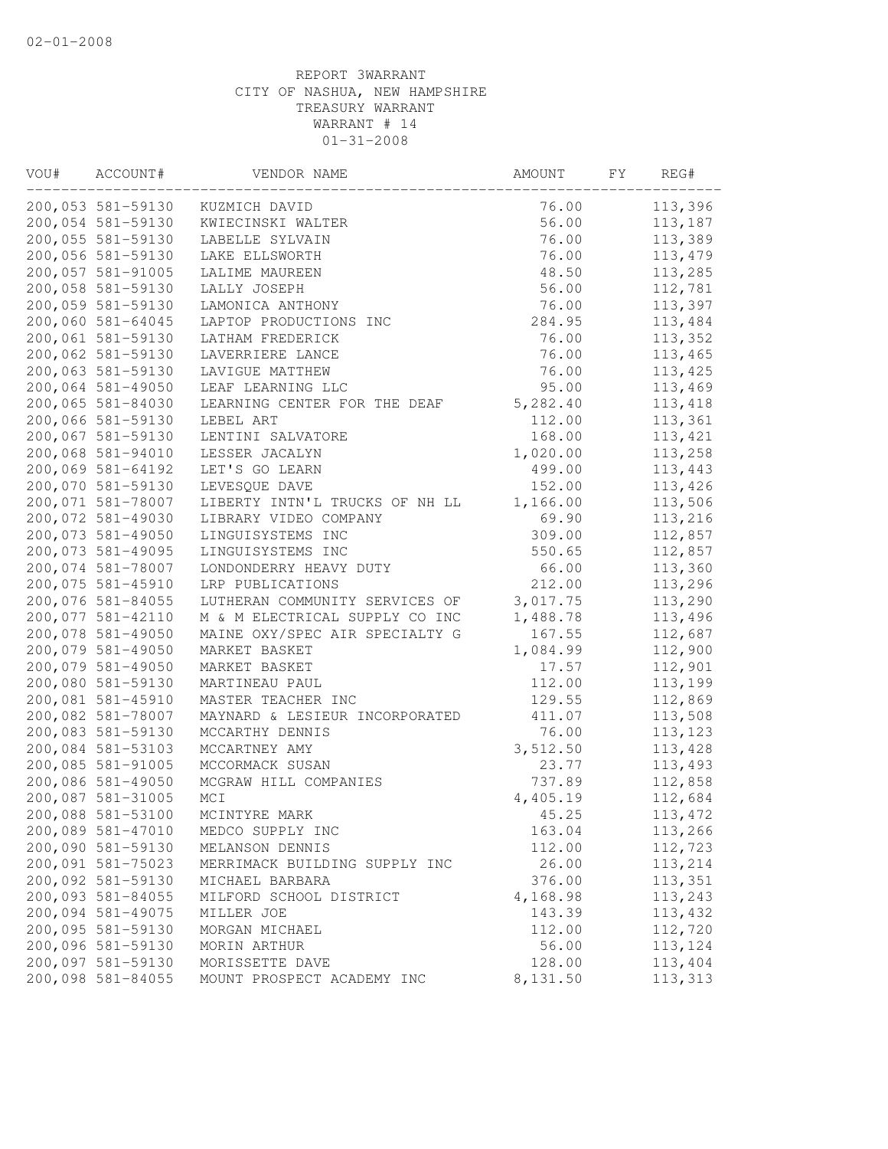| VOU# | ACCOUNT#          | VENDOR NAME                    | AMOUNT   | FY. | REG#     |
|------|-------------------|--------------------------------|----------|-----|----------|
|      | 200,053 581-59130 | KUZMICH DAVID                  | 76.00    |     | 113,396  |
|      | 200,054 581-59130 | KWIECINSKI WALTER              | 56.00    |     | 113,187  |
|      | 200,055 581-59130 | LABELLE SYLVAIN                | 76.00    |     | 113,389  |
|      | 200,056 581-59130 | LAKE ELLSWORTH                 | 76.00    |     | 113,479  |
|      | 200,057 581-91005 | LALIME MAUREEN                 | 48.50    |     | 113,285  |
|      | 200,058 581-59130 | LALLY JOSEPH                   | 56.00    |     | 112,781  |
|      | 200,059 581-59130 | LAMONICA ANTHONY               | 76.00    |     | 113,397  |
|      | 200,060 581-64045 | LAPTOP PRODUCTIONS INC         | 284.95   |     | 113,484  |
|      | 200,061 581-59130 | LATHAM FREDERICK               | 76.00    |     | 113,352  |
|      | 200,062 581-59130 | LAVERRIERE LANCE               | 76.00    |     | 113,465  |
|      | 200,063 581-59130 | LAVIGUE MATTHEW                | 76.00    |     | 113,425  |
|      | 200,064 581-49050 | LEAF LEARNING LLC              | 95.00    |     | 113,469  |
|      | 200,065 581-84030 | LEARNING CENTER FOR THE DEAF   | 5,282.40 |     | 113, 418 |
|      | 200,066 581-59130 | LEBEL ART                      | 112.00   |     | 113,361  |
|      | 200,067 581-59130 | LENTINI SALVATORE              | 168.00   |     | 113,421  |
|      | 200,068 581-94010 | LESSER JACALYN                 | 1,020.00 |     | 113,258  |
|      | 200,069 581-64192 | LET'S GO LEARN                 | 499.00   |     | 113,443  |
|      | 200,070 581-59130 | LEVESQUE DAVE                  | 152.00   |     | 113,426  |
|      | 200,071 581-78007 | LIBERTY INTN'L TRUCKS OF NH LL | 1,166.00 |     | 113,506  |
|      | 200,072 581-49030 | LIBRARY VIDEO COMPANY          | 69.90    |     | 113,216  |
|      | 200,073 581-49050 | LINGUISYSTEMS INC              | 309.00   |     | 112,857  |
|      | 200,073 581-49095 | LINGUISYSTEMS INC              | 550.65   |     | 112,857  |
|      | 200,074 581-78007 | LONDONDERRY HEAVY DUTY         | 66.00    |     | 113,360  |
|      | 200,075 581-45910 | LRP PUBLICATIONS               | 212.00   |     | 113,296  |
|      | 200,076 581-84055 | LUTHERAN COMMUNITY SERVICES OF | 3,017.75 |     | 113,290  |
|      | 200,077 581-42110 | M & M ELECTRICAL SUPPLY CO INC | 1,488.78 |     | 113,496  |
|      | 200,078 581-49050 | MAINE OXY/SPEC AIR SPECIALTY G | 167.55   |     | 112,687  |
|      | 200,079 581-49050 | MARKET BASKET                  | 1,084.99 |     | 112,900  |
|      | 200,079 581-49050 | MARKET BASKET                  | 17.57    |     | 112,901  |
|      | 200,080 581-59130 | MARTINEAU PAUL                 | 112.00   |     | 113,199  |
|      | 200,081 581-45910 | MASTER TEACHER INC             | 129.55   |     | 112,869  |
|      | 200,082 581-78007 | MAYNARD & LESIEUR INCORPORATED | 411.07   |     | 113,508  |
|      | 200,083 581-59130 | MCCARTHY DENNIS                | 76.00    |     | 113, 123 |
|      | 200,084 581-53103 | MCCARTNEY AMY                  | 3,512.50 |     | 113,428  |
|      | 200,085 581-91005 | MCCORMACK SUSAN                | 23.77    |     | 113,493  |
|      | 200,086 581-49050 | MCGRAW HILL COMPANIES          | 737.89   |     | 112,858  |
|      | 200,087 581-31005 | MCI                            | 4,405.19 |     | 112,684  |
|      | 200,088 581-53100 | MCINTYRE MARK                  | 45.25    |     | 113,472  |
|      | 200,089 581-47010 | MEDCO SUPPLY INC               | 163.04   |     | 113,266  |
|      | 200,090 581-59130 | MELANSON DENNIS                | 112.00   |     | 112,723  |
|      | 200,091 581-75023 | MERRIMACK BUILDING SUPPLY INC  | 26.00    |     | 113,214  |
|      | 200,092 581-59130 | MICHAEL BARBARA                | 376.00   |     | 113,351  |
|      | 200,093 581-84055 | MILFORD SCHOOL DISTRICT        | 4,168.98 |     | 113,243  |
|      | 200,094 581-49075 | MILLER JOE                     | 143.39   |     | 113,432  |
|      | 200,095 581-59130 | MORGAN MICHAEL                 | 112.00   |     | 112,720  |
|      | 200,096 581-59130 | MORIN ARTHUR                   | 56.00    |     | 113,124  |
|      | 200,097 581-59130 | MORISSETTE DAVE                | 128.00   |     | 113,404  |
|      | 200,098 581-84055 | MOUNT PROSPECT ACADEMY INC     | 8,131.50 |     | 113,313  |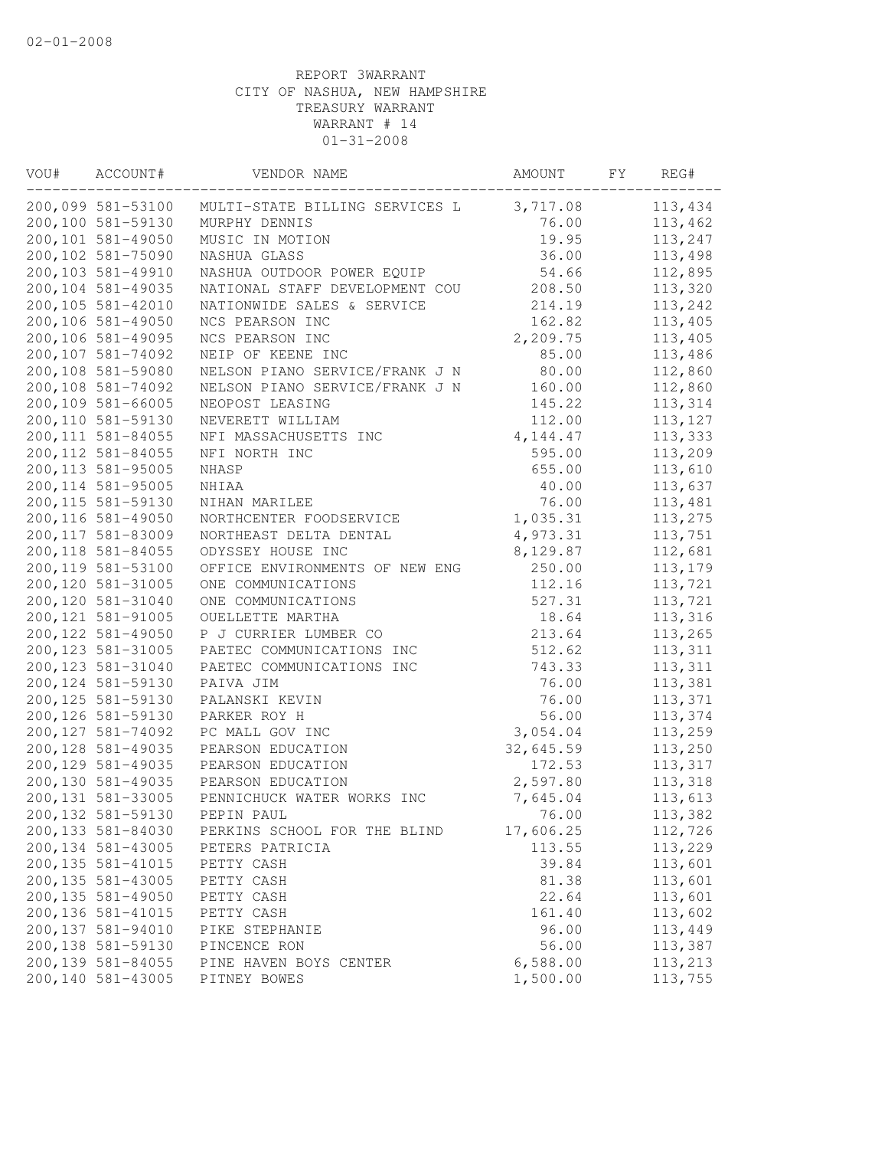| VOU# | ACCOUNT#           | VENDOR NAME                    | AMOUNT    | FΥ | REG#     |
|------|--------------------|--------------------------------|-----------|----|----------|
|      | 200,099 581-53100  | MULTI-STATE BILLING SERVICES L | 3,717.08  |    | 113,434  |
|      | 200,100 581-59130  | MURPHY DENNIS                  | 76.00     |    | 113,462  |
|      | 200,101 581-49050  | MUSIC IN MOTION                | 19.95     |    | 113,247  |
|      | 200,102 581-75090  | NASHUA GLASS                   | 36.00     |    | 113,498  |
|      | 200,103 581-49910  | NASHUA OUTDOOR POWER EQUIP     | 54.66     |    | 112,895  |
|      | 200,104 581-49035  | NATIONAL STAFF DEVELOPMENT COU | 208.50    |    | 113,320  |
|      | 200,105 581-42010  | NATIONWIDE SALES & SERVICE     | 214.19    |    | 113,242  |
|      | 200,106 581-49050  | NCS PEARSON INC                | 162.82    |    | 113,405  |
|      | 200,106 581-49095  | NCS PEARSON INC                | 2,209.75  |    | 113,405  |
|      | 200,107 581-74092  | NEIP OF KEENE INC              | 85.00     |    | 113,486  |
|      | 200,108 581-59080  | NELSON PIANO SERVICE/FRANK J N | 80.00     |    | 112,860  |
|      | 200,108 581-74092  | NELSON PIANO SERVICE/FRANK J N | 160.00    |    | 112,860  |
|      | 200,109 581-66005  | NEOPOST LEASING                | 145.22    |    | 113,314  |
|      | 200,110 581-59130  | NEVERETT WILLIAM               | 112.00    |    | 113, 127 |
|      | 200, 111 581-84055 | NFI MASSACHUSETTS INC          | 4, 144.47 |    | 113,333  |
|      | 200, 112 581-84055 | NFI NORTH INC                  | 595.00    |    | 113,209  |
|      | 200, 113 581-95005 | NHASP                          | 655.00    |    | 113,610  |
|      | 200, 114 581-95005 | $\verb NHIAA $                 | 40.00     |    | 113,637  |
|      | 200, 115 581-59130 | NIHAN MARILEE                  | 76.00     |    | 113,481  |
|      | 200,116 581-49050  | NORTHCENTER FOODSERVICE        | 1,035.31  |    | 113,275  |
|      | 200, 117 581-83009 | NORTHEAST DELTA DENTAL         | 4,973.31  |    | 113,751  |
|      | 200, 118 581-84055 | ODYSSEY HOUSE INC              | 8,129.87  |    | 112,681  |
|      | 200, 119 581-53100 | OFFICE ENVIRONMENTS OF NEW ENG | 250.00    |    | 113,179  |
|      | 200,120 581-31005  | ONE COMMUNICATIONS             | 112.16    |    | 113,721  |
|      | 200,120 581-31040  | ONE COMMUNICATIONS             | 527.31    |    | 113,721  |
|      | 200, 121 581-91005 | OUELLETTE MARTHA               | 18.64     |    | 113,316  |
|      | 200, 122 581-49050 | P J CURRIER LUMBER CO          | 213.64    |    | 113,265  |
|      | 200, 123 581-31005 | PAETEC COMMUNICATIONS INC      | 512.62    |    | 113,311  |
|      | 200, 123 581-31040 | PAETEC COMMUNICATIONS INC      | 743.33    |    | 113,311  |
|      | 200, 124 581-59130 | PAIVA JIM                      | 76.00     |    | 113,381  |
|      | 200, 125 581-59130 | PALANSKI KEVIN                 | 76.00     |    | 113,371  |
|      | 200, 126 581-59130 | PARKER ROY H                   | 56.00     |    | 113,374  |
|      | 200, 127 581-74092 | PC MALL GOV INC                | 3,054.04  |    | 113,259  |
|      | 200,128 581-49035  | PEARSON EDUCATION              | 32,645.59 |    | 113,250  |
|      | 200, 129 581-49035 | PEARSON EDUCATION              | 172.53    |    | 113,317  |
|      | 200,130 581-49035  | PEARSON EDUCATION              | 2,597.80  |    | 113,318  |
|      | 200, 131 581-33005 | PENNICHUCK WATER WORKS INC     | 7,645.04  |    | 113,613  |
|      | 200, 132 581-59130 | PEPIN PAUL                     | 76.00     |    | 113,382  |
|      | 200,133 581-84030  | PERKINS SCHOOL FOR THE BLIND   | 17,606.25 |    | 112,726  |
|      | 200, 134 581-43005 | PETERS PATRICIA                | 113.55    |    | 113,229  |
|      | 200, 135 581-41015 | PETTY CASH                     | 39.84     |    | 113,601  |
|      | 200, 135 581-43005 | PETTY CASH                     | 81.38     |    | 113,601  |
|      | 200, 135 581-49050 | PETTY CASH                     | 22.64     |    | 113,601  |
|      | 200, 136 581-41015 | PETTY CASH                     | 161.40    |    | 113,602  |
|      | 200,137 581-94010  | PIKE STEPHANIE                 | 96.00     |    | 113,449  |
|      | 200,138 581-59130  | PINCENCE RON                   | 56.00     |    | 113,387  |
|      | 200,139 581-84055  | PINE HAVEN BOYS CENTER         | 6,588.00  |    | 113,213  |
|      | 200,140 581-43005  | PITNEY BOWES                   | 1,500.00  |    | 113,755  |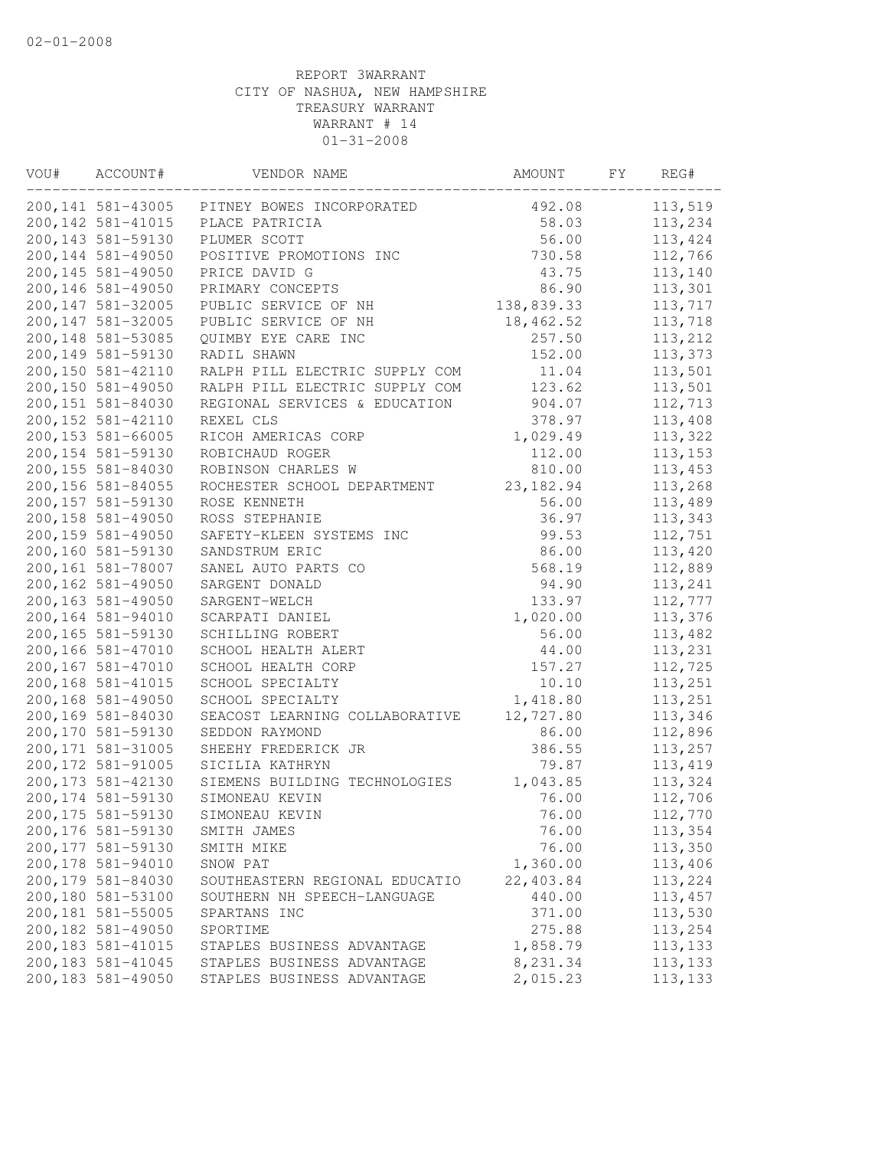| VOU# | ACCOUNT#           | VENDOR NAME                    | AMOUNT     | FY | REG#     |
|------|--------------------|--------------------------------|------------|----|----------|
|      | 200, 141 581-43005 | PITNEY BOWES INCORPORATED      | 492.08     |    | 113,519  |
|      | 200, 142 581-41015 | PLACE PATRICIA                 | 58.03      |    | 113,234  |
|      | 200, 143 581-59130 | PLUMER SCOTT                   | 56.00      |    | 113,424  |
|      | 200, 144 581-49050 | POSITIVE PROMOTIONS INC        | 730.58     |    | 112,766  |
|      | 200,145 581-49050  | PRICE DAVID G                  | 43.75      |    | 113,140  |
|      | 200,146 581-49050  | PRIMARY CONCEPTS               | 86.90      |    | 113,301  |
|      | 200, 147 581-32005 | PUBLIC SERVICE OF NH           | 138,839.33 |    | 113,717  |
|      | 200, 147 581-32005 | PUBLIC SERVICE OF NH           | 18,462.52  |    | 113,718  |
|      | 200,148 581-53085  | QUIMBY EYE CARE INC            | 257.50     |    | 113,212  |
|      | 200,149 581-59130  | RADIL SHAWN                    | 152.00     |    | 113,373  |
|      | 200,150 581-42110  | RALPH PILL ELECTRIC SUPPLY COM | 11.04      |    | 113,501  |
|      | 200,150 581-49050  | RALPH PILL ELECTRIC SUPPLY COM | 123.62     |    | 113,501  |
|      | 200,151 581-84030  | REGIONAL SERVICES & EDUCATION  | 904.07     |    | 112,713  |
|      | 200, 152 581-42110 | REXEL CLS                      | 378.97     |    | 113,408  |
|      | 200,153 581-66005  | RICOH AMERICAS CORP            | 1,029.49   |    | 113,322  |
|      | 200, 154 581-59130 | ROBICHAUD ROGER                | 112.00     |    | 113,153  |
|      | 200,155 581-84030  | ROBINSON CHARLES W             | 810.00     |    | 113,453  |
|      | 200,156 581-84055  | ROCHESTER SCHOOL DEPARTMENT    | 23, 182.94 |    | 113,268  |
|      | 200,157 581-59130  | ROSE KENNETH                   | 56.00      |    | 113,489  |
|      | 200,158 581-49050  | ROSS STEPHANIE                 | 36.97      |    | 113,343  |
|      | 200,159 581-49050  | SAFETY-KLEEN SYSTEMS INC       | 99.53      |    | 112,751  |
|      | 200,160 581-59130  | SANDSTRUM ERIC                 | 86.00      |    | 113,420  |
|      | 200,161 581-78007  | SANEL AUTO PARTS CO            | 568.19     |    | 112,889  |
|      | 200,162 581-49050  | SARGENT DONALD                 | 94.90      |    | 113,241  |
|      | 200,163 581-49050  | SARGENT-WELCH                  | 133.97     |    | 112,777  |
|      | 200,164 581-94010  | SCARPATI DANIEL                | 1,020.00   |    | 113,376  |
|      | 200,165 581-59130  | SCHILLING ROBERT               | 56.00      |    | 113,482  |
|      | 200,166 581-47010  | SCHOOL HEALTH ALERT            | 44.00      |    | 113,231  |
|      | 200,167 581-47010  | SCHOOL HEALTH CORP             | 157.27     |    | 112,725  |
|      | 200,168 581-41015  | SCHOOL SPECIALTY               | 10.10      |    | 113,251  |
|      | 200,168 581-49050  | SCHOOL SPECIALTY               | 1,418.80   |    | 113,251  |
|      | 200,169 581-84030  | SEACOST LEARNING COLLABORATIVE | 12,727.80  |    | 113,346  |
|      | 200,170 581-59130  | SEDDON RAYMOND                 | 86.00      |    | 112,896  |
|      | 200, 171 581-31005 | SHEEHY FREDERICK JR            | 386.55     |    | 113,257  |
|      | 200, 172 581-91005 | SICILIA KATHRYN                | 79.87      |    | 113,419  |
|      | 200, 173 581-42130 | SIEMENS BUILDING TECHNOLOGIES  | 1,043.85   |    | 113,324  |
|      | 200, 174 581-59130 | SIMONEAU KEVIN                 | 76.00      |    | 112,706  |
|      | 200, 175 581-59130 | SIMONEAU KEVIN                 | 76.00      |    | 112,770  |
|      | 200,176 581-59130  | SMITH JAMES                    | 76.00      |    | 113,354  |
|      | 200, 177 581-59130 | SMITH MIKE                     | 76.00      |    | 113,350  |
|      | 200,178 581-94010  | SNOW PAT                       | 1,360.00   |    | 113,406  |
|      | 200,179 581-84030  | SOUTHEASTERN REGIONAL EDUCATIO | 22,403.84  |    | 113,224  |
|      | 200,180 581-53100  | SOUTHERN NH SPEECH-LANGUAGE    | 440.00     |    | 113,457  |
|      | 200,181 581-55005  | SPARTANS INC                   | 371.00     |    | 113,530  |
|      | 200,182 581-49050  | SPORTIME                       | 275.88     |    | 113,254  |
|      | 200,183 581-41015  | STAPLES BUSINESS ADVANTAGE     | 1,858.79   |    | 113, 133 |
|      | 200, 183 581-41045 | STAPLES BUSINESS ADVANTAGE     | 8,231.34   |    | 113, 133 |
|      | 200,183 581-49050  | STAPLES BUSINESS ADVANTAGE     | 2,015.23   |    | 113,133  |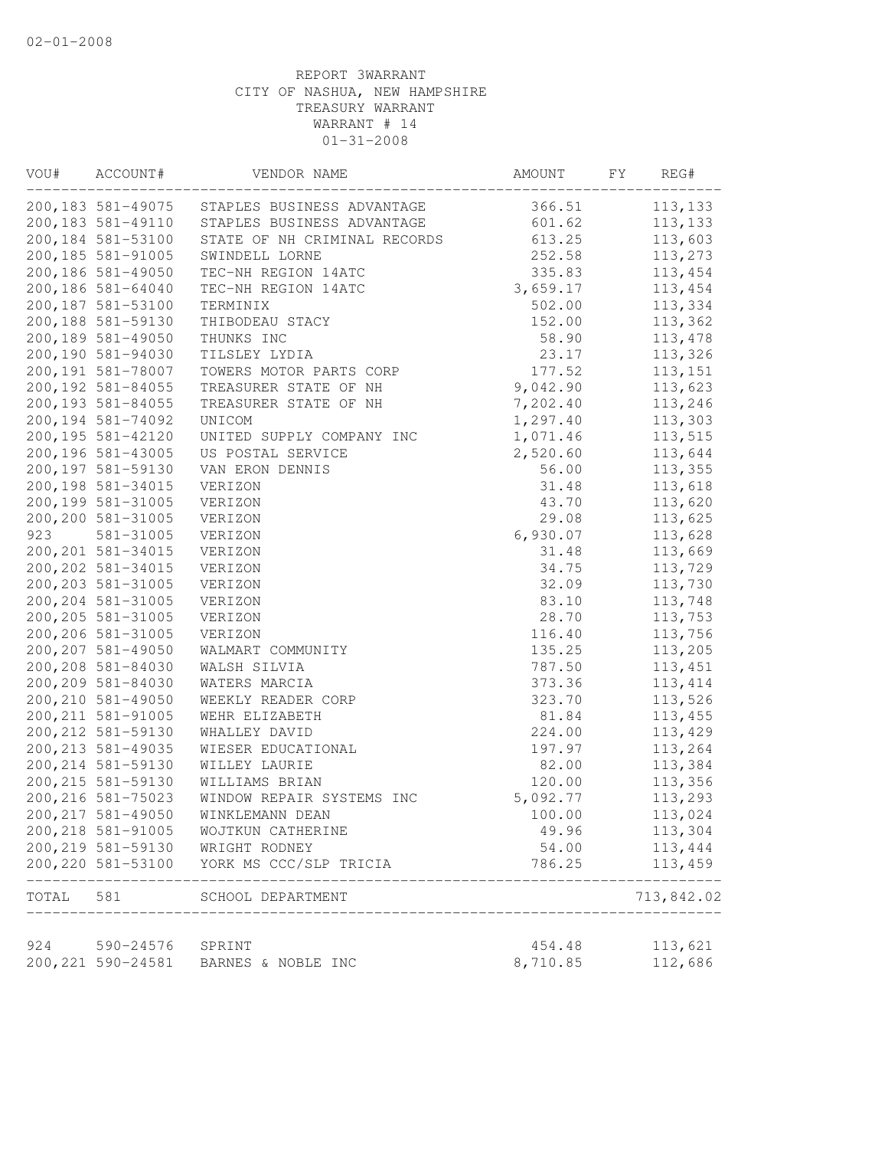| VOU#  | ACCOUNT#           | VENDOR NAME                  | AMOUNT   | FY | REG#             |
|-------|--------------------|------------------------------|----------|----|------------------|
|       | 200,183 581-49075  | STAPLES BUSINESS ADVANTAGE   | 366.51   |    | 113,133          |
|       | 200, 183 581-49110 | STAPLES BUSINESS ADVANTAGE   | 601.62   |    | 113,133          |
|       | 200,184 581-53100  | STATE OF NH CRIMINAL RECORDS | 613.25   |    | 113,603          |
|       | 200, 185 581-91005 | SWINDELL LORNE               | 252.58   |    | 113,273          |
|       | 200,186 581-49050  | TEC-NH REGION 14ATC          | 335.83   |    | 113,454          |
|       | 200,186 581-64040  | TEC-NH REGION 14ATC          | 3,659.17 |    | 113,454          |
|       | 200,187 581-53100  | TERMINIX                     | 502.00   |    | 113,334          |
|       | 200,188 581-59130  | THIBODEAU STACY              | 152.00   |    | 113,362          |
|       | 200,189 581-49050  | THUNKS INC                   | 58.90    |    | 113,478          |
|       | 200,190 581-94030  | TILSLEY LYDIA                | 23.17    |    | 113,326          |
|       | 200,191 581-78007  | TOWERS MOTOR PARTS CORP      | 177.52   |    | 113, 151         |
|       | 200, 192 581-84055 | TREASURER STATE OF NH        | 9,042.90 |    | 113,623          |
|       | 200, 193 581-84055 | TREASURER STATE OF NH        | 7,202.40 |    | 113,246          |
|       | 200, 194 581-74092 | UNICOM                       | 1,297.40 |    | 113,303          |
|       | 200,195 581-42120  | UNITED SUPPLY COMPANY INC    | 1,071.46 |    | 113,515          |
|       | 200,196 581-43005  | US POSTAL SERVICE            | 2,520.60 |    | 113,644          |
|       | 200,197 581-59130  | VAN ERON DENNIS              | 56.00    |    | 113,355          |
|       | 200, 198 581-34015 | VERIZON                      | 31.48    |    | 113,618          |
|       | 200,199 581-31005  | VERIZON                      | 43.70    |    | 113,620          |
|       | 200,200 581-31005  | VERIZON                      | 29.08    |    | 113,625          |
| 923   | 581-31005          | VERIZON                      | 6,930.07 |    | 113,628          |
|       | 200, 201 581-34015 | VERIZON                      | 31.48    |    | 113,669          |
|       | 200, 202 581-34015 | VERIZON                      | 34.75    |    | 113,729          |
|       | 200, 203 581-31005 | VERIZON                      | 32.09    |    | 113,730          |
|       | 200, 204 581-31005 | VERIZON                      | 83.10    |    | 113,748          |
|       | 200, 205 581-31005 | VERIZON                      | 28.70    |    | 113,753          |
|       | 200,206 581-31005  | VERIZON                      | 116.40   |    | 113,756          |
|       | 200, 207 581-49050 | WALMART COMMUNITY            | 135.25   |    | 113,205          |
|       | 200,208 581-84030  | WALSH SILVIA                 | 787.50   |    | 113,451          |
|       | 200,209 581-84030  | WATERS MARCIA                | 373.36   |    | 113, 414         |
|       | 200, 210 581-49050 | WEEKLY READER CORP           | 323.70   |    | 113,526          |
|       | 200, 211 581-91005 | WEHR ELIZABETH               | 81.84    |    | 113,455          |
|       | 200, 212 581-59130 | WHALLEY DAVID                | 224.00   |    | 113,429          |
|       | 200, 213 581-49035 | WIESER EDUCATIONAL           | 197.97   |    | 113,264          |
|       | 200, 214 581-59130 | WILLEY LAURIE                | 82.00    |    | 113,384          |
|       | 200, 215 581-59130 | WILLIAMS BRIAN               | 120.00   |    | 113,356          |
|       | 200, 216 581-75023 | WINDOW REPAIR SYSTEMS INC    | 5,092.77 |    | 113,293          |
|       | 200, 217 581-49050 | WINKLEMANN DEAN              | 100.00   |    | 113,024          |
|       | 200, 218 581-91005 | WOJTKUN CATHERINE            | 49.96    |    | 113,304          |
|       | 200, 219 581-59130 | WRIGHT RODNEY                | 54.00    |    | 113,444          |
|       | 200, 220 581-53100 | YORK MS CCC/SLP TRICIA       | 786.25   |    | 113,459<br>----- |
| TOTAL | 581                | SCHOOL DEPARTMENT            |          |    | 713,842.02       |
| 924   | 590-24576          |                              | 454.48   |    | 113,621          |
|       | 200, 221 590-24581 | SPRINT<br>BARNES & NOBLE INC | 8,710.85 |    | 112,686          |
|       |                    |                              |          |    |                  |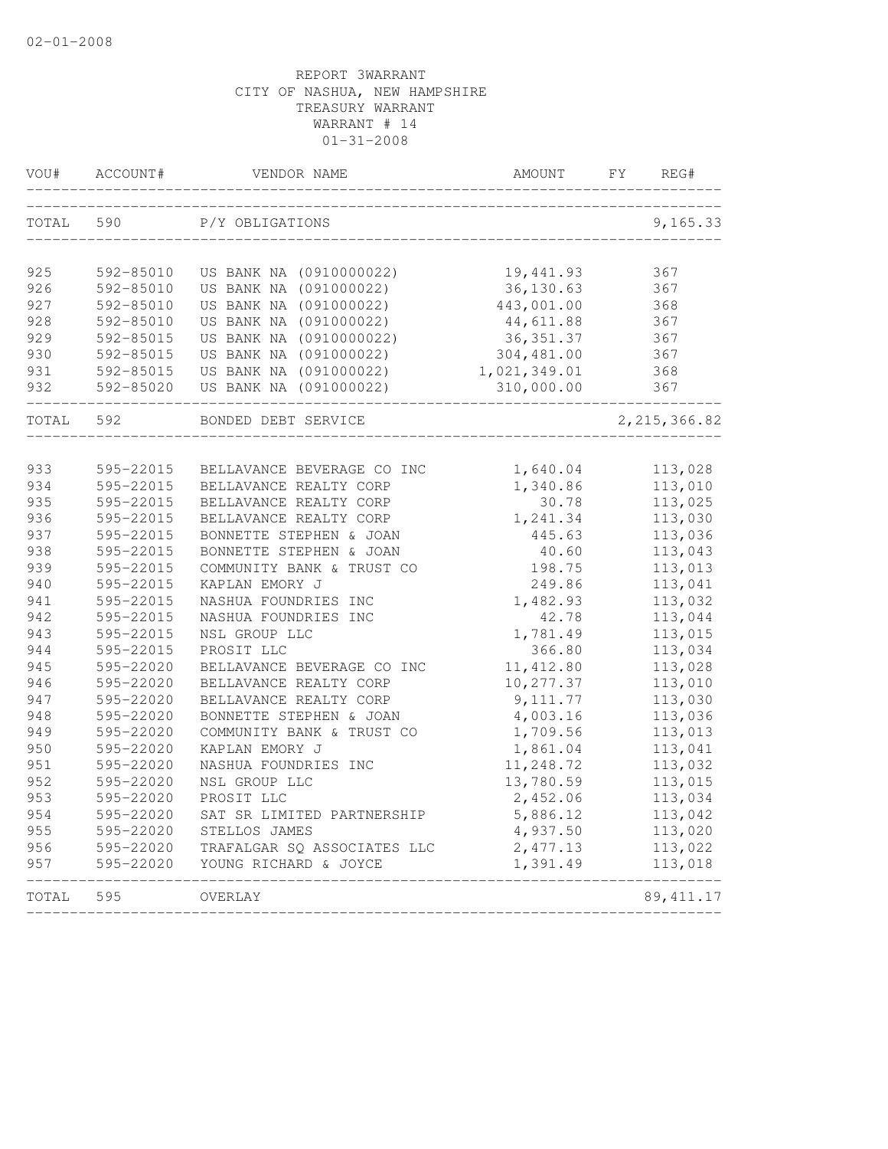| VOU#  | ACCOUNT#                       | VENDOR NAME                 | AMOUNT       | FΥ | REG#           |
|-------|--------------------------------|-----------------------------|--------------|----|----------------|
| TOTAL | 590                            | P/Y OBLIGATIONS             |              |    | 9,165.33       |
| 925   | 592-85010                      | US BANK NA (0910000022)     | 19,441.93    |    | 367            |
| 926   | 592-85010                      | US BANK NA (091000022)      | 36,130.63    |    | 367            |
| 927   | 592-85010                      | US BANK NA (091000022)      | 443,001.00   |    | 368            |
| 928   | 592-85010                      | US BANK NA (091000022)      | 44,611.88    |    | 367            |
| 929   | 592-85015                      | US BANK NA (0910000022)     | 36, 351.37   |    | 367            |
| 930   | 592-85015                      | US BANK NA (091000022)      | 304,481.00   |    | 367            |
| 931   | 592-85015                      | US BANK NA (091000022)      | 1,021,349.01 |    | 368            |
| 932   | 592-85020<br>----------------- | US BANK NA (091000022)      | 310,000.00   |    | 367            |
| TOTAL | 592                            | BONDED DEBT SERVICE         |              |    | 2, 215, 366.82 |
|       |                                |                             |              |    |                |
| 933   | 595-22015                      | BELLAVANCE BEVERAGE CO INC  | 1,640.04     |    | 113,028        |
| 934   | 595-22015                      | BELLAVANCE REALTY CORP      | 1,340.86     |    | 113,010        |
| 935   | 595-22015                      | BELLAVANCE REALTY CORP      | 30.78        |    | 113,025        |
| 936   | 595-22015                      | BELLAVANCE REALTY CORP      | 1,241.34     |    | 113,030        |
| 937   | 595-22015                      | BONNETTE STEPHEN & JOAN     | 445.63       |    | 113,036        |
| 938   | 595-22015                      | BONNETTE STEPHEN & JOAN     | 40.60        |    | 113,043        |
| 939   | 595-22015                      | COMMUNITY BANK & TRUST CO   | 198.75       |    | 113,013        |
| 940   | 595-22015                      | KAPLAN EMORY J              | 249.86       |    | 113,041        |
| 941   | 595-22015                      | NASHUA FOUNDRIES INC        | 1,482.93     |    | 113,032        |
| 942   | 595-22015                      | NASHUA FOUNDRIES INC        | 42.78        |    | 113,044        |
| 943   | 595-22015                      | NSL GROUP LLC               | 1,781.49     |    | 113,015        |
| 944   | 595-22015                      | PROSIT LLC                  | 366.80       |    | 113,034        |
| 945   | 595-22020                      | BELLAVANCE BEVERAGE CO INC  | 11, 412.80   |    | 113,028        |
| 946   | 595-22020                      | BELLAVANCE REALTY CORP      | 10,277.37    |    | 113,010        |
| 947   | 595-22020                      | BELLAVANCE REALTY CORP      | 9, 111.77    |    | 113,030        |
| 948   | 595-22020                      | BONNETTE STEPHEN & JOAN     | 4,003.16     |    | 113,036        |
| 949   | 595-22020                      | COMMUNITY BANK & TRUST CO   | 1,709.56     |    | 113,013        |
| 950   | 595-22020                      | KAPLAN EMORY J              | 1,861.04     |    | 113,041        |
| 951   | 595-22020                      | NASHUA FOUNDRIES INC        | 11,248.72    |    | 113,032        |
| 952   | 595-22020                      | NSL GROUP LLC               | 13,780.59    |    | 113,015        |
| 953   | 595-22020                      | PROSIT LLC                  | 2,452.06     |    | 113,034        |
| 954   | 595-22020                      | SAT SR LIMITED PARTNERSHIP  | 5,886.12     |    | 113,042        |
| 955   | 595-22020                      | STELLOS JAMES               | 4,937.50     |    | 113,020        |
| 956   | 595-22020                      | TRAFALGAR SQ ASSOCIATES LLC | 2,477.13     |    | 113,022        |
| 957   | 595-22020                      | YOUNG RICHARD & JOYCE       | 1,391.49     |    | 113,018        |
| TOTAL | 595                            | OVERLAY                     |              |    | 89, 411.17     |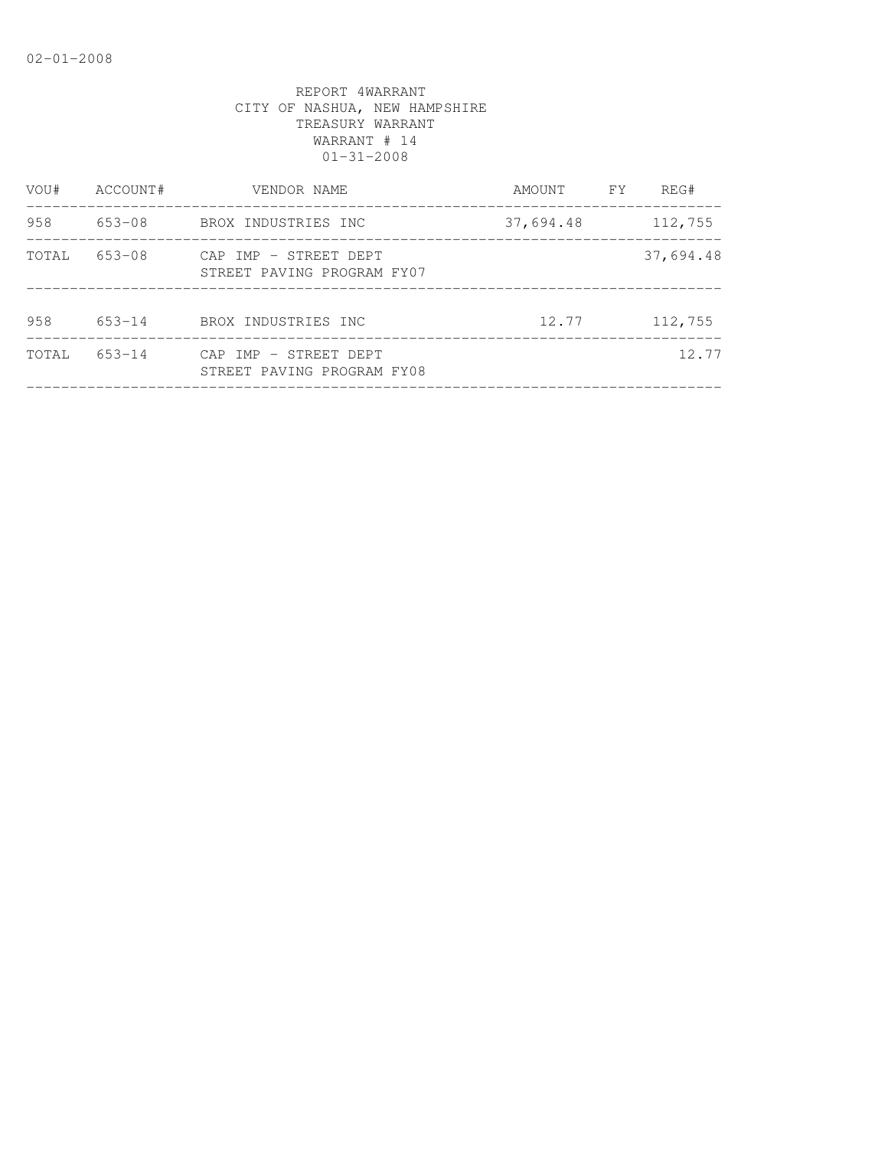| VOU#  | ACCOUNT#   | VENDOR NAME                                         | <b>FY</b><br>AMOUNT | REG#      |
|-------|------------|-----------------------------------------------------|---------------------|-----------|
| 958   | 653-08     | BROX INDUSTRIES INC                                 | 37,694.48           | 112,755   |
| TOTAL | 653-08     | CAP IMP - STREET DEPT<br>STREET PAVING PROGRAM FY07 |                     | 37,694.48 |
| 958   | 653-14     | BROX INDUSTRIES INC                                 | 12.77               | 112,755   |
| TOTAL | $653 - 14$ | CAP IMP - STREET DEPT<br>STREET PAVING PROGRAM FY08 |                     | 12.77     |
|       |            |                                                     |                     |           |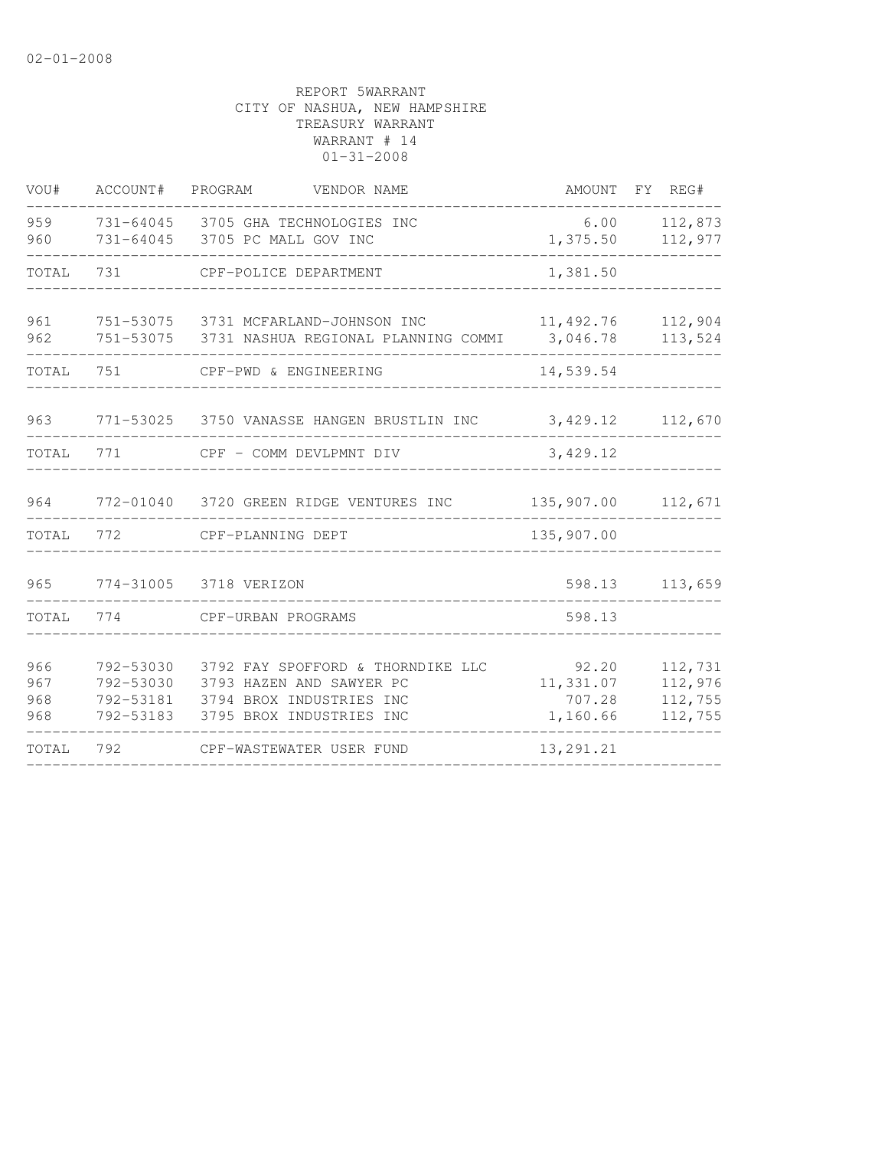| VOU#                     | ACCOUNT#                                         | VENDOR NAME<br>PROGRAM                                                                                                | AMOUNT FY REG#                           |                                          |
|--------------------------|--------------------------------------------------|-----------------------------------------------------------------------------------------------------------------------|------------------------------------------|------------------------------------------|
| 959<br>960               |                                                  | 731-64045 3705 GHA TECHNOLOGIES INC<br>731-64045 3705 PC MALL GOV INC                                                 | 6.00<br>1,375.50                         | 112,873<br>112,977                       |
| TOTAL                    | 731                                              | CPF-POLICE DEPARTMENT                                                                                                 | 1,381.50                                 |                                          |
| 961<br>962               |                                                  | 751-53075 3731 MCFARLAND-JOHNSON INC<br>751-53075 3731 NASHUA REGIONAL PLANNING COMMI                                 | 11,492.76<br>3,046.78                    | 112,904<br>113,524                       |
| TOTAL                    | 751                                              | CPF-PWD & ENGINEERING                                                                                                 | 14,539.54                                |                                          |
| 963                      |                                                  | 771-53025 3750 VANASSE HANGEN BRUSTLIN INC                                                                            | 3,429.12                                 | 112,670                                  |
| TOTAL                    | 771                                              | CPF - COMM DEVLPMNT DIV                                                                                               | 3,429.12                                 |                                          |
| 964                      |                                                  | 772-01040 3720 GREEN RIDGE VENTURES INC                                                                               | 135,907.00                               | 112,671                                  |
| TOTAL                    | 772                                              | CPF-PLANNING DEPT                                                                                                     | 135,907.00                               |                                          |
| 965                      | 774-31005                                        | 3718 VERIZON                                                                                                          | 598.13                                   | 113,659                                  |
| TOTAL                    | 774                                              | CPF-URBAN PROGRAMS                                                                                                    | 598.13                                   |                                          |
| 966<br>967<br>968<br>968 | 792-53030<br>792-53030<br>792-53181<br>792-53183 | 3792 FAY SPOFFORD & THORNDIKE LLC<br>3793 HAZEN AND SAWYER PC<br>3794 BROX INDUSTRIES INC<br>3795 BROX INDUSTRIES INC | 92.20<br>11,331.07<br>707.28<br>1,160.66 | 112,731<br>112,976<br>112,755<br>112,755 |
| TOTAL                    | 792                                              | CPF-WASTEWATER USER FUND                                                                                              | 13, 291.21                               |                                          |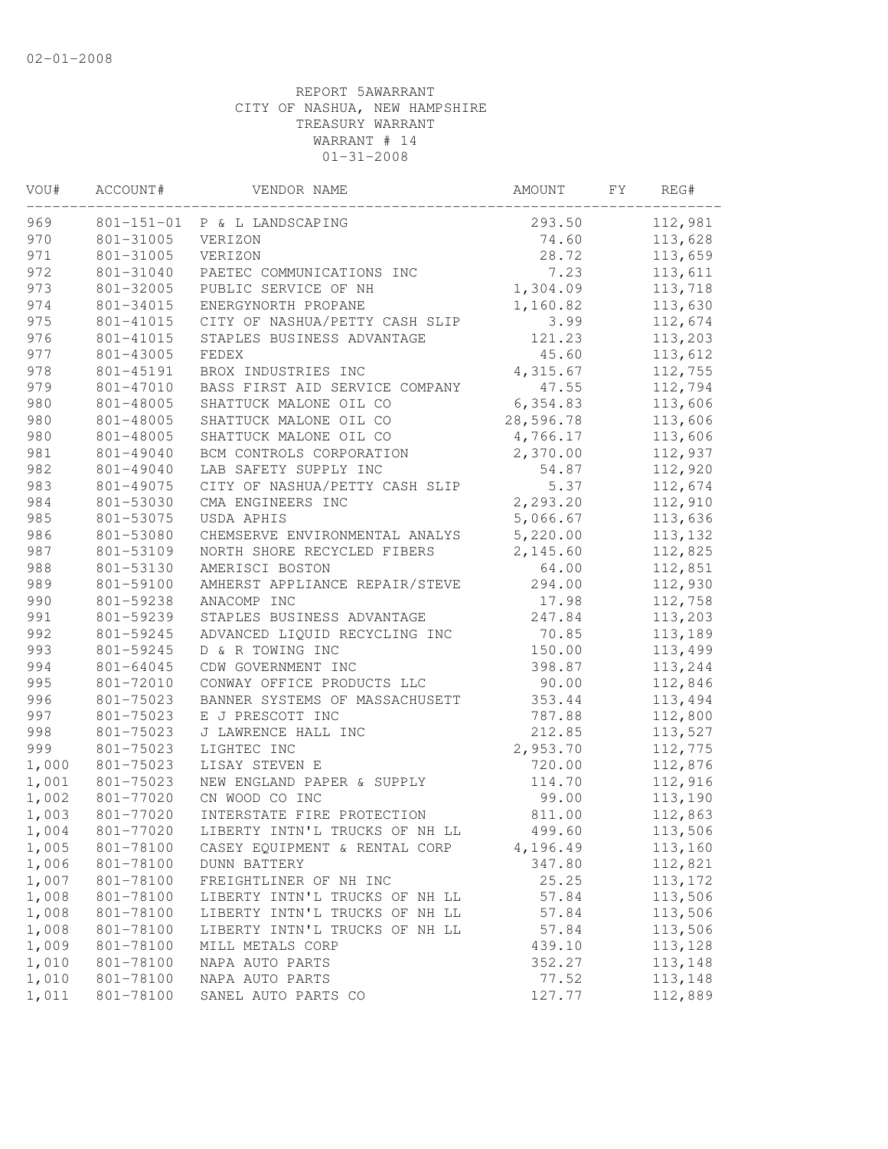| VOU#  | ACCOUNT#         | VENDOR NAME                    | AMOUNT    | FΥ | REG#     |
|-------|------------------|--------------------------------|-----------|----|----------|
| 969   | $801 - 151 - 01$ | P & L LANDSCAPING              | 293.50    |    | 112,981  |
| 970   | 801-31005        | VERIZON                        | 74.60     |    | 113,628  |
| 971   | 801-31005        | VERIZON                        | 28.72     |    | 113,659  |
| 972   | 801-31040        | PAETEC COMMUNICATIONS INC      | 7.23      |    | 113,611  |
| 973   | 801-32005        | PUBLIC SERVICE OF NH           | 1,304.09  |    | 113,718  |
| 974   | 801-34015        | ENERGYNORTH PROPANE            | 1,160.82  |    | 113,630  |
| 975   | 801-41015        | CITY OF NASHUA/PETTY CASH SLIP | 3.99      |    | 112,674  |
| 976   | 801-41015        | STAPLES BUSINESS ADVANTAGE     | 121.23    |    | 113,203  |
| 977   | 801-43005        | FEDEX                          | 45.60     |    | 113,612  |
| 978   | 801-45191        | BROX INDUSTRIES INC            | 4,315.67  |    | 112,755  |
| 979   | 801-47010        | BASS FIRST AID SERVICE COMPANY | 47.55     |    | 112,794  |
| 980   | 801-48005        | SHATTUCK MALONE OIL CO         | 6,354.83  |    | 113,606  |
| 980   | 801-48005        | SHATTUCK MALONE OIL CO         | 28,596.78 |    | 113,606  |
| 980   | 801-48005        | SHATTUCK MALONE OIL CO         | 4,766.17  |    | 113,606  |
| 981   | 801-49040        | BCM CONTROLS CORPORATION       | 2,370.00  |    | 112,937  |
| 982   | 801-49040        | LAB SAFETY SUPPLY INC          | 54.87     |    | 112,920  |
| 983   | 801-49075        | CITY OF NASHUA/PETTY CASH SLIP | 5.37      |    | 112,674  |
| 984   | 801-53030        | CMA ENGINEERS INC              | 2,293.20  |    | 112,910  |
| 985   | 801-53075        | USDA APHIS                     | 5,066.67  |    | 113,636  |
| 986   | 801-53080        | CHEMSERVE ENVIRONMENTAL ANALYS | 5,220.00  |    | 113,132  |
| 987   | 801-53109        | NORTH SHORE RECYCLED FIBERS    | 2,145.60  |    | 112,825  |
| 988   | 801-53130        | AMERISCI BOSTON                | 64.00     |    | 112,851  |
| 989   | 801-59100        | AMHERST APPLIANCE REPAIR/STEVE | 294.00    |    | 112,930  |
| 990   | 801-59238        | ANACOMP INC                    | 17.98     |    | 112,758  |
| 991   | 801-59239        | STAPLES BUSINESS ADVANTAGE     | 247.84    |    | 113,203  |
| 992   | 801-59245        | ADVANCED LIQUID RECYCLING INC  | 70.85     |    | 113,189  |
| 993   | 801-59245        | D & R TOWING INC               | 150.00    |    | 113,499  |
| 994   | 801-64045        | CDW GOVERNMENT INC             | 398.87    |    | 113,244  |
| 995   | 801-72010        | CONWAY OFFICE PRODUCTS LLC     | 90.00     |    | 112,846  |
| 996   | 801-75023        | BANNER SYSTEMS OF MASSACHUSETT | 353.44    |    | 113,494  |
| 997   | 801-75023        | E J PRESCOTT INC               | 787.88    |    | 112,800  |
| 998   | 801-75023        | J LAWRENCE HALL INC            | 212.85    |    | 113,527  |
| 999   | 801-75023        | LIGHTEC INC                    | 2,953.70  |    | 112,775  |
| 1,000 | 801-75023        | LISAY STEVEN E                 | 720.00    |    | 112,876  |
| 1,001 | 801-75023        | NEW ENGLAND PAPER & SUPPLY     | 114.70    |    | 112,916  |
| 1,002 | 801-77020        | CN WOOD CO INC                 | 99.00     |    | 113,190  |
| 1,003 | 801-77020        | INTERSTATE FIRE PROTECTION     | 811.00    |    | 112,863  |
| 1,004 | 801-77020        | LIBERTY INTN'L TRUCKS OF NH LL | 499.60    |    | 113,506  |
| 1,005 | 801-78100        | CASEY EQUIPMENT & RENTAL CORP  | 4,196.49  |    | 113,160  |
| 1,006 | 801-78100        | <b>DUNN BATTERY</b>            | 347.80    |    | 112,821  |
| 1,007 | 801-78100        | FREIGHTLINER OF NH INC         | 25.25     |    | 113, 172 |
| 1,008 | 801-78100        | LIBERTY INTN'L TRUCKS OF NH LL | 57.84     |    | 113,506  |
| 1,008 | 801-78100        | LIBERTY INTN'L TRUCKS OF NH LL | 57.84     |    | 113,506  |
| 1,008 | 801-78100        | LIBERTY INTN'L TRUCKS OF NH LL | 57.84     |    | 113,506  |
| 1,009 | 801-78100        | MILL METALS CORP               | 439.10    |    | 113,128  |
| 1,010 | 801-78100        | NAPA AUTO PARTS                | 352.27    |    | 113,148  |
| 1,010 | 801-78100        | NAPA AUTO PARTS                | 77.52     |    | 113,148  |
| 1,011 | 801-78100        | SANEL AUTO PARTS CO            | 127.77    |    | 112,889  |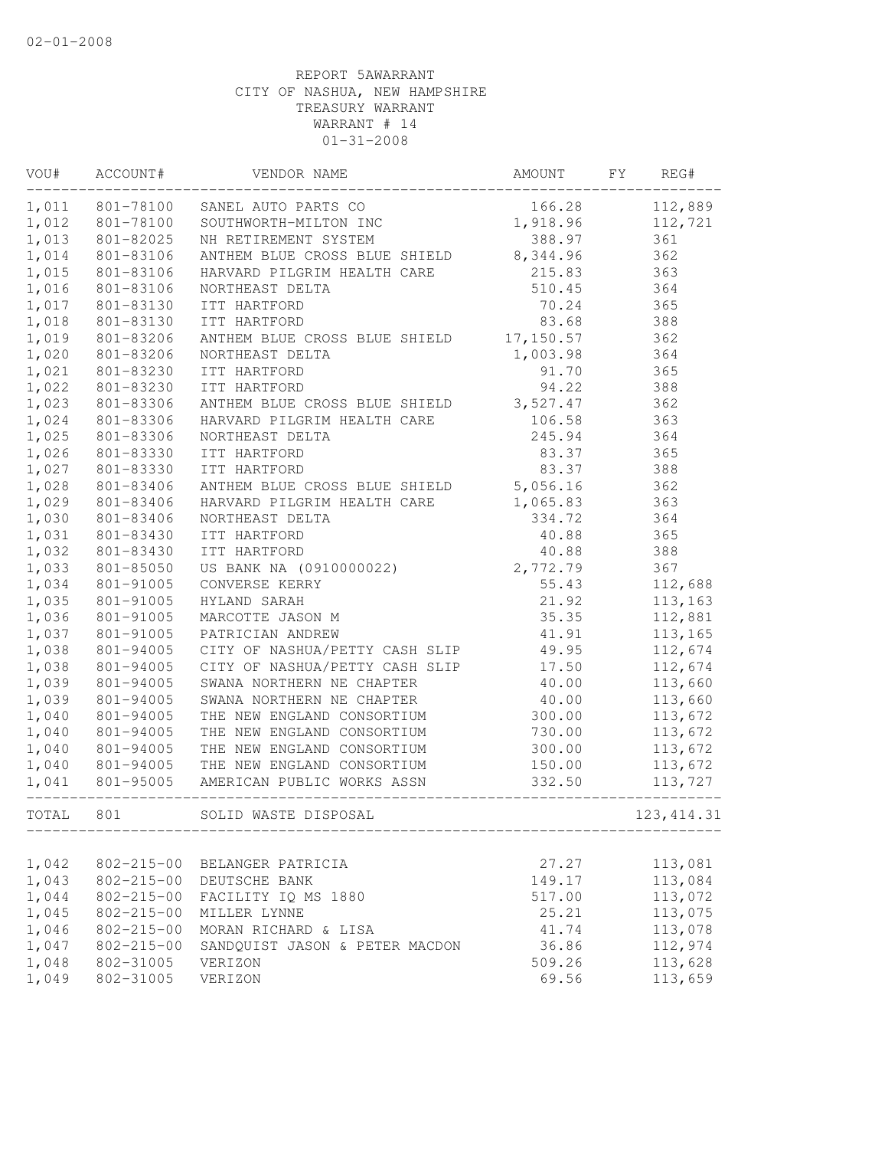| VOU#  | ACCOUNT#         | VENDOR NAME                                                           | AMOUNT   | FY<br>REG#  |  |
|-------|------------------|-----------------------------------------------------------------------|----------|-------------|--|
| 1,011 |                  | 801-78100 SANEL AUTO PARTS CO                                         | 166.28   | 112,889     |  |
| 1,012 |                  | 801-78100 SOUTHWORTH-MILTON INC 1,918.96                              |          | 112,721     |  |
| 1,013 | 801-82025        | NH RETIREMENT SYSTEM                                                  | 388.97   | 361         |  |
| 1,014 | 801-83106        | ANTHEM BLUE CROSS BLUE SHIELD                                         | 8,344.96 | 362         |  |
| 1,015 | 801-83106        | HARVARD PILGRIM HEALTH CARE                                           | 215.83   | 363         |  |
| 1,016 | 801-83106        | NORTHEAST DELTA                                                       | 510.45   | 364         |  |
| 1,017 | 801-83130        | ITT HARTFORD                                                          | 70.24    | 365         |  |
| 1,018 | 801-83130        | ITT HARTFORD                                                          | 83.68    | 388         |  |
| 1,019 | 801-83206        | ANTHEM BLUE CROSS BLUE SHIELD 17,150.57                               |          | 362         |  |
| 1,020 | 801-83206        | NORTHEAST DELTA                                                       | 1,003.98 | 364         |  |
| 1,021 | 801-83230        | ITT HARTFORD                                                          | 91.70    | 365         |  |
| 1,022 | 801-83230        | ITT HARTFORD                                                          | 94.22    | 388         |  |
| 1,023 | 801-83306        | ANTHEM BLUE CROSS BLUE SHIELD 3,527.47                                |          | 362         |  |
| 1,024 | 801-83306        | HARVARD PILGRIM HEALTH CARE                                           | 106.58   | 363         |  |
| 1,025 | 801-83306        | NORTHEAST DELTA                                                       | 245.94   | 364         |  |
| 1,026 | 801-83330        | ITT HARTFORD                                                          | 83.37    | 365         |  |
| 1,027 | 801-83330        | ITT HARTFORD                                                          | 83.37    | 388         |  |
| 1,028 | 801-83406        | ANTHEM BLUE CROSS BLUE SHIELD 5,056.16                                |          | 362         |  |
| 1,029 | 801-83406        |                                                                       | 1,065.83 | 363         |  |
| 1,030 | 801-83406        |                                                                       |          | 364         |  |
| 1,031 | 801-83430        |                                                                       | 40.88    | 365         |  |
| 1,032 | 801-83430        |                                                                       |          | 388         |  |
| 1,033 | 801-85050        |                                                                       |          | 367         |  |
| 1,034 | 801-91005        |                                                                       |          | 112,688     |  |
| 1,035 | 801-91005        |                                                                       |          | 113,163     |  |
| 1,036 | 801-91005        |                                                                       |          | 112,881     |  |
| 1,037 | 801-91005        |                                                                       |          | 113,165     |  |
| 1,038 | 801-94005        | CITY OF NASHUA/PETTY CASH SLIP 49.95                                  |          | 112,674     |  |
| 1,038 | 801-94005        | CITY OF NASHUA/PETTY CASH SLIP 17.50                                  |          | 112,674     |  |
| 1,039 | 801-94005        | SWANA NORTHERN NE CHAPTER                                             | 40.00    | 113,660     |  |
| 1,039 | 801-94005        | SWANA NORTHERN NE CHAPTER                                             | 40.00    | 113,660     |  |
| 1,040 | 801-94005        | THE NEW ENGLAND CONSORTIUM                                            | 300.00   | 113,672     |  |
| 1,040 | 801-94005        | THE NEW ENGLAND CONSORTIUM                                            | 730.00   | 113,672     |  |
| 1,040 | 801-94005        | THE NEW ENGLAND CONSORTIUM                                            | 300.00   | 113,672     |  |
| 1,040 | 801-94005        | THE NEW ENGLAND CONSORTIUM                                            | 150.00   | 113,672     |  |
| 1,041 |                  | 801-95005 AMERICAN PUBLIC WORKS ASSN<br>_____________________________ | 332.50   | 113,727     |  |
| TOTAL | 801              | SOLID WASTE DISPOSAL                                                  |          | 123, 414.31 |  |
|       |                  |                                                                       |          |             |  |
| 1,042 | $802 - 215 - 00$ | BELANGER PATRICIA                                                     | 27.27    | 113,081     |  |
| 1,043 | $802 - 215 - 00$ | DEUTSCHE BANK                                                         | 149.17   | 113,084     |  |
| 1,044 | $802 - 215 - 00$ | FACILITY IQ MS 1880                                                   | 517.00   | 113,072     |  |
| 1,045 | $802 - 215 - 00$ | MILLER LYNNE                                                          | 25.21    | 113,075     |  |
| 1,046 | $802 - 215 - 00$ | MORAN RICHARD & LISA                                                  | 41.74    | 113,078     |  |
| 1,047 | $802 - 215 - 00$ | SANDQUIST JASON & PETER MACDON                                        | 36.86    | 112,974     |  |
| 1,048 | 802-31005        | VERIZON                                                               | 509.26   | 113,628     |  |
| 1,049 | 802-31005        | VERIZON                                                               | 69.56    | 113,659     |  |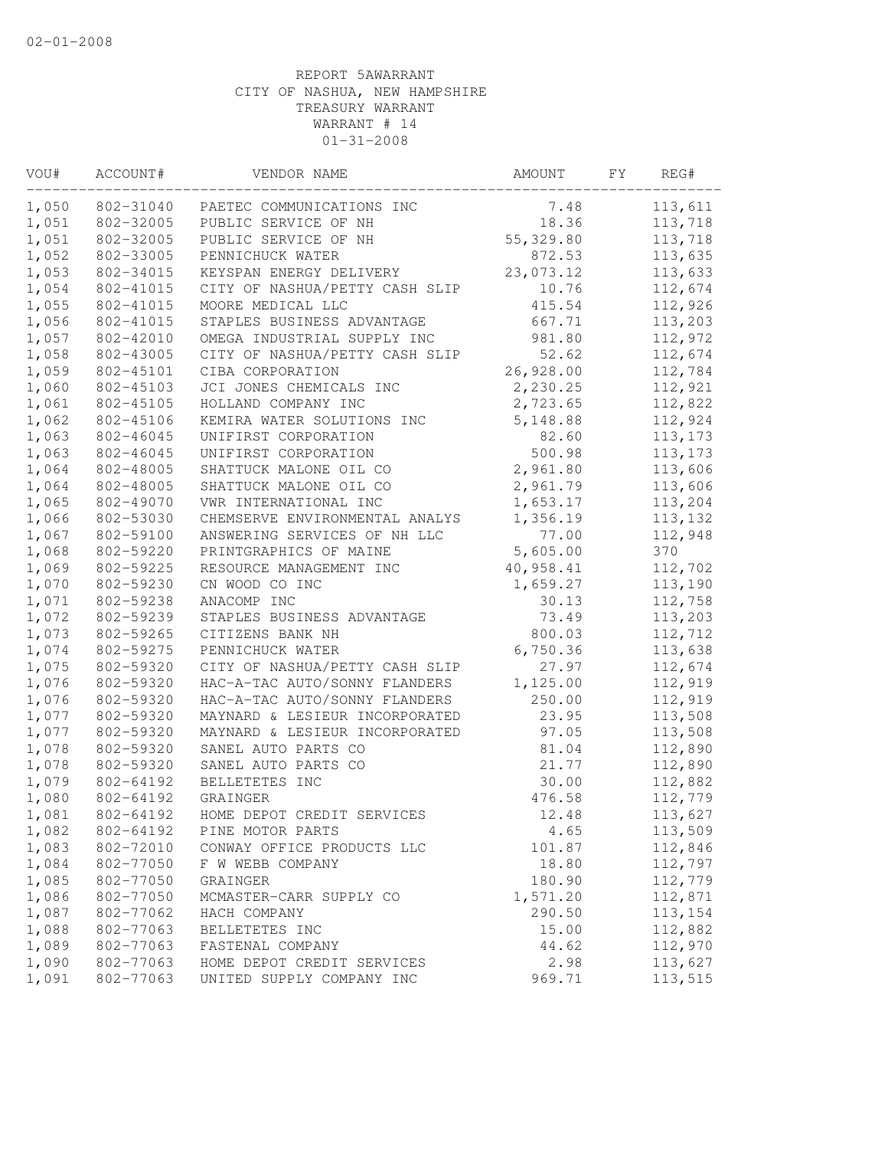| VOU#  | ACCOUNT#  | VENDOR NAME                    | AMOUNT    | FΥ | REG#     |
|-------|-----------|--------------------------------|-----------|----|----------|
| 1,050 | 802-31040 | PAETEC COMMUNICATIONS INC      | 7.48      |    | 113,611  |
| 1,051 | 802-32005 | PUBLIC SERVICE OF NH           | 18.36     |    | 113,718  |
| 1,051 | 802-32005 | PUBLIC SERVICE OF NH           | 55,329.80 |    | 113,718  |
| 1,052 | 802-33005 | PENNICHUCK WATER               | 872.53    |    | 113,635  |
| 1,053 | 802-34015 | KEYSPAN ENERGY DELIVERY        | 23,073.12 |    | 113,633  |
| 1,054 | 802-41015 | CITY OF NASHUA/PETTY CASH SLIP | 10.76     |    | 112,674  |
| 1,055 | 802-41015 | MOORE MEDICAL LLC              | 415.54    |    | 112,926  |
| 1,056 | 802-41015 | STAPLES BUSINESS ADVANTAGE     | 667.71    |    | 113,203  |
| 1,057 | 802-42010 | OMEGA INDUSTRIAL SUPPLY INC    | 981.80    |    | 112,972  |
| 1,058 | 802-43005 | CITY OF NASHUA/PETTY CASH SLIP | 52.62     |    | 112,674  |
| 1,059 | 802-45101 | CIBA CORPORATION               | 26,928.00 |    | 112,784  |
| 1,060 | 802-45103 | JCI JONES CHEMICALS INC        | 2,230.25  |    | 112,921  |
| 1,061 | 802-45105 | HOLLAND COMPANY INC            | 2,723.65  |    | 112,822  |
| 1,062 | 802-45106 | KEMIRA WATER SOLUTIONS INC     | 5,148.88  |    | 112,924  |
| 1,063 | 802-46045 | UNIFIRST CORPORATION           | 82.60     |    | 113, 173 |
| 1,063 | 802-46045 | UNIFIRST CORPORATION           | 500.98    |    | 113, 173 |
| 1,064 | 802-48005 | SHATTUCK MALONE OIL CO         | 2,961.80  |    | 113,606  |
| 1,064 | 802-48005 | SHATTUCK MALONE OIL CO         | 2,961.79  |    | 113,606  |
| 1,065 | 802-49070 | VWR INTERNATIONAL INC          | 1,653.17  |    | 113,204  |
| 1,066 | 802-53030 | CHEMSERVE ENVIRONMENTAL ANALYS | 1,356.19  |    | 113,132  |
| 1,067 | 802-59100 | ANSWERING SERVICES OF NH LLC   | 77.00     |    | 112,948  |
| 1,068 | 802-59220 | PRINTGRAPHICS OF MAINE         | 5,605.00  |    | 370      |
| 1,069 | 802-59225 | RESOURCE MANAGEMENT INC        | 40,958.41 |    | 112,702  |
| 1,070 | 802-59230 | CN WOOD CO INC                 | 1,659.27  |    | 113,190  |
| 1,071 | 802-59238 | ANACOMP INC                    | 30.13     |    | 112,758  |
| 1,072 | 802-59239 | STAPLES BUSINESS ADVANTAGE     | 73.49     |    | 113,203  |
| 1,073 | 802-59265 | CITIZENS BANK NH               | 800.03    |    | 112,712  |
| 1,074 | 802-59275 | PENNICHUCK WATER               | 6,750.36  |    | 113,638  |
| 1,075 | 802-59320 | CITY OF NASHUA/PETTY CASH SLIP | 27.97     |    | 112,674  |
| 1,076 | 802-59320 | HAC-A-TAC AUTO/SONNY FLANDERS  | 1,125.00  |    | 112,919  |
| 1,076 | 802-59320 | HAC-A-TAC AUTO/SONNY FLANDERS  | 250.00    |    | 112,919  |
| 1,077 | 802-59320 | MAYNARD & LESIEUR INCORPORATED | 23.95     |    | 113,508  |
| 1,077 | 802-59320 | MAYNARD & LESIEUR INCORPORATED | 97.05     |    | 113,508  |
| 1,078 | 802-59320 | SANEL AUTO PARTS CO            | 81.04     |    | 112,890  |
| 1,078 | 802-59320 | SANEL AUTO PARTS CO            | 21.77     |    | 112,890  |
| 1,079 | 802-64192 | BELLETETES INC                 | 30.00     |    | 112,882  |
| 1,080 | 802-64192 | GRAINGER                       | 476.58    |    | 112,779  |
| 1,081 | 802-64192 | HOME DEPOT CREDIT SERVICES     | 12.48     |    | 113,627  |
| 1,082 | 802-64192 | PINE MOTOR PARTS               | 4.65      |    | 113,509  |
| 1,083 | 802-72010 | CONWAY OFFICE PRODUCTS LLC     | 101.87    |    | 112,846  |
| 1,084 | 802-77050 | F W WEBB COMPANY               | 18.80     |    | 112,797  |
| 1,085 | 802-77050 | GRAINGER                       | 180.90    |    | 112,779  |
| 1,086 | 802-77050 | MCMASTER-CARR SUPPLY CO        | 1,571.20  |    | 112,871  |
| 1,087 | 802-77062 | HACH COMPANY                   | 290.50    |    | 113,154  |
| 1,088 | 802-77063 | BELLETETES INC                 | 15.00     |    | 112,882  |
| 1,089 | 802-77063 | FASTENAL COMPANY               | 44.62     |    | 112,970  |
| 1,090 | 802-77063 | HOME DEPOT CREDIT SERVICES     | 2.98      |    | 113,627  |
| 1,091 | 802-77063 | UNITED SUPPLY COMPANY INC      | 969.71    |    | 113,515  |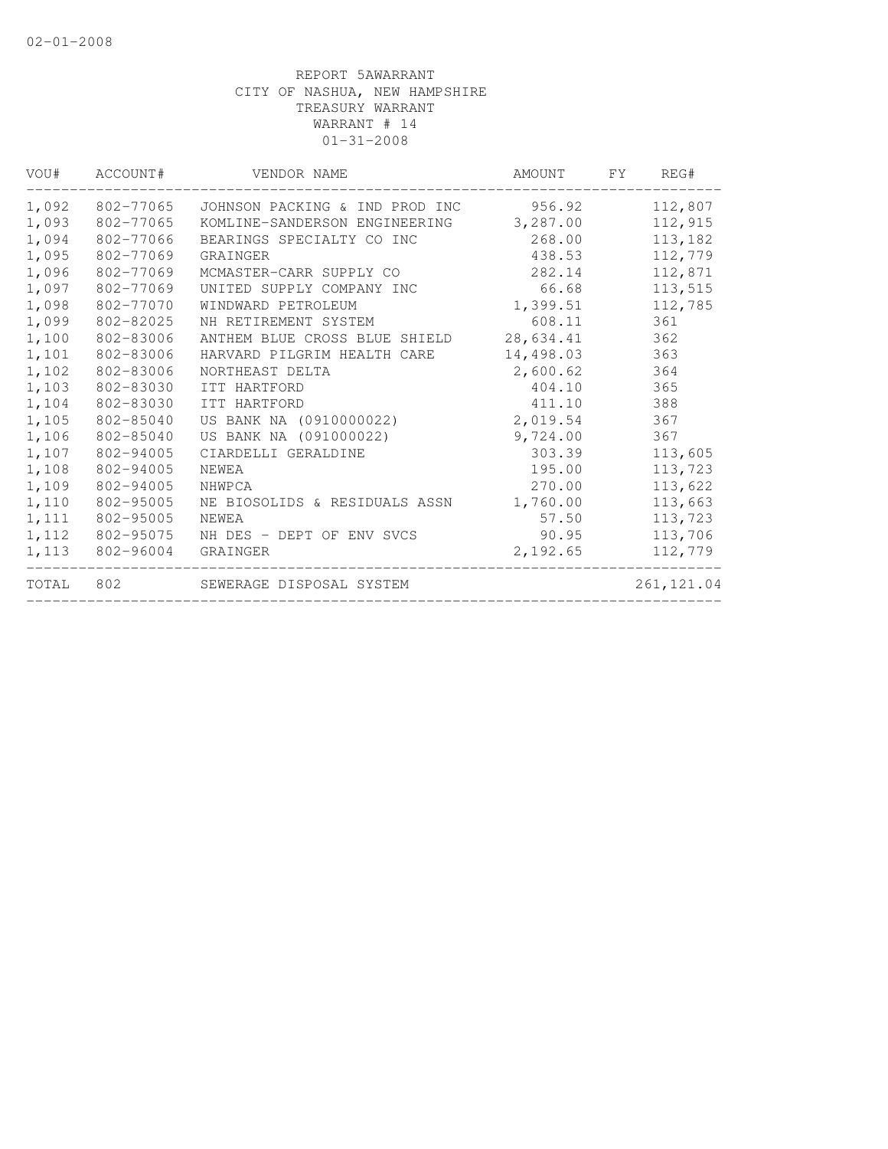| VOU#  | ACCOUNT#  | VENDOR NAME                    | AMOUNT    | FY. | REG#        |
|-------|-----------|--------------------------------|-----------|-----|-------------|
| 1,092 | 802-77065 | JOHNSON PACKING & IND PROD INC | 956.92    |     | 112,807     |
| 1,093 | 802-77065 | KOMLINE-SANDERSON ENGINEERING  | 3,287.00  |     | 112,915     |
| 1,094 | 802-77066 | BEARINGS SPECIALTY CO INC      | 268.00    |     | 113,182     |
| 1,095 | 802-77069 | GRAINGER                       | 438.53    |     | 112,779     |
| 1,096 | 802-77069 | MCMASTER-CARR SUPPLY CO        | 282.14    |     | 112,871     |
| 1,097 | 802-77069 | UNITED SUPPLY COMPANY INC      | 66.68     |     | 113,515     |
| 1,098 | 802-77070 | WINDWARD PETROLEUM             | 1,399.51  |     | 112,785     |
| 1,099 | 802-82025 | NH RETIREMENT SYSTEM           | 608.11    |     | 361         |
| 1,100 | 802-83006 | ANTHEM BLUE CROSS BLUE SHIELD  | 28,634.41 |     | 362         |
| 1,101 | 802-83006 | HARVARD PILGRIM HEALTH CARE    | 14,498.03 |     | 363         |
| 1,102 | 802-83006 | NORTHEAST DELTA                | 2,600.62  |     | 364         |
| 1,103 | 802-83030 | ITT HARTFORD                   | 404.10    |     | 365         |
| 1,104 | 802-83030 | ITT HARTFORD                   | 411.10    |     | 388         |
| 1,105 | 802-85040 | US BANK NA (0910000022)        | 2,019.54  |     | 367         |
| 1,106 | 802-85040 | US BANK NA (091000022)         | 9,724.00  |     | 367         |
| 1,107 | 802-94005 | CIARDELLI GERALDINE            | 303.39    |     | 113,605     |
| 1,108 | 802-94005 | NEWEA                          | 195.00    |     | 113,723     |
| 1,109 | 802-94005 | NHWPCA                         | 270.00    |     | 113,622     |
| 1,110 | 802-95005 | NE BIOSOLIDS & RESIDUALS ASSN  | 1,760.00  |     | 113,663     |
| 1,111 | 802-95005 | NEWEA                          | 57.50     |     | 113,723     |
| 1,112 | 802-95075 | NH DES - DEPT OF ENV SVCS      | 90.95     |     | 113,706     |
| 1,113 | 802-96004 | GRAINGER                       | 2,192.65  |     | 112,779     |
| TOTAL | 802       | SEWERAGE DISPOSAL SYSTEM       |           |     | 261, 121.04 |
|       |           |                                |           |     |             |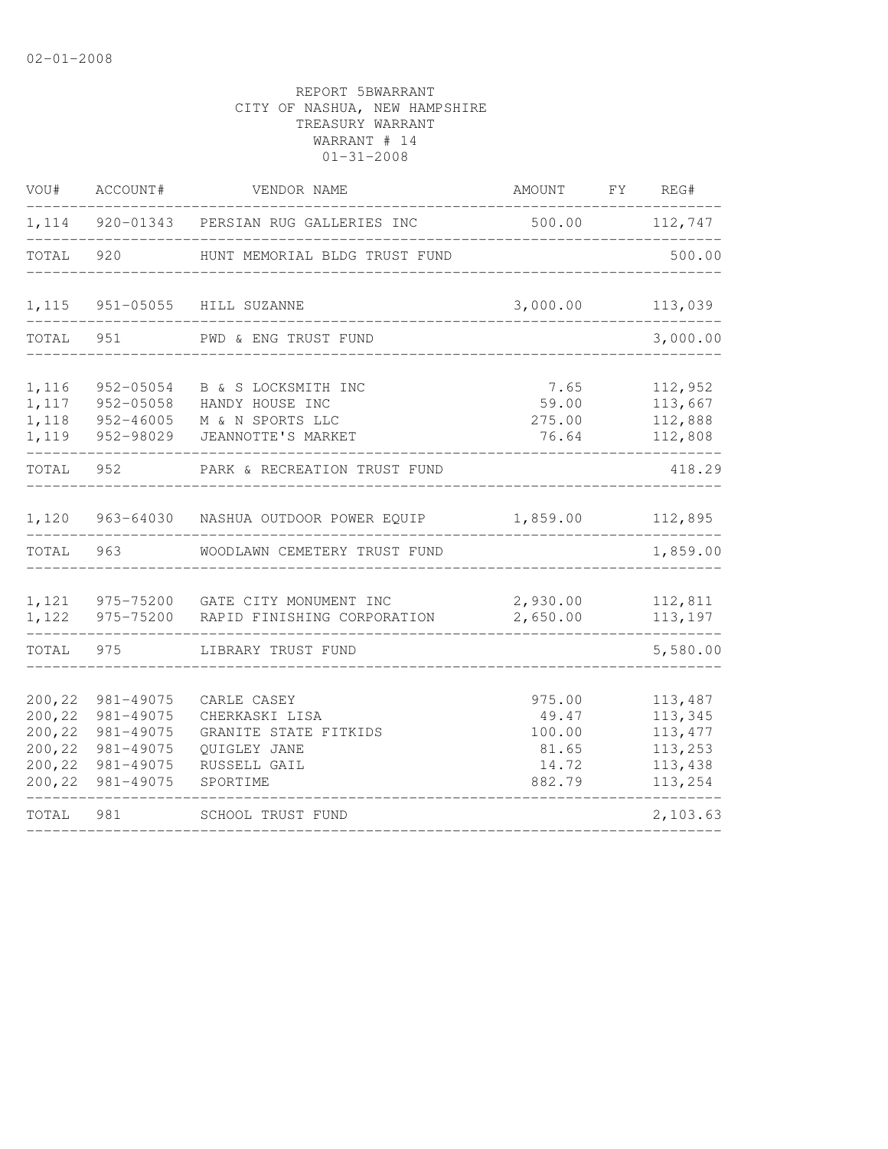| VOU#                                                     | ACCOUNT#                                                                   | VENDOR NAME                                                                                        | AMOUNT FY REG#                                        |                                                                 |
|----------------------------------------------------------|----------------------------------------------------------------------------|----------------------------------------------------------------------------------------------------|-------------------------------------------------------|-----------------------------------------------------------------|
|                                                          |                                                                            | 1,114 920-01343 PERSIAN RUG GALLERIES INC                                                          | 500.00                                                | 112,747                                                         |
| TOTAL                                                    | 920                                                                        | HUNT MEMORIAL BLDG TRUST FUND                                                                      |                                                       | 500.00                                                          |
| 1,115                                                    |                                                                            | 951-05055 HILL SUZANNE                                                                             | 3,000.00                                              | 113,039                                                         |
| TOTAL                                                    | 951                                                                        | PWD & ENG TRUST FUND                                                                               |                                                       | 3,000.00                                                        |
| 1,116<br>1,117<br>1,118<br>1,119                         | 952-05054<br>952-05058<br>952-46005<br>952-98029                           | B & S LOCKSMITH INC<br>HANDY HOUSE INC<br>M & N SPORTS LLC<br>JEANNOTTE'S MARKET                   | 7.65<br>59.00<br>275.00<br>76.64                      | 112,952<br>113,667<br>112,888<br>112,808                        |
| TOTAL                                                    | 952                                                                        | PARK & RECREATION TRUST FUND                                                                       |                                                       | 418.29                                                          |
| 1,120                                                    |                                                                            | 963-64030 NASHUA OUTDOOR POWER EQUIP                                                               | 1,859.00                                              | 112,895                                                         |
| TOTAL                                                    | 963                                                                        | WOODLAWN CEMETERY TRUST FUND                                                                       |                                                       | 1,859.00                                                        |
| 1,121<br>1,122                                           |                                                                            | 975-75200 GATE CITY MONUMENT INC<br>975-75200 RAPID FINISHING CORPORATION                          | 2,930.00<br>2,650.00                                  | 112,811<br>113,197                                              |
| TOTAL                                                    | 975                                                                        | LIBRARY TRUST FUND                                                                                 |                                                       | 5,580.00                                                        |
| 200,22<br>200,22<br>200,22<br>200,22<br>200,22<br>200,22 | 981-49075<br>981-49075<br>981-49075<br>981-49075<br>981-49075<br>981-49075 | CARLE CASEY<br>CHERKASKI LISA<br>GRANITE STATE FITKIDS<br>QUIGLEY JANE<br>RUSSELL GAIL<br>SPORTIME | 975.00<br>49.47<br>100.00<br>81.65<br>14.72<br>882.79 | 113,487<br>113,345<br>113, 477<br>113,253<br>113,438<br>113,254 |
| TOTAL                                                    | 981                                                                        | SCHOOL TRUST FUND                                                                                  |                                                       | 2,103.63                                                        |
|                                                          |                                                                            |                                                                                                    |                                                       |                                                                 |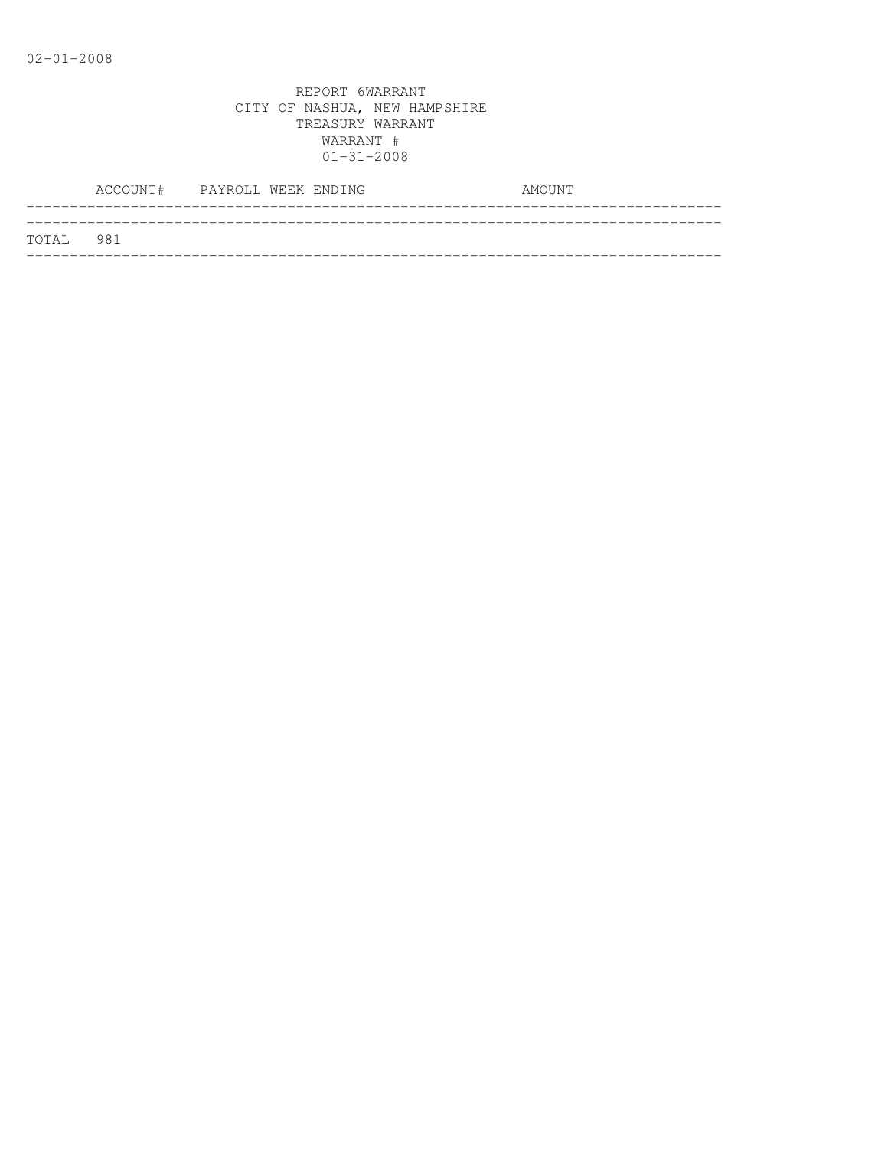|           | ACCOUNT# PAYROLL WEEK ENDING |  |  | AMOUNT |  |
|-----------|------------------------------|--|--|--------|--|
| TOTAL 981 |                              |  |  |        |  |
|           |                              |  |  |        |  |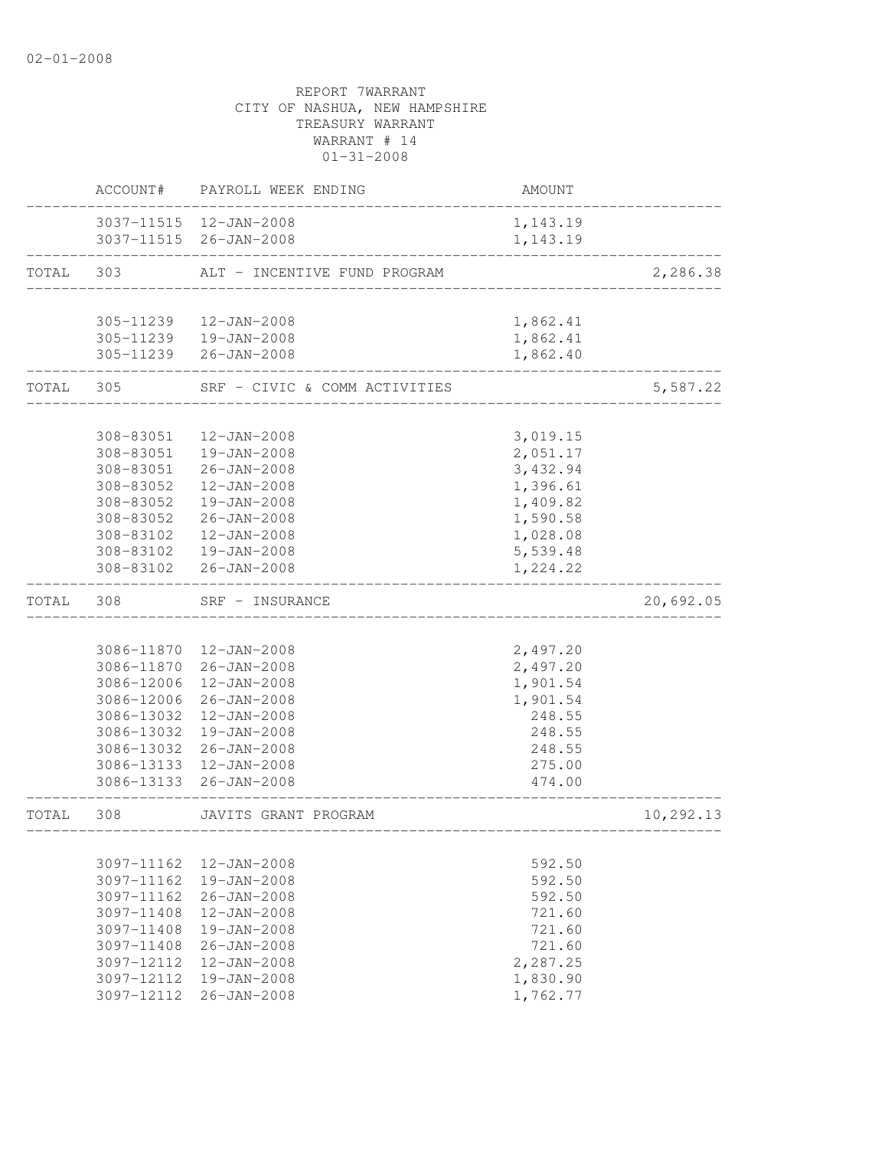# CITY OF NASHUA, NEW HAMPSHIRE TREASURY WARRANT WARRANT # 14  $01 - 31 - 2008$ ACCOUNT# PAYROLL WEEK ENDING COUNT AMOUNT -------------------------------------------------------------------------------- 3037-11515 12-JAN-2008 1,143.19 3037-11515 26-JAN-2008 1,143.19 -------------------------------------------------------------------------------- TOTAL 303 ALT - INCENTIVE FUND PROGRAM 2,286.38 -------------------------------------------------------------------------------- 305-11239 12-JAN-2008 1,862.41 305-11239 19-JAN-2008 305-11239 26-JAN-2008 1,862.40 -------------------------------------------------------------------------------- TOTAL 305 SRF - CIVIC & COMM ACTIVITIES 5,587.22 -------------------------------------------------------------------------------- 308-83051 12-JAN-2008 3,019.15 308-83051 19-JAN-2008 2,051.17 308-83051 26-JAN-2008 3,432.94 308-83052 12-JAN-2008 1,396.61 308-83052 19-JAN-2008 1,409.82 308-83052 26-JAN-2008 1,590.58 308-83102 12-JAN-2008 1,028.08 308-83102 19-JAN-2008 5,539.48 308-83102 26-JAN-2008 -------------------------------------------------------------------------------- TOTAL 308 SRF - INSURANCE 20,692.05 -------------------------------------------------------------------------------- 3086-11870 12-JAN-2008 2,497.20 3086-11870 26-JAN-2008 2,497.20 3086-12006 12-JAN-2008 1,901.54 3086-12006 26-JAN-2008 1,901.54 3086-13032 12-JAN-2008 248.55 3086-13032 19-JAN-2008 248.55 3086-13032 26-JAN-2008 248.55 3086-13133 12-JAN-2008 275.00 3086-13133 26-JAN-2008 474.00 -------------------------------------------------------------------------------- TOTAL 308 JAVITS GRANT PROGRAM 10,292.13 -------------------------------------------------------------------------------- 3097-11162 12-JAN-2008 592.50 3097-11162 19-JAN-2008 592.50 3097-11162 26-JAN-2008 592.50 3097-11408 12-JAN-2008 721.60 3097-11408 19-JAN-2008 721.60 3097-11408 26-JAN-2008 721.60 3097-12112 12-JAN-2008 2,287.25 3097-12112 19-JAN-2008 1,830.90 3097-12112 26-JAN-2008 1,762.77

REPORT 7WARRANT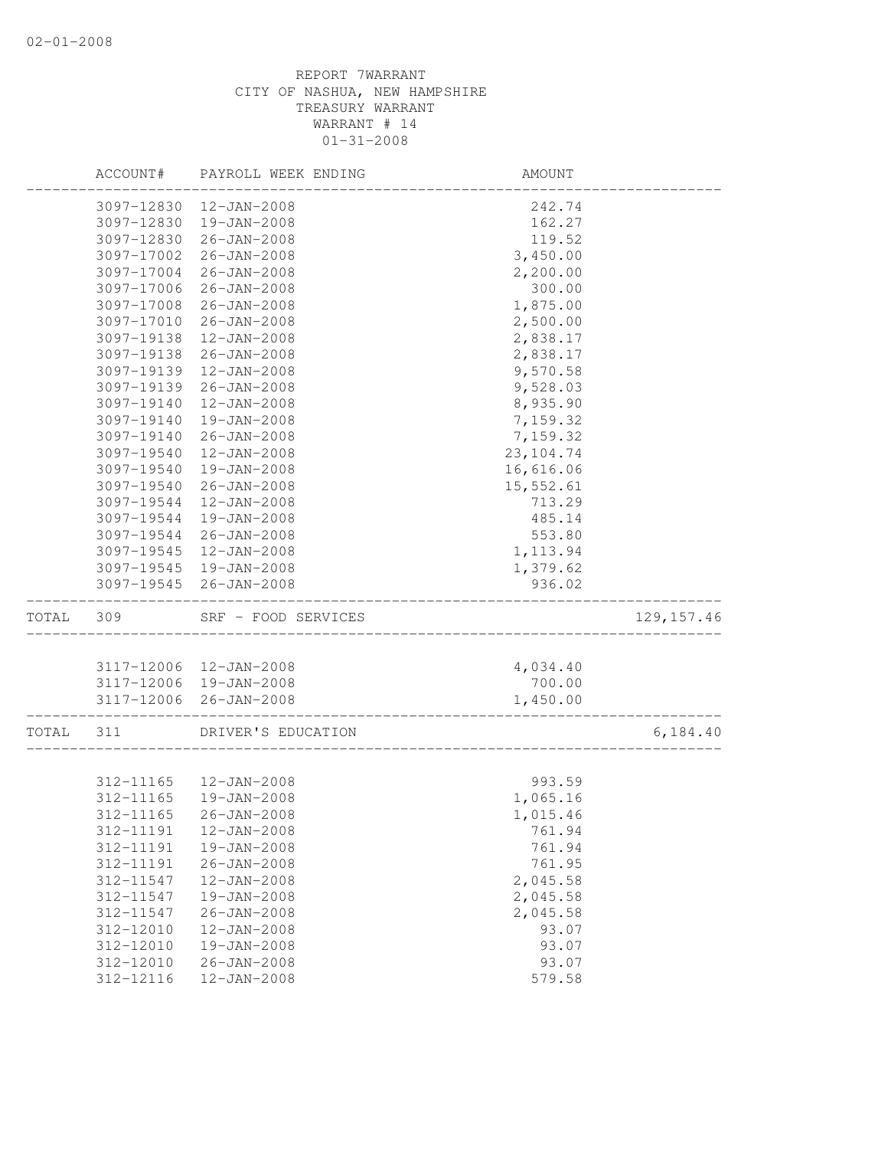|       | ACCOUNT#   | PAYROLL WEEK ENDING | AMOUNT     |             |
|-------|------------|---------------------|------------|-------------|
|       | 3097-12830 | 12-JAN-2008         | 242.74     |             |
|       | 3097-12830 | 19-JAN-2008         | 162.27     |             |
|       | 3097-12830 | 26-JAN-2008         | 119.52     |             |
|       | 3097-17002 | $26 - JAN - 2008$   | 3,450.00   |             |
|       | 3097-17004 | $26 - JAN - 2008$   | 2,200.00   |             |
|       | 3097-17006 | $26 - JAN - 2008$   | 300.00     |             |
|       | 3097-17008 | $26 - JAN - 2008$   | 1,875.00   |             |
|       | 3097-17010 | $26 - JAN - 2008$   | 2,500.00   |             |
|       | 3097-19138 | $12 - JAN - 2008$   | 2,838.17   |             |
|       | 3097-19138 | $26 - JAN - 2008$   | 2,838.17   |             |
|       | 3097-19139 | $12 - JAN - 2008$   | 9,570.58   |             |
|       | 3097-19139 | $26 - JAN - 2008$   | 9,528.03   |             |
|       | 3097-19140 | 12-JAN-2008         | 8,935.90   |             |
|       | 3097-19140 | 19-JAN-2008         | 7,159.32   |             |
|       | 3097-19140 | $26 - JAN - 2008$   | 7,159.32   |             |
|       | 3097-19540 | $12 - JAN - 2008$   | 23, 104.74 |             |
|       | 3097-19540 | 19-JAN-2008         | 16,616.06  |             |
|       | 3097-19540 | $26 - JAN - 2008$   | 15,552.61  |             |
|       | 3097-19544 | $12 - JAN - 2008$   | 713.29     |             |
|       | 3097-19544 | $19 - JAN - 2008$   | 485.14     |             |
|       | 3097-19544 | $26 - JAN - 2008$   | 553.80     |             |
|       | 3097-19545 | $12 - JAN - 2008$   | 1, 113.94  |             |
|       | 3097-19545 | 19-JAN-2008         | 1,379.62   |             |
|       | 3097-19545 | 26-JAN-2008         | 936.02     |             |
| TOTAL | 309        | SRF - FOOD SERVICES |            | 129, 157.46 |
|       |            |                     |            |             |
|       | 3117-12006 | 12-JAN-2008         | 4,034.40   |             |
|       | 3117-12006 | 19-JAN-2008         | 700.00     |             |
|       | 3117-12006 | 26-JAN-2008         | 1,450.00   |             |
| TOTAL | 311        | DRIVER'S EDUCATION  |            | 6, 184.40   |
|       |            |                     |            |             |
|       | 312-11165  | 12-JAN-2008         | 993.59     |             |
|       | 312-11165  | 19-JAN-2008         | 1,065.16   |             |
|       | 312-11165  | $26 - JAN - 2008$   | 1,015.46   |             |
|       | 312-11191  | $12 - JAN - 2008$   | 761.94     |             |
|       | 312-11191  | 19-JAN-2008         | 761.94     |             |
|       | 312-11191  | $26 - JAN - 2008$   | 761.95     |             |
|       | 312-11547  | 12-JAN-2008         | 2,045.58   |             |
|       | 312-11547  | 19-JAN-2008         | 2,045.58   |             |
|       | 312-11547  | $26 - JAN - 2008$   | 2,045.58   |             |
|       | 312-12010  | $12 - JAN - 2008$   | 93.07      |             |
|       | 312-12010  | 19-JAN-2008         | 93.07      |             |
|       | 312-12010  | $26 - JAN - 2008$   | 93.07      |             |
|       | 312-12116  | 12-JAN-2008         | 579.58     |             |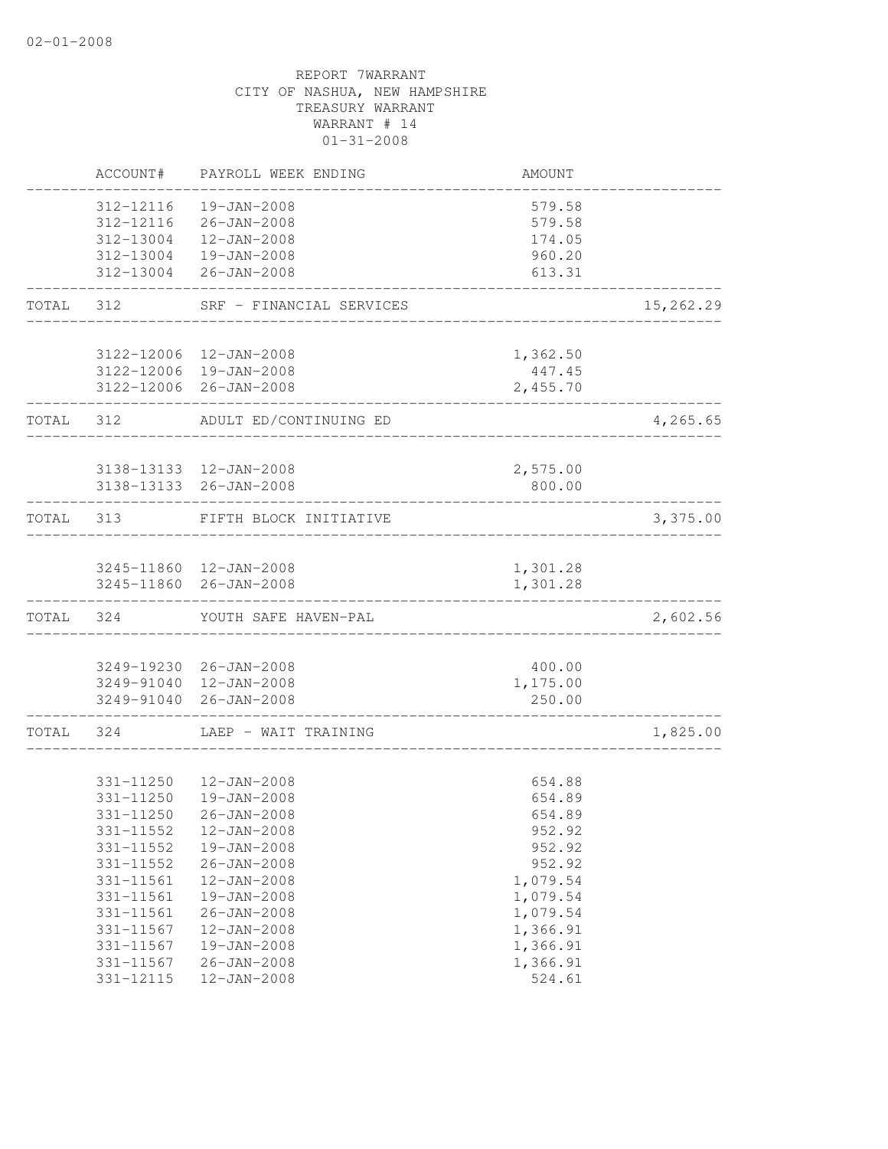|           | ACCOUNT#      | PAYROLL WEEK ENDING                              | AMOUNT             |           |
|-----------|---------------|--------------------------------------------------|--------------------|-----------|
|           | 312-12116     | 19-JAN-2008                                      | 579.58             |           |
|           | 312-12116     | 26-JAN-2008                                      | 579.58             |           |
|           | 312-13004     | $12 - JAN - 2008$                                | 174.05             |           |
|           |               | 312-13004  19-JAN-2008                           | 960.20             |           |
|           |               | 312-13004 26-JAN-2008                            | 613.31             |           |
| TOTAL     | 312           | SRF - FINANCIAL SERVICES                         |                    | 15,262.29 |
|           |               |                                                  |                    |           |
|           |               | 3122-12006 12-JAN-2008<br>3122-12006 19-JAN-2008 | 1,362.50<br>447.45 |           |
|           |               | 3122-12006 26-JAN-2008                           | 2,455.70           |           |
|           |               |                                                  |                    |           |
| TOTAL 312 |               | ADULT ED/CONTINUING ED                           |                    | 4,265.65  |
|           |               | 3138-13133  12-JAN-2008                          |                    |           |
|           |               | 3138-13133 26-JAN-2008                           | 2,575.00<br>800.00 |           |
|           |               |                                                  |                    |           |
|           | TOTAL 313     | FIFTH BLOCK INITIATIVE                           |                    | 3,375.00  |
|           |               |                                                  |                    |           |
|           |               | 3245-11860 12-JAN-2008                           | 1,301.28           |           |
|           |               | 3245-11860 26-JAN-2008                           | 1,301.28           |           |
| TOTAL     | 324           | YOUTH SAFE HAVEN-PAL                             |                    | 2,602.56  |
|           |               |                                                  |                    |           |
|           |               | 3249-19230 26-JAN-2008<br>3249-91040 12-JAN-2008 | 400.00<br>1,175.00 |           |
|           |               | 3249-91040 26-JAN-2008                           | 250.00             |           |
| TOTAL     | 324           | LAEP - WAIT TRAINING                             |                    | 1,825.00  |
|           |               |                                                  |                    |           |
|           | 331-11250     | 12-JAN-2008                                      | 654.88             |           |
|           | 331-11250     | 19-JAN-2008                                      | 654.89             |           |
|           | 331-11250     | $26 - JAN - 2008$                                | 654.89             |           |
|           | 331-11552     | 12-JAN-2008                                      | 952.92             |           |
|           | $331 - 11552$ | 19-JAN-2008                                      | 952.92             |           |
|           | 331-11552     | $26 - JAN - 2008$                                | 952.92             |           |
|           | 331-11561     | 12-JAN-2008                                      | 1,079.54           |           |
|           | 331-11561     | 19-JAN-2008                                      | 1,079.54           |           |
|           | 331-11561     | $26 - JAN - 2008$                                | 1,079.54           |           |
|           | 331-11567     | 12-JAN-2008                                      | 1,366.91           |           |
|           | 331-11567     | 19-JAN-2008                                      | 1,366.91           |           |
|           | 331-11567     | $26 - JAN - 2008$                                | 1,366.91           |           |
|           | 331-12115     | $12 - JAN - 2008$                                | 524.61             |           |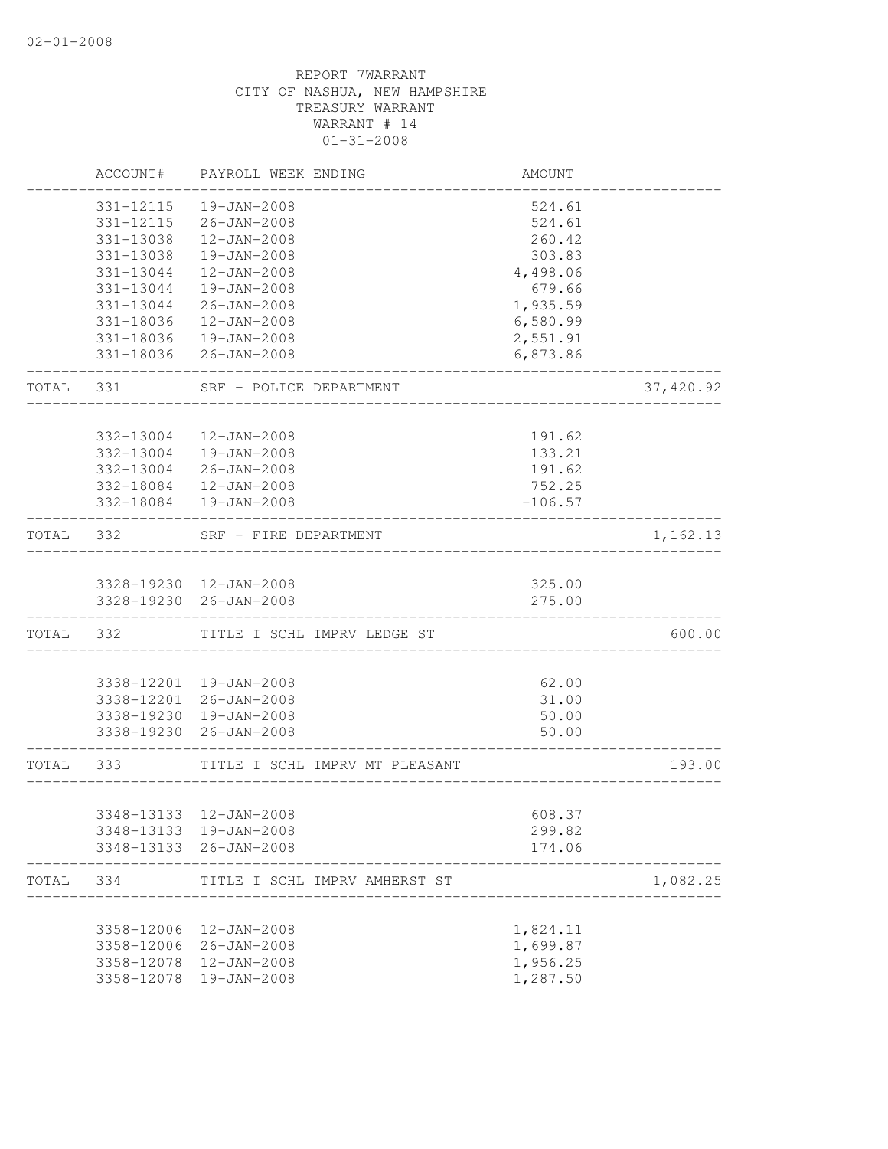|       | ACCOUNT#   | PAYROLL WEEK ENDING                              | AMOUNT           |           |
|-------|------------|--------------------------------------------------|------------------|-----------|
|       | 331-12115  | $19 - JAN - 2008$                                | 524.61           |           |
|       | 331-12115  | $26 - JAN - 2008$                                | 524.61           |           |
|       | 331-13038  | $12 - JAN - 2008$                                | 260.42           |           |
|       | 331-13038  | $19 - JAN - 2008$                                | 303.83           |           |
|       | 331-13044  | $12 - JAN - 2008$                                | 4,498.06         |           |
|       | 331-13044  | 19-JAN-2008                                      | 679.66           |           |
|       | 331-13044  | $26 - JAN - 2008$                                | 1,935.59         |           |
|       | 331-18036  | 12-JAN-2008                                      | 6,580.99         |           |
|       |            | 331-18036  19-JAN-2008                           | 2,551.91         |           |
|       |            | 331-18036 26-JAN-2008                            | 6,873.86         |           |
| TOTAL | 331        | SRF - POLICE DEPARTMENT                          |                  | 37,420.92 |
|       |            |                                                  |                  |           |
|       | 332-13004  | $12 - JAN - 2008$                                | 191.62           |           |
|       | 332-13004  | 19-JAN-2008                                      | 133.21           |           |
|       | 332-13004  | $26 - JAN - 2008$                                | 191.62           |           |
|       |            | 332-18084 12-JAN-2008                            | 752.25           |           |
|       |            | 332-18084  19-JAN-2008                           | $-106.57$        |           |
| TOTAL | 332        | SRF - FIRE DEPARTMENT                            |                  | 1,162.13  |
|       |            |                                                  |                  |           |
|       |            | 3328-19230 12-JAN-2008                           | 325.00           |           |
|       |            | 3328-19230 26-JAN-2008                           | 275.00           |           |
| TOTAL | 332        | TITLE I SCHL IMPRV LEDGE ST                      |                  | 600.00    |
|       |            |                                                  |                  |           |
|       |            | 3338-12201 19-JAN-2008                           | 62.00            |           |
|       |            | 3338-12201 26-JAN-2008                           | 31.00            |           |
|       |            | 3338-19230  19-JAN-2008                          | 50.00            |           |
|       | 3338-19230 | 26-JAN-2008                                      | 50.00            |           |
| TOTAL | 333        | TITLE I SCHL IMPRV MT PLEASANT                   |                  | 193.00    |
|       |            |                                                  |                  |           |
|       |            | 3348-13133 12-JAN-2008                           | 608.37           |           |
|       |            | 3348-13133 19-JAN-2008<br>3348-13133 26-JAN-2008 | 299.82<br>174.06 |           |
| TOTAL | 334        | TITLE I SCHL IMPRV AMHERST ST                    |                  | 1,082.25  |
|       |            |                                                  |                  |           |
|       | 3358-12006 | $12 - JAN - 2008$                                | 1,824.11         |           |
|       | 3358-12006 | 26-JAN-2008                                      | 1,699.87         |           |
|       | 3358-12078 | $12 - JAN - 2008$                                | 1,956.25         |           |
|       | 3358-12078 | 19-JAN-2008                                      | 1,287.50         |           |
|       |            |                                                  |                  |           |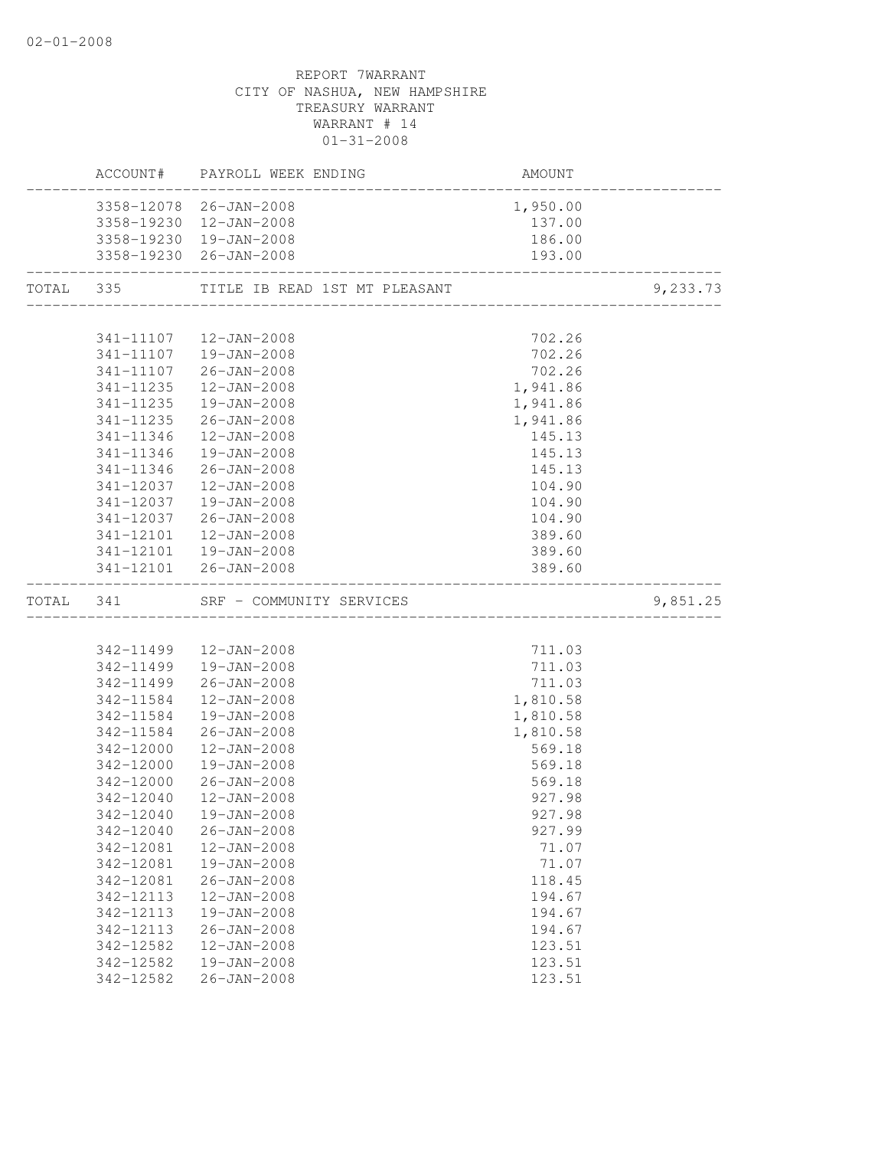|           |           | ACCOUNT# PAYROLL WEEK ENDING  | AMOUNT   |          |
|-----------|-----------|-------------------------------|----------|----------|
|           |           | 3358-12078 26-JAN-2008        | 1,950.00 |          |
|           |           | 3358-19230 12-JAN-2008        | 137.00   |          |
|           |           | 3358-19230 19-JAN-2008        | 186.00   |          |
|           |           | 3358-19230 26-JAN-2008        | 193.00   |          |
| TOTAL 335 |           | TITLE IB READ 1ST MT PLEASANT |          | 9,233.73 |
|           |           |                               |          |          |
|           |           | 341-11107  12-JAN-2008        | 702.26   |          |
|           |           | 341-11107  19-JAN-2008        | 702.26   |          |
|           |           | 341-11107 26-JAN-2008         | 702.26   |          |
|           | 341-11235 | 12-JAN-2008                   | 1,941.86 |          |
|           | 341-11235 | 19-JAN-2008                   | 1,941.86 |          |
|           |           | 341-11235 26-JAN-2008         | 1,941.86 |          |
|           |           | 341-11346  12-JAN-2008        | 145.13   |          |
|           | 341-11346 | 19-JAN-2008                   | 145.13   |          |
|           | 341-11346 | 26-JAN-2008                   | 145.13   |          |
|           | 341-12037 | 12-JAN-2008                   | 104.90   |          |
|           | 341-12037 | 19-JAN-2008                   | 104.90   |          |
|           | 341-12037 | 26-JAN-2008                   | 104.90   |          |
|           | 341-12101 | 12-JAN-2008                   | 389.60   |          |
|           |           | 341-12101  19-JAN-2008        | 389.60   |          |
|           |           | 341-12101 26-JAN-2008         | 389.60   |          |
| TOTAL 341 |           | SRF - COMMUNITY SERVICES      |          | 9,851.25 |
|           |           |                               |          |          |
|           |           | 342-11499  12-JAN-2008        | 711.03   |          |
|           |           | 342-11499  19-JAN-2008        | 711.03   |          |
|           | 342-11499 | 26-JAN-2008                   | 711.03   |          |
|           | 342-11584 | 12-JAN-2008                   | 1,810.58 |          |
|           |           | 342-11584  19-JAN-2008        | 1,810.58 |          |
|           |           | 342-11584 26-JAN-2008         | 1,810.58 |          |
|           |           | 342-12000  12-JAN-2008        | 569.18   |          |
|           |           | 342-12000  19-JAN-2008        | 569.18   |          |
|           |           | 342-12000 26-JAN-2008         | 569.18   |          |
|           | 342-12040 | 12-JAN-2008                   | 927.98   |          |
|           |           | 342-12040  19-JAN-2008        | 927.98   |          |
|           | 342-12040 | $26 - JAN - 2008$             | 927.99   |          |
|           | 342-12081 | 12-JAN-2008                   | 71.07    |          |
|           | 342-12081 | 19-JAN-2008                   | 71.07    |          |
|           | 342-12081 | $26 - JAN - 2008$             | 118.45   |          |
|           | 342-12113 | $12 - JAN - 2008$             | 194.67   |          |
|           | 342-12113 | 19-JAN-2008                   | 194.67   |          |
|           | 342-12113 | $26 - JAN - 2008$             | 194.67   |          |
|           | 342-12582 | 12-JAN-2008                   | 123.51   |          |
|           | 342-12582 | 19-JAN-2008                   | 123.51   |          |
|           | 342-12582 | $26 - JAN - 2008$             | 123.51   |          |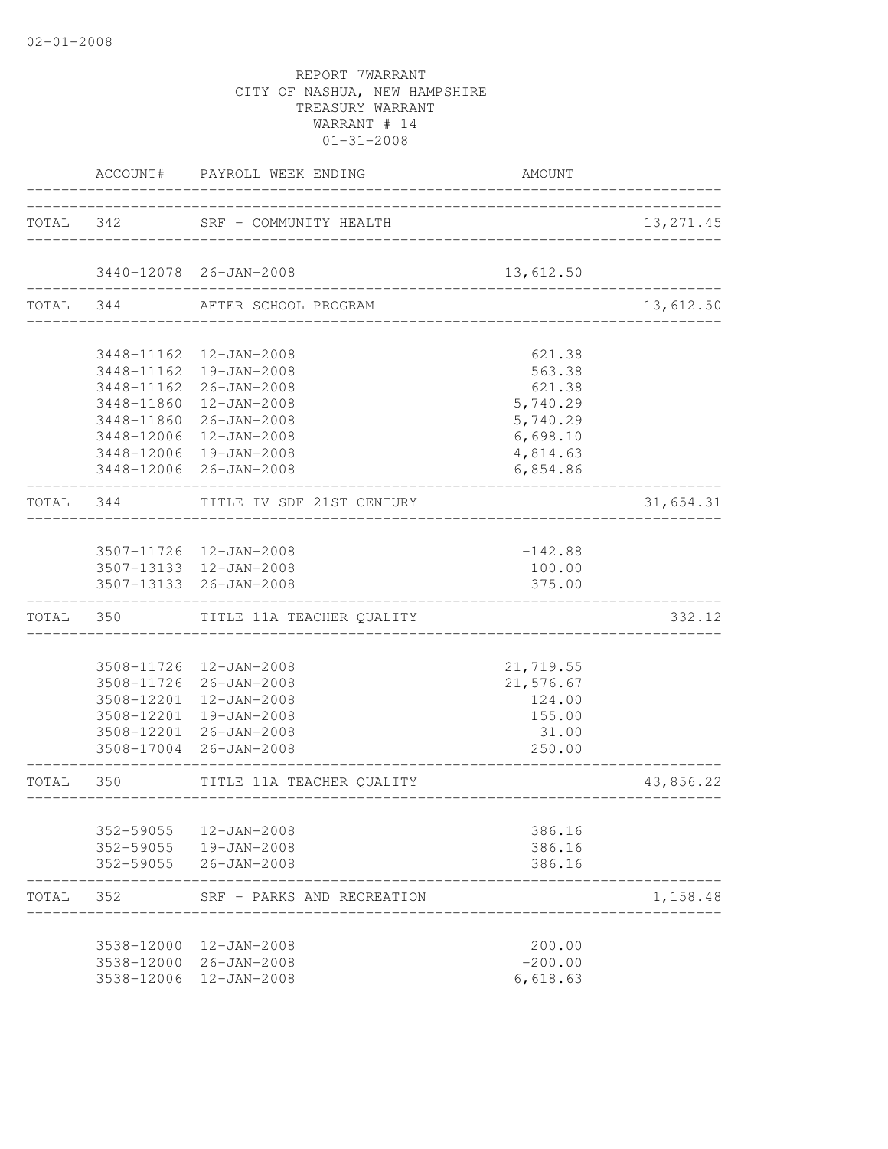|           | ACCOUNT#   | PAYROLL WEEK ENDING                                   | AMOUNT                         |            |
|-----------|------------|-------------------------------------------------------|--------------------------------|------------|
|           |            | TOTAL 342 SRF - COMMUNITY HEALTH                      | _________________________      | 13, 271.45 |
|           |            | 3440-12078 26-JAN-2008                                | 13,612.50                      |            |
|           | TOTAL 344  | ________________<br>AFTER SCHOOL PROGRAM              | ______________________________ | 13,612.50  |
|           |            | 3448-11162  12-JAN-2008                               | 621.38                         |            |
|           |            | 3448-11162  19-JAN-2008                               | 563.38                         |            |
|           |            | 3448-11162 26-JAN-2008                                | 621.38                         |            |
|           |            | 3448-11860  12-JAN-2008                               | 5,740.29                       |            |
|           |            | 3448-11860 26-JAN-2008                                | 5,740.29                       |            |
|           |            | 3448-12006 12-JAN-2008                                | 6,698.10                       |            |
|           |            | 3448-12006 19-JAN-2008                                | 4,814.63                       |            |
|           |            | 3448-12006 26-JAN-2008                                | 6,854.86                       |            |
|           | TOTAL 344  | TITLE IV SDF 21ST CENTURY<br>________________________ |                                | 31,654.31  |
|           |            | 3507-11726 12-JAN-2008                                |                                |            |
|           |            | 3507-13133 12-JAN-2008                                | $-142.88$<br>100.00            |            |
|           |            | 3507-13133 26-JAN-2008                                | 375.00                         |            |
|           |            | TOTAL 350 TITLE 11A TEACHER QUALITY                   |                                | 332.12     |
|           |            |                                                       |                                |            |
|           |            | 3508-11726 12-JAN-2008                                | 21,719.55                      |            |
|           |            | 3508-11726 26-JAN-2008                                | 21,576.67                      |            |
|           |            | 3508-12201 12-JAN-2008                                | 124.00                         |            |
|           |            | 3508-12201 19-JAN-2008                                | 155.00                         |            |
|           |            | 3508-12201 26-JAN-2008<br>3508-17004 26-JAN-2008      | 31.00<br>250.00                |            |
| TOTAL 350 |            | TITLE 11A TEACHER QUALITY                             | _________________________      | 43,856.22  |
|           |            |                                                       |                                |            |
|           | 352-59055  | 12-JAN-2008                                           | 386.16                         |            |
|           |            | 352-59055  19-JAN-2008                                | 386.16                         |            |
|           |            | 352-59055 26-JAN-2008                                 | 386.16                         |            |
| TOTAL     | 352        | SRF - PARKS AND RECREATION                            |                                | 1,158.48   |
|           |            | 3538-12000 12-JAN-2008                                | 200.00                         |            |
|           |            | 3538-12000 26-JAN-2008                                | $-200.00$                      |            |
|           | 3538-12006 | 12-JAN-2008                                           | 6,618.63                       |            |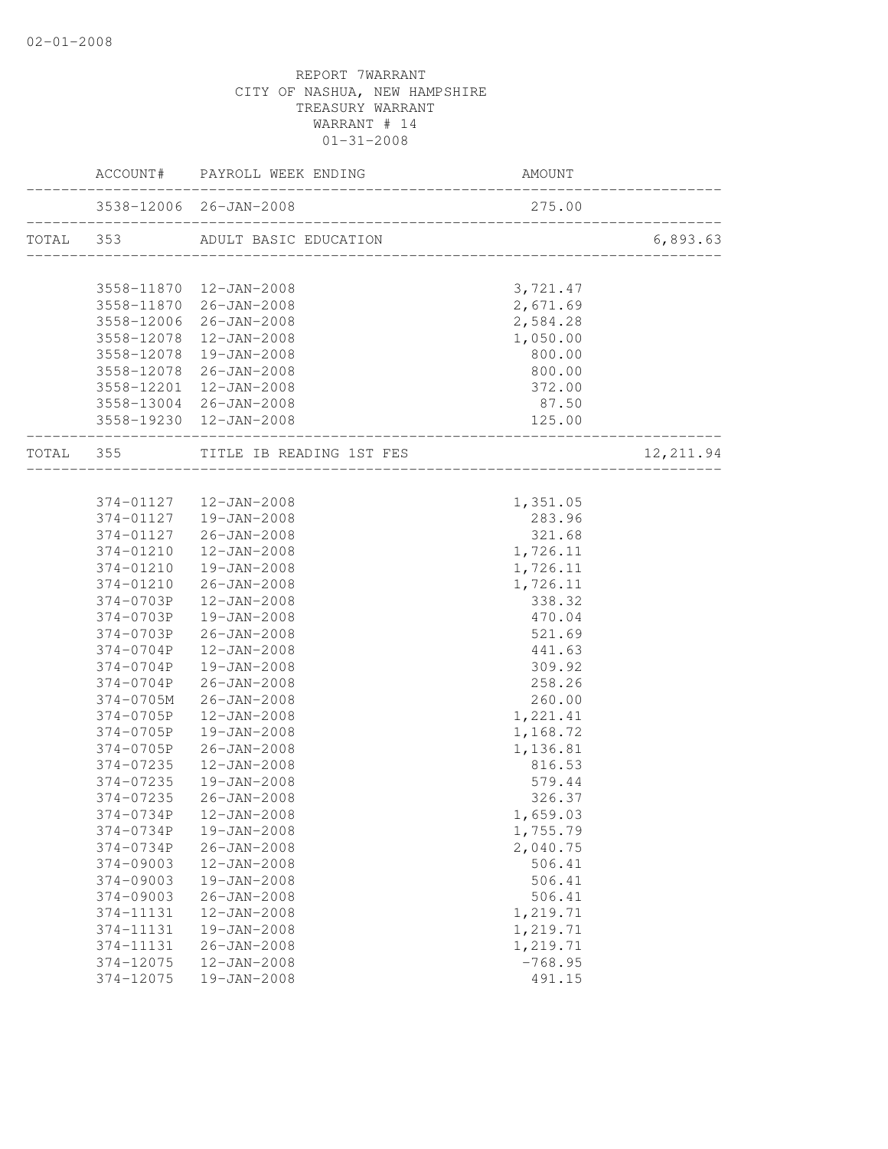|                        | ACCOUNT# PAYROLL WEEK ENDING                                    | AMOUNT                           |           |
|------------------------|-----------------------------------------------------------------|----------------------------------|-----------|
|                        | 3538-12006 26-JAN-2008                                          | 275.00                           |           |
|                        | TOTAL 353 ADULT BASIC EDUCATION                                 |                                  | 6,893.63  |
|                        | 3558-11870  12-JAN-2008                                         | 3,721.47                         |           |
| 3558-11870             | 26-JAN-2008                                                     | 2,671.69                         |           |
| 3558-12006             | $26 - JAN - 2008$                                               | 2,584.28                         |           |
| 3558-12078             | 12-JAN-2008                                                     | 1,050.00                         |           |
| 3558-12078             | 19-JAN-2008                                                     | 800.00                           |           |
| 3558-12078             | 26-JAN-2008                                                     | 800.00                           |           |
| 3558-12201             | 12-JAN-2008                                                     | 372.00                           |           |
|                        | 3558-13004 26-JAN-2008                                          | 87.50                            |           |
|                        | 3558-19230 12-JAN-2008                                          | 125.00                           |           |
|                        | TOTAL 355 TITLE IB READING 1ST FES<br>_________________________ | ._______________________________ | 12,211.94 |
|                        |                                                                 |                                  |           |
|                        | 374-01127  12-JAN-2008                                          | 1,351.05                         |           |
| 374-01127              | 19-JAN-2008                                                     | 283.96                           |           |
| 374-01127              | 26-JAN-2008                                                     | 321.68                           |           |
| 374-01210              | $12 - JAN - 2008$                                               | 1,726.11                         |           |
| 374-01210              | 19-JAN-2008                                                     | 1,726.11                         |           |
| 374-01210              | $26 - JAN - 2008$                                               | 1,726.11                         |           |
| 374-0703P              | 12-JAN-2008                                                     | 338.32                           |           |
| 374-0703P              | 19-JAN-2008                                                     | 470.04                           |           |
| 374-0703P<br>374-0704P | 26-JAN-2008<br>$12 - JAN - 2008$                                | 521.69<br>441.63                 |           |
| 374-0704P              | 19-JAN-2008                                                     | 309.92                           |           |
| 374-0704P              | 26-JAN-2008                                                     | 258.26                           |           |
| 374-0705M              | 26-JAN-2008                                                     | 260.00                           |           |
| 374-0705P              | 12-JAN-2008                                                     | 1,221.41                         |           |
| 374-0705P              | 19-JAN-2008                                                     | 1,168.72                         |           |
| 374-0705P              | 26-JAN-2008                                                     | 1,136.81                         |           |
| 374-07235              | 12-JAN-2008                                                     | 816.53                           |           |
| 374-07235              | 19-JAN-2008                                                     | 579.44                           |           |
| 374-07235              | $26 - JAN - 2008$                                               | 326.37                           |           |
| 374-0734P              | 12-JAN-2008                                                     | 1,659.03                         |           |
| 374-0734P              | 19-JAN-2008                                                     | 1,755.79                         |           |
| 374-0734P              | $26 - JAN - 2008$                                               | 2,040.75                         |           |
| 374-09003              | 12-JAN-2008                                                     | 506.41                           |           |
| 374-09003              | 19-JAN-2008                                                     | 506.41                           |           |
| 374-09003              | $26 - JAN - 2008$                                               | 506.41                           |           |
| 374-11131              | 12-JAN-2008                                                     | 1,219.71                         |           |
| 374-11131              | 19-JAN-2008                                                     | 1,219.71                         |           |
| 374-11131              | $26 - JAN - 2008$                                               | 1,219.71                         |           |
| 374-12075              | 12-JAN-2008                                                     | $-768.95$                        |           |
| 374-12075              | 19-JAN-2008                                                     | 491.15                           |           |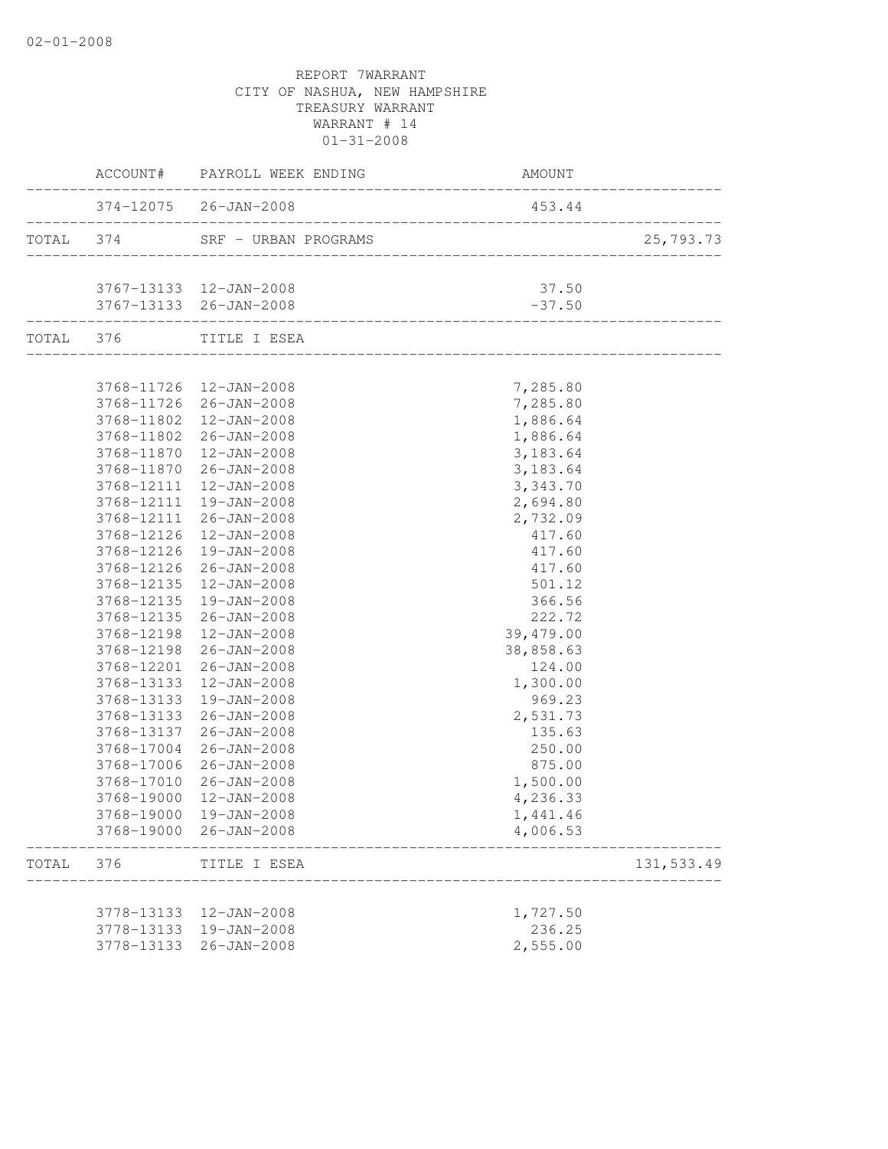|           |                            | ACCOUNT# PAYROLL WEEK ENDING | AMOUNT    |                  |
|-----------|----------------------------|------------------------------|-----------|------------------|
|           | __________________________ | 374-12075 26-JAN-2008        | 453.44    | ________________ |
| TOTAL 374 |                            | SRF - URBAN PROGRAMS         |           | 25,793.73        |
|           |                            | 3767-13133 12-JAN-2008       | 37.50     |                  |
|           |                            | 3767-13133 26-JAN-2008       | $-37.50$  |                  |
|           |                            | TOTAL 376 TITLE I ESEA       |           |                  |
|           |                            | 3768-11726 12-JAN-2008       | 7,285.80  |                  |
|           |                            | 3768-11726 26-JAN-2008       | 7,285.80  |                  |
|           |                            | 3768-11802  12-JAN-2008      | 1,886.64  |                  |
|           |                            | 3768-11802 26-JAN-2008       | 1,886.64  |                  |
|           |                            | 3768-11870  12-JAN-2008      | 3,183.64  |                  |
|           |                            | 3768-11870 26-JAN-2008       | 3,183.64  |                  |
|           | 3768-12111                 | 12-JAN-2008                  | 3,343.70  |                  |
|           | 3768-12111                 | 19-JAN-2008                  | 2,694.80  |                  |
|           | 3768-12111                 | 26-JAN-2008                  | 2,732.09  |                  |
|           | 3768-12126                 | 12-JAN-2008                  | 417.60    |                  |
|           | 3768-12126                 | 19-JAN-2008                  | 417.60    |                  |
|           | 3768-12126                 | 26-JAN-2008                  | 417.60    |                  |
|           | 3768-12135                 | 12-JAN-2008                  | 501.12    |                  |
|           | 3768-12135                 | 19-JAN-2008                  | 366.56    |                  |
|           | 3768-12135                 | 26-JAN-2008                  | 222.72    |                  |
|           | 3768-12198                 | 12-JAN-2008                  | 39,479.00 |                  |
|           | 3768-12198                 | $26 - JAN - 2008$            | 38,858.63 |                  |
|           | 3768-12201                 | 26-JAN-2008                  | 124.00    |                  |
|           | 3768-13133                 | 12-JAN-2008                  | 1,300.00  |                  |
|           | 3768-13133                 | 19-JAN-2008                  | 969.23    |                  |
|           |                            | 3768-13133 26-JAN-2008       | 2,531.73  |                  |
|           |                            | 3768-13137 26-JAN-2008       | 135.63    |                  |
|           |                            | 3768-17004 26-JAN-2008       | 250.00    |                  |
|           | 3768-17006                 | 26-JAN-2008                  | 875.00    |                  |
|           | 3768-17010                 | 26-JAN-2008                  | 1,500.00  |                  |
|           | 3768-19000                 | $12 - JAN - 2008$            | 4,236.33  |                  |
|           |                            | 3768-19000 19-JAN-2008       | 1,441.46  |                  |
|           |                            | 3768-19000 26-JAN-2008       | 4,006.53  |                  |
| TOTAL     | 376                        | TITLE I ESEA                 |           | 131,533.49       |
|           | 3778-13133                 | 12-JAN-2008                  | 1,727.50  |                  |
|           | 3778-13133                 | 19-JAN-2008                  | 236.25    |                  |
|           | 3778-13133                 | $26 - JAN - 2008$            | 2,555.00  |                  |
|           |                            |                              |           |                  |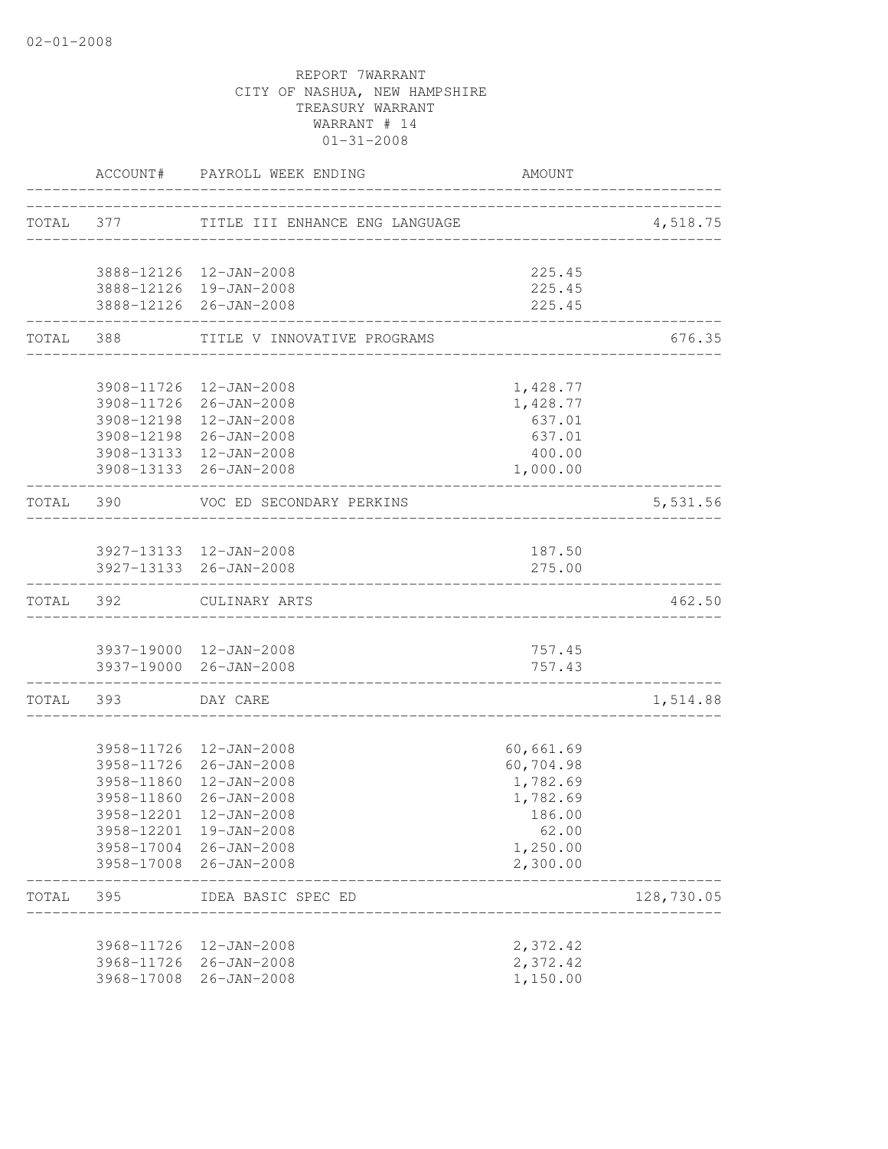|           |                   | ACCOUNT# PAYROLL WEEK ENDING                     | <b>AMOUNT</b>        |            |
|-----------|-------------------|--------------------------------------------------|----------------------|------------|
|           |                   | TOTAL 377 TITLE III ENHANCE ENG LANGUAGE         |                      | 4,518.75   |
|           |                   |                                                  |                      |            |
|           |                   | 3888-12126  12-JAN-2008                          | 225.45               |            |
|           |                   | 3888-12126 19-JAN-2008<br>3888-12126 26-JAN-2008 | 225.45<br>225.45     |            |
|           | TOTAL 388 STORIES | TITLE V INNOVATIVE PROGRAMS                      |                      | 676.35     |
|           |                   |                                                  |                      |            |
|           |                   | 3908-11726 12-JAN-2008                           | 1,428.77             |            |
|           |                   | 3908-11726 26-JAN-2008                           | 1,428.77             |            |
|           |                   | 3908-12198 12-JAN-2008<br>3908-12198 26-JAN-2008 | 637.01<br>637.01     |            |
|           |                   | 3908-13133 12-JAN-2008                           | 400.00               |            |
|           |                   | 3908-13133 26-JAN-2008                           | 1,000.00             |            |
| TOTAL 390 |                   | VOC ED SECONDARY PERKINS<br>__________________   |                      | 5,531.56   |
|           |                   | 3927-13133 12-JAN-2008                           | 187.50               |            |
|           |                   | 3927-13133 26-JAN-2008                           | 275.00               |            |
| TOTAL 392 |                   | CULINARY ARTS                                    |                      | 462.50     |
|           |                   | 3937-19000 12-JAN-2008                           | 757.45               |            |
|           |                   | 3937-19000 26-JAN-2008                           | 757.43               |            |
|           | TOTAL 393         | _____________________________<br>DAY CARE        |                      | 1,514.88   |
|           |                   |                                                  |                      |            |
|           |                   | 3958-11726 12-JAN-2008                           | 60,661.69            |            |
|           |                   | 3958-11726 26-JAN-2008                           | 60,704.98            |            |
|           | 3958-11860        | 3958-11860 12-JAN-2008<br>26-JAN-2008            | 1,782.69<br>1,782.69 |            |
|           |                   | 3958-12201 12-JAN-2008                           | 186.00               |            |
|           |                   | 3958-12201 19-JAN-2008                           | 62.00                |            |
|           |                   | 3958-17004 26-JAN-2008                           | 1,250.00             |            |
|           |                   | 3958-17008 26-JAN-2008                           | 2,300.00             |            |
| TOTAL     | 395               | IDEA BASIC SPEC ED                               |                      | 128,730.05 |
|           |                   | 3968-11726 12-JAN-2008                           | 2,372.42             |            |
|           |                   | 3968-11726 26-JAN-2008                           | 2,372.42             |            |
|           | 3968-17008        | $26 - JAN - 2008$                                | 1,150.00             |            |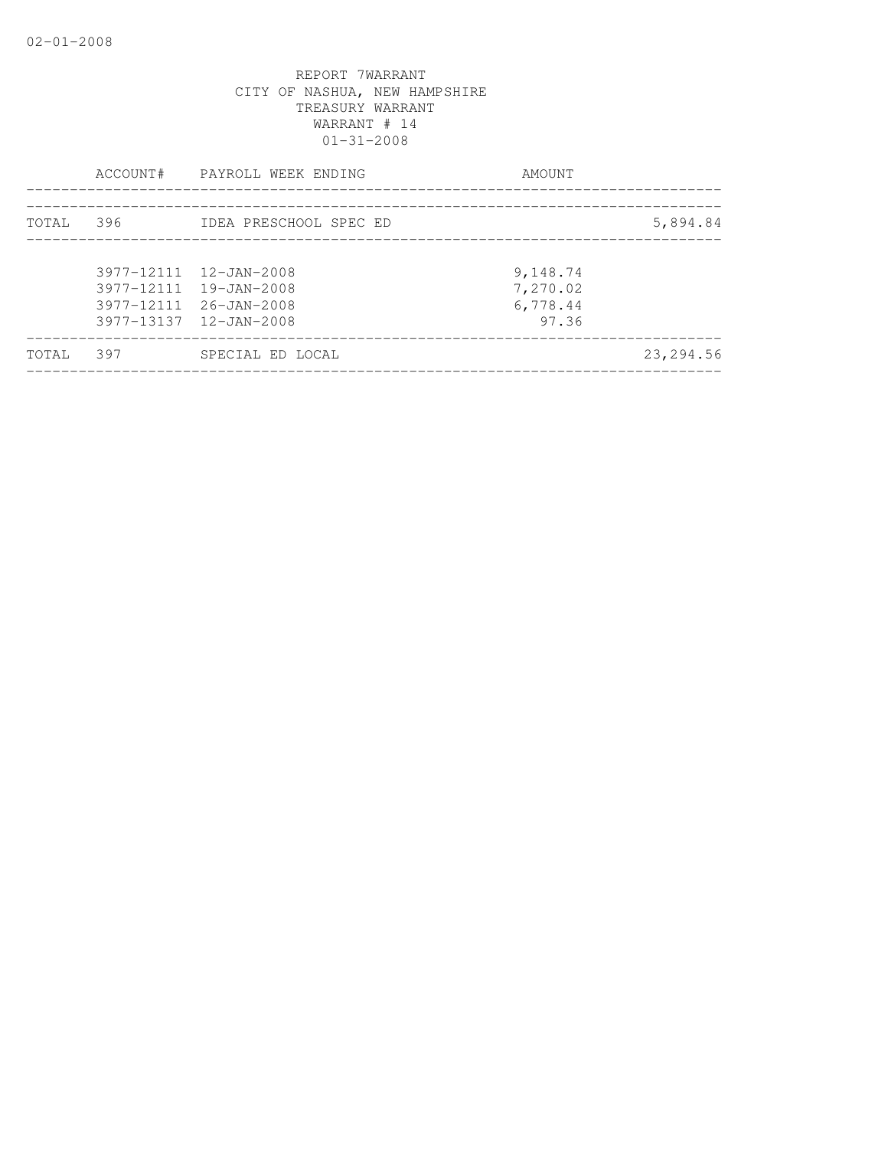|       | ACCOUNT# | PAYROLL WEEK ENDING                                                                                  | AMOUNT                                    |           |
|-------|----------|------------------------------------------------------------------------------------------------------|-------------------------------------------|-----------|
| TOTAL | 396      | IDEA PRESCHOOL SPEC ED                                                                               |                                           | 5,894.84  |
|       |          | 3977-12111 12-JAN-2008<br>3977-12111 19-JAN-2008<br>3977-12111 26-JAN-2008<br>3977-13137 12-JAN-2008 | 9,148.74<br>7,270.02<br>6,778.44<br>97.36 |           |
| TOTAL | 397      | SPECIAL ED LOCAL                                                                                     |                                           | 23,294.56 |
|       |          |                                                                                                      |                                           |           |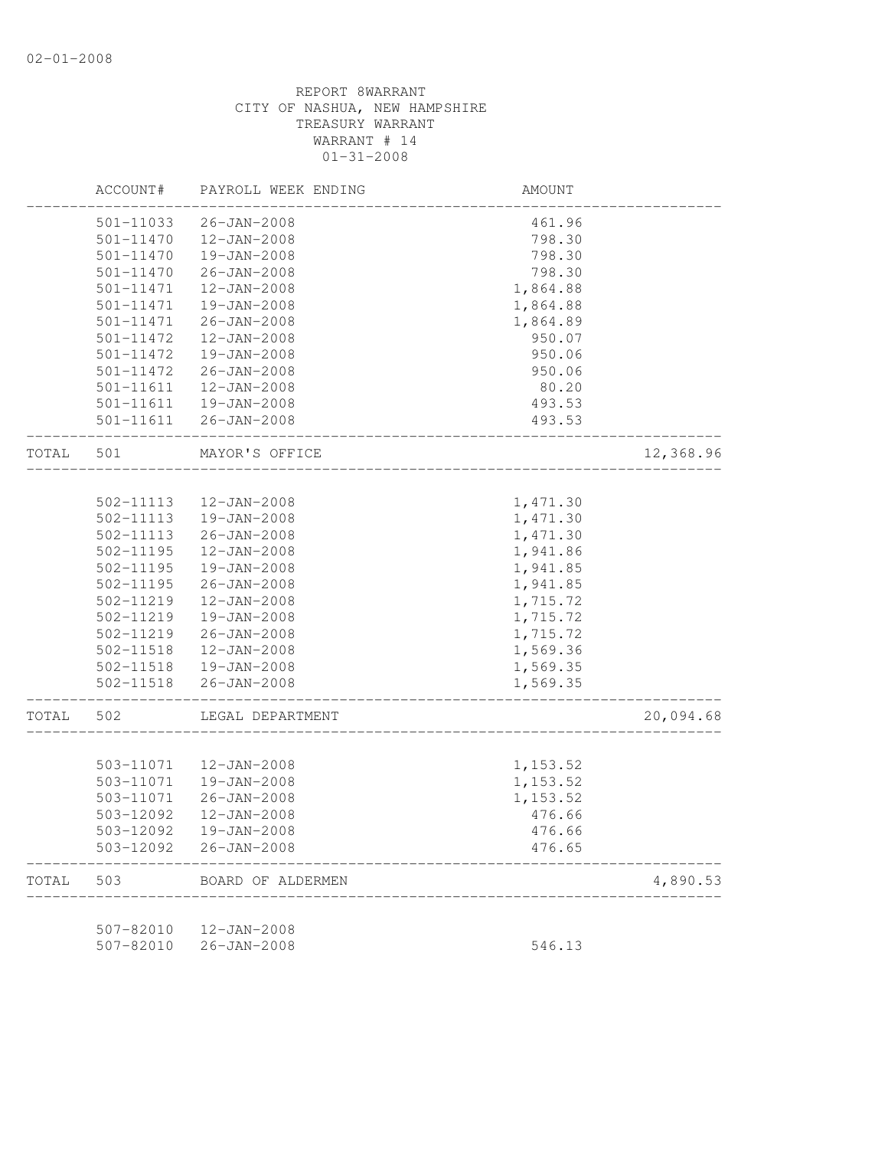|       | ACCOUNT#      | PAYROLL WEEK ENDING | AMOUNT   |           |
|-------|---------------|---------------------|----------|-----------|
|       | 501-11033     | $26 - JAN - 2008$   | 461.96   |           |
|       | 501-11470     | $12 - JAN - 2008$   | 798.30   |           |
|       | 501-11470     | 19-JAN-2008         | 798.30   |           |
|       | 501-11470     | $26 - JAN - 2008$   | 798.30   |           |
|       | 501-11471     | $12 - JAN - 2008$   | 1,864.88 |           |
|       | 501-11471     | 19-JAN-2008         | 1,864.88 |           |
|       | 501-11471     | $26 - JAN - 2008$   | 1,864.89 |           |
|       | 501-11472     | $12 - JAN - 2008$   | 950.07   |           |
|       | 501-11472     | 19-JAN-2008         | 950.06   |           |
|       | 501-11472     | $26 - JAN - 2008$   | 950.06   |           |
|       | 501-11611     | $12 - JAN - 2008$   | 80.20    |           |
|       | 501-11611     | 19-JAN-2008         | 493.53   |           |
|       | 501-11611     | 26-JAN-2008         | 493.53   |           |
| TOTAL | 501           | MAYOR'S OFFICE      |          | 12,368.96 |
|       |               |                     |          |           |
|       | 502-11113     | $12 - JAN - 2008$   | 1,471.30 |           |
|       | 502-11113     | 19-JAN-2008         | 1,471.30 |           |
|       | 502-11113     | $26 - JAN - 2008$   | 1,471.30 |           |
|       | 502-11195     | $12 - JAN - 2008$   | 1,941.86 |           |
|       | 502-11195     | 19-JAN-2008         | 1,941.85 |           |
|       | $502 - 11195$ | $26 - JAN - 2008$   | 1,941.85 |           |
|       | 502-11219     | $12 - JAN - 2008$   | 1,715.72 |           |
|       | 502-11219     | 19-JAN-2008         | 1,715.72 |           |
|       | 502-11219     | $26 - JAN - 2008$   | 1,715.72 |           |
|       | 502-11518     | $12 - JAN - 2008$   | 1,569.36 |           |
|       | 502-11518     | 19-JAN-2008         | 1,569.35 |           |
|       | 502-11518     | $26 - JAN - 2008$   | 1,569.35 |           |
| TOTAL | 502           | LEGAL DEPARTMENT    |          | 20,094.68 |
|       |               |                     |          |           |
|       | 503-11071     | 12-JAN-2008         | 1,153.52 |           |
|       | 503-11071     | 19-JAN-2008         | 1,153.52 |           |
|       | 503-11071     | $26 - JAN - 2008$   | 1,153.52 |           |
|       | 503-12092     | 12-JAN-2008         | 476.66   |           |
|       | 503-12092     | 19-JAN-2008         | 476.66   |           |
|       | 503-12092     | $26 - JAN - 2008$   | 476.65   |           |
| TOTAL | 503           | BOARD OF ALDERMEN   |          | 4,890.53  |
|       |               |                     |          |           |
|       | 507-82010     | $12 - JAN - 2008$   |          |           |

507-82010 26-JAN-2008 546.13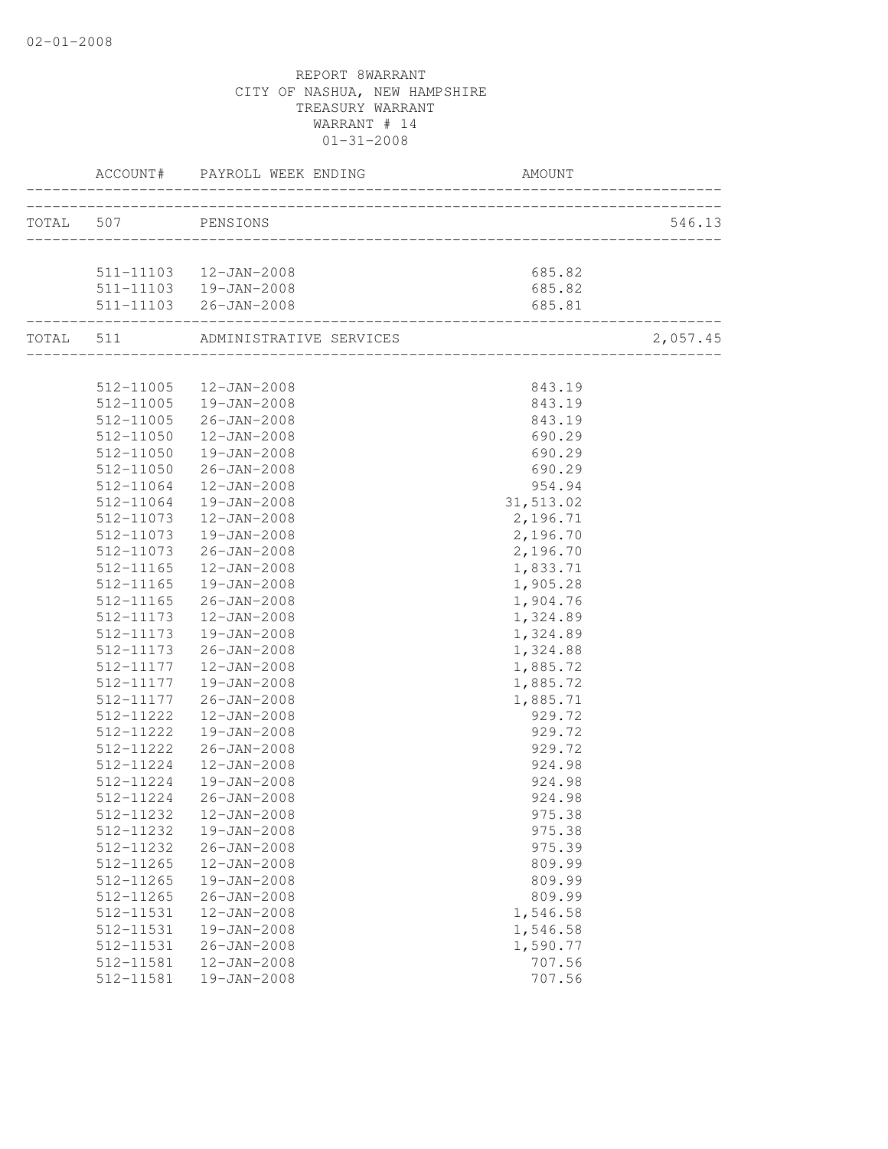|                    | ACCOUNT# PAYROLL WEEK ENDING      | <b>AMOUNT</b> |          |
|--------------------|-----------------------------------|---------------|----------|
| TOTAL 507 PENSIONS |                                   |               | 546.13   |
|                    |                                   |               |          |
|                    | 511-11103  12-JAN-2008            | 685.82        |          |
|                    | 511-11103  19-JAN-2008            | 685.82        |          |
|                    | 511-11103 26-JAN-2008             | 685.81        |          |
|                    | TOTAL 511 ADMINISTRATIVE SERVICES |               | 2,057.45 |
|                    |                                   |               |          |
|                    | 512-11005  12-JAN-2008            | 843.19        |          |
|                    | 512-11005  19-JAN-2008            | 843.19        |          |
| 512-11005          | $26 - JAN - 2008$                 | 843.19        |          |
| 512-11050          | $12 - JAN - 2008$                 | 690.29        |          |
| 512-11050          | 19-JAN-2008                       | 690.29        |          |
| 512-11050          | 26-JAN-2008                       | 690.29        |          |
| 512-11064          | 12-JAN-2008                       | 954.94        |          |
| 512-11064          | 19-JAN-2008                       | 31,513.02     |          |
| 512-11073          | 12-JAN-2008                       | 2,196.71      |          |
| 512-11073          | 19-JAN-2008                       | 2,196.70      |          |
| 512-11073          | 26-JAN-2008                       | 2,196.70      |          |
| 512-11165          | 12-JAN-2008                       | 1,833.71      |          |
| 512-11165          | 19-JAN-2008                       | 1,905.28      |          |
| 512-11165          | 26-JAN-2008                       | 1,904.76      |          |
| 512-11173          | 12-JAN-2008                       | 1,324.89      |          |
| 512-11173          | 19-JAN-2008                       | 1,324.89      |          |
| 512-11173          | $26 - JAN - 2008$                 | 1,324.88      |          |
|                    | 512-11177  12-JAN-2008            | 1,885.72      |          |
| 512-11177          | 19-JAN-2008                       | 1,885.72      |          |
| 512-11177          | 26-JAN-2008                       | 1,885.71      |          |
| 512-11222          | 12-JAN-2008                       | 929.72        |          |
| 512-11222          | 19-JAN-2008                       | 929.72        |          |
| 512-11222          | 26-JAN-2008                       | 929.72        |          |
| 512-11224          | 12-JAN-2008                       | 924.98        |          |
| 512-11224          | 19-JAN-2008                       | 924.98        |          |
| 512-11224          | $26 - JAN - 2008$                 | 924.98        |          |
|                    |                                   | 975.38        |          |
| 512-11232          | 19-JAN-2008                       | 975.38        |          |
| 512-11232          | $26 - JAN - 2008$                 | 975.39        |          |
| 512-11265          | 12-JAN-2008                       | 809.99        |          |
| 512-11265          | 19-JAN-2008                       | 809.99        |          |
| 512-11265          | $26 - JAN - 2008$                 | 809.99        |          |
| 512-11531          | $12 - JAN - 2008$                 | 1,546.58      |          |
| 512-11531          | $19 - JAN - 2008$                 | 1,546.58      |          |
| 512-11531          | $26 - JAN - 2008$                 | 1,590.77      |          |
| 512-11581          | $12 - JAN - 2008$                 | 707.56        |          |
| 512-11581          | 19-JAN-2008                       | 707.56        |          |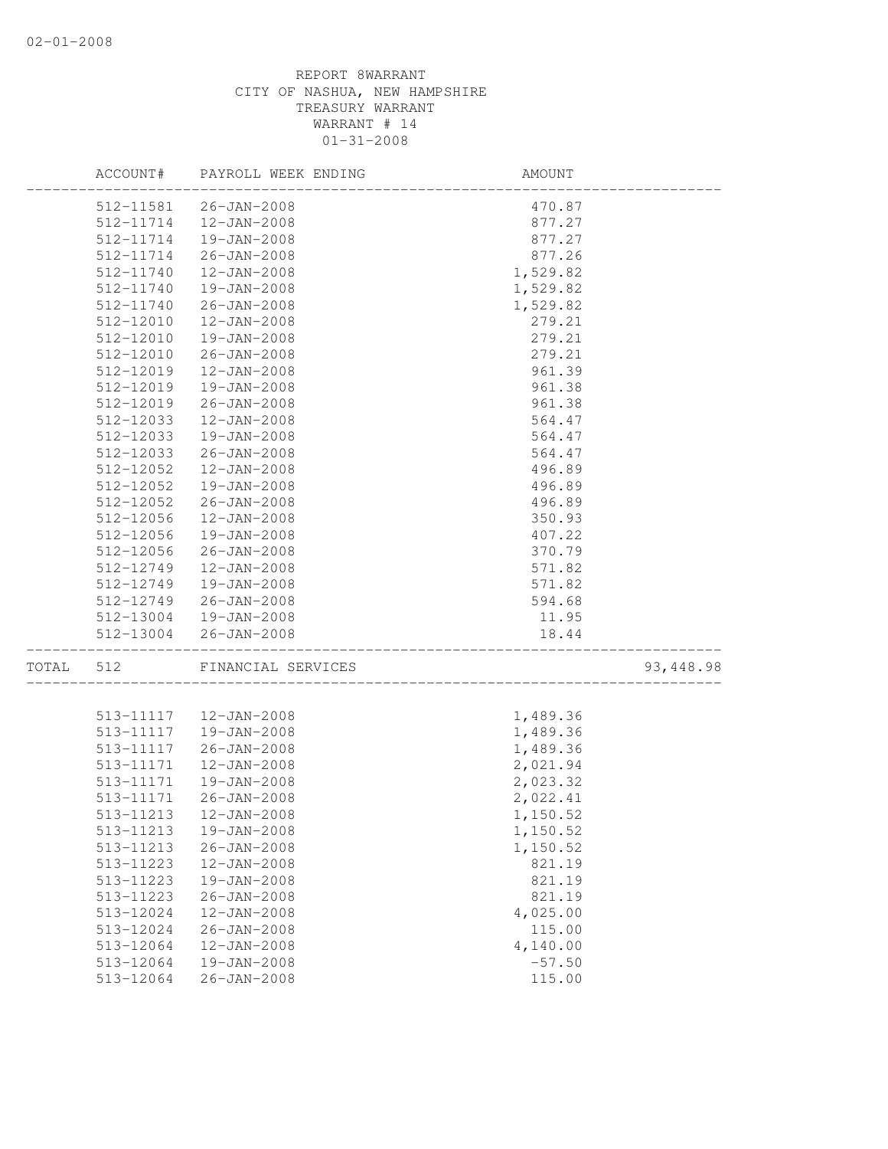|       | ACCOUNT#               | PAYROLL WEEK ENDING                    | AMOUNT                             |            |
|-------|------------------------|----------------------------------------|------------------------------------|------------|
|       |                        | 512-11581  26-JAN-2008                 | 470.87                             |            |
|       | 512-11714              | 12-JAN-2008                            | 877.27                             |            |
|       | 512-11714              | 19-JAN-2008                            | 877.27                             |            |
|       | 512-11714              | $26 - JAN - 2008$                      | 877.26                             |            |
|       | 512-11740              | 12-JAN-2008                            | 1,529.82                           |            |
|       | 512-11740              | 19-JAN-2008                            | 1,529.82                           |            |
|       | 512-11740              | $26 - JAN - 2008$                      | 1,529.82                           |            |
|       | 512-12010              | 12-JAN-2008                            | 279.21                             |            |
|       | 512-12010              | 19-JAN-2008                            | 279.21                             |            |
|       | 512-12010              | $26 - JAN - 2008$                      | 279.21                             |            |
|       | 512-12019              | $12 - JAN - 2008$                      | 961.39                             |            |
|       | 512-12019              | 19-JAN-2008                            | 961.38                             |            |
|       | 512-12019              | $26 - JAN - 2008$                      | 961.38                             |            |
|       | 512-12033              | 12-JAN-2008                            | 564.47                             |            |
|       | 512-12033              | 19-JAN-2008                            | 564.47                             |            |
|       | 512-12033              | $26 - JAN - 2008$                      | 564.47                             |            |
|       | 512-12052              | 12-JAN-2008                            | 496.89                             |            |
|       | 512-12052              | 19-JAN-2008                            | 496.89                             |            |
|       | 512-12052              | $26 - JAN - 2008$                      | 496.89                             |            |
|       | 512-12056              | $12 - JAN - 2008$                      | 350.93                             |            |
|       | 512-12056              | 19-JAN-2008                            | 407.22                             |            |
|       | 512-12056              | $26 - JAN - 2008$                      | 370.79                             |            |
|       | 512-12749              | 12-JAN-2008                            | 571.82                             |            |
|       | 512-12749              | 19-JAN-2008                            | 571.82                             |            |
|       | 512-12749              | 26-JAN-2008                            | 594.68                             |            |
|       |                        | 512-13004  19-JAN-2008                 | 11.95                              |            |
|       |                        | 512-13004 26-JAN-2008                  | 18.44<br>_________________________ |            |
| TOTAL | 512                    | FINANCIAL SERVICES                     | _________________                  | 93, 448.98 |
|       |                        |                                        |                                    |            |
|       | 513-11117              | 513-11117  12-JAN-2008<br>19-JAN-2008  | 1,489.36                           |            |
|       | 513-11117              | 26-JAN-2008                            | 1,489.36<br>1,489.36               |            |
|       |                        |                                        | 2,021.94                           |            |
|       | 513-11171<br>513-11171 | 12-JAN-2008                            | 2,023.32                           |            |
|       | 513-11171              | 19-JAN-2008<br>26-JAN-2008             | 2,022.41                           |            |
|       |                        | 513-11213  12-JAN-2008                 |                                    |            |
|       | 513-11213              |                                        | 1,150.52                           |            |
|       |                        | 19-JAN-2008<br>$26 - JAN - 2008$       | 1,150.52                           |            |
|       | 513-11213              |                                        | 1,150.52                           |            |
|       | 513-11223              | 12-JAN-2008<br>19-JAN-2008             | 821.19                             |            |
|       | 513-11223<br>513-11223 | $26 - JAN - 2008$                      | 821.19<br>821.19                   |            |
|       |                        |                                        |                                    |            |
|       | 513-12024              | 12-JAN-2008                            | 4,025.00                           |            |
|       | 513-12024<br>513-12064 | $26 - JAN - 2008$                      | 115.00                             |            |
|       | 513-12064              | $12 - JAN - 2008$<br>$19 - JAN - 2008$ | 4,140.00<br>$-57.50$               |            |
|       | 513-12064              | $26 - JAN - 2008$                      | 115.00                             |            |
|       |                        |                                        |                                    |            |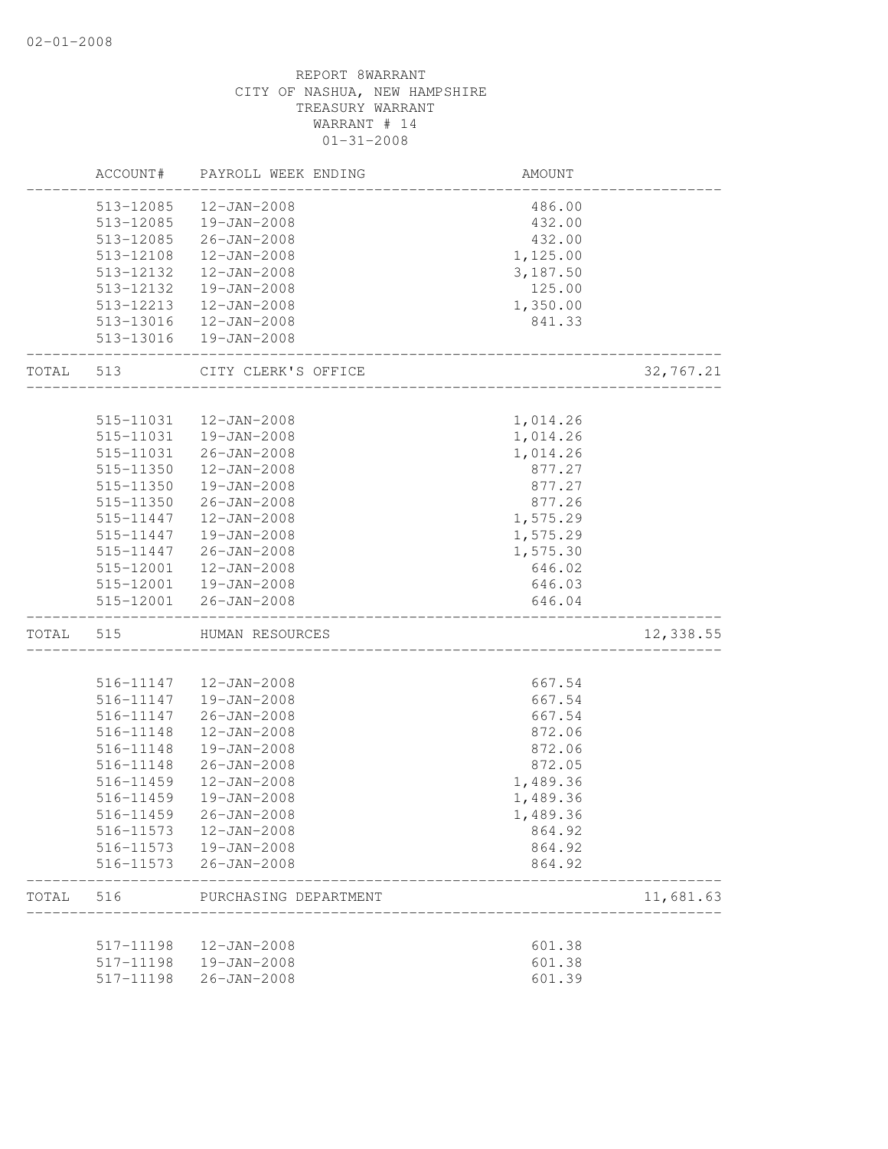|       | ACCOUNT#  | PAYROLL WEEK ENDING    | AMOUNT                  |           |
|-------|-----------|------------------------|-------------------------|-----------|
|       | 513-12085 | 12-JAN-2008            | 486.00                  |           |
|       |           | 513-12085  19-JAN-2008 | 432.00                  |           |
|       |           | 513-12085 26-JAN-2008  | 432.00                  |           |
|       | 513-12108 | 12-JAN-2008            | 1,125.00                |           |
|       | 513-12132 | 12-JAN-2008            | 3,187.50                |           |
|       | 513-12132 | 19-JAN-2008            | 125.00                  |           |
|       | 513-12213 | 12-JAN-2008            | 1,350.00                |           |
|       | 513-13016 | 12-JAN-2008            | 841.33                  |           |
|       |           | 513-13016  19-JAN-2008 |                         |           |
| TOTAL | 513       | CITY CLERK'S OFFICE    |                         | 32,767.21 |
|       |           |                        |                         |           |
|       | 515-11031 | 12-JAN-2008            | 1,014.26                |           |
|       | 515-11031 | 19-JAN-2008            | 1,014.26                |           |
|       | 515-11031 | 26-JAN-2008            | 1,014.26                |           |
|       | 515-11350 | $12 - JAN - 2008$      | 877.27                  |           |
|       | 515-11350 | 19-JAN-2008            | 877.27                  |           |
|       | 515-11350 | 26-JAN-2008            | 877.26                  |           |
|       |           | 515-11447  12-JAN-2008 | 1,575.29                |           |
|       |           | 515-11447  19-JAN-2008 | 1,575.29                |           |
|       | 515-11447 | $26 - JAN - 2008$      | 1,575.30                |           |
|       |           | 515-12001  12-JAN-2008 | 646.02                  |           |
|       |           | 515-12001  19-JAN-2008 | 646.03                  |           |
|       |           | 515-12001 26-JAN-2008  | 646.04<br>_____________ |           |
| TOTAL | 515       | HUMAN RESOURCES        |                         | 12,338.55 |
|       |           |                        |                         |           |
|       |           | 516-11147  12-JAN-2008 | 667.54                  |           |
|       | 516-11147 | 19-JAN-2008            | 667.54                  |           |
|       | 516-11147 | 26-JAN-2008            | 667.54                  |           |
|       | 516-11148 | 12-JAN-2008            | 872.06                  |           |
|       | 516-11148 | 19-JAN-2008            | 872.06                  |           |
|       | 516-11148 | $26 - JAN - 2008$      | 872.05                  |           |
|       | 516-11459 | 12-JAN-2008            | 1,489.36                |           |
|       | 516-11459 | 19-JAN-2008            | 1,489.36                |           |
|       | 516-11459 | $26 - JAN - 2008$      | 1,489.36                |           |
|       | 516-11573 | $12 - JAN - 2008$      | 864.92                  |           |
|       | 516-11573 | $19 - JAN - 2008$      | 864.92                  |           |
|       | 516-11573 | $26 - JAN - 2008$      | 864.92                  |           |
| TOTAL | 516       | PURCHASING DEPARTMENT  |                         | 11,681.63 |
|       | 517-11198 | $12 - JAN - 2008$      | 601.38                  |           |
|       | 517-11198 | 19-JAN-2008            | 601.38                  |           |
|       | 517-11198 | $26 - JAN - 2008$      | 601.39                  |           |
|       |           |                        |                         |           |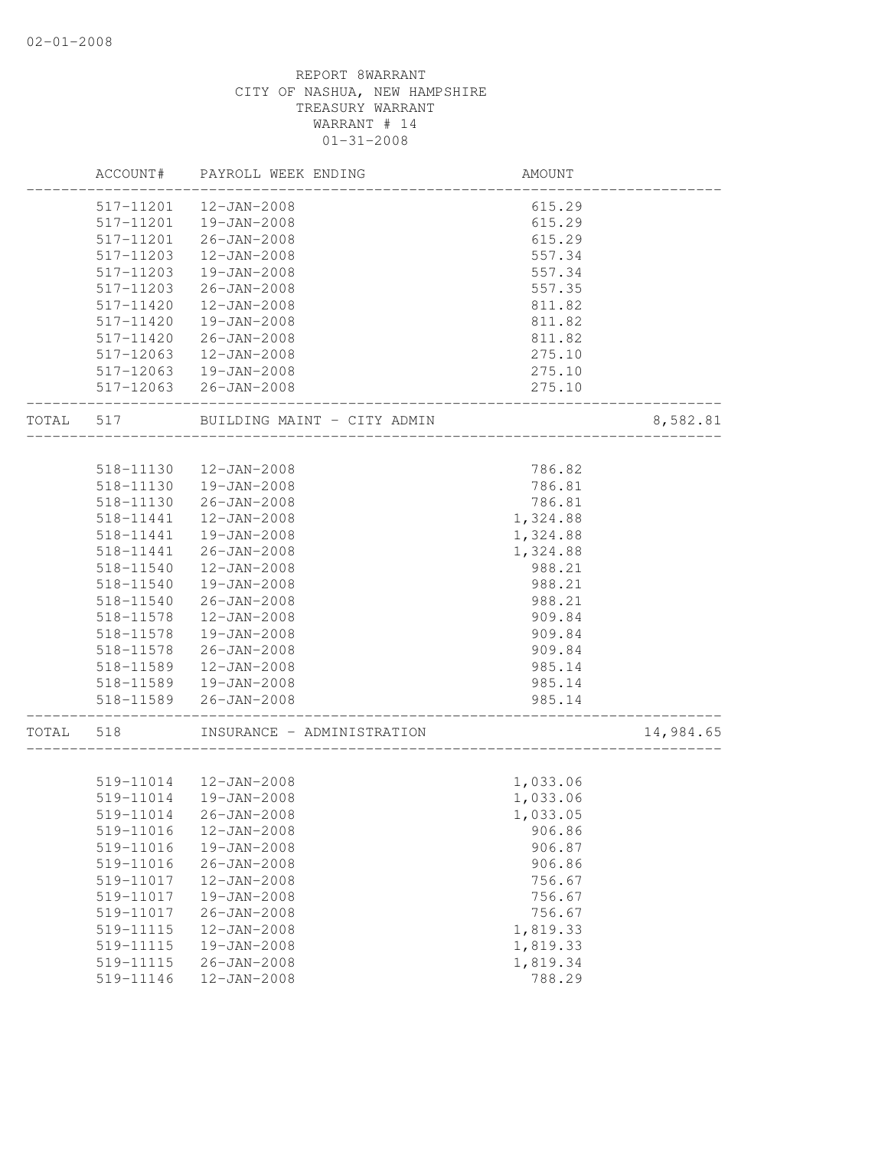|           | ACCOUNT#  | PAYROLL WEEK ENDING              | AMOUNT                      |           |
|-----------|-----------|----------------------------------|-----------------------------|-----------|
|           | 517-11201 | 12-JAN-2008                      | 615.29                      |           |
|           | 517-11201 | 19-JAN-2008                      | 615.29                      |           |
|           | 517-11201 | 26-JAN-2008                      | 615.29                      |           |
|           | 517-11203 | $12 - JAN - 2008$                | 557.34                      |           |
|           | 517-11203 | 19-JAN-2008                      | 557.34                      |           |
|           | 517-11203 | $26 - JAN - 2008$                | 557.35                      |           |
|           | 517-11420 | $12 - JAN - 2008$                | 811.82                      |           |
|           | 517-11420 | 19-JAN-2008                      | 811.82                      |           |
|           | 517-11420 | 26-JAN-2008                      | 811.82                      |           |
|           |           | 517-12063  12-JAN-2008           | 275.10                      |           |
|           |           | 517-12063  19-JAN-2008           | 275.10                      |           |
|           |           | 517-12063 26-JAN-2008            | 275.10<br>______________    |           |
| TOTAL 517 |           | BUILDING MAINT - CITY ADMIN      |                             | 8,582.81  |
|           |           |                                  |                             |           |
|           | 518-11130 | 12-JAN-2008                      | 786.82                      |           |
|           |           | 518-11130  19-JAN-2008           | 786.81                      |           |
|           | 518-11130 | 26-JAN-2008                      | 786.81                      |           |
|           | 518-11441 | 12-JAN-2008                      | 1,324.88                    |           |
|           | 518-11441 | 19-JAN-2008                      | 1,324.88                    |           |
|           | 518-11441 | $26 - JAN - 2008$                | 1,324.88                    |           |
|           | 518-11540 | $12 - JAN - 2008$                | 988.21                      |           |
|           | 518-11540 | $19 - JAN - 2008$                | 988.21                      |           |
|           | 518-11540 | 26-JAN-2008                      | 988.21                      |           |
|           | 518-11578 | 12-JAN-2008                      | 909.84                      |           |
|           | 518-11578 | 19-JAN-2008                      | 909.84                      |           |
|           |           | 518-11578 26-JAN-2008            | 909.84                      |           |
|           |           | 518-11589  12-JAN-2008           | 985.14                      |           |
|           |           | 518-11589  19-JAN-2008           | 985.14                      |           |
|           |           | 518-11589 26-JAN-2008            | 985.14<br>----------------- |           |
| TOTAL 518 |           | INSURANCE - ADMINISTRATION       |                             | 14,984.65 |
|           |           | 519-11014  12-JAN-2008           | 1,033.06                    |           |
|           |           | 519-11014  19-JAN-2008           | 1,033.06                    |           |
|           |           |                                  |                             |           |
|           | 519-11014 | 26-JAN-2008                      | 1,033.05                    |           |
|           | 519-11016 | 12-JAN-2008                      | 906.86                      |           |
|           | 519-11016 | 19-JAN-2008                      | 906.87                      |           |
|           | 519-11016 | $26 - JAN - 2008$                | 906.86                      |           |
|           | 519-11017 | 12-JAN-2008                      | 756.67                      |           |
|           | 519-11017 | $19 - JAN - 2008$                | 756.67                      |           |
|           | 519-11017 | $26 - JAN - 2008$                | 756.67                      |           |
|           | 519-11115 | $12 - JAN - 2008$                | 1,819.33                    |           |
|           | 519-11115 | 19-JAN-2008                      | 1,819.33                    |           |
|           | 519-11115 | $26 - JAN - 2008$<br>12-JAN-2008 | 1,819.34                    |           |
|           | 519-11146 |                                  | 788.29                      |           |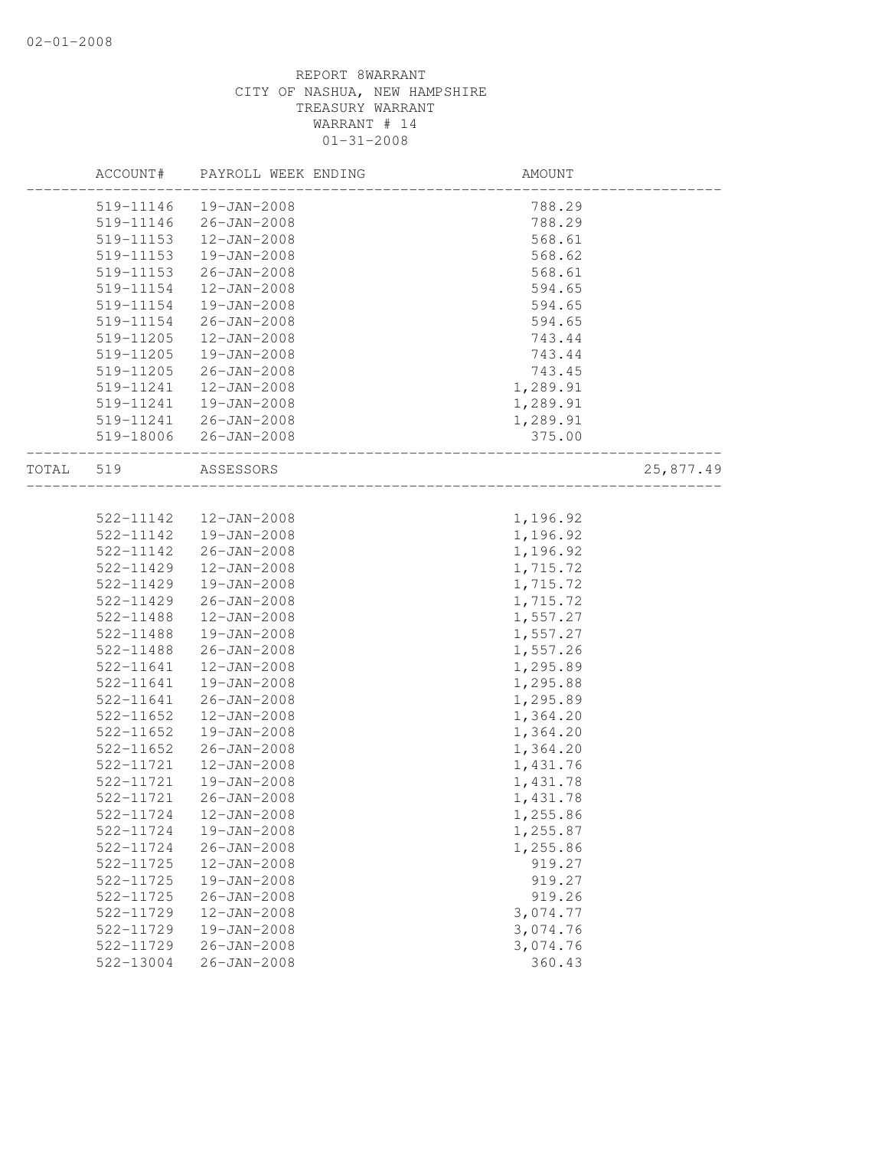|           | ACCOUNT#  | PAYROLL WEEK ENDING   | AMOUNT   |           |
|-----------|-----------|-----------------------|----------|-----------|
|           | 519-11146 | 19-JAN-2008           | 788.29   |           |
|           | 519-11146 | 26-JAN-2008           | 788.29   |           |
|           | 519-11153 | $12 - JAN - 2008$     | 568.61   |           |
|           | 519-11153 | 19-JAN-2008           | 568.62   |           |
|           | 519-11153 | $26 - JAN - 2008$     | 568.61   |           |
|           | 519-11154 | 12-JAN-2008           | 594.65   |           |
|           | 519-11154 | 19-JAN-2008           | 594.65   |           |
|           | 519-11154 | $26 - JAN - 2008$     | 594.65   |           |
|           | 519-11205 | $12 - JAN - 2008$     | 743.44   |           |
|           | 519-11205 | 19-JAN-2008           | 743.44   |           |
|           | 519-11205 | 26-JAN-2008           | 743.45   |           |
|           | 519-11241 | $12 - JAN - 2008$     | 1,289.91 |           |
|           | 519-11241 | 19-JAN-2008           | 1,289.91 |           |
|           | 519-11241 | 26-JAN-2008           | 1,289.91 |           |
|           |           | 519-18006 26-JAN-2008 | 375.00   |           |
| TOTAL 519 |           | ASSESSORS             |          | 25,877.49 |
|           |           |                       |          |           |
|           | 522-11142 | 12-JAN-2008           | 1,196.92 |           |
|           | 522-11142 | 19-JAN-2008           | 1,196.92 |           |
|           | 522-11142 | $26 - JAN - 2008$     | 1,196.92 |           |
|           | 522-11429 | 12-JAN-2008           | 1,715.72 |           |
|           | 522-11429 | 19-JAN-2008           | 1,715.72 |           |
|           | 522-11429 | $26 - JAN - 2008$     | 1,715.72 |           |
|           | 522-11488 | $12 - JAN - 2008$     | 1,557.27 |           |
|           | 522-11488 | 19-JAN-2008           | 1,557.27 |           |
|           | 522-11488 | $26 - JAN - 2008$     | 1,557.26 |           |
|           | 522-11641 | $12 - JAN - 2008$     | 1,295.89 |           |
|           | 522-11641 | 19-JAN-2008           | 1,295.88 |           |
|           | 522-11641 | $26 - JAN - 2008$     | 1,295.89 |           |
|           | 522-11652 | 12-JAN-2008           | 1,364.20 |           |
|           | 522-11652 | 19-JAN-2008           | 1,364.20 |           |
|           | 522-11652 | $26 - JAN - 2008$     | 1,364.20 |           |
|           | 522-11721 | $12 - JAN - 2008$     | 1,431.76 |           |
|           | 522-11721 | 19-JAN-2008           | 1,431.78 |           |
|           | 522-11721 | 26-JAN-2008           | 1,431.78 |           |
|           | 522-11724 | 12-JAN-2008           | 1,255.86 |           |
|           | 522-11724 | 19-JAN-2008           | 1,255.87 |           |
|           | 522-11724 | $26 - JAN - 2008$     | 1,255.86 |           |
|           | 522-11725 | 12-JAN-2008           | 919.27   |           |
|           | 522-11725 | 19-JAN-2008           | 919.27   |           |
|           | 522-11725 | $26 - JAN - 2008$     | 919.26   |           |
|           | 522-11729 | 12-JAN-2008           | 3,074.77 |           |
|           | 522-11729 | 19-JAN-2008           | 3,074.76 |           |
|           | 522-11729 | $26 - JAN - 2008$     | 3,074.76 |           |
|           | 522-13004 | $26 - JAN - 2008$     | 360.43   |           |
|           |           |                       |          |           |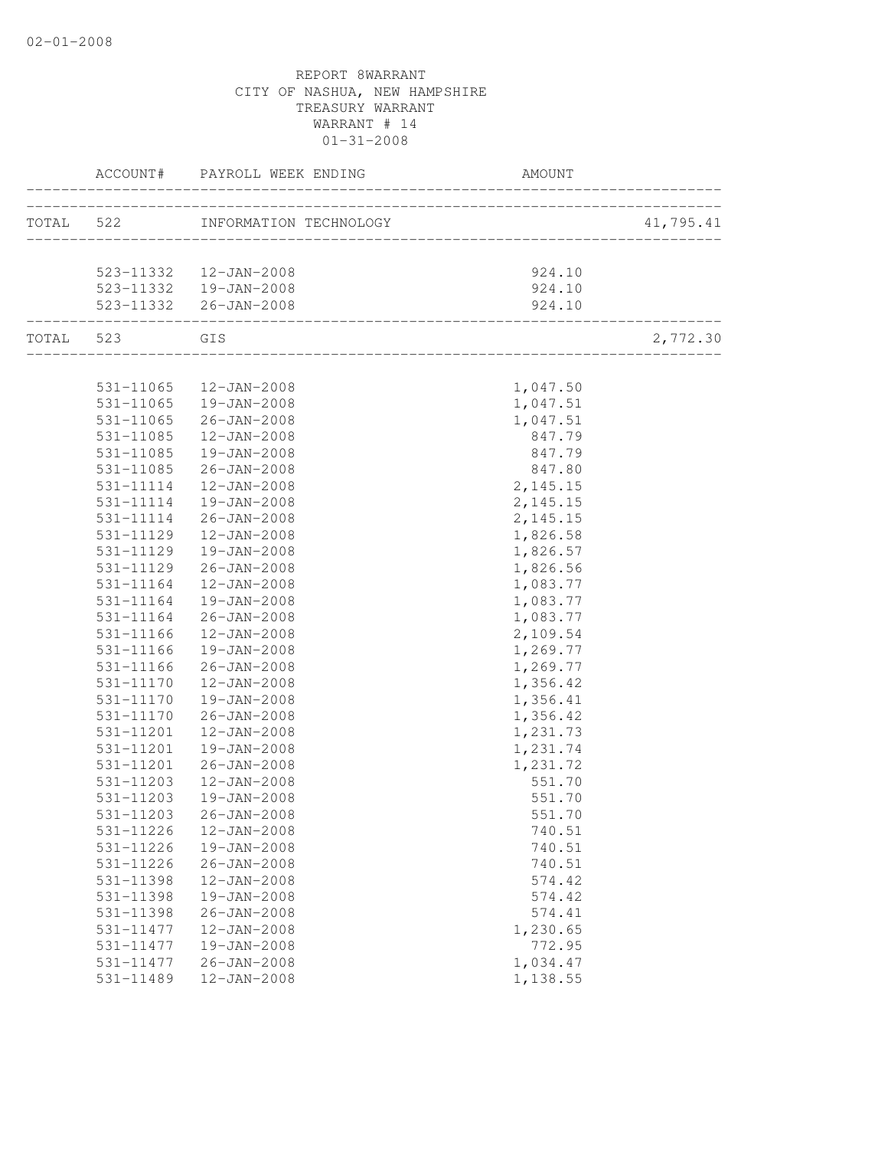| ACCOUNT#      | PAYROLL WEEK ENDING              | AMOUNT   |           |
|---------------|----------------------------------|----------|-----------|
|               | TOTAL 522 INFORMATION TECHNOLOGY |          | 41,795.41 |
|               |                                  |          |           |
|               | 523-11332 12-JAN-2008            | 924.10   |           |
|               | 523-11332  19-JAN-2008           | 924.10   |           |
|               | 523-11332 26-JAN-2008            | 924.10   |           |
| TOTAL 523 GIS |                                  |          | 2,772.30  |
|               |                                  |          |           |
|               | 531-11065  12-JAN-2008           | 1,047.50 |           |
|               | 531-11065  19-JAN-2008           | 1,047.51 |           |
| 531-11065     | 26-JAN-2008                      | 1,047.51 |           |
| 531-11085     | 12-JAN-2008                      | 847.79   |           |
| 531-11085     | 19-JAN-2008                      | 847.79   |           |
| 531-11085     | 26-JAN-2008                      | 847.80   |           |
| 531-11114     | 12-JAN-2008                      | 2,145.15 |           |
|               | 531-11114  19-JAN-2008           | 2,145.15 |           |
|               | 531-11114 26-JAN-2008            | 2,145.15 |           |
| 531-11129     | $12 - JAN - 2008$                | 1,826.58 |           |
| 531-11129     | 19-JAN-2008                      | 1,826.57 |           |
| 531-11129     | 26-JAN-2008                      | 1,826.56 |           |
| 531-11164     | 12-JAN-2008                      | 1,083.77 |           |
| 531-11164     | 19-JAN-2008                      | 1,083.77 |           |
| 531-11164     | $26 - JAN - 2008$                | 1,083.77 |           |
| 531-11166     | 12-JAN-2008                      | 2,109.54 |           |
| 531-11166     | 19-JAN-2008                      | 1,269.77 |           |
| 531-11166     | 26-JAN-2008                      | 1,269.77 |           |
| 531-11170     | 12-JAN-2008                      | 1,356.42 |           |
| 531-11170     | 19-JAN-2008                      | 1,356.41 |           |
| 531-11170     | 26-JAN-2008                      | 1,356.42 |           |
| 531-11201     | 12-JAN-2008                      | 1,231.73 |           |
| 531-11201     | 19-JAN-2008                      | 1,231.74 |           |
| 531-11201     | 26-JAN-2008                      | 1,231.72 |           |
| 531-11203     | 12-JAN-2008                      | 551.70   |           |
| 531-11203     | 19-JAN-2008                      | 551.70   |           |
| 531-11203     | $26 - JAN - 2008$                | 551.70   |           |
| 531-11226     | 12-JAN-2008                      | 740.51   |           |
| 531-11226     | 19-JAN-2008                      | 740.51   |           |
| 531-11226     | $26 - JAN - 2008$                | 740.51   |           |
| 531-11398     | 12-JAN-2008                      | 574.42   |           |
| 531-11398     | 19-JAN-2008                      | 574.42   |           |
| 531-11398     | $26 - JAN - 2008$                | 574.41   |           |
| 531-11477     | 12-JAN-2008                      | 1,230.65 |           |
| 531-11477     | $19 - JAN - 2008$                | 772.95   |           |
| 531-11477     | $26 - JAN - 2008$                | 1,034.47 |           |
| 531-11489     | 12-JAN-2008                      | 1,138.55 |           |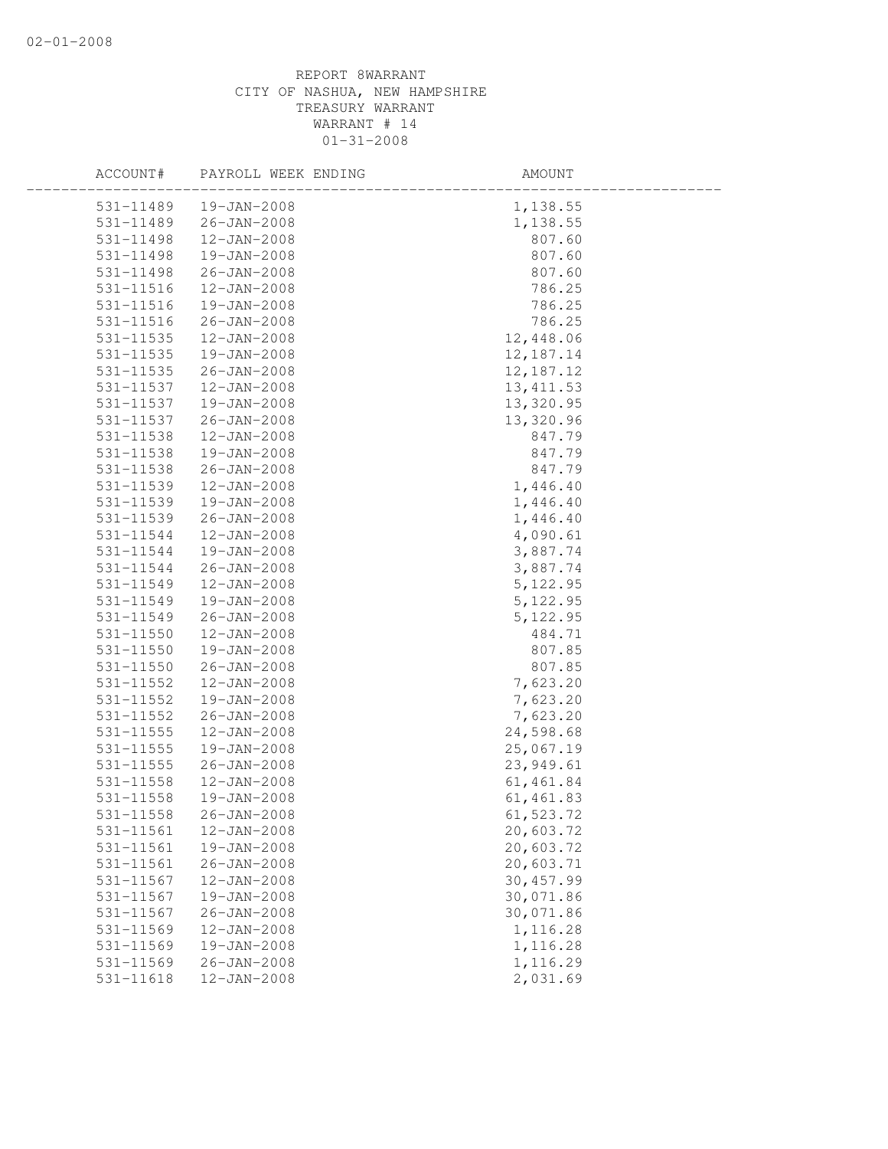| ACCOUNT#      | PAYROLL WEEK ENDING | AMOUNT      |  |
|---------------|---------------------|-------------|--|
| 531-11489     | 19-JAN-2008         | 1,138.55    |  |
| 531-11489     | 26-JAN-2008         | 1,138.55    |  |
| 531-11498     | $12 - JAN - 2008$   | 807.60      |  |
| 531-11498     | 19-JAN-2008         | 807.60      |  |
| 531-11498     | $26 - JAN - 2008$   | 807.60      |  |
| 531-11516     | $12 - JAN - 2008$   | 786.25      |  |
| 531-11516     | 19-JAN-2008         | 786.25      |  |
| 531-11516     | 26-JAN-2008         | 786.25      |  |
| 531-11535     | 12-JAN-2008         | 12,448.06   |  |
| 531-11535     | $19 - JAN - 2008$   | 12, 187. 14 |  |
| $531 - 11535$ | $26 - JAN - 2008$   | 12, 187. 12 |  |
| 531-11537     | 12-JAN-2008         | 13, 411.53  |  |
| 531-11537     | 19-JAN-2008         | 13,320.95   |  |
| 531-11537     | $26 - JAN - 2008$   | 13,320.96   |  |
| 531-11538     | $12 - JAN - 2008$   | 847.79      |  |
| 531-11538     | 19-JAN-2008         | 847.79      |  |
| 531-11538     | $26 - JAN - 2008$   | 847.79      |  |
| 531-11539     | $12 - JAN - 2008$   | 1,446.40    |  |
| 531-11539     | 19-JAN-2008         | 1,446.40    |  |
| 531-11539     | $26 - JAN - 2008$   | 1,446.40    |  |
| 531-11544     | $12 - JAN - 2008$   | 4,090.61    |  |
| 531-11544     | 19-JAN-2008         | 3,887.74    |  |
| 531-11544     | 26-JAN-2008         | 3,887.74    |  |
| 531-11549     | $12 - JAN - 2008$   | 5, 122.95   |  |
| 531-11549     | 19-JAN-2008         | 5,122.95    |  |
| 531-11549     | $26 - JAN - 2008$   | 5, 122.95   |  |
| 531-11550     | $12 - JAN - 2008$   | 484.71      |  |
| 531-11550     | 19-JAN-2008         | 807.85      |  |
| 531-11550     | 26-JAN-2008         | 807.85      |  |
| 531-11552     | $12 - JAN - 2008$   | 7,623.20    |  |
| 531-11552     | 19-JAN-2008         | 7,623.20    |  |
| 531-11552     | $26 - JAN - 2008$   | 7,623.20    |  |
| 531-11555     | $12 - JAN - 2008$   | 24,598.68   |  |
| $531 - 11555$ | 19-JAN-2008         | 25,067.19   |  |
| 531-11555     | 26-JAN-2008         | 23, 949.61  |  |
| 531-11558     | 12-JAN-2008         | 61, 461.84  |  |
| 531-11558     | 19-JAN-2008         | 61, 461.83  |  |
| 531-11558     | $26 - JAN - 2008$   | 61,523.72   |  |
| 531-11561     | 12-JAN-2008         | 20,603.72   |  |
| 531-11561     | 19-JAN-2008         | 20,603.72   |  |
| 531-11561     | $26 - JAN - 2008$   | 20,603.71   |  |
| 531-11567     | 12-JAN-2008         | 30, 457.99  |  |
| 531-11567     | 19-JAN-2008         | 30,071.86   |  |
| 531-11567     | $26 - JAN - 2008$   | 30,071.86   |  |
| 531-11569     | $12 - JAN - 2008$   | 1,116.28    |  |
| 531-11569     | 19-JAN-2008         | 1,116.28    |  |
| 531-11569     | $26 - JAN - 2008$   | 1,116.29    |  |
| 531-11618     | 12-JAN-2008         | 2,031.69    |  |
|               |                     |             |  |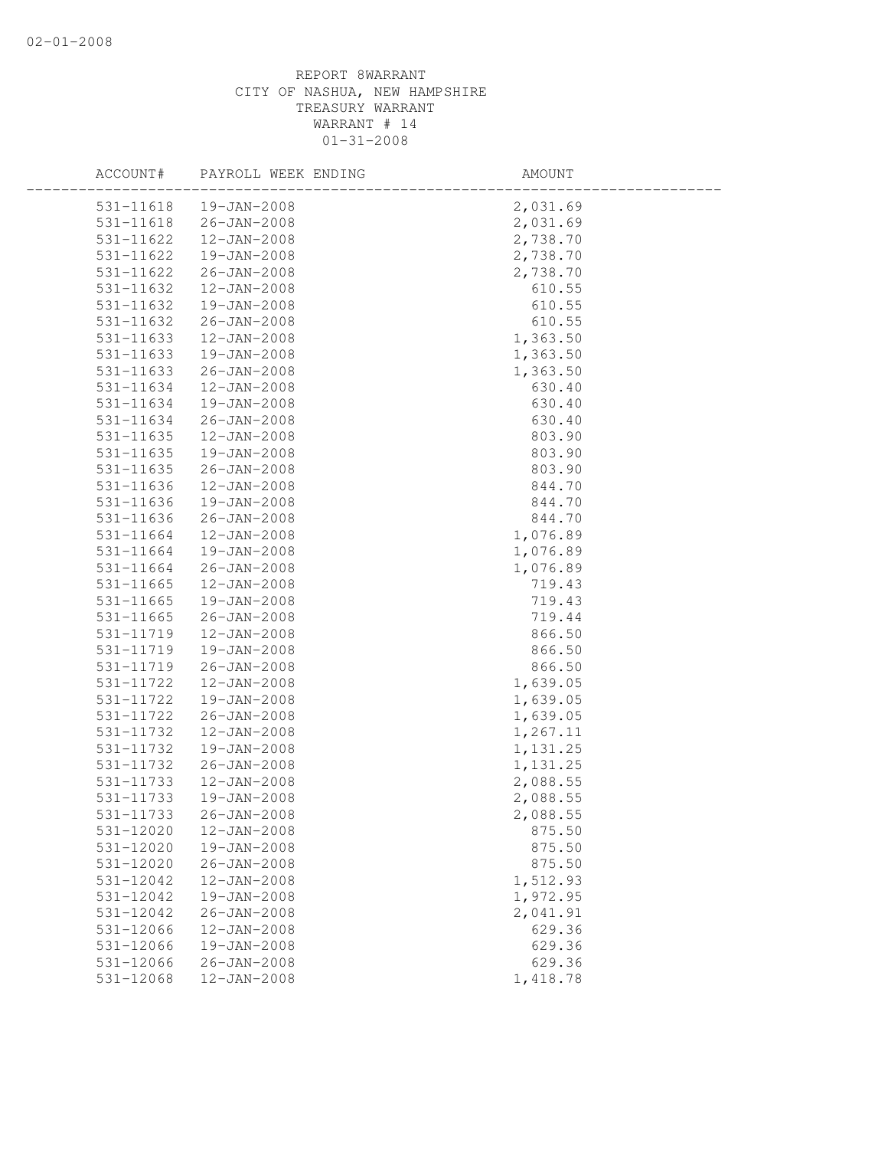| ACCOUNT#      | PAYROLL WEEK ENDING    | AMOUNT   |
|---------------|------------------------|----------|
|               | 531-11618  19-JAN-2008 | 2,031.69 |
|               | 531-11618 26-JAN-2008  | 2,031.69 |
| 531-11622     | $12 - JAN - 2008$      | 2,738.70 |
| 531-11622     | 19-JAN-2008            | 2,738.70 |
| 531-11622     | $26 - JAN - 2008$      | 2,738.70 |
| 531-11632     | $12 - JAN - 2008$      | 610.55   |
| 531-11632     | 19-JAN-2008            | 610.55   |
| 531-11632     | $26 - JAN - 2008$      | 610.55   |
| 531-11633     | 12-JAN-2008            | 1,363.50 |
| 531-11633     | 19-JAN-2008            | 1,363.50 |
| 531-11633     | $26 - JAN - 2008$      | 1,363.50 |
| 531-11634     | 12-JAN-2008            | 630.40   |
| 531-11634     | 19-JAN-2008            | 630.40   |
| 531-11634     | $26 - JAN - 2008$      | 630.40   |
| 531-11635     | $12 - JAN - 2008$      | 803.90   |
| $531 - 11635$ | 19-JAN-2008            | 803.90   |
| 531-11635     | $26 - JAN - 2008$      | 803.90   |
| 531-11636     | $12 - JAN - 2008$      | 844.70   |
| 531-11636     | 19-JAN-2008            | 844.70   |
| 531-11636     | $26 - JAN - 2008$      | 844.70   |
| 531-11664     | $12 - JAN - 2008$      | 1,076.89 |
| 531-11664     | 19-JAN-2008            | 1,076.89 |
| 531-11664     | $26 - JAN - 2008$      | 1,076.89 |
| 531-11665     | $12 - JAN - 2008$      | 719.43   |
| $531 - 11665$ | 19-JAN-2008            | 719.43   |
| $531 - 11665$ | $26 - JAN - 2008$      | 719.44   |
| 531-11719     | $12 - JAN - 2008$      | 866.50   |
| 531-11719     | 19-JAN-2008            | 866.50   |
| 531-11719     | 26-JAN-2008            | 866.50   |
| 531-11722     | $12 - JAN - 2008$      | 1,639.05 |
| 531-11722     | 19-JAN-2008            | 1,639.05 |
| 531-11722     | $26 - JAN - 2008$      | 1,639.05 |
| 531-11732     | $12 - JAN - 2008$      | 1,267.11 |
| 531-11732     | $19 - JAN - 2008$      | 1,131.25 |
| 531-11732     | $26 - JAN - 2008$      | 1,131.25 |
| 531-11733     | 12-JAN-2008            | 2,088.55 |
| 531-11733     | 19-JAN-2008            | 2,088.55 |
| 531-11733     | $26 - JAN - 2008$      | 2,088.55 |
| 531-12020     | $12 - JAN - 2008$      | 875.50   |
| 531-12020     | $19 - JAN - 2008$      | 875.50   |
| 531-12020     | $26 - JAN - 2008$      | 875.50   |
| 531-12042     | 12-JAN-2008            | 1,512.93 |
| 531-12042     | 19-JAN-2008            | 1,972.95 |
| 531-12042     | $26 - JAN - 2008$      | 2,041.91 |
| 531-12066     | $12 - JAN - 2008$      | 629.36   |
| 531-12066     | 19-JAN-2008            | 629.36   |
| 531-12066     | $26 - JAN - 2008$      | 629.36   |
| 531-12068     | $12 - JAN - 2008$      | 1,418.78 |
|               |                        |          |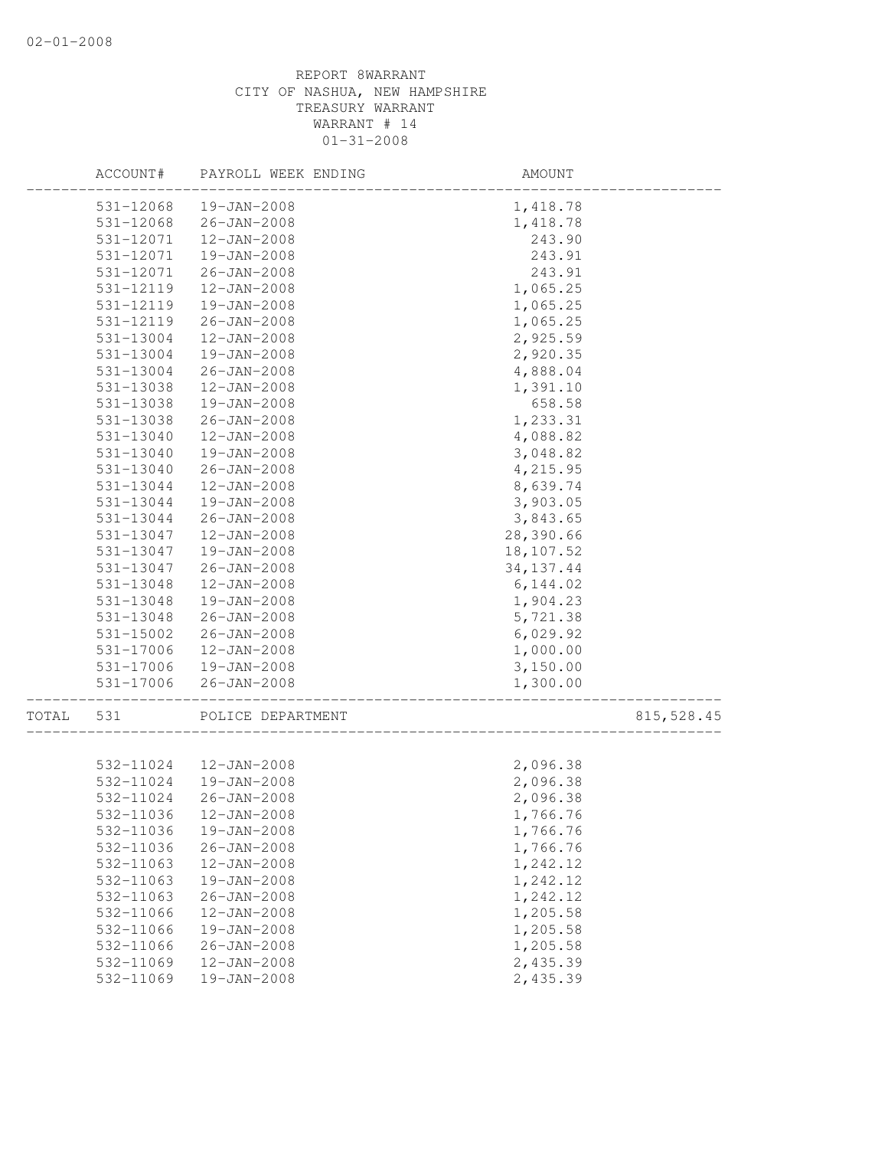|       | ACCOUNT#  | PAYROLL WEEK ENDING    | AMOUNT     |             |
|-------|-----------|------------------------|------------|-------------|
|       | 531-12068 | 19-JAN-2008            | 1,418.78   |             |
|       | 531-12068 | $26 - JAN - 2008$      | 1,418.78   |             |
|       | 531-12071 | $12 - JAN - 2008$      | 243.90     |             |
|       | 531-12071 | 19-JAN-2008            | 243.91     |             |
|       | 531-12071 | $26 - JAN - 2008$      | 243.91     |             |
|       | 531-12119 | 12-JAN-2008            | 1,065.25   |             |
|       | 531-12119 | 19-JAN-2008            | 1,065.25   |             |
|       | 531-12119 | $26 - JAN - 2008$      | 1,065.25   |             |
|       | 531-13004 | $12 - JAN - 2008$      | 2,925.59   |             |
|       | 531-13004 | $19 - JAN - 2008$      | 2,920.35   |             |
|       | 531-13004 | $26 - JAN - 2008$      | 4,888.04   |             |
|       | 531-13038 | $12 - JAN - 2008$      | 1,391.10   |             |
|       | 531-13038 | 19-JAN-2008            | 658.58     |             |
|       | 531-13038 | $26 - JAN - 2008$      | 1,233.31   |             |
|       | 531-13040 | 12-JAN-2008            | 4,088.82   |             |
|       | 531-13040 | 19-JAN-2008            | 3,048.82   |             |
|       | 531-13040 | $26 - JAN - 2008$      | 4,215.95   |             |
|       | 531-13044 | 12-JAN-2008            | 8,639.74   |             |
|       | 531-13044 | 19-JAN-2008            | 3,903.05   |             |
|       | 531-13044 | $26 - JAN - 2008$      | 3,843.65   |             |
|       | 531-13047 | $12 - JAN - 2008$      | 28,390.66  |             |
|       | 531-13047 | 19-JAN-2008            | 18,107.52  |             |
|       | 531-13047 | $26 - JAN - 2008$      | 34, 137.44 |             |
|       | 531-13048 | $12 - JAN - 2008$      | 6, 144.02  |             |
|       | 531-13048 | 19-JAN-2008            | 1,904.23   |             |
|       | 531-13048 | $26 - JAN - 2008$      | 5,721.38   |             |
|       | 531-15002 | $26 - JAN - 2008$      | 6,029.92   |             |
|       | 531-17006 | 12-JAN-2008            | 1,000.00   |             |
|       | 531-17006 | 19-JAN-2008            | 3,150.00   |             |
|       | 531-17006 | $26 - JAN - 2008$      | 1,300.00   |             |
| TOTAL | 531       | POLICE DEPARTMENT      |            | 815, 528.45 |
|       |           |                        |            |             |
|       |           | 532-11024  12-JAN-2008 | 2,096.38   |             |
|       |           | 532-11024  19-JAN-2008 | 2,096.38   |             |
|       | 532-11024 | $26 - JAN - 2008$      | 2,096.38   |             |
|       |           | 532-11036 12-JAN-2008  | 1,766.76   |             |
|       | 532-11036 | 19-JAN-2008            | 1,766.76   |             |
|       | 532-11036 | $26 - JAN - 2008$      | 1,766.76   |             |
|       | 532-11063 | $12 - JAN - 2008$      | 1,242.12   |             |
|       | 532-11063 | 19-JAN-2008            | 1,242.12   |             |
|       | 532-11063 | $26 - JAN - 2008$      | 1,242.12   |             |
|       | 532-11066 | 12-JAN-2008            | 1,205.58   |             |
|       | 532-11066 | 19-JAN-2008            | 1,205.58   |             |
|       | 532-11066 | $26 - JAN - 2008$      | 1,205.58   |             |
|       | 532-11069 | $12 - JAN - 2008$      | 2,435.39   |             |
|       | 532-11069 | 19-JAN-2008            | 2,435.39   |             |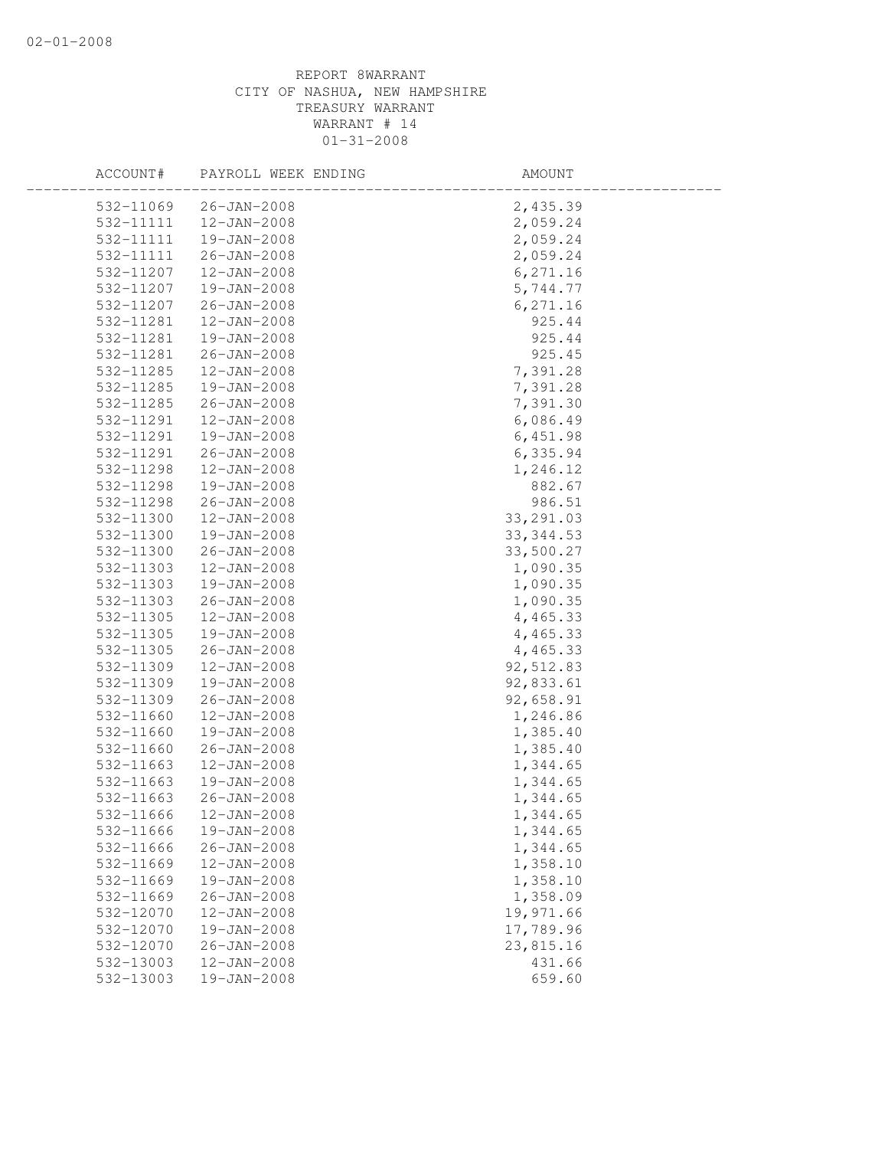| ACCOUNT#  | PAYROLL WEEK ENDING | AMOUNT     |  |
|-----------|---------------------|------------|--|
| 532-11069 | $26 - JAN - 2008$   | 2,435.39   |  |
| 532-11111 | 12-JAN-2008         | 2,059.24   |  |
| 532-11111 | 19-JAN-2008         | 2,059.24   |  |
| 532-11111 | 26-JAN-2008         | 2,059.24   |  |
| 532-11207 | $12 - JAN - 2008$   | 6, 271.16  |  |
| 532-11207 | 19-JAN-2008         | 5,744.77   |  |
| 532-11207 | $26 - JAN - 2008$   | 6, 271.16  |  |
| 532-11281 | $12 - JAN - 2008$   | 925.44     |  |
| 532-11281 | 19-JAN-2008         | 925.44     |  |
| 532-11281 | 26-JAN-2008         | 925.45     |  |
| 532-11285 | $12 - JAN - 2008$   | 7,391.28   |  |
| 532-11285 | 19-JAN-2008         | 7,391.28   |  |
| 532-11285 | 26-JAN-2008         | 7,391.30   |  |
| 532-11291 | $12 - JAN - 2008$   | 6,086.49   |  |
| 532-11291 | 19-JAN-2008         | 6,451.98   |  |
| 532-11291 | $26 - JAN - 2008$   | 6,335.94   |  |
| 532-11298 | $12 - JAN - 2008$   | 1,246.12   |  |
| 532-11298 | 19-JAN-2008         | 882.67     |  |
| 532-11298 | 26-JAN-2008         | 986.51     |  |
| 532-11300 | $12 - JAN - 2008$   | 33, 291.03 |  |
| 532-11300 | 19-JAN-2008         | 33, 344.53 |  |
| 532-11300 | $26 - JAN - 2008$   | 33,500.27  |  |
| 532-11303 | $12 - JAN - 2008$   | 1,090.35   |  |
| 532-11303 | 19-JAN-2008         | 1,090.35   |  |
| 532-11303 | $26 - JAN - 2008$   | 1,090.35   |  |
| 532-11305 | $12 - JAN - 2008$   | 4,465.33   |  |
| 532-11305 | 19-JAN-2008         | 4,465.33   |  |
| 532-11305 | 26-JAN-2008         | 4,465.33   |  |
| 532-11309 | $12 - JAN - 2008$   | 92,512.83  |  |
| 532-11309 | 19-JAN-2008         | 92,833.61  |  |
| 532-11309 | $26 - JAN - 2008$   | 92,658.91  |  |
| 532-11660 | $12 - JAN - 2008$   | 1,246.86   |  |
| 532-11660 | 19-JAN-2008         | 1,385.40   |  |
| 532-11660 | $26 - JAN - 2008$   | 1,385.40   |  |
| 532-11663 | $12 - JAN - 2008$   | 1,344.65   |  |
| 532-11663 | 19-JAN-2008         | 1,344.65   |  |
| 532-11663 | $26 - JAN - 2008$   | 1,344.65   |  |
| 532-11666 | 12-JAN-2008         | 1,344.65   |  |
| 532-11666 | 19-JAN-2008         | 1,344.65   |  |
| 532-11666 | $26 - JAN - 2008$   | 1,344.65   |  |
| 532-11669 | $12 - JAN - 2008$   | 1,358.10   |  |
| 532-11669 | 19-JAN-2008         | 1,358.10   |  |
| 532-11669 | $26 - JAN - 2008$   | 1,358.09   |  |
| 532-12070 | $12 - JAN - 2008$   | 19,971.66  |  |
| 532-12070 | 19-JAN-2008         | 17,789.96  |  |
| 532-12070 | $26 - JAN - 2008$   | 23,815.16  |  |
| 532-13003 | 12-JAN-2008         | 431.66     |  |
| 532-13003 | 19-JAN-2008         | 659.60     |  |
|           |                     |            |  |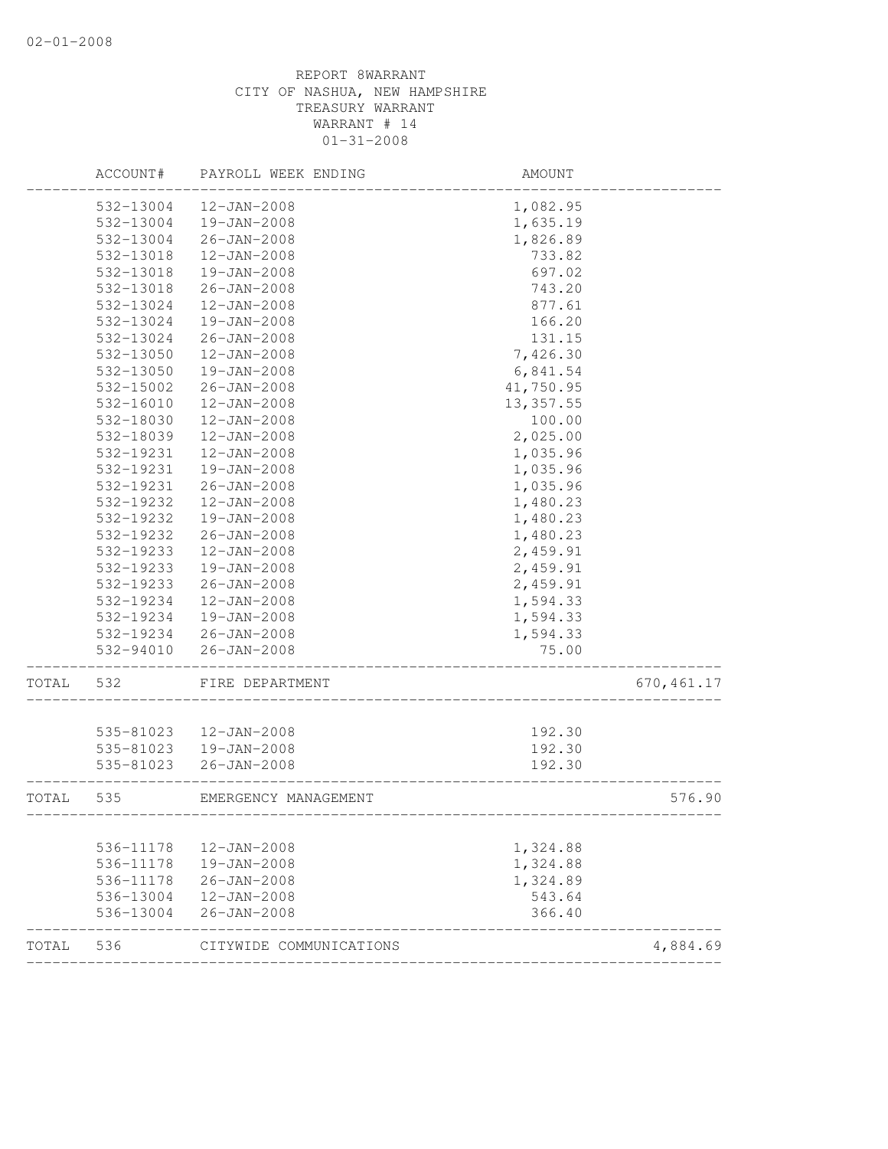|       | ACCOUNT#  | PAYROLL WEEK ENDING     | AMOUNT                             |             |
|-------|-----------|-------------------------|------------------------------------|-------------|
|       | 532-13004 | $12 - JAN - 2008$       | 1,082.95                           |             |
|       | 532-13004 | 19-JAN-2008             | 1,635.19                           |             |
|       | 532-13004 | $26 - JAN - 2008$       | 1,826.89                           |             |
|       | 532-13018 | $12 - JAN - 2008$       | 733.82                             |             |
|       | 532-13018 | 19-JAN-2008             | 697.02                             |             |
|       | 532-13018 | $26 - JAN - 2008$       | 743.20                             |             |
|       | 532-13024 | $12 - JAN - 2008$       | 877.61                             |             |
|       | 532-13024 | 19-JAN-2008             | 166.20                             |             |
|       | 532-13024 | $26 - JAN - 2008$       | 131.15                             |             |
|       | 532-13050 | $12 - JAN - 2008$       | 7,426.30                           |             |
|       | 532-13050 | 19-JAN-2008             | 6,841.54                           |             |
|       | 532-15002 | $26 - JAN - 2008$       | 41,750.95                          |             |
|       | 532-16010 | $12 - JAN - 2008$       | 13, 357.55                         |             |
|       | 532-18030 | $12 - JAN - 2008$       | 100.00                             |             |
|       | 532-18039 | $12 - JAN - 2008$       | 2,025.00                           |             |
|       | 532-19231 | $12 - JAN - 2008$       | 1,035.96                           |             |
|       | 532-19231 | $19 - JAN - 2008$       | 1,035.96                           |             |
|       | 532-19231 | $26 - JAN - 2008$       | 1,035.96                           |             |
|       | 532-19232 | $12 - JAN - 2008$       | 1,480.23                           |             |
|       | 532-19232 | 19-JAN-2008             | 1,480.23                           |             |
|       | 532-19232 | $26 - JAN - 2008$       | 1,480.23                           |             |
|       | 532-19233 | $12 - JAN - 2008$       | 2,459.91                           |             |
|       | 532-19233 | 19-JAN-2008             | 2,459.91                           |             |
|       | 532-19233 | $26 - JAN - 2008$       | 2,459.91                           |             |
|       | 532-19234 | $12 - JAN - 2008$       | 1,594.33                           |             |
|       | 532-19234 | 19-JAN-2008             | 1,594.33                           |             |
|       | 532-19234 | $26 - JAN - 2008$       | 1,594.33                           |             |
|       | 532-94010 | $26 - JAN - 2008$       | 75.00                              |             |
| TOTAL | 532       | FIRE DEPARTMENT         |                                    | 670, 461.17 |
|       |           |                         |                                    |             |
|       | 535-81023 | 12-JAN-2008             | 192.30                             |             |
|       | 535-81023 | 19-JAN-2008             | 192.30                             |             |
|       | 535-81023 | $26 - JAN - 2008$       | 192.30                             |             |
| TOTAL | 535       | EMERGENCY MANAGEMENT    | __________________________________ | 576.90      |
|       | 536-11178 | $12 - JAN - 2008$       | 1,324.88                           |             |
|       | 536-11178 | 19-JAN-2008             | 1,324.88                           |             |
|       | 536-11178 | $26 - JAN - 2008$       | 1,324.89                           |             |
|       | 536-13004 | $12 - JAN - 2008$       | 543.64                             |             |
|       | 536-13004 | $26 - JAN - 2008$       | 366.40                             |             |
| TOTAL | 536       | CITYWIDE COMMUNICATIONS |                                    | 4,884.69    |
|       |           |                         |                                    |             |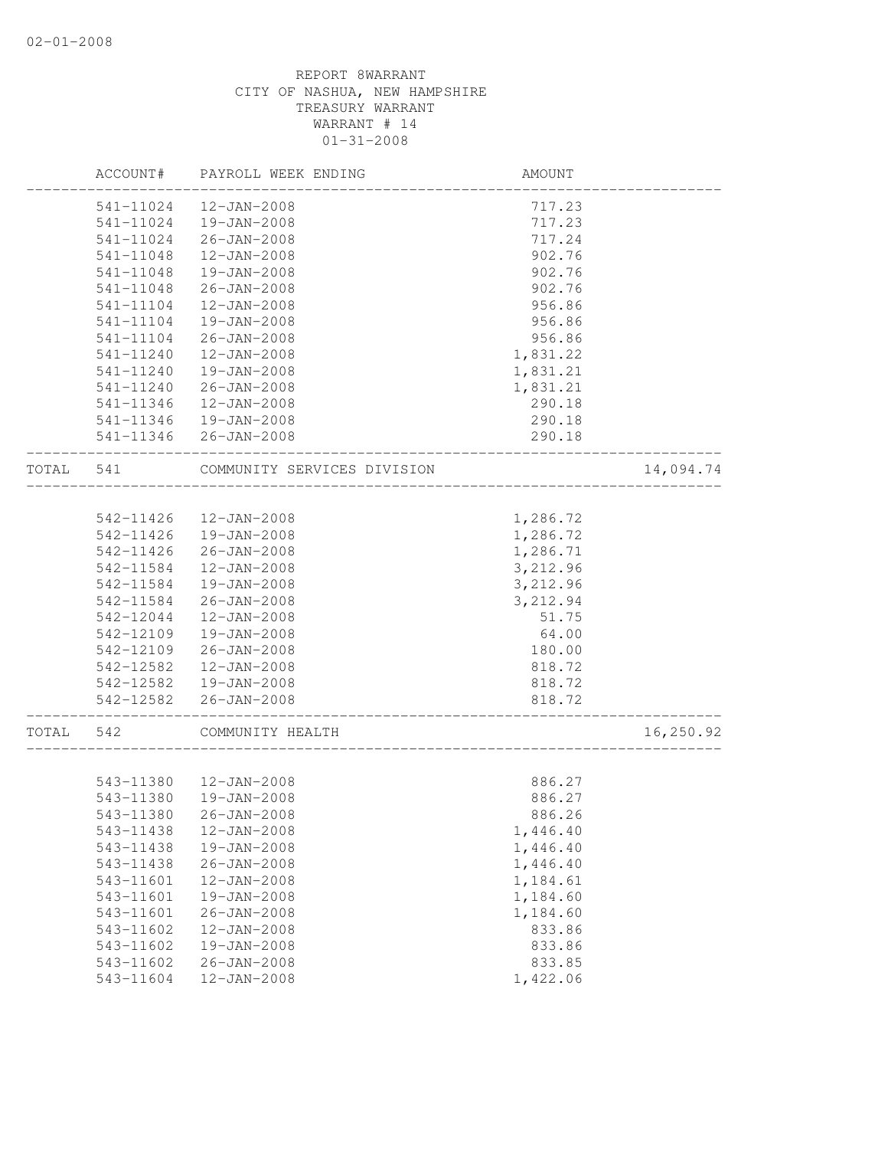|       | ACCOUNT#  | PAYROLL WEEK ENDING                           | AMOUNT   |           |
|-------|-----------|-----------------------------------------------|----------|-----------|
|       | 541-11024 | 12-JAN-2008                                   | 717.23   |           |
|       | 541-11024 | 19-JAN-2008                                   | 717.23   |           |
|       | 541-11024 | $26 - JAN - 2008$                             | 717.24   |           |
|       | 541-11048 | $12 - JAN - 2008$                             | 902.76   |           |
|       | 541-11048 | 19-JAN-2008                                   | 902.76   |           |
|       | 541-11048 | $26 - JAN - 2008$                             | 902.76   |           |
|       | 541-11104 | $12 - JAN - 2008$                             | 956.86   |           |
|       | 541-11104 | 19-JAN-2008                                   | 956.86   |           |
|       | 541-11104 | $26 - JAN - 2008$                             | 956.86   |           |
|       | 541-11240 | $12 - JAN - 2008$                             | 1,831.22 |           |
|       | 541-11240 | 19-JAN-2008                                   | 1,831.21 |           |
|       | 541-11240 | 26-JAN-2008                                   | 1,831.21 |           |
|       | 541-11346 | 12-JAN-2008                                   | 290.18   |           |
|       | 541-11346 | 19-JAN-2008                                   | 290.18   |           |
|       |           | 541-11346 26-JAN-2008                         | 290.18   |           |
| TOTAL | 541       | COMMUNITY SERVICES DIVISION                   |          | 14,094.74 |
|       |           |                                               |          |           |
|       | 542-11426 | 12-JAN-2008                                   | 1,286.72 |           |
|       | 542-11426 | 19-JAN-2008                                   | 1,286.72 |           |
|       | 542-11426 | $26 - JAN - 2008$                             | 1,286.71 |           |
|       | 542-11584 | 12-JAN-2008                                   | 3,212.96 |           |
|       | 542-11584 | 19-JAN-2008                                   | 3,212.96 |           |
|       | 542-11584 | $26 - JAN - 2008$                             | 3,212.94 |           |
|       | 542-12044 | $12 - JAN - 2008$                             | 51.75    |           |
|       | 542-12109 | 19-JAN-2008                                   | 64.00    |           |
|       | 542-12109 | 26-JAN-2008                                   | 180.00   |           |
|       | 542-12582 | 12-JAN-2008                                   | 818.72   |           |
|       |           | 542-12582  19-JAN-2008                        | 818.72   |           |
|       | 542-12582 | $26 - JAN - 2008$                             | 818.72   |           |
| TOTAL | 542       | _________________________<br>COMMUNITY HEALTH |          | 16,250.92 |
|       |           |                                               |          |           |
|       |           | 543-11380  12-JAN-2008                        | 886.27   |           |
|       | 543-11380 | 19-JAN-2008                                   | 886.27   |           |
|       | 543-11380 | $26 - JAN - 2008$                             | 886.26   |           |
|       | 543-11438 | $12 - JAN - 2008$                             | 1,446.40 |           |
|       | 543-11438 | 19-JAN-2008                                   | 1,446.40 |           |
|       | 543-11438 | $26 - JAN - 2008$                             | 1,446.40 |           |
|       | 543-11601 | 12-JAN-2008                                   | 1,184.61 |           |
|       | 543-11601 | 19-JAN-2008                                   | 1,184.60 |           |
|       | 543-11601 | $26 - JAN - 2008$                             | 1,184.60 |           |
|       | 543-11602 | $12 - JAN - 2008$                             | 833.86   |           |
|       | 543-11602 | 19-JAN-2008                                   | 833.86   |           |
|       | 543-11602 | $26 - JAN - 2008$                             | 833.85   |           |
|       | 543-11604 | 12-JAN-2008                                   | 1,422.06 |           |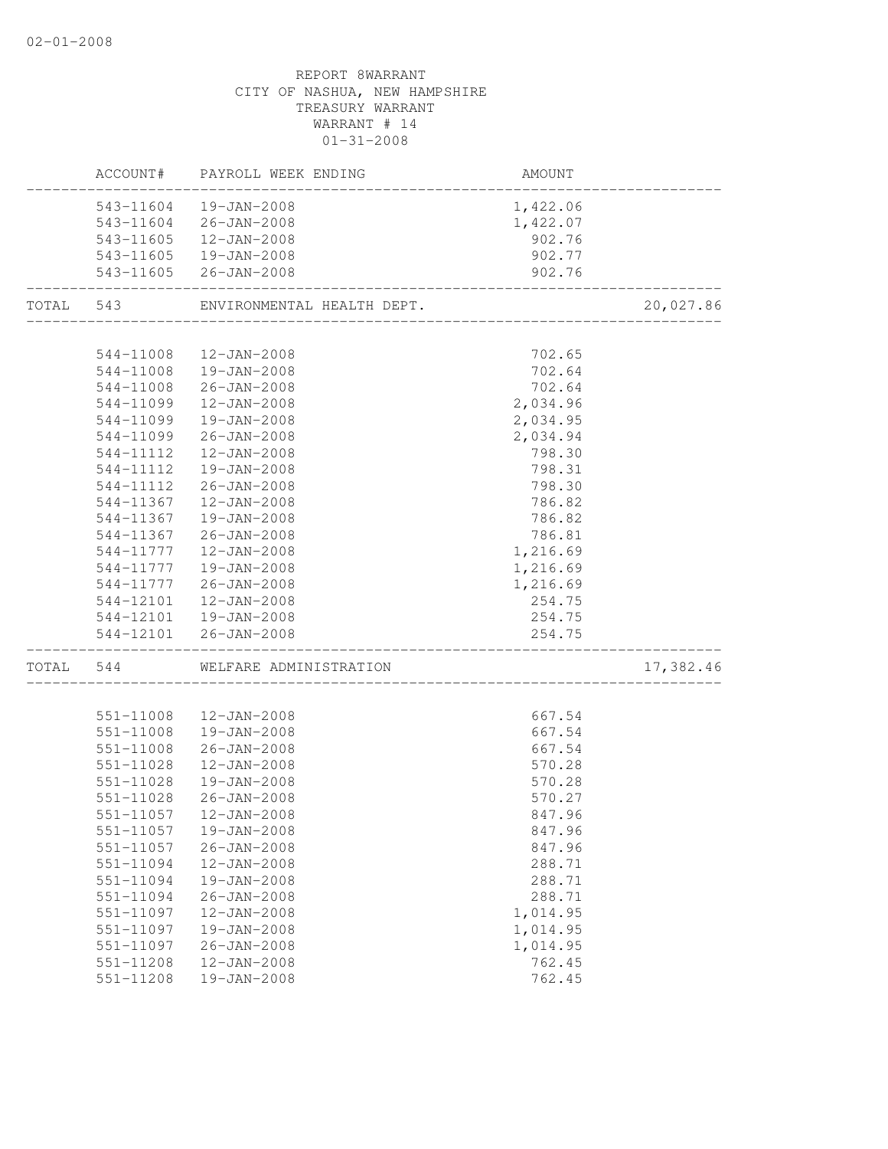|           |           | ACCOUNT# PAYROLL WEEK ENDING                    | AMOUNT            |           |
|-----------|-----------|-------------------------------------------------|-------------------|-----------|
|           | 543-11604 | 19-JAN-2008                                     | 1,422.06          |           |
|           |           | 543-11604 26-JAN-2008                           | 1,422.07          |           |
|           |           | 543-11605  12-JAN-2008                          | 902.76            |           |
|           |           | 543-11605  19-JAN-2008                          | 902.77            |           |
|           |           | 543-11605 26-JAN-2008                           | 902.76            |           |
| TOTAL 543 |           | ENVIRONMENTAL HEALTH DEPT.                      |                   | 20,027.86 |
|           | 544-11008 | 12-JAN-2008                                     | 702.65            |           |
|           |           | 544-11008  19-JAN-2008                          | 702.64            |           |
|           |           | 544-11008 26-JAN-2008                           | 702.64            |           |
|           | 544-11099 | 12-JAN-2008                                     | 2,034.96          |           |
|           | 544-11099 | 19-JAN-2008                                     |                   |           |
|           | 544-11099 | 26-JAN-2008                                     | 2,034.95          |           |
|           | 544-11112 |                                                 | 2,034.94          |           |
|           | 544-11112 | 12-JAN-2008<br>19-JAN-2008                      | 798.30<br>798.31  |           |
|           |           |                                                 |                   |           |
|           | 544-11112 | 26-JAN-2008                                     | 798.30            |           |
|           | 544-11367 | 12-JAN-2008<br>19-JAN-2008                      | 786.82            |           |
|           | 544-11367 |                                                 | 786.82            |           |
|           | 544-11367 | 26-JAN-2008                                     | 786.81            |           |
|           | 544-11777 | 12-JAN-2008                                     | 1,216.69          |           |
|           |           | 544-11777  19-JAN-2008                          | 1,216.69          |           |
|           |           | 544-11777 26-JAN-2008                           | 1,216.69          |           |
|           |           | 544-12101  12-JAN-2008                          | 254.75            |           |
|           |           | 544-12101  19-JAN-2008<br>544-12101 26-JAN-2008 | 254.75<br>254.75  |           |
|           | TOTAL 544 | WELFARE ADMINISTRATION                          | _________________ | 17,382.46 |
|           |           |                                                 |                   |           |
|           | 551-11008 | 12-JAN-2008                                     | 667.54            |           |
|           |           | 551-11008  19-JAN-2008                          | 667.54            |           |
|           | 551-11008 | $26 - JAN - 2008$                               | 667.54            |           |
|           | 551-11028 | 12-JAN-2008                                     | 570.28            |           |
|           | 551-11028 | 19-JAN-2008                                     | 570.28            |           |
|           | 551-11028 | $26 - JAN - 2008$                               | 570.27            |           |
|           | 551-11057 | 12-JAN-2008                                     | 847.96            |           |
|           | 551-11057 | 19-JAN-2008                                     | 847.96            |           |
|           | 551-11057 | $26 - JAN - 2008$                               | 847.96            |           |
|           | 551-11094 | 12-JAN-2008                                     | 288.71            |           |
|           | 551-11094 | 19-JAN-2008                                     | 288.71            |           |
|           | 551-11094 | $26 - JAN - 2008$                               | 288.71            |           |
|           | 551-11097 | 12-JAN-2008                                     | 1,014.95          |           |
|           | 551-11097 | $19 - JAN - 2008$                               | 1,014.95          |           |
|           | 551-11097 | $26 - JAN - 2008$                               | 1,014.95          |           |
|           | 551-11208 | $12 - JAN - 2008$                               | 762.45            |           |
|           | 551-11208 | 19-JAN-2008                                     | 762.45            |           |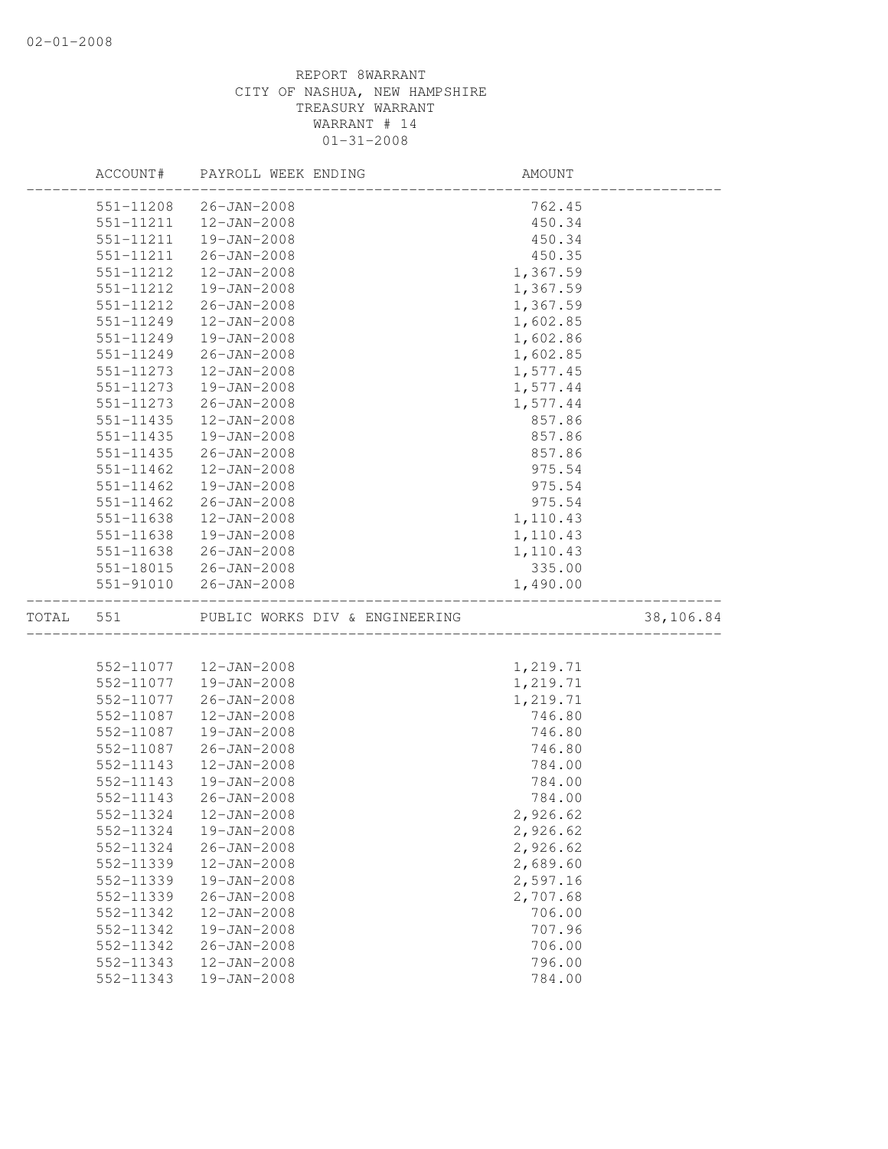|           | ACCOUNT#      | PAYROLL WEEK ENDING            | AMOUNT   |           |
|-----------|---------------|--------------------------------|----------|-----------|
|           | 551-11208     | 26-JAN-2008                    | 762.45   |           |
|           | 551-11211     | $12 - JAN - 2008$              | 450.34   |           |
|           | 551-11211     | 19-JAN-2008                    | 450.34   |           |
|           | 551-11211     | $26 - JAN - 2008$              | 450.35   |           |
|           | 551-11212     | $12 - JAN - 2008$              | 1,367.59 |           |
|           | 551-11212     | 19-JAN-2008                    | 1,367.59 |           |
|           | 551-11212     | $26 - JAN - 2008$              | 1,367.59 |           |
|           | 551-11249     | $12 - JAN - 2008$              | 1,602.85 |           |
|           | 551-11249     | 19-JAN-2008                    | 1,602.86 |           |
|           | 551-11249     | 26-JAN-2008                    | 1,602.85 |           |
|           | 551-11273     | $12 - JAN - 2008$              | 1,577.45 |           |
|           | 551-11273     | 19-JAN-2008                    | 1,577.44 |           |
|           | 551-11273     | $26 - JAN - 2008$              | 1,577.44 |           |
|           | 551-11435     | $12 - JAN - 2008$              | 857.86   |           |
|           | 551-11435     | 19-JAN-2008                    | 857.86   |           |
|           | $551 - 11435$ | $26 - JAN - 2008$              | 857.86   |           |
|           | 551-11462     | $12 - JAN - 2008$              | 975.54   |           |
|           | 551-11462     | 19-JAN-2008                    | 975.54   |           |
|           | $551 - 11462$ | 26-JAN-2008                    | 975.54   |           |
|           | 551-11638     | $12 - JAN - 2008$              | 1,110.43 |           |
|           | 551-11638     | 19-JAN-2008                    | 1,110.43 |           |
|           | 551-11638     | 26-JAN-2008                    | 1,110.43 |           |
|           |               | 551-18015 26-JAN-2008          | 335.00   |           |
|           | 551-91010     | 26-JAN-2008                    | 1,490.00 |           |
| TOTAL 551 |               | PUBLIC WORKS DIV & ENGINEERING |          | 38,106.84 |
|           |               |                                |          |           |
|           | 552-11077     | 12-JAN-2008                    | 1,219.71 |           |
|           | 552-11077     | 19-JAN-2008                    | 1,219.71 |           |
|           | 552-11077     | $26 - JAN - 2008$              | 1,219.71 |           |
|           | 552-11087     | $12 - JAN - 2008$              | 746.80   |           |
|           | 552-11087     | $19 - JAN - 2008$              | 746.80   |           |
|           | 552-11087     | $26 - JAN - 2008$              | 746.80   |           |
|           | 552-11143     | $12 - JAN - 2008$              | 784.00   |           |
|           | 552-11143     | 19-JAN-2008                    | 784.00   |           |
|           | 552-11143     | $26 - JAN - 2008$              | 784.00   |           |
|           | 552-11324     | $12 - JAN - 2008$              | 2,926.62 |           |
|           | 552-11324     | 19-JAN-2008                    | 2,926.62 |           |
|           | 552-11324     | $26 - JAN - 2008$              | 2,926.62 |           |
|           | 552-11339     | 12-JAN-2008                    | 2,689.60 |           |
|           | 552-11339     | 19-JAN-2008                    | 2,597.16 |           |
|           | 552-11339     | $26 - JAN - 2008$              | 2,707.68 |           |
|           | 552-11342     | $12 - JAN - 2008$              | 706.00   |           |
|           | 552-11342     | 19-JAN-2008                    | 707.96   |           |
|           | 552-11342     | $26 - JAN - 2008$              | 706.00   |           |
|           | 552-11343     | $12 - JAN - 2008$              | 796.00   |           |
|           | 552-11343     | 19-JAN-2008                    | 784.00   |           |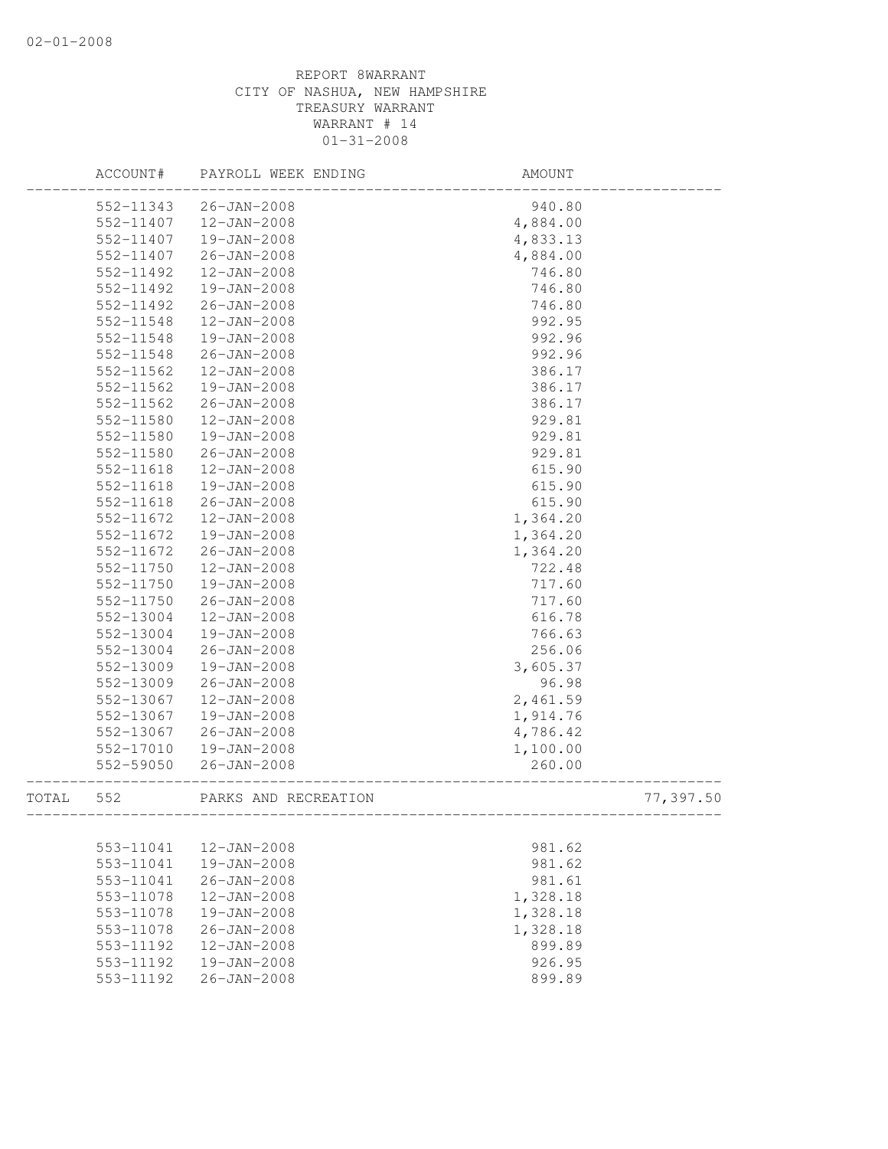|       | ACCOUNT#  | PAYROLL WEEK ENDING                          | AMOUNT            |           |
|-------|-----------|----------------------------------------------|-------------------|-----------|
|       | 552-11343 | 26-JAN-2008                                  | 940.80            |           |
|       | 552-11407 | 12-JAN-2008                                  | 4,884.00          |           |
|       | 552-11407 | 19-JAN-2008                                  | 4,833.13          |           |
|       | 552-11407 | $26 - JAN - 2008$                            | 4,884.00          |           |
|       | 552-11492 | $12 - JAN - 2008$                            | 746.80            |           |
|       | 552-11492 | 19-JAN-2008                                  | 746.80            |           |
|       | 552-11492 | $26 - JAN - 2008$                            | 746.80            |           |
|       | 552-11548 | $12 - JAN - 2008$                            | 992.95            |           |
|       | 552-11548 | 19-JAN-2008                                  | 992.96            |           |
|       | 552-11548 | $26 - JAN - 2008$                            | 992.96            |           |
|       | 552-11562 | $12 - JAN - 2008$                            | 386.17            |           |
|       | 552-11562 | 19-JAN-2008                                  | 386.17            |           |
|       | 552-11562 | $26 - JAN - 2008$                            | 386.17            |           |
|       | 552-11580 | $12 - JAN - 2008$                            | 929.81            |           |
|       | 552-11580 | 19-JAN-2008                                  | 929.81            |           |
|       | 552-11580 | $26 - JAN - 2008$                            | 929.81            |           |
|       | 552-11618 | $12 - JAN - 2008$                            | 615.90            |           |
|       | 552-11618 | 19-JAN-2008                                  | 615.90            |           |
|       | 552-11618 | $26 - JAN - 2008$                            | 615.90            |           |
|       | 552-11672 | $12 - JAN - 2008$                            | 1,364.20          |           |
|       | 552-11672 | 19-JAN-2008                                  | 1,364.20          |           |
|       | 552-11672 | $26 - JAN - 2008$                            | 1,364.20          |           |
|       | 552-11750 | $12 - JAN - 2008$                            | 722.48            |           |
|       | 552-11750 | 19-JAN-2008                                  | 717.60            |           |
|       | 552-11750 | $26 - JAN - 2008$                            | 717.60            |           |
|       | 552-13004 | $12 - JAN - 2008$                            | 616.78            |           |
|       | 552-13004 | 19-JAN-2008                                  | 766.63            |           |
|       | 552-13004 | $26 - JAN - 2008$                            | 256.06            |           |
|       | 552-13009 | 19-JAN-2008                                  | 3,605.37          |           |
|       | 552-13009 | $26 - JAN - 2008$                            | 96.98             |           |
|       | 552-13067 | $12 - JAN - 2008$                            | 2,461.59          |           |
|       | 552-13067 | 19-JAN-2008                                  | 1,914.76          |           |
|       | 552-13067 | 26-JAN-2008                                  | 4,786.42          |           |
|       | 552-17010 | 19-JAN-2008                                  | 1,100.00          |           |
|       | 552-59050 | $26 - JAN - 2008$                            | 260.00            |           |
| TOTAL | 552       | PARKS AND RECREATION<br>____________________ | _________________ | 77,397.50 |
|       |           |                                              |                   |           |
|       | 553-11041 | 12-JAN-2008                                  | 981.62            |           |
|       | 553-11041 | 19-JAN-2008                                  | 981.62            |           |
|       | 553-11041 | $26 - JAN - 2008$                            | 981.61            |           |
|       | 553-11078 | $12 - JAN - 2008$                            | 1,328.18          |           |
|       | 553-11078 | 19-JAN-2008                                  | 1,328.18          |           |
|       | 553-11078 | $26 - JAN - 2008$                            | 1,328.18          |           |
|       | 553-11192 | $12 - JAN - 2008$                            | 899.89            |           |
|       | 553-11192 | 19-JAN-2008                                  | 926.95            |           |
|       | 553-11192 | $26 - JAN - 2008$                            | 899.89            |           |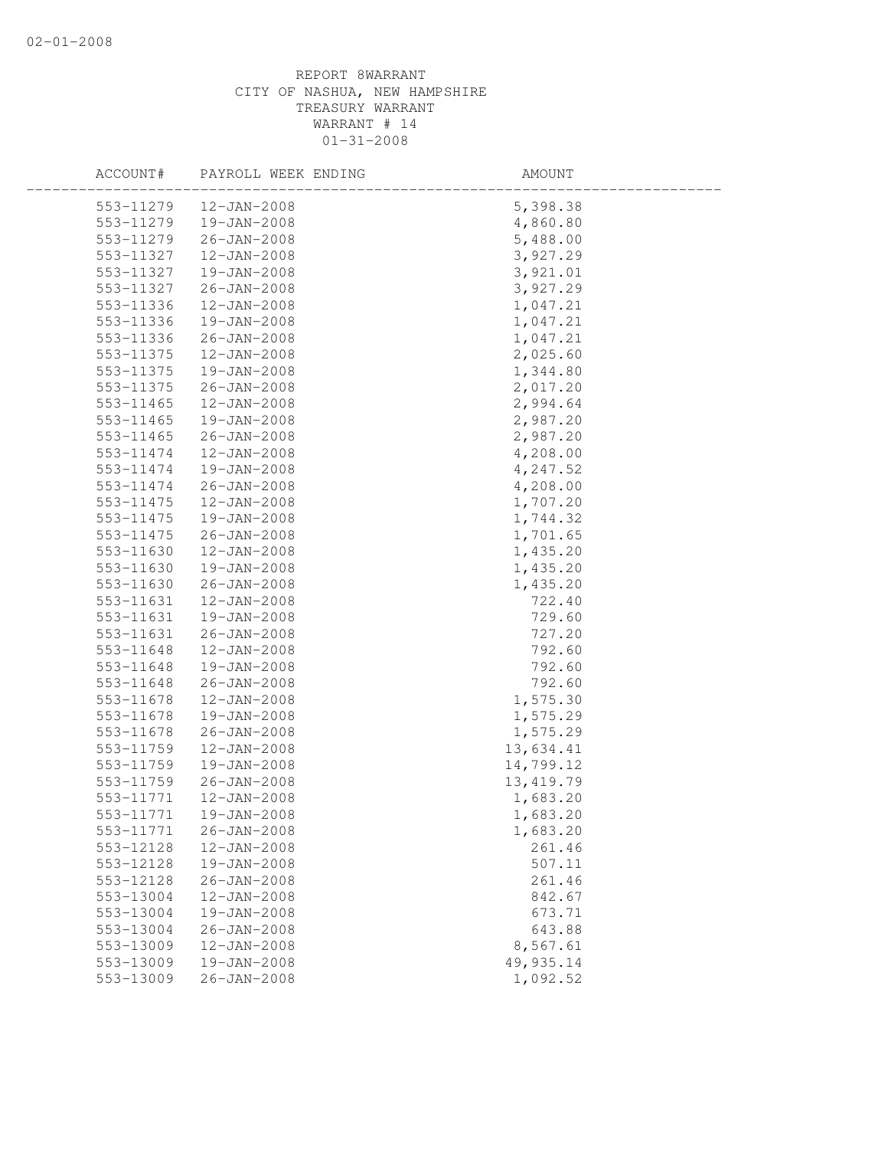| ACCOUNT#  | PAYROLL WEEK ENDING | AMOUNT     |
|-----------|---------------------|------------|
| 553-11279 | 12-JAN-2008         | 5,398.38   |
| 553-11279 | 19-JAN-2008         | 4,860.80   |
| 553-11279 | 26-JAN-2008         | 5,488.00   |
| 553-11327 | 12-JAN-2008         | 3,927.29   |
| 553-11327 | 19-JAN-2008         | 3,921.01   |
| 553-11327 | $26 - JAN - 2008$   | 3,927.29   |
| 553-11336 | 12-JAN-2008         | 1,047.21   |
| 553-11336 | 19-JAN-2008         | 1,047.21   |
| 553-11336 | 26-JAN-2008         | 1,047.21   |
| 553-11375 | $12 - JAN - 2008$   | 2,025.60   |
| 553-11375 | 19-JAN-2008         | 1,344.80   |
| 553-11375 | 26-JAN-2008         | 2,017.20   |
| 553-11465 | 12-JAN-2008         | 2,994.64   |
| 553-11465 | 19-JAN-2008         | 2,987.20   |
| 553-11465 | $26 - JAN - 2008$   | 2,987.20   |
| 553-11474 | $12 - JAN - 2008$   | 4,208.00   |
| 553-11474 | 19-JAN-2008         | 4,247.52   |
| 553-11474 | 26-JAN-2008         | 4,208.00   |
| 553-11475 | 12-JAN-2008         | 1,707.20   |
| 553-11475 | 19-JAN-2008         | 1,744.32   |
| 553-11475 | 26-JAN-2008         | 1,701.65   |
| 553-11630 | 12-JAN-2008         | 1,435.20   |
| 553-11630 | 19-JAN-2008         | 1,435.20   |
| 553-11630 | $26 - JAN - 2008$   | 1,435.20   |
| 553-11631 | 12-JAN-2008         | 722.40     |
| 553-11631 | 19-JAN-2008         | 729.60     |
| 553-11631 | 26-JAN-2008         | 727.20     |
| 553-11648 | 12-JAN-2008         | 792.60     |
| 553-11648 | 19-JAN-2008         | 792.60     |
| 553-11648 | 26-JAN-2008         | 792.60     |
| 553-11678 | $12 - JAN - 2008$   | 1,575.30   |
| 553-11678 | 19-JAN-2008         | 1,575.29   |
| 553-11678 | $26 - JAN - 2008$   | 1,575.29   |
| 553-11759 | $12 - JAN - 2008$   | 13,634.41  |
| 553-11759 | $19 - JAN - 2008$   | 14,799.12  |
| 553-11759 | 26-JAN-2008         | 13, 419.79 |
| 553-11771 | $12 - JAN - 2008$   | 1,683.20   |
| 553-11771 | 19-JAN-2008         | 1,683.20   |
| 553-11771 | $26 - JAN - 2008$   | 1,683.20   |
| 553-12128 | $12 - JAN - 2008$   | 261.46     |
| 553-12128 | 19-JAN-2008         | 507.11     |
| 553-12128 | $26 - JAN - 2008$   | 261.46     |
| 553-13004 | 12-JAN-2008         | 842.67     |
| 553-13004 | $19 - JAN - 2008$   | 673.71     |
| 553-13004 | $26 - JAN - 2008$   | 643.88     |
| 553-13009 | $12 - JAN - 2008$   | 8,567.61   |
| 553-13009 | 19-JAN-2008         | 49, 935.14 |
| 553-13009 | $26 - JAN - 2008$   | 1,092.52   |
|           |                     |            |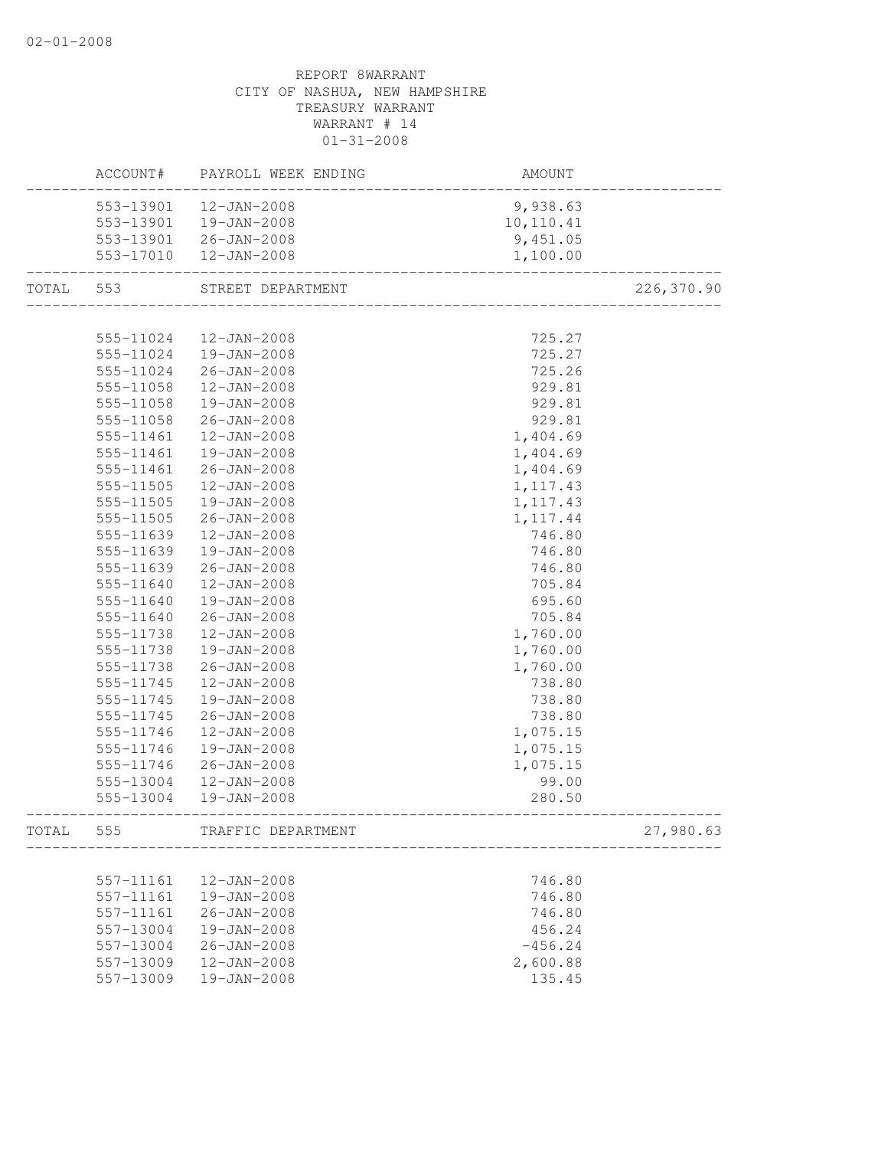|           |           | ACCOUNT# PAYROLL WEEK ENDING | AMOUNT    |            |
|-----------|-----------|------------------------------|-----------|------------|
|           | 553-13901 | 12-JAN-2008                  | 9,938.63  |            |
|           | 553-13901 | 19-JAN-2008                  | 10,110.41 |            |
|           |           | 553-13901 26-JAN-2008        | 9,451.05  |            |
|           |           | 553-17010  12-JAN-2008       | 1,100.00  |            |
| TOTAL 553 |           | STREET DEPARTMENT            |           | 226,370.90 |
|           |           |                              |           |            |
|           | 555-11024 | 12-JAN-2008                  | 725.27    |            |
|           | 555-11024 | 19-JAN-2008                  | 725.27    |            |
|           | 555-11024 | 26-JAN-2008                  | 725.26    |            |
|           | 555-11058 | 12-JAN-2008                  | 929.81    |            |
|           | 555-11058 | 19-JAN-2008                  | 929.81    |            |
|           | 555-11058 | $26 - JAN - 2008$            | 929.81    |            |
|           | 555-11461 | 12-JAN-2008                  | 1,404.69  |            |
|           | 555-11461 | 19-JAN-2008                  | 1,404.69  |            |
|           | 555-11461 | 26-JAN-2008                  | 1,404.69  |            |
|           | 555-11505 | 12-JAN-2008                  | 1, 117.43 |            |
|           | 555-11505 | 19-JAN-2008                  | 1, 117.43 |            |
|           | 555-11505 | 26-JAN-2008                  | 1, 117.44 |            |
|           | 555-11639 | $12 - JAN - 2008$            | 746.80    |            |
|           | 555-11639 | 19-JAN-2008                  | 746.80    |            |
|           | 555-11639 | $26 - JAN - 2008$            | 746.80    |            |
|           | 555-11640 | 12-JAN-2008                  | 705.84    |            |
|           | 555-11640 | 19-JAN-2008                  | 695.60    |            |
|           | 555-11640 | 26-JAN-2008                  | 705.84    |            |
|           | 555-11738 | 12-JAN-2008                  | 1,760.00  |            |
|           | 555-11738 | 19-JAN-2008                  | 1,760.00  |            |
|           | 555-11738 | 26-JAN-2008                  | 1,760.00  |            |
|           | 555-11745 | 12-JAN-2008                  | 738.80    |            |
|           | 555-11745 | 19-JAN-2008                  | 738.80    |            |
|           | 555-11745 | $26 - JAN - 2008$            | 738.80    |            |
|           | 555-11746 | 12-JAN-2008                  | 1,075.15  |            |
|           | 555-11746 | 19-JAN-2008                  | 1,075.15  |            |
|           | 555-11746 | 26-JAN-2008                  | 1,075.15  |            |
|           | 555-13004 | 12-JAN-2008                  | 99.00     |            |
|           | 555-13004 | 19-JAN-2008                  | 280.50    |            |
| TOTAL     | 555       | TRAFFIC DEPARTMENT           |           | 27,980.63  |
|           |           |                              |           |            |
|           | 557-11161 | $12 - JAN - 2008$            | 746.80    |            |
|           | 557-11161 | 19-JAN-2008                  | 746.80    |            |
|           | 557-11161 | $26 - JAN - 2008$            | 746.80    |            |
|           | 557-13004 | 19-JAN-2008                  | 456.24    |            |
|           | 557-13004 | $26 - JAN - 2008$            | $-456.24$ |            |
|           | 557-13009 | 12-JAN-2008                  | 2,600.88  |            |
|           | 557-13009 | 19-JAN-2008                  | 135.45    |            |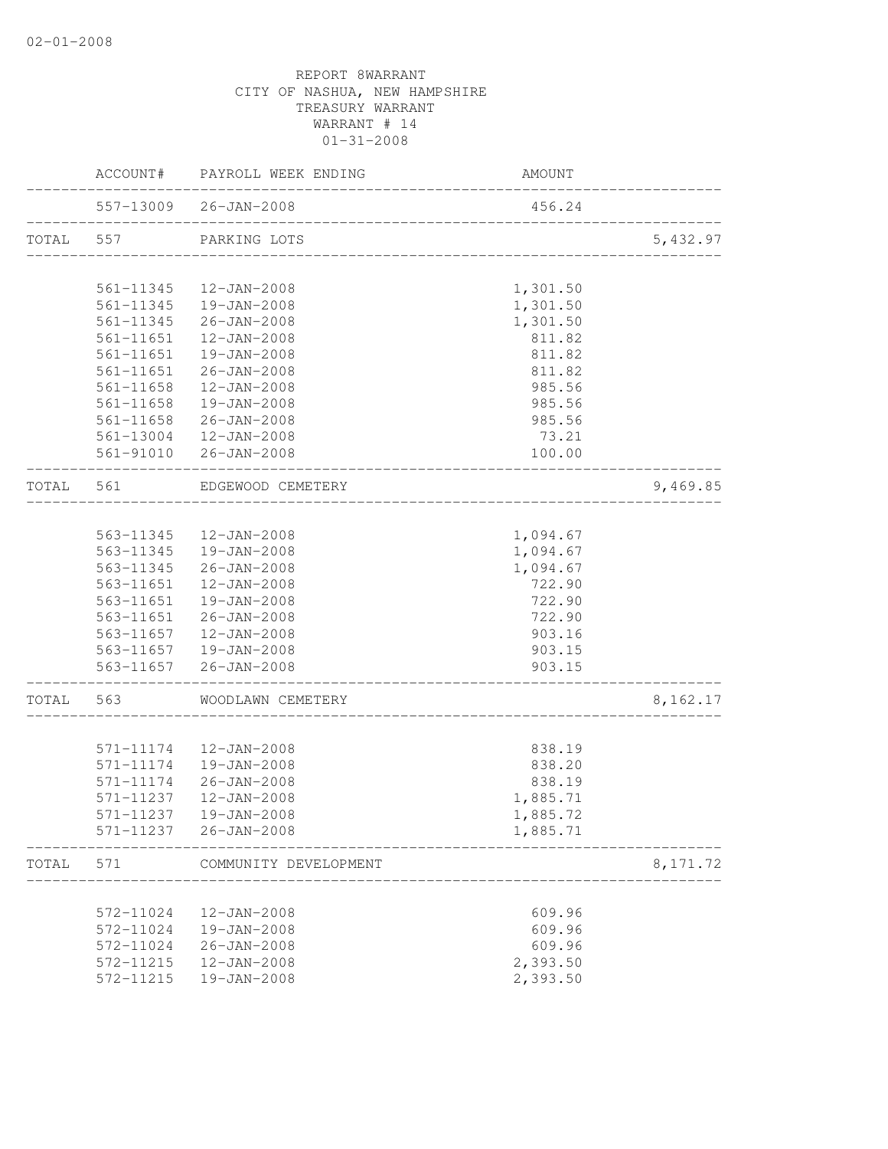|                                  | ACCOUNT#               | PAYROLL WEEK ENDING                   | AMOUNT                   |           |
|----------------------------------|------------------------|---------------------------------------|--------------------------|-----------|
|                                  |                        | 557-13009 26-JAN-2008                 | 456.24                   |           |
| TOTAL<br>TOTAL<br>TOTAL<br>TOTAL | 557                    | PARKING LOTS                          |                          | 5,432.97  |
|                                  | 561-11345              | 12-JAN-2008                           | 1,301.50                 |           |
|                                  | 561-11345              | 19-JAN-2008                           | 1,301.50                 |           |
|                                  | 561-11345              | 26-JAN-2008                           | 1,301.50                 |           |
|                                  | 561-11651              | 12-JAN-2008                           | 811.82                   |           |
|                                  | 561-11651              | 19-JAN-2008                           | 811.82                   |           |
|                                  | 561-11651              | 26-JAN-2008                           | 811.82                   |           |
|                                  | 561-11658              | 12-JAN-2008                           | 985.56                   |           |
|                                  | 561-11658              | 19-JAN-2008                           | 985.56                   |           |
|                                  | 561-11658              | $26 - JAN - 2008$                     | 985.56                   |           |
|                                  | 561-13004              | 12-JAN-2008                           | 73.21                    |           |
|                                  | 561-91010              | $26 - JAN - 2008$                     | 100.00                   |           |
|                                  | 561                    | EDGEWOOD CEMETERY                     | _______________________  | 9,469.85  |
|                                  |                        |                                       |                          |           |
|                                  | 563-11345              | 12-JAN-2008                           | 1,094.67                 |           |
|                                  | 563-11345              | 19-JAN-2008                           | 1,094.67                 |           |
|                                  | 563-11345              | $26 - JAN - 2008$                     | 1,094.67                 |           |
|                                  | 563-11651              | 12-JAN-2008                           | 722.90                   |           |
|                                  | 563-11651              | 19-JAN-2008                           | 722.90                   |           |
|                                  | 563-11651<br>563-11657 | 26-JAN-2008                           | 722.90                   |           |
|                                  |                        | 12-JAN-2008<br>563-11657  19-JAN-2008 | 903.16<br>903.15         |           |
|                                  |                        | 563-11657 26-JAN-2008                 | 903.15                   |           |
|                                  | 563                    | WOODLAWN CEMETERY                     | ________________________ | 8,162.17  |
|                                  |                        |                                       |                          |           |
|                                  | 571-11174              | 12-JAN-2008                           | 838.19                   |           |
|                                  | 571-11174              | 19-JAN-2008                           | 838.20                   |           |
|                                  | 571-11174              | 26-JAN-2008                           | 838.19                   |           |
|                                  | 571-11237              | 12-JAN-2008                           | 1,885.71                 |           |
|                                  | 571-11237              | 19-JAN-2008                           | 1,885.72                 |           |
|                                  | 571-11237              | 26-JAN-2008                           | 1,885.71                 |           |
|                                  | 571                    | COMMUNITY DEVELOPMENT                 |                          | 8, 171.72 |
|                                  |                        |                                       |                          |           |
|                                  | 572-11024              | 12-JAN-2008                           | 609.96                   |           |
|                                  | 572-11024              | 19-JAN-2008                           | 609.96                   |           |
|                                  | 572-11024              | $26 - JAN - 2008$                     | 609.96                   |           |
|                                  | 572-11215              | 12-JAN-2008                           | 2,393.50                 |           |
|                                  | 572-11215              | 19-JAN-2008                           | 2,393.50                 |           |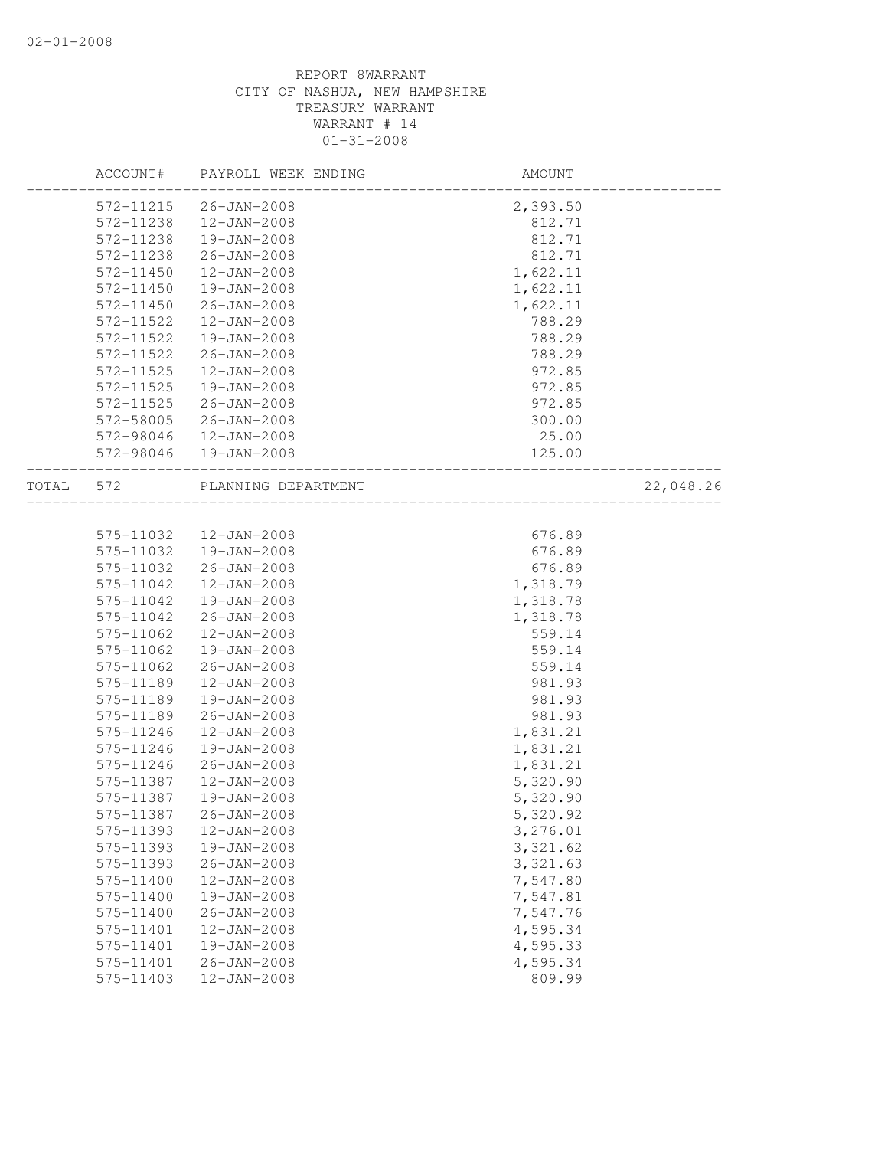|           | ACCOUNT#  | PAYROLL WEEK ENDING    | AMOUNT   |           |
|-----------|-----------|------------------------|----------|-----------|
|           | 572-11215 | $26 - JAN - 2008$      | 2,393.50 |           |
|           | 572-11238 | $12 - JAN - 2008$      | 812.71   |           |
|           | 572-11238 | 19-JAN-2008            | 812.71   |           |
|           | 572-11238 | $26 - JAN - 2008$      | 812.71   |           |
|           | 572-11450 | 12-JAN-2008            | 1,622.11 |           |
|           | 572-11450 | 19-JAN-2008            | 1,622.11 |           |
|           | 572-11450 | $26 - JAN - 2008$      | 1,622.11 |           |
|           | 572-11522 | $12 - JAN - 2008$      | 788.29   |           |
|           | 572-11522 | 19-JAN-2008            | 788.29   |           |
|           | 572-11522 | 26-JAN-2008            | 788.29   |           |
|           | 572-11525 | $12 - JAN - 2008$      | 972.85   |           |
|           | 572-11525 | 19-JAN-2008            | 972.85   |           |
|           | 572-11525 | 26-JAN-2008            | 972.85   |           |
|           | 572-58005 | 26-JAN-2008            | 300.00   |           |
|           | 572-98046 | 12-JAN-2008            | 25.00    |           |
|           |           | 572-98046  19-JAN-2008 | 125.00   |           |
| TOTAL 572 |           | PLANNING DEPARTMENT    |          | 22,048.26 |
|           |           |                        |          |           |
|           | 575-11032 | 12-JAN-2008            | 676.89   |           |
|           | 575-11032 | 19-JAN-2008            | 676.89   |           |
|           | 575-11032 | $26 - JAN - 2008$      | 676.89   |           |
|           | 575-11042 | $12 - JAN - 2008$      | 1,318.79 |           |
|           | 575-11042 | 19-JAN-2008            | 1,318.78 |           |
|           | 575-11042 | $26 - JAN - 2008$      | 1,318.78 |           |
|           | 575-11062 | $12 - JAN - 2008$      | 559.14   |           |
|           | 575-11062 | 19-JAN-2008            | 559.14   |           |
|           | 575-11062 | $26 - JAN - 2008$      | 559.14   |           |
|           | 575-11189 | $12 - JAN - 2008$      | 981.93   |           |
|           | 575-11189 | 19-JAN-2008            | 981.93   |           |
|           | 575-11189 | $26 - JAN - 2008$      | 981.93   |           |
|           | 575-11246 | $12 - JAN - 2008$      | 1,831.21 |           |
|           | 575-11246 | 19-JAN-2008            | 1,831.21 |           |
|           | 575-11246 | $26 - JAN - 2008$      | 1,831.21 |           |
|           | 575-11387 | 12-JAN-2008            | 5,320.90 |           |
|           | 575-11387 | 19-JAN-2008            | 5,320.90 |           |
|           | 575-11387 | $26 - JAN - 2008$      | 5,320.92 |           |
|           | 575-11393 | 12-JAN-2008            | 3,276.01 |           |
|           | 575-11393 | 19-JAN-2008            | 3,321.62 |           |
|           | 575-11393 | $26 - JAN - 2008$      | 3,321.63 |           |
|           | 575-11400 | 12-JAN-2008            | 7,547.80 |           |
|           | 575-11400 | 19-JAN-2008            | 7,547.81 |           |
|           | 575-11400 | $26 - JAN - 2008$      | 7,547.76 |           |
|           | 575-11401 | 12-JAN-2008            | 4,595.34 |           |
|           | 575-11401 | 19-JAN-2008            | 4,595.33 |           |
|           | 575-11401 | $26 - JAN - 2008$      | 4,595.34 |           |
|           | 575-11403 | 12-JAN-2008            | 809.99   |           |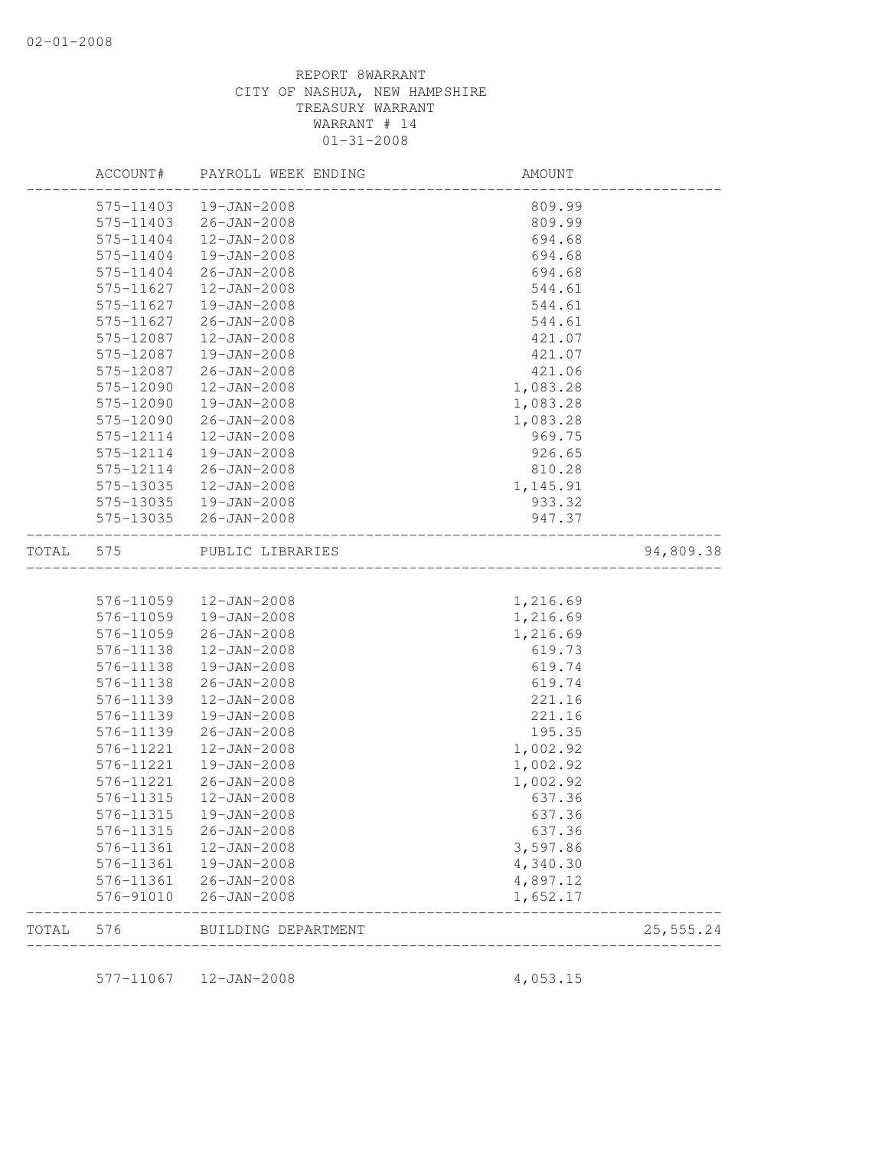|       | ACCOUNT#  | PAYROLL WEEK ENDING   | AMOUNT   |            |
|-------|-----------|-----------------------|----------|------------|
|       | 575-11403 | $19 - JAN - 2008$     | 809.99   |            |
|       | 575-11403 | $26 - JAN - 2008$     | 809.99   |            |
|       | 575-11404 | 12-JAN-2008           | 694.68   |            |
|       | 575-11404 | 19-JAN-2008           | 694.68   |            |
|       | 575-11404 | $26 - JAN - 2008$     | 694.68   |            |
|       | 575-11627 | 12-JAN-2008           | 544.61   |            |
|       | 575-11627 | 19-JAN-2008           | 544.61   |            |
|       | 575-11627 | $26 - JAN - 2008$     | 544.61   |            |
|       | 575-12087 | $12 - JAN - 2008$     | 421.07   |            |
|       | 575-12087 | 19-JAN-2008           | 421.07   |            |
|       | 575-12087 | $26 - JAN - 2008$     | 421.06   |            |
|       | 575-12090 | $12 - JAN - 2008$     | 1,083.28 |            |
|       | 575-12090 | 19-JAN-2008           | 1,083.28 |            |
|       | 575-12090 | $26 - JAN - 2008$     | 1,083.28 |            |
|       | 575-12114 | 12-JAN-2008           | 969.75   |            |
|       | 575-12114 | 19-JAN-2008           | 926.65   |            |
|       | 575-12114 | $26 - JAN - 2008$     | 810.28   |            |
|       | 575-13035 | $12 - JAN - 2008$     | 1,145.91 |            |
|       | 575-13035 | 19-JAN-2008           | 933.32   |            |
|       |           | 575-13035 26-JAN-2008 | 947.37   |            |
| TOTAL | 575       | PUBLIC LIBRARIES      |          | 94,809.38  |
|       |           |                       |          |            |
|       | 576-11059 | 12-JAN-2008           | 1,216.69 |            |
|       | 576-11059 | 19-JAN-2008           | 1,216.69 |            |
|       | 576-11059 | $26 - JAN - 2008$     | 1,216.69 |            |
|       | 576-11138 | 12-JAN-2008           | 619.73   |            |
|       | 576-11138 | 19-JAN-2008           | 619.74   |            |
|       | 576-11138 | $26 - JAN - 2008$     | 619.74   |            |
|       | 576-11139 | $12 - JAN - 2008$     | 221.16   |            |
|       | 576-11139 | 19-JAN-2008           | 221.16   |            |
|       | 576-11139 | $26 - JAN - 2008$     | 195.35   |            |
|       | 576-11221 | 12-JAN-2008           | 1,002.92 |            |
|       | 576-11221 | 19-JAN-2008           | 1,002.92 |            |
|       | 576-11221 | $26 - JAN - 2008$     | 1,002.92 |            |
|       | 576-11315 | $12 - JAN - 2008$     | 637.36   |            |
|       | 576-11315 | 19-JAN-2008           | 637.36   |            |
|       | 576-11315 | $26 - JAN - 2008$     | 637.36   |            |
|       | 576-11361 | $12 - JAN - 2008$     | 3,597.86 |            |
|       | 576-11361 | 19-JAN-2008           | 4,340.30 |            |
|       | 576-11361 | $26 - JAN - 2008$     | 4,897.12 |            |
|       | 576-91010 | $26 - JAN - 2008$     | 1,652.17 |            |
| TOTAL | 576       | BUILDING DEPARTMENT   |          | 25, 555.24 |
|       | 577-11067 | 12-JAN-2008           | 4,053.15 |            |
|       |           |                       |          |            |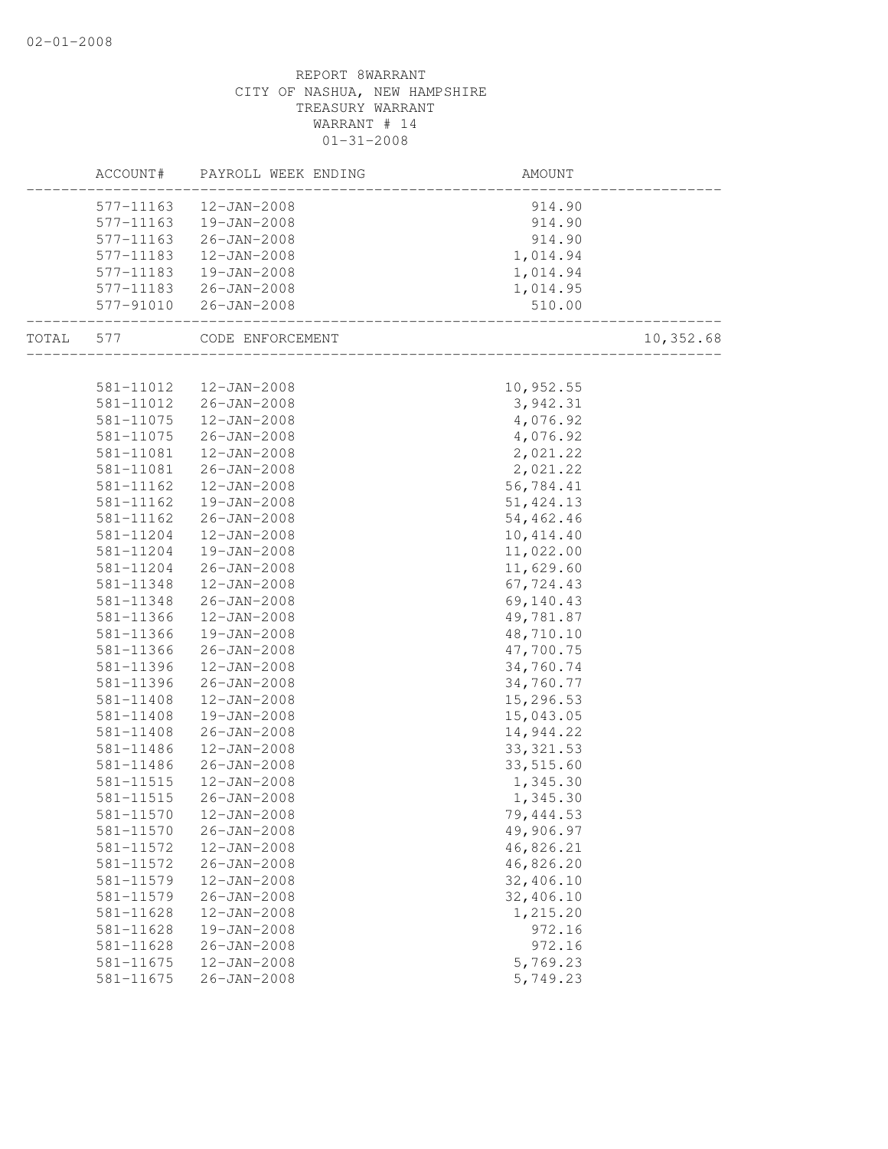|       | ACCOUNT#               | PAYROLL WEEK ENDING        | AMOUNT                              |           |
|-------|------------------------|----------------------------|-------------------------------------|-----------|
|       | 577-11163              | 12-JAN-2008                | 914.90                              |           |
|       | 577-11163              | 19-JAN-2008                | 914.90                              |           |
|       | 577-11163              | 26-JAN-2008                | 914.90                              |           |
|       | 577-11183              | 12-JAN-2008                | 1,014.94                            |           |
|       | 577-11183              | 19-JAN-2008                | 1,014.94                            |           |
|       |                        | 577-11183 26-JAN-2008      | 1,014.95                            |           |
|       | 577-91010              | 26-JAN-2008                | 510.00<br>_________________________ |           |
| TOTAL | 577                    | CODE ENFORCEMENT           | ________________________            | 10,352.68 |
|       |                        |                            |                                     |           |
|       | 581-11012              | 12-JAN-2008                | 10,952.55                           |           |
|       | 581-11012              | 26-JAN-2008                | 3,942.31                            |           |
|       | 581-11075              | 12-JAN-2008                | 4,076.92                            |           |
|       | 581-11075              | 26-JAN-2008                | 4,076.92                            |           |
|       | 581-11081              | 12-JAN-2008                | 2,021.22                            |           |
|       | 581-11081              | 26-JAN-2008                | 2,021.22                            |           |
|       | 581-11162              | 12-JAN-2008                | 56,784.41                           |           |
|       | 581-11162              | 19-JAN-2008                | 51, 424.13                          |           |
|       | 581-11162              | 26-JAN-2008                | 54,462.46                           |           |
|       | 581-11204              | 12-JAN-2008                | 10,414.40                           |           |
|       | 581-11204              | 19-JAN-2008                | 11,022.00                           |           |
|       | 581-11204              | 26-JAN-2008                | 11,629.60                           |           |
|       | 581-11348              | 12-JAN-2008                | 67,724.43                           |           |
|       | 581-11348              | 26-JAN-2008                | 69,140.43                           |           |
|       | 581-11366<br>581-11366 | 12-JAN-2008<br>19-JAN-2008 | 49,781.87                           |           |
|       | 581-11366              | 26-JAN-2008                | 48,710.10<br>47,700.75              |           |
|       | 581-11396              | 12-JAN-2008                | 34,760.74                           |           |
|       | 581-11396              | 26-JAN-2008                | 34,760.77                           |           |
|       | 581-11408              | 12-JAN-2008                | 15,296.53                           |           |
|       | 581-11408              | 19-JAN-2008                | 15,043.05                           |           |
|       | 581-11408              | 26-JAN-2008                | 14,944.22                           |           |
|       | 581-11486              | $12 - JAN - 2008$          | 33, 321.53                          |           |
|       | 581-11486              | $26 - JAN - 2008$          | 33,515.60                           |           |
|       | 581-11515              | 12-JAN-2008                | 1,345.30                            |           |
|       | 581-11515              | 26-JAN-2008                | 1,345.30                            |           |
|       | 581-11570              | 12-JAN-2008                | 79,444.53                           |           |
|       | 581-11570              | $26 - JAN - 2008$          | 49,906.97                           |           |
|       | 581-11572              | 12-JAN-2008                | 46,826.21                           |           |
|       | 581-11572              | $26 - JAN - 2008$          | 46,826.20                           |           |
|       | 581-11579              | 12-JAN-2008                | 32,406.10                           |           |
|       | 581-11579              | $26 - JAN - 2008$          | 32,406.10                           |           |
|       | 581-11628              | 12-JAN-2008                | 1,215.20                            |           |
|       | 581-11628              | 19-JAN-2008                | 972.16                              |           |
|       | 581-11628              | $26 - JAN - 2008$          | 972.16                              |           |
|       | 581-11675              | 12-JAN-2008                | 5,769.23                            |           |
|       | 581-11675              | $26 - JAN - 2008$          | 5,749.23                            |           |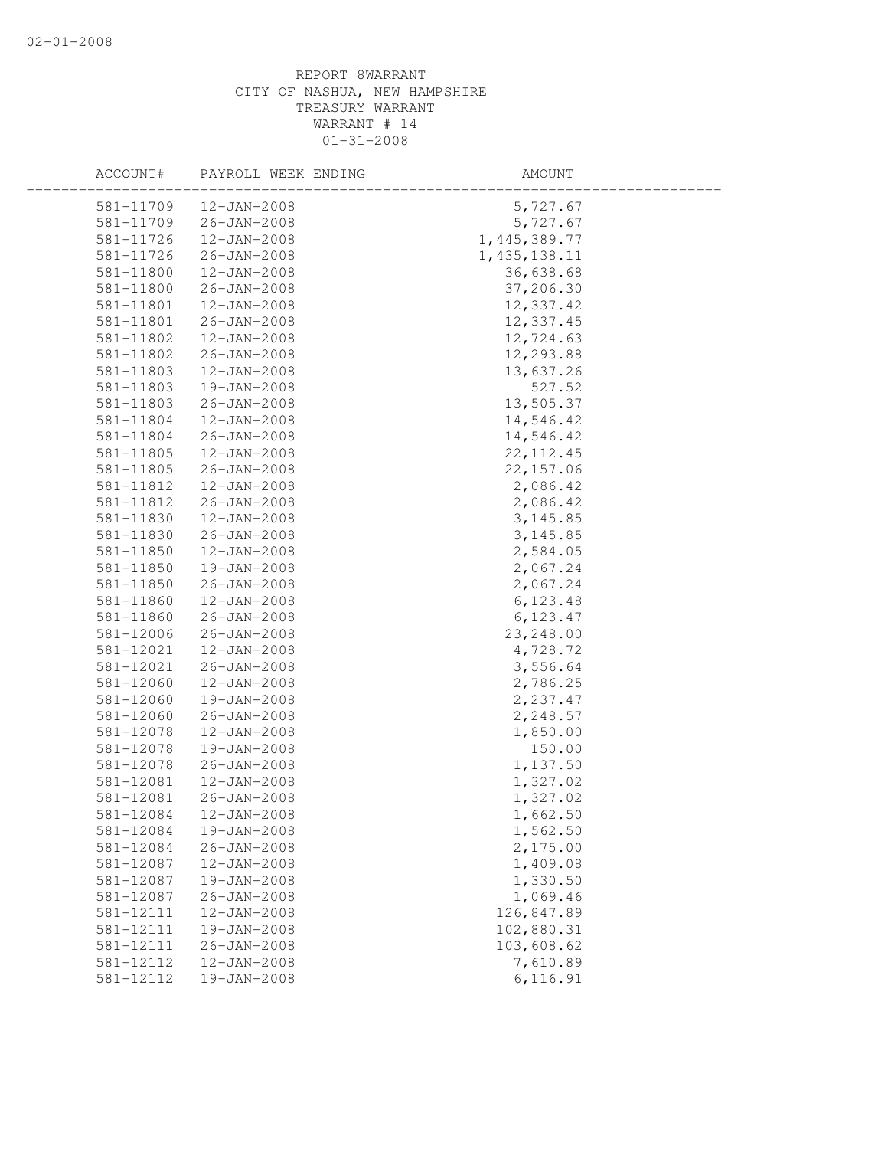| ACCOUNT#  | PAYROLL WEEK ENDING | AMOUNT         |  |
|-----------|---------------------|----------------|--|
| 581-11709 | 12-JAN-2008         | 5,727.67       |  |
| 581-11709 | $26 - JAN - 2008$   | 5,727.67       |  |
| 581-11726 | 12-JAN-2008         | 1,445,389.77   |  |
| 581-11726 | $26 - JAN - 2008$   | 1, 435, 138.11 |  |
| 581-11800 | $12 - JAN - 2008$   | 36,638.68      |  |
| 581-11800 | $26 - JAN - 2008$   | 37,206.30      |  |
| 581-11801 | $12 - JAN - 2008$   | 12,337.42      |  |
| 581-11801 | $26 - JAN - 2008$   | 12,337.45      |  |
| 581-11802 | $12 - JAN - 2008$   | 12,724.63      |  |
| 581-11802 | 26-JAN-2008         | 12,293.88      |  |
| 581-11803 | 12-JAN-2008         | 13,637.26      |  |
| 581-11803 | 19-JAN-2008         | 527.52         |  |
| 581-11803 | $26 - JAN - 2008$   | 13,505.37      |  |
| 581-11804 | $12 - JAN - 2008$   | 14,546.42      |  |
| 581-11804 | $26 - JAN - 2008$   | 14,546.42      |  |
| 581-11805 | $12 - JAN - 2008$   | 22, 112.45     |  |
| 581-11805 | $26 - JAN - 2008$   | 22, 157.06     |  |
| 581-11812 | $12 - JAN - 2008$   | 2,086.42       |  |
| 581-11812 | $26 - JAN - 2008$   | 2,086.42       |  |
| 581-11830 | $12 - JAN - 2008$   | 3, 145.85      |  |
| 581-11830 | $26 - JAN - 2008$   | 3, 145.85      |  |
| 581-11850 | $12 - JAN - 2008$   | 2,584.05       |  |
| 581-11850 | 19-JAN-2008         | 2,067.24       |  |
| 581-11850 | $26 - JAN - 2008$   | 2,067.24       |  |
| 581-11860 | $12 - JAN - 2008$   | 6, 123.48      |  |
| 581-11860 | $26 - JAN - 2008$   | 6, 123.47      |  |
| 581-12006 | $26 - JAN - 2008$   | 23, 248.00     |  |
| 581-12021 | $12 - JAN - 2008$   | 4,728.72       |  |
| 581-12021 | $26 - JAN - 2008$   | 3,556.64       |  |
| 581-12060 | $12 - JAN - 2008$   | 2,786.25       |  |
| 581-12060 | 19-JAN-2008         | 2,237.47       |  |
| 581-12060 | $26 - JAN - 2008$   | 2,248.57       |  |
| 581-12078 | $12 - JAN - 2008$   | 1,850.00       |  |
| 581-12078 | 19-JAN-2008         | 150.00         |  |
| 581-12078 | $26 - JAN - 2008$   | 1,137.50       |  |
| 581-12081 | $12 - JAN - 2008$   | 1,327.02       |  |
| 581-12081 | $26 - JAN - 2008$   | 1,327.02       |  |
| 581-12084 | 12-JAN-2008         | 1,662.50       |  |
| 581-12084 | 19-JAN-2008         | 1,562.50       |  |
| 581-12084 | $26 - JAN - 2008$   | 2,175.00       |  |
| 581-12087 | $12 - JAN - 2008$   | 1,409.08       |  |
| 581-12087 | 19-JAN-2008         | 1,330.50       |  |
| 581-12087 | $26 - JAN - 2008$   | 1,069.46       |  |
| 581-12111 | $12 - JAN - 2008$   | 126,847.89     |  |
| 581-12111 | 19-JAN-2008         | 102,880.31     |  |
| 581-12111 | $26 - JAN - 2008$   | 103,608.62     |  |
| 581-12112 | 12-JAN-2008         | 7,610.89       |  |
| 581-12112 | 19-JAN-2008         | 6,116.91       |  |
|           |                     |                |  |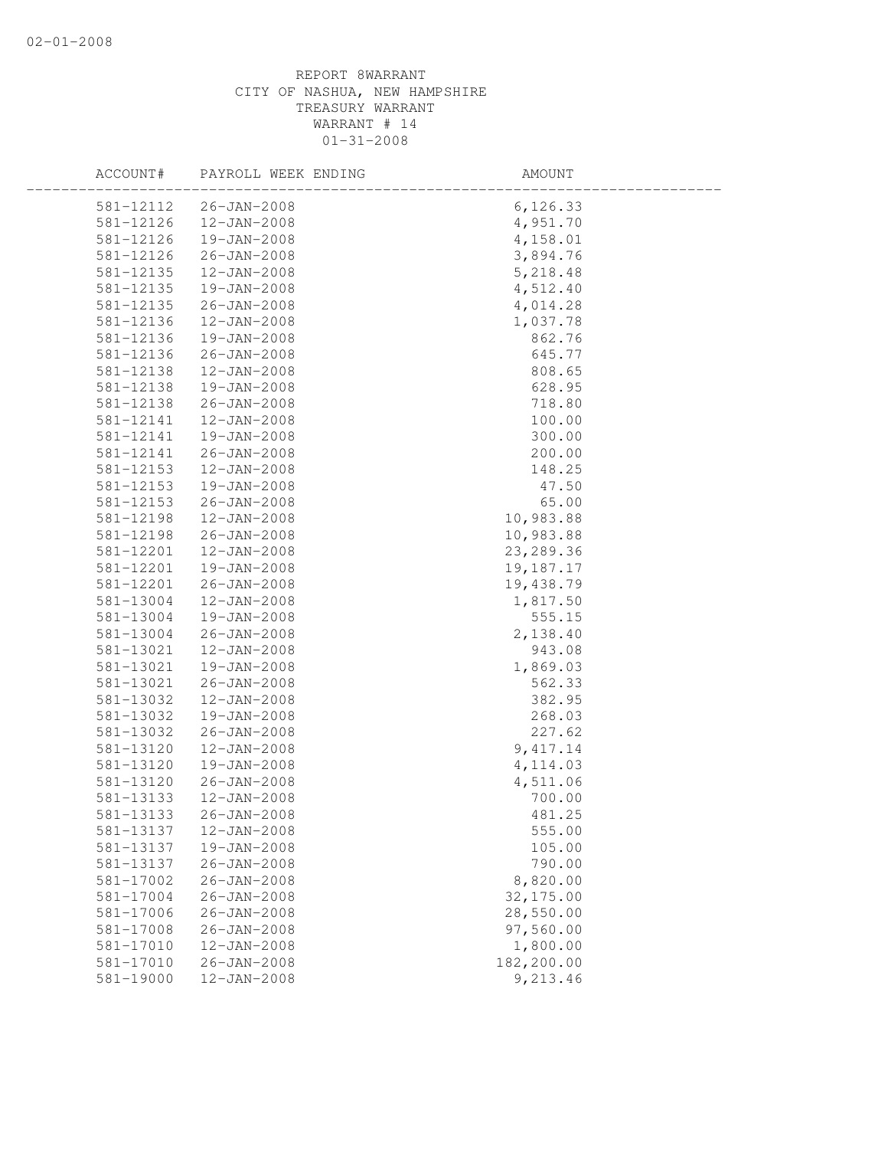| ACCOUNT#      | PAYROLL WEEK ENDING | AMOUNT     |  |
|---------------|---------------------|------------|--|
| 581-12112     | 26-JAN-2008         | 6, 126.33  |  |
| 581-12126     | 12-JAN-2008         | 4,951.70   |  |
| 581-12126     | 19-JAN-2008         | 4,158.01   |  |
| 581-12126     | 26-JAN-2008         | 3,894.76   |  |
| 581-12135     | 12-JAN-2008         | 5,218.48   |  |
| 581-12135     | 19-JAN-2008         | 4,512.40   |  |
| 581-12135     | $26 - JAN - 2008$   | 4,014.28   |  |
| 581-12136     | $12 - JAN - 2008$   | 1,037.78   |  |
| 581-12136     | 19-JAN-2008         | 862.76     |  |
| 581-12136     | $26 - JAN - 2008$   | 645.77     |  |
| 581-12138     | 12-JAN-2008         | 808.65     |  |
| 581-12138     | 19-JAN-2008         | 628.95     |  |
| 581-12138     | 26-JAN-2008         | 718.80     |  |
| 581-12141     | $12 - JAN - 2008$   | 100.00     |  |
| 581-12141     | 19-JAN-2008         | 300.00     |  |
| 581-12141     | $26 - JAN - 2008$   | 200.00     |  |
| 581-12153     | $12 - JAN - 2008$   | 148.25     |  |
| 581-12153     | 19-JAN-2008         | 47.50      |  |
| 581-12153     | 26-JAN-2008         | 65.00      |  |
| 581-12198     | 12-JAN-2008         | 10,983.88  |  |
| 581-12198     | 26-JAN-2008         | 10,983.88  |  |
| 581-12201     | 12-JAN-2008         | 23, 289.36 |  |
| 581-12201     | 19-JAN-2008         | 19,187.17  |  |
| 581-12201     | $26 - JAN - 2008$   | 19,438.79  |  |
| 581-13004     | 12-JAN-2008         | 1,817.50   |  |
| 581-13004     | 19-JAN-2008         | 555.15     |  |
| 581-13004     | 26-JAN-2008         | 2,138.40   |  |
| 581-13021     | 12-JAN-2008         | 943.08     |  |
| 581-13021     | 19-JAN-2008         | 1,869.03   |  |
| 581-13021     | $26 - JAN - 2008$   | 562.33     |  |
| 581-13032     | 12-JAN-2008         | 382.95     |  |
| 581-13032     | 19-JAN-2008         | 268.03     |  |
| 581-13032     | $26 - JAN - 2008$   | 227.62     |  |
| 581-13120     | $12 - JAN - 2008$   | 9, 417.14  |  |
| 581-13120     | 19-JAN-2008         | 4, 114.03  |  |
| 581-13120     | 26-JAN-2008         | 4,511.06   |  |
| 581-13133     | 12-JAN-2008         | 700.00     |  |
| 581-13133     | $26 - JAN - 2008$   | 481.25     |  |
| 581-13137     | 12-JAN-2008         | 555.00     |  |
| 581-13137     | 19-JAN-2008         | 105.00     |  |
| 581-13137     | $26 - JAN - 2008$   | 790.00     |  |
| 581-17002     | $26 - JAN - 2008$   | 8,820.00   |  |
| 581-17004     | $26 - JAN - 2008$   | 32, 175.00 |  |
| 581-17006     | $26 - JAN - 2008$   | 28,550.00  |  |
| 581-17008     | $26 - JAN - 2008$   | 97,560.00  |  |
| $581 - 17010$ | $12 - JAN - 2008$   | 1,800.00   |  |
| 581-17010     | $26 - JAN - 2008$   | 182,200.00 |  |
| 581-19000     | 12-JAN-2008         | 9,213.46   |  |
|               |                     |            |  |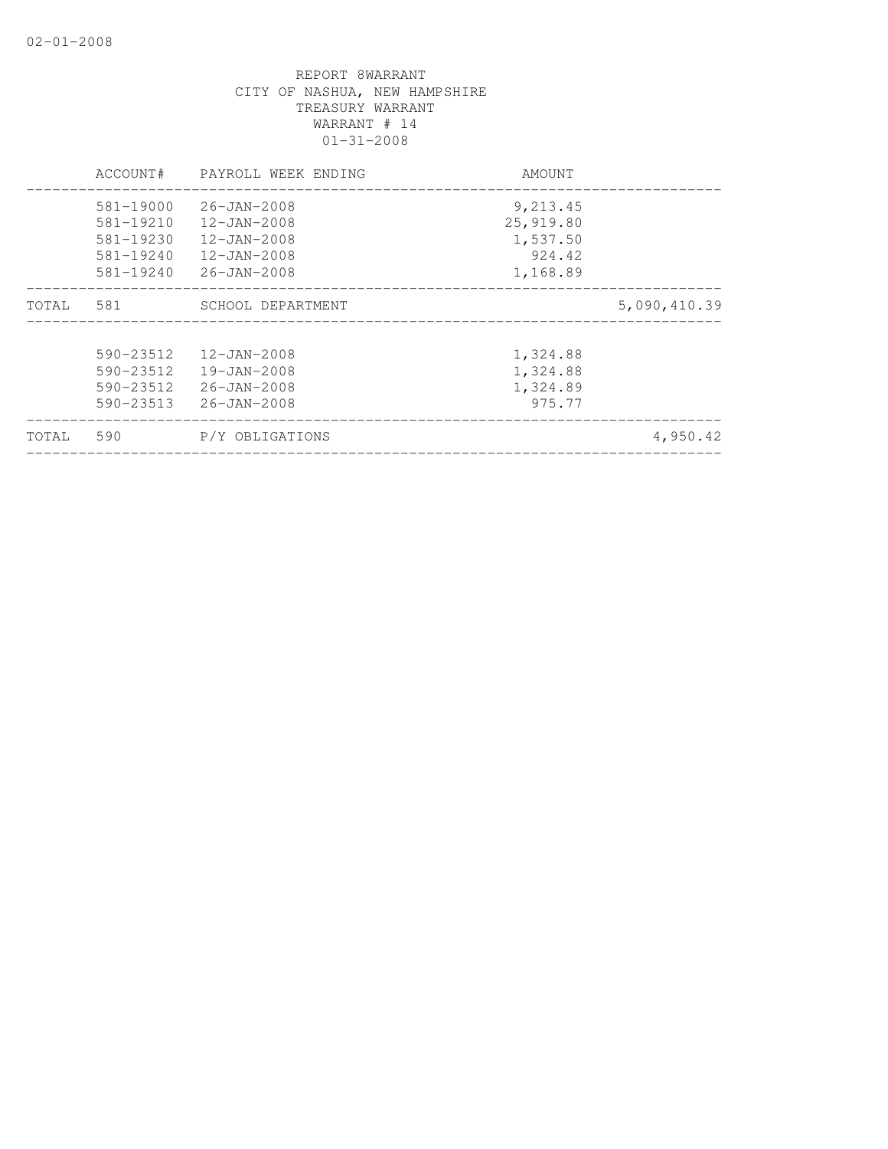|       | ACCOUNT#      | PAYROLL WEEK ENDING | AMOUNT    |              |
|-------|---------------|---------------------|-----------|--------------|
|       | 581-19000     | 26-JAN-2008         | 9,213.45  |              |
|       | 581-19210     | 12-JAN-2008         | 25,919.80 |              |
|       | 581-19230     | 12-JAN-2008         | 1,537.50  |              |
|       | 581-19240     | 12-JAN-2008         | 924.42    |              |
|       | 581-19240     | $26 - JAN - 2008$   | 1,168.89  |              |
| TOTAL | 581           | SCHOOL DEPARTMENT   |           | 5,090,410.39 |
|       | 590-23512     | $12 - JAN - 2008$   | 1,324.88  |              |
|       | 590-23512     | 19-JAN-2008         | 1,324.88  |              |
|       | $590 - 23512$ | 26-JAN-2008         | 1,324.89  |              |
|       | 590-23513     | $26 - JAN - 2008$   | 975.77    |              |
| TOTAL | 590           | P/Y OBLIGATIONS     |           | 4,950.42     |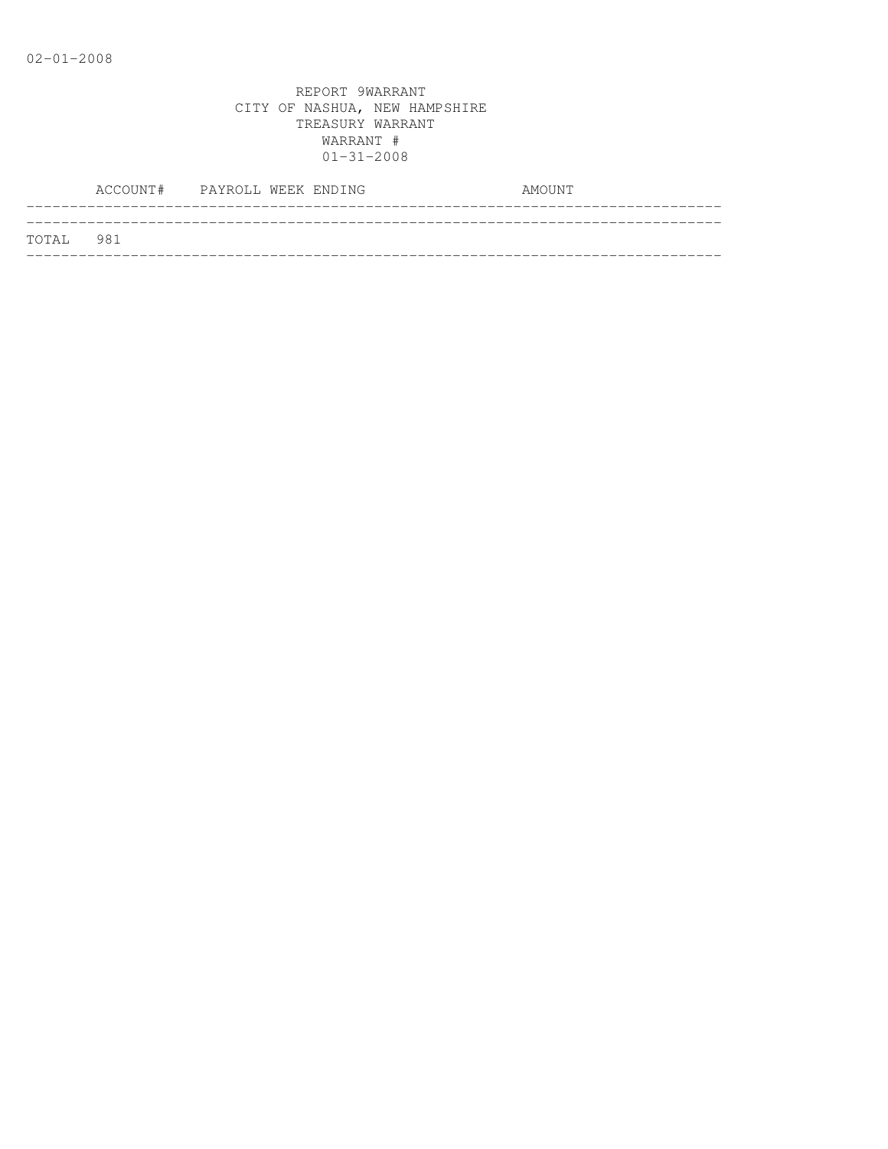|           | ACCOUNT# PAYROLL WEEK ENDING |  |  | AMOUNT |
|-----------|------------------------------|--|--|--------|
| TOTAL 981 |                              |  |  |        |
|           |                              |  |  |        |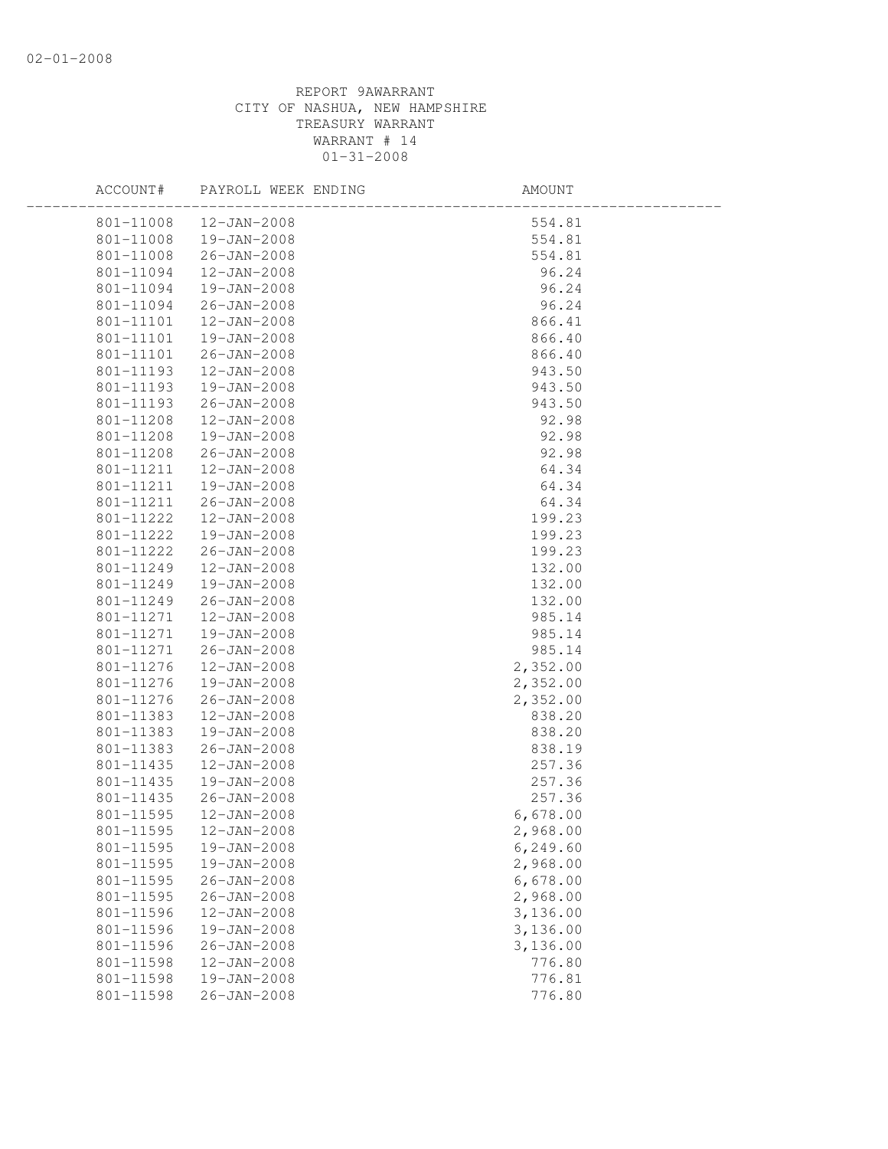| 801-11008<br>12-JAN-2008<br>554.81<br>801-11008<br>19-JAN-2008<br>554.81<br>554.81<br>801-11008<br>26-JAN-2008<br>801-11094<br>12-JAN-2008<br>96.24<br>801-11094<br>19-JAN-2008<br>96.24<br>26-JAN-2008<br>96.24<br>801-11094<br>866.41<br>801-11101<br>12-JAN-2008<br>801-11101<br>19-JAN-2008<br>866.40<br>801-11101<br>26-JAN-2008<br>866.40<br>801-11193<br>12-JAN-2008<br>943.50<br>943.50<br>801-11193<br>19-JAN-2008<br>801-11193<br>$26 - JAN - 2008$<br>943.50<br>801-11208<br>12-JAN-2008<br>92.98<br>92.98<br>92.98<br>64.34<br>64.34<br>801-11208<br>19-JAN-2008<br>801-11208<br>26-JAN-2008<br>801-11211<br>12-JAN-2008<br>801-11211<br>19-JAN-2008<br>64.34<br>801-11211<br>26-JAN-2008 |  |
|-------------------------------------------------------------------------------------------------------------------------------------------------------------------------------------------------------------------------------------------------------------------------------------------------------------------------------------------------------------------------------------------------------------------------------------------------------------------------------------------------------------------------------------------------------------------------------------------------------------------------------------------------------------------------------------------------------|--|
|                                                                                                                                                                                                                                                                                                                                                                                                                                                                                                                                                                                                                                                                                                       |  |
|                                                                                                                                                                                                                                                                                                                                                                                                                                                                                                                                                                                                                                                                                                       |  |
|                                                                                                                                                                                                                                                                                                                                                                                                                                                                                                                                                                                                                                                                                                       |  |
|                                                                                                                                                                                                                                                                                                                                                                                                                                                                                                                                                                                                                                                                                                       |  |
|                                                                                                                                                                                                                                                                                                                                                                                                                                                                                                                                                                                                                                                                                                       |  |
|                                                                                                                                                                                                                                                                                                                                                                                                                                                                                                                                                                                                                                                                                                       |  |
|                                                                                                                                                                                                                                                                                                                                                                                                                                                                                                                                                                                                                                                                                                       |  |
|                                                                                                                                                                                                                                                                                                                                                                                                                                                                                                                                                                                                                                                                                                       |  |
|                                                                                                                                                                                                                                                                                                                                                                                                                                                                                                                                                                                                                                                                                                       |  |
|                                                                                                                                                                                                                                                                                                                                                                                                                                                                                                                                                                                                                                                                                                       |  |
|                                                                                                                                                                                                                                                                                                                                                                                                                                                                                                                                                                                                                                                                                                       |  |
|                                                                                                                                                                                                                                                                                                                                                                                                                                                                                                                                                                                                                                                                                                       |  |
|                                                                                                                                                                                                                                                                                                                                                                                                                                                                                                                                                                                                                                                                                                       |  |
|                                                                                                                                                                                                                                                                                                                                                                                                                                                                                                                                                                                                                                                                                                       |  |
|                                                                                                                                                                                                                                                                                                                                                                                                                                                                                                                                                                                                                                                                                                       |  |
|                                                                                                                                                                                                                                                                                                                                                                                                                                                                                                                                                                                                                                                                                                       |  |
|                                                                                                                                                                                                                                                                                                                                                                                                                                                                                                                                                                                                                                                                                                       |  |
|                                                                                                                                                                                                                                                                                                                                                                                                                                                                                                                                                                                                                                                                                                       |  |
| 199.23<br>801-11222<br>12-JAN-2008                                                                                                                                                                                                                                                                                                                                                                                                                                                                                                                                                                                                                                                                    |  |
| 801-11222<br>19-JAN-2008<br>199.23                                                                                                                                                                                                                                                                                                                                                                                                                                                                                                                                                                                                                                                                    |  |
| 801-11222<br>26-JAN-2008<br>199.23                                                                                                                                                                                                                                                                                                                                                                                                                                                                                                                                                                                                                                                                    |  |
| 801-11249<br>12-JAN-2008<br>132.00                                                                                                                                                                                                                                                                                                                                                                                                                                                                                                                                                                                                                                                                    |  |
| 132.00<br>801-11249<br>19-JAN-2008                                                                                                                                                                                                                                                                                                                                                                                                                                                                                                                                                                                                                                                                    |  |
| 26-JAN-2008<br>801-11249<br>132.00                                                                                                                                                                                                                                                                                                                                                                                                                                                                                                                                                                                                                                                                    |  |
| 801-11271<br>12-JAN-2008<br>985.14                                                                                                                                                                                                                                                                                                                                                                                                                                                                                                                                                                                                                                                                    |  |
| 985.14<br>801-11271<br>19-JAN-2008                                                                                                                                                                                                                                                                                                                                                                                                                                                                                                                                                                                                                                                                    |  |
| 801-11271<br>26-JAN-2008<br>985.14                                                                                                                                                                                                                                                                                                                                                                                                                                                                                                                                                                                                                                                                    |  |
| 12-JAN-2008<br>2,352.00<br>801-11276                                                                                                                                                                                                                                                                                                                                                                                                                                                                                                                                                                                                                                                                  |  |
| 19-JAN-2008<br>801-11276<br>2,352.00                                                                                                                                                                                                                                                                                                                                                                                                                                                                                                                                                                                                                                                                  |  |
| 801-11276<br>$26 - JAN - 2008$<br>2,352.00                                                                                                                                                                                                                                                                                                                                                                                                                                                                                                                                                                                                                                                            |  |
| 801-11383<br>12-JAN-2008<br>838.20                                                                                                                                                                                                                                                                                                                                                                                                                                                                                                                                                                                                                                                                    |  |
| 801-11383<br>19-JAN-2008<br>838.20                                                                                                                                                                                                                                                                                                                                                                                                                                                                                                                                                                                                                                                                    |  |
| 801-11383<br>26-JAN-2008<br>838.19                                                                                                                                                                                                                                                                                                                                                                                                                                                                                                                                                                                                                                                                    |  |
| 257.36<br>801-11435<br>12-JAN-2008                                                                                                                                                                                                                                                                                                                                                                                                                                                                                                                                                                                                                                                                    |  |
| 801-11435<br>19-JAN-2008<br>257.36                                                                                                                                                                                                                                                                                                                                                                                                                                                                                                                                                                                                                                                                    |  |
| 801-11435<br>26-JAN-2008<br>257.36                                                                                                                                                                                                                                                                                                                                                                                                                                                                                                                                                                                                                                                                    |  |
| 801-11595<br>12-JAN-2008<br>6,678.00                                                                                                                                                                                                                                                                                                                                                                                                                                                                                                                                                                                                                                                                  |  |
| 801-11595<br>12-JAN-2008<br>2,968.00                                                                                                                                                                                                                                                                                                                                                                                                                                                                                                                                                                                                                                                                  |  |
| 801-11595<br>19-JAN-2008<br>6,249.60                                                                                                                                                                                                                                                                                                                                                                                                                                                                                                                                                                                                                                                                  |  |
| 801-11595<br>19-JAN-2008<br>2,968.00                                                                                                                                                                                                                                                                                                                                                                                                                                                                                                                                                                                                                                                                  |  |
| 801-11595<br>$26 - JAN - 2008$<br>6,678.00                                                                                                                                                                                                                                                                                                                                                                                                                                                                                                                                                                                                                                                            |  |
| 801-11595<br>$26 - JAN - 2008$<br>2,968.00                                                                                                                                                                                                                                                                                                                                                                                                                                                                                                                                                                                                                                                            |  |
| 3,136.00<br>801-11596<br>12-JAN-2008                                                                                                                                                                                                                                                                                                                                                                                                                                                                                                                                                                                                                                                                  |  |
| 3,136.00<br>801-11596<br>19-JAN-2008                                                                                                                                                                                                                                                                                                                                                                                                                                                                                                                                                                                                                                                                  |  |
| 801-11596<br>3,136.00<br>$26 - JAN - 2008$                                                                                                                                                                                                                                                                                                                                                                                                                                                                                                                                                                                                                                                            |  |
| 801-11598<br>12-JAN-2008<br>776.80                                                                                                                                                                                                                                                                                                                                                                                                                                                                                                                                                                                                                                                                    |  |
| 801-11598<br>776.81<br>19-JAN-2008                                                                                                                                                                                                                                                                                                                                                                                                                                                                                                                                                                                                                                                                    |  |
| 801-11598<br>$26 - JAN - 2008$<br>776.80                                                                                                                                                                                                                                                                                                                                                                                                                                                                                                                                                                                                                                                              |  |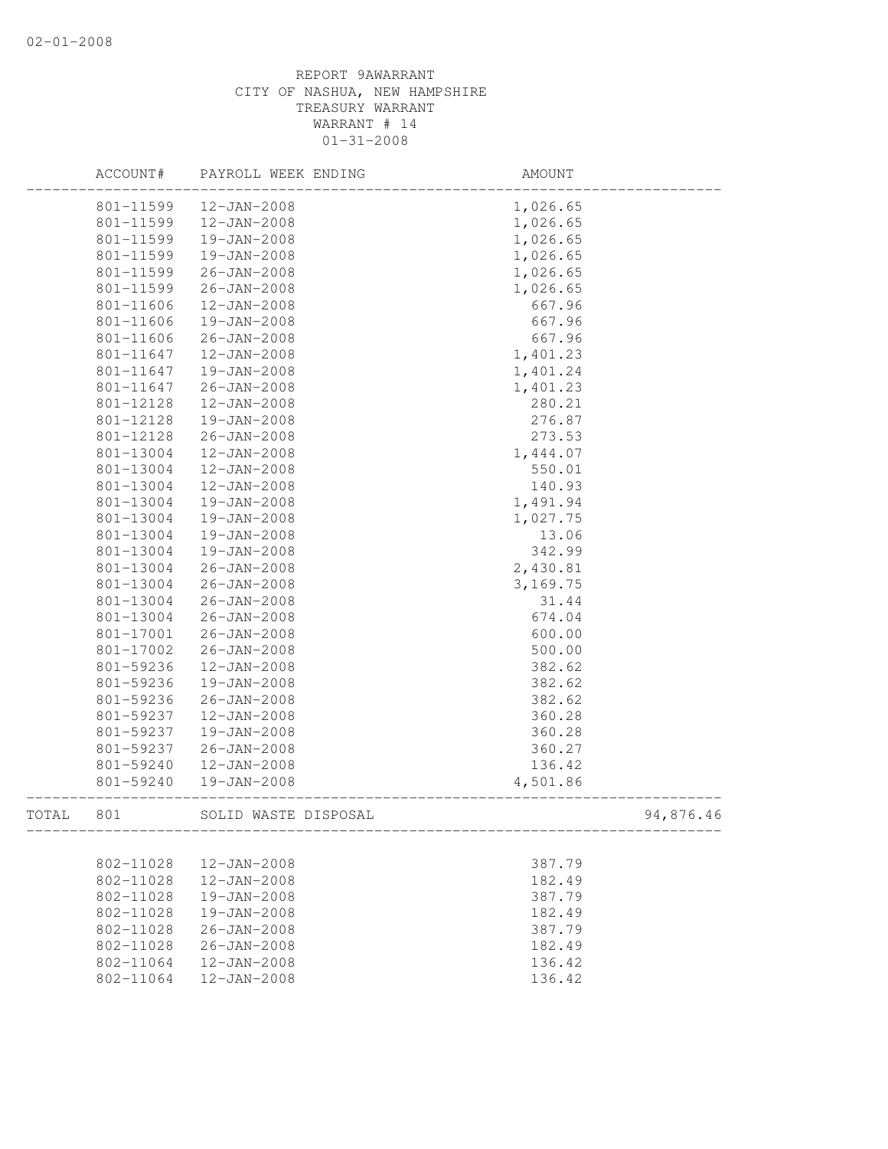|       | ACCOUNT#  | PAYROLL WEEK ENDING  | AMOUNT    |
|-------|-----------|----------------------|-----------|
|       | 801-11599 | 12-JAN-2008          | 1,026.65  |
|       | 801-11599 | $12 - JAN - 2008$    | 1,026.65  |
|       | 801-11599 | 19-JAN-2008          | 1,026.65  |
|       | 801-11599 | 19-JAN-2008          | 1,026.65  |
|       | 801-11599 | $26 - JAN - 2008$    | 1,026.65  |
|       | 801-11599 | $26 - JAN - 2008$    | 1,026.65  |
|       | 801-11606 | $12 - JAN - 2008$    | 667.96    |
|       | 801-11606 | 19-JAN-2008          | 667.96    |
|       | 801-11606 | $26 - JAN - 2008$    | 667.96    |
|       | 801-11647 | $12 - JAN - 2008$    | 1,401.23  |
|       | 801-11647 | 19-JAN-2008          | 1,401.24  |
|       | 801-11647 | 26-JAN-2008          | 1,401.23  |
|       | 801-12128 | 12-JAN-2008          | 280.21    |
|       | 801-12128 | 19-JAN-2008          | 276.87    |
|       | 801-12128 | $26 - JAN - 2008$    | 273.53    |
|       | 801-13004 | $12 - JAN - 2008$    | 1,444.07  |
|       | 801-13004 | 12-JAN-2008          | 550.01    |
|       | 801-13004 | $12 - JAN - 2008$    | 140.93    |
|       | 801-13004 | 19-JAN-2008          | 1,491.94  |
|       | 801-13004 | 19-JAN-2008          | 1,027.75  |
|       | 801-13004 | 19-JAN-2008          | 13.06     |
|       | 801-13004 | 19-JAN-2008          | 342.99    |
|       | 801-13004 | $26 - JAN - 2008$    | 2,430.81  |
|       | 801-13004 | $26 - JAN - 2008$    | 3,169.75  |
|       | 801-13004 | $26 - JAN - 2008$    | 31.44     |
|       | 801-13004 | $26 - JAN - 2008$    | 674.04    |
|       | 801-17001 | $26 - JAN - 2008$    | 600.00    |
|       | 801-17002 | $26 - JAN - 2008$    | 500.00    |
|       | 801-59236 | $12 - JAN - 2008$    | 382.62    |
|       | 801-59236 | 19-JAN-2008          | 382.62    |
|       | 801-59236 | $26 - JAN - 2008$    | 382.62    |
|       | 801-59237 | $12 - JAN - 2008$    | 360.28    |
|       | 801-59237 | 19-JAN-2008          | 360.28    |
|       | 801-59237 | $26 - JAN - 2008$    | 360.27    |
|       | 801-59240 | 12-JAN-2008          | 136.42    |
|       | 801-59240 | 19-JAN-2008          | 4,501.86  |
| TOTAL | 801       | SOLID WASTE DISPOSAL | 94,876.46 |
|       |           |                      |           |
|       | 802-11028 | 12-JAN-2008          | 387.79    |
|       | 802-11028 | $12 - JAN - 2008$    | 182.49    |
|       | 802-11028 | $19 - JAN - 2008$    | 387.79    |
|       | 802-11028 | 19-JAN-2008          | 182.49    |
|       | 802-11028 | $26 - JAN - 2008$    | 387.79    |
|       | 802-11028 | $26 - JAN - 2008$    | 182.49    |
|       | 802-11064 | $12 - JAN - 2008$    | 136.42    |
|       | 802-11064 | $12 - JAN - 2008$    | 136.42    |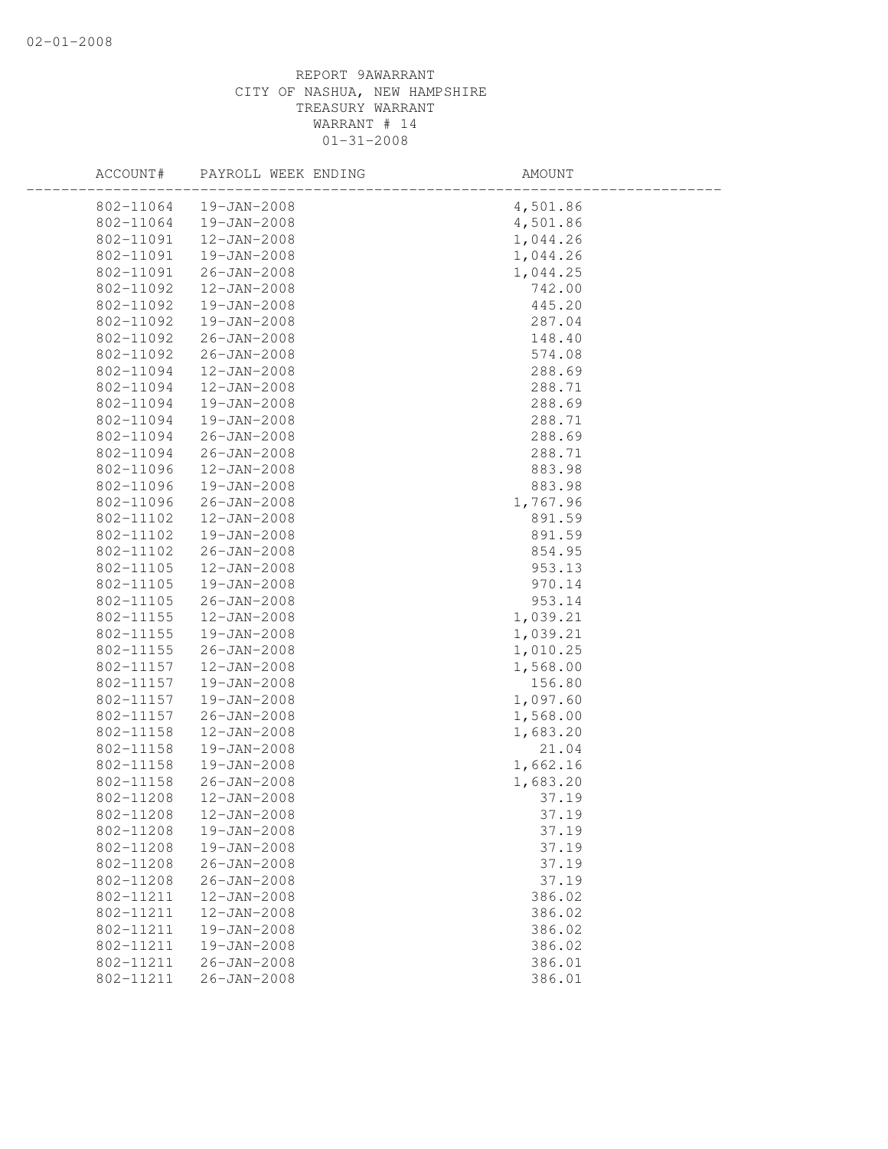| ACCOUNT#  | PAYROLL WEEK ENDING | AMOUNT   |
|-----------|---------------------|----------|
| 802-11064 | 19-JAN-2008         | 4,501.86 |
| 802-11064 | 19-JAN-2008         | 4,501.86 |
| 802-11091 | $12 - JAN - 2008$   | 1,044.26 |
| 802-11091 | 19-JAN-2008         | 1,044.26 |
| 802-11091 | $26 - JAN - 2008$   | 1,044.25 |
| 802-11092 | $12 - JAN - 2008$   | 742.00   |
| 802-11092 | 19-JAN-2008         | 445.20   |
| 802-11092 | 19-JAN-2008         | 287.04   |
| 802-11092 | $26 - JAN - 2008$   | 148.40   |
| 802-11092 | 26-JAN-2008         | 574.08   |
| 802-11094 | 12-JAN-2008         | 288.69   |
| 802-11094 | $12 - JAN - 2008$   | 288.71   |
| 802-11094 | 19-JAN-2008         | 288.69   |
| 802-11094 | 19-JAN-2008         | 288.71   |
| 802-11094 | $26 - JAN - 2008$   | 288.69   |
| 802-11094 | $26 - JAN - 2008$   | 288.71   |
| 802-11096 | $12 - JAN - 2008$   | 883.98   |
| 802-11096 | 19-JAN-2008         | 883.98   |
| 802-11096 | $26 - JAN - 2008$   | 1,767.96 |
| 802-11102 | $12 - JAN - 2008$   | 891.59   |
| 802-11102 | 19-JAN-2008         | 891.59   |
| 802-11102 | $26 - JAN - 2008$   | 854.95   |
| 802-11105 | 12-JAN-2008         | 953.13   |
| 802-11105 | 19-JAN-2008         | 970.14   |
| 802-11105 | $26 - JAN - 2008$   | 953.14   |
| 802-11155 | $12 - JAN - 2008$   | 1,039.21 |
| 802-11155 | 19-JAN-2008         | 1,039.21 |
| 802-11155 | $26 - JAN - 2008$   | 1,010.25 |
| 802-11157 | $12 - JAN - 2008$   | 1,568.00 |
| 802-11157 | 19-JAN-2008         | 156.80   |
| 802-11157 | 19-JAN-2008         | 1,097.60 |
| 802-11157 | $26 - JAN - 2008$   | 1,568.00 |
| 802-11158 | 12-JAN-2008         | 1,683.20 |
| 802-11158 | 19-JAN-2008         | 21.04    |
| 802-11158 | 19-JAN-2008         | 1,662.16 |
| 802-11158 | 26-JAN-2008         | 1,683.20 |
| 802-11208 | $12 - JAN - 2008$   | 37.19    |
| 802-11208 | $12 - JAN - 2008$   | 37.19    |
| 802-11208 | 19-JAN-2008         | 37.19    |
| 802-11208 | 19-JAN-2008         | 37.19    |
| 802-11208 | $26 - JAN - 2008$   | 37.19    |
| 802-11208 | $26 - JAN - 2008$   | 37.19    |
| 802-11211 | $12 - JAN - 2008$   | 386.02   |
| 802-11211 | $12 - JAN - 2008$   | 386.02   |
| 802-11211 | 19-JAN-2008         | 386.02   |
| 802-11211 | 19-JAN-2008         | 386.02   |
| 802-11211 | $26 - JAN - 2008$   | 386.01   |
| 802-11211 | $26 - JAN - 2008$   | 386.01   |
|           |                     |          |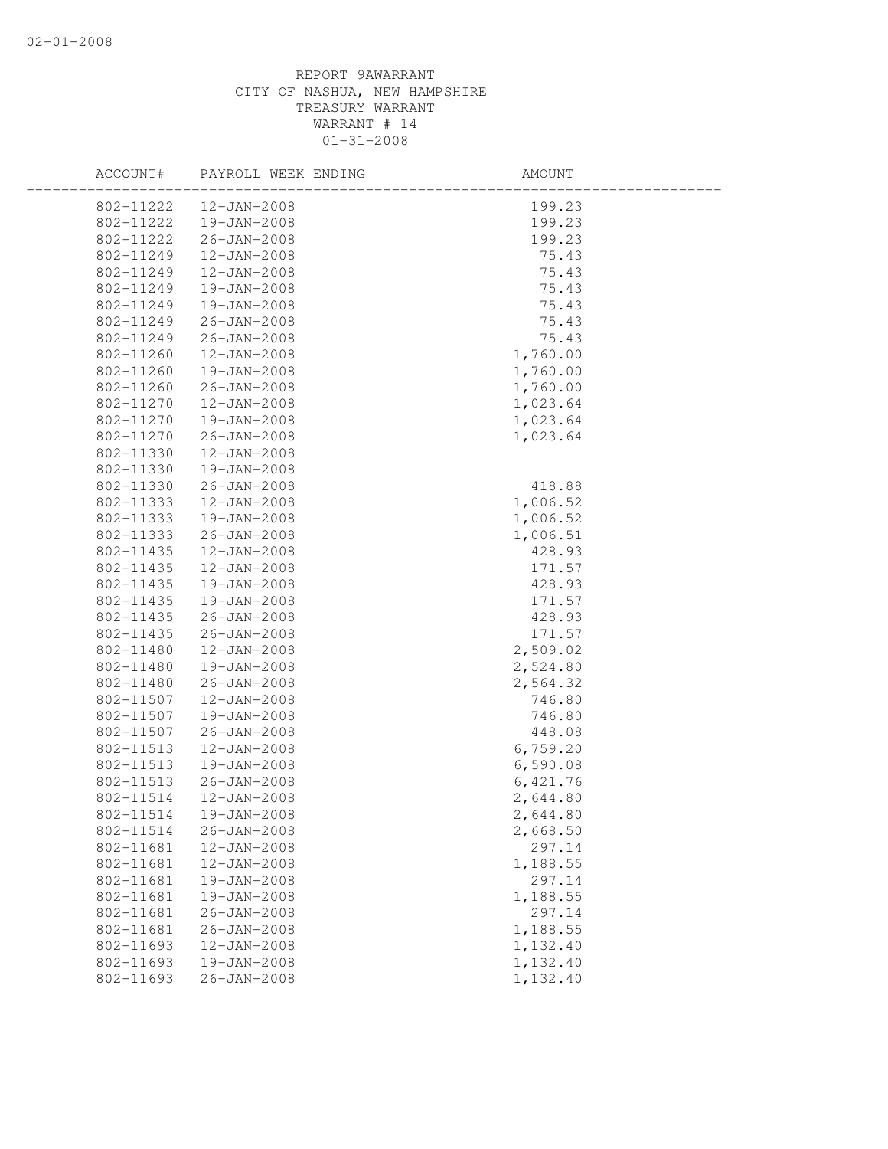| 802-11222<br>12-JAN-2008<br>199.23<br>802-11222<br>199.23<br>19-JAN-2008<br>199.23<br>802-11222<br>26-JAN-2008<br>802-11249<br>12-JAN-2008<br>75.43<br>75.43<br>802-11249<br>12-JAN-2008<br>75.43<br>802-11249<br>19-JAN-2008<br>75.43<br>19-JAN-2008 |  |
|-------------------------------------------------------------------------------------------------------------------------------------------------------------------------------------------------------------------------------------------------------|--|
|                                                                                                                                                                                                                                                       |  |
|                                                                                                                                                                                                                                                       |  |
|                                                                                                                                                                                                                                                       |  |
|                                                                                                                                                                                                                                                       |  |
|                                                                                                                                                                                                                                                       |  |
|                                                                                                                                                                                                                                                       |  |
| 802-11249                                                                                                                                                                                                                                             |  |
| 802-11249<br>75.43<br>$26 - JAN - 2008$                                                                                                                                                                                                               |  |
| 802-11249<br>75.43<br>$26 - JAN - 2008$                                                                                                                                                                                                               |  |
| 802-11260<br>$12 - JAN - 2008$<br>1,760.00                                                                                                                                                                                                            |  |
| 802-11260<br>$19 - JAN - 2008$<br>1,760.00                                                                                                                                                                                                            |  |
| 802-11260<br>26-JAN-2008<br>1,760.00                                                                                                                                                                                                                  |  |
| 802-11270<br>12-JAN-2008<br>1,023.64                                                                                                                                                                                                                  |  |
| 1,023.64<br>802-11270<br>19-JAN-2008                                                                                                                                                                                                                  |  |
| 802-11270<br>1,023.64<br>$26 - JAN - 2008$                                                                                                                                                                                                            |  |
| 802-11330<br>$12 - JAN - 2008$                                                                                                                                                                                                                        |  |
| 802-11330<br>$19 - JAN - 2008$                                                                                                                                                                                                                        |  |
| 802-11330<br>$26 - JAN - 2008$<br>418.88                                                                                                                                                                                                              |  |
| 802-11333<br>$12 - JAN - 2008$<br>1,006.52                                                                                                                                                                                                            |  |
| 802-11333<br>19-JAN-2008<br>1,006.52                                                                                                                                                                                                                  |  |
| 802-11333<br>$26 - JAN - 2008$<br>1,006.51                                                                                                                                                                                                            |  |
| 802-11435<br>12-JAN-2008<br>428.93                                                                                                                                                                                                                    |  |
| 802-11435<br>12-JAN-2008<br>171.57                                                                                                                                                                                                                    |  |
| 428.93<br>802-11435<br>19-JAN-2008                                                                                                                                                                                                                    |  |
| 171.57<br>802-11435<br>19-JAN-2008                                                                                                                                                                                                                    |  |
| 802-11435<br>$26 - JAN - 2008$<br>428.93                                                                                                                                                                                                              |  |
| 171.57<br>802-11435<br>$26 - JAN - 2008$                                                                                                                                                                                                              |  |
| 802-11480<br>12-JAN-2008<br>2,509.02                                                                                                                                                                                                                  |  |
| 802-11480<br>19-JAN-2008<br>2,524.80                                                                                                                                                                                                                  |  |
| 802-11480<br>$26 - JAN - 2008$<br>2,564.32                                                                                                                                                                                                            |  |
| 802-11507<br>$12 - JAN - 2008$<br>746.80                                                                                                                                                                                                              |  |
| 802-11507<br>19-JAN-2008<br>746.80                                                                                                                                                                                                                    |  |
| 802-11507<br>$26 - JAN - 2008$<br>448.08                                                                                                                                                                                                              |  |
| 6,759.20<br>802-11513<br>12-JAN-2008                                                                                                                                                                                                                  |  |
| 6,590.08<br>802-11513<br>19-JAN-2008                                                                                                                                                                                                                  |  |
| 6,421.76<br>802-11513<br>$26 - JAN - 2008$                                                                                                                                                                                                            |  |
| 802-11514<br>$12 - JAN - 2008$<br>2,644.80                                                                                                                                                                                                            |  |
| 802-11514<br>19-JAN-2008<br>2,644.80                                                                                                                                                                                                                  |  |
| 802-11514<br>$26 - JAN - 2008$<br>2,668.50                                                                                                                                                                                                            |  |
| 802-11681<br>12-JAN-2008<br>297.14                                                                                                                                                                                                                    |  |
| 802-11681<br>$12 - JAN - 2008$<br>1,188.55                                                                                                                                                                                                            |  |
| 297.14<br>802-11681<br>19-JAN-2008                                                                                                                                                                                                                    |  |
| 802-11681<br>19-JAN-2008<br>1,188.55                                                                                                                                                                                                                  |  |
| 802-11681<br>$26 - JAN - 2008$<br>297.14                                                                                                                                                                                                              |  |
| 802-11681<br>$26 - JAN - 2008$<br>1,188.55                                                                                                                                                                                                            |  |
| 802-11693<br>12-JAN-2008<br>1,132.40                                                                                                                                                                                                                  |  |
| 802-11693<br>19-JAN-2008<br>1,132.40                                                                                                                                                                                                                  |  |
| 1,132.40<br>802-11693<br>$26 - JAN - 2008$                                                                                                                                                                                                            |  |